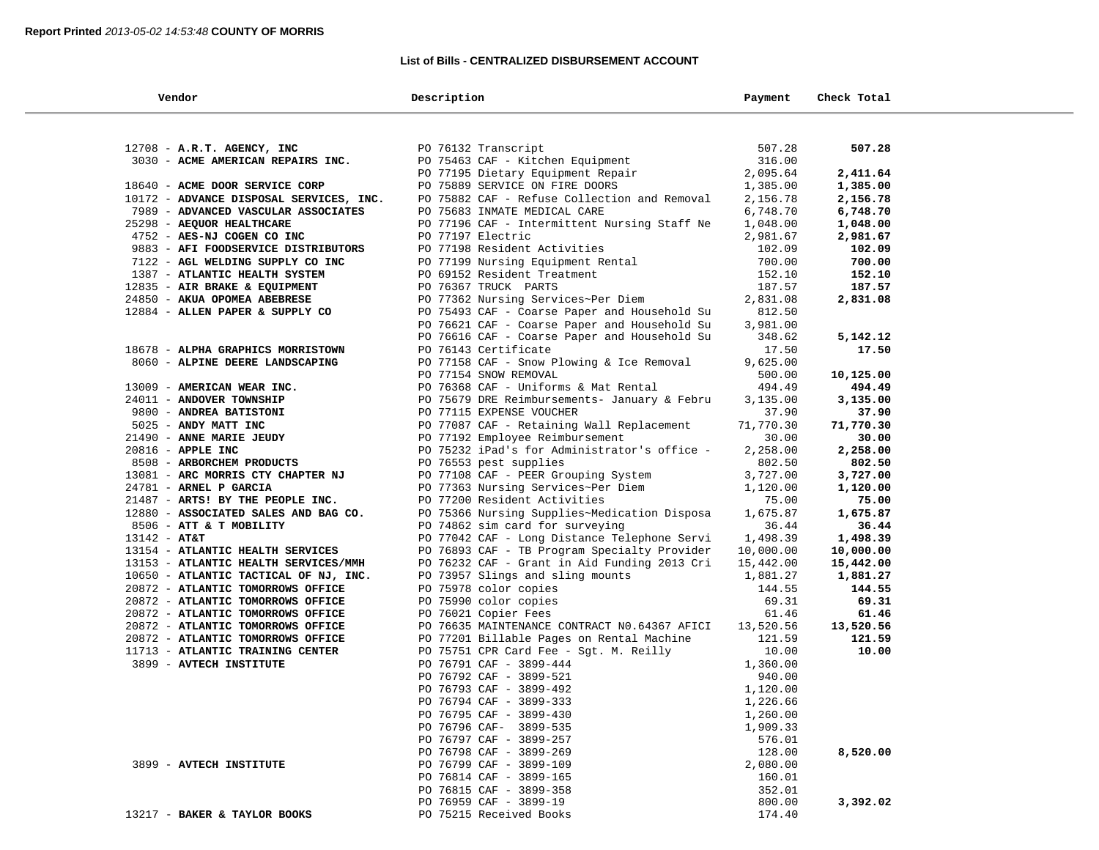## **List of Bills - CENTRALIZED DISBURSEMENT ACCOUNT**

| Vendor                                                     | Description                                                        | Payment           | Check Total       |  |
|------------------------------------------------------------|--------------------------------------------------------------------|-------------------|-------------------|--|
|                                                            |                                                                    |                   |                   |  |
| 12708 - A.R.T. AGENCY, INC                                 | PO 76132 Transcript                                                | 507.28            | 507.28            |  |
| 3030 - ACME AMERICAN REPAIRS INC.                          | PO 75463 CAF - Kitchen Equipment                                   | 316.00            |                   |  |
|                                                            | PO 77195 Dietary Equipment Repair                                  | 2,095.64          | 2,411.64          |  |
| 18640 - ACME DOOR SERVICE CORP                             | PO 75889 SERVICE ON FIRE DOORS                                     | 1,385.00          | 1,385.00          |  |
| 10172 - ADVANCE DISPOSAL SERVICES, INC.                    | PO 75882 CAF - Refuse Collection and Removal                       | 2,156.78          | 2,156.78          |  |
| 7989 - ADVANCED VASCULAR ASSOCIATES                        | PO 75683 INMATE MEDICAL CARE                                       | 6,748.70          | 6,748.70          |  |
| 25298 - AEQUOR HEALTHCARE                                  | PO 77196 CAF - Intermittent Nursing Staff Ne                       | 1,048.00          | 1,048.00          |  |
| 4752 - AES-NJ COGEN CO INC                                 | PO 77197 Electric                                                  | 2,981.67          | 2,981.67          |  |
| 9883 - AFI FOODSERVICE DISTRIBUTORS                        | PO 77198 Resident Activities                                       | 102.09            | 102.09            |  |
| 7122 - AGL WELDING SUPPLY CO INC                           | PO 77199 Nursing Equipment Rental                                  | 700.00            | 700.00            |  |
| 1387 - ATLANTIC HEALTH SYSTEM                              | PO 69152 Resident Treatment                                        | 152.10            | 152.10            |  |
| 12835 - AIR BRAKE & EQUIPMENT                              | PO 76367 TRUCK PARTS                                               | 187.57            | 187.57            |  |
| 24850 - AKUA OPOMEA ABEBRESE                               | PO 77362 Nursing Services~Per Diem                                 | 2,831.08          | 2,831.08          |  |
| 12884 - ALLEN PAPER & SUPPLY CO                            | PO 75493 CAF - Coarse Paper and Household Su                       | 812.50            |                   |  |
|                                                            | PO 76621 CAF - Coarse Paper and Household Su                       | 3,981.00          |                   |  |
|                                                            | PO 76616 CAF - Coarse Paper and Household Su                       | 348.62            | 5,142.12          |  |
| 18678 - ALPHA GRAPHICS MORRISTOWN                          | PO 76143 Certificate                                               | 17.50             | 17.50             |  |
| 8060 - ALPINE DEERE LANDSCAPING                            | PO 77158 CAF - Snow Plowing & Ice Removal                          | 9,625.00          |                   |  |
|                                                            | PO 77154 SNOW REMOVAL                                              | 500.00            | 10,125.00         |  |
| 13009 - AMERICAN WEAR INC.                                 | PO 76368 CAF - Uniforms & Mat Rental                               | 494.49            | 494.49            |  |
| 24011 - ANDOVER TOWNSHIP                                   | PO 75679 DRE Reimbursements- January & Febru                       | 3,135.00          | 3,135.00          |  |
| 9800 - ANDREA BATISTONI                                    | PO 77115 EXPENSE VOUCHER                                           | 37.90             | 37.90             |  |
| 5025 - ANDY MATT INC                                       | PO 77087 CAF - Retaining Wall Replacement                          | 71,770.30         | 71,770.30         |  |
| 21490 - ANNE MARIE JEUDY                                   | PO 77192 Employee Reimbursement                                    | 30.00             | 30.00             |  |
| 20816 - APPLE INC                                          | PO 75232 iPad's for Administrator's office -                       | 2,258.00          | 2,258.00          |  |
| 8508 - ARBORCHEM PRODUCTS                                  | PO 76553 pest supplies                                             | 802.50            | 802.50            |  |
| 13081 - ARC MORRIS CTY CHAPTER NJ                          | PO 77108 CAF - PEER Grouping System                                | 3,727.00          | 3,727.00          |  |
| 24781 - ARNEL P GARCIA<br>21487 - ARTS! BY THE PEOPLE INC. | PO 77363 Nursing Services~Per Diem<br>PO 77200 Resident Activities | 1,120.00<br>75.00 | 1,120.00<br>75.00 |  |
| 12880 - ASSOCIATED SALES AND BAG CO.                       | PO 75366 Nursing Supplies~Medication Disposa                       | 1,675.87          | 1,675.87          |  |
| 8506 - ATT & T MOBILITY                                    | PO 74862 sim card for surveying                                    | 36.44             | 36.44             |  |
| $13142 - AT&T$                                             | PO 77042 CAF - Long Distance Telephone Servi                       | 1,498.39          | 1,498.39          |  |
| 13154 - ATLANTIC HEALTH SERVICES                           | PO 76893 CAF - TB Program Specialty Provider                       | 10,000.00         | 10,000.00         |  |
| 13153 - ATLANTIC HEALTH SERVICES/MMH                       | PO 76232 CAF - Grant in Aid Funding 2013 Cri                       | 15,442.00         | 15,442.00         |  |
| 10650 - ATLANTIC TACTICAL OF NJ, INC.                      | PO 73957 Slings and sling mounts                                   | 1,881.27          | 1,881.27          |  |
| 20872 - ATLANTIC TOMORROWS OFFICE                          | PO 75978 color copies                                              | 144.55            | 144.55            |  |
| 20872 - ATLANTIC TOMORROWS OFFICE                          | PO 75990 color copies                                              | 69.31             | 69.31             |  |
| 20872 - ATLANTIC TOMORROWS OFFICE                          | PO 76021 Copier Fees                                               | 61.46             | 61.46             |  |
| 20872 - ATLANTIC TOMORROWS OFFICE                          | PO 76635 MAINTENANCE CONTRACT NO.64367 AFICI                       | 13,520.56         | 13,520.56         |  |
| 20872 - ATLANTIC TOMORROWS OFFICE                          | PO 77201 Billable Pages on Rental Machine                          | 121.59            | 121.59            |  |
| 11713 - ATLANTIC TRAINING CENTER                           | PO 75751 CPR Card Fee - Sgt. M. Reilly                             | 10.00             | 10.00             |  |
| 3899 - AVTECH INSTITUTE                                    | PO 76791 CAF - 3899-444                                            | 1,360.00          |                   |  |
|                                                            | PO 76792 CAF - 3899-521                                            | 940.00            |                   |  |
|                                                            | PO 76793 CAF - 3899-492                                            | 1,120.00          |                   |  |
|                                                            | PO 76794 CAF - 3899-333                                            | 1,226.66          |                   |  |
|                                                            | PO 76795 CAF - 3899-430                                            | 1,260.00          |                   |  |
|                                                            | PO 76796 CAF- 3899-535                                             | 1,909.33          |                   |  |
|                                                            | PO 76797 CAF - 3899-257                                            | 576.01            |                   |  |
|                                                            | PO 76798 CAF - 3899-269                                            | 128.00            | 8,520.00          |  |
| 3899 - AVTECH INSTITUTE                                    | PO 76799 CAF - 3899-109                                            | 2,080.00          |                   |  |
|                                                            | PO 76814 CAF - 3899-165                                            | 160.01            |                   |  |
|                                                            | PO 76815 CAF - 3899-358                                            | 352.01            |                   |  |
|                                                            | PO 76959 CAF - 3899-19                                             | 800.00            | 3,392.02          |  |
| 13217 - BAKER & TAYLOR BOOKS                               | PO 75215 Received Books                                            | 174.40            |                   |  |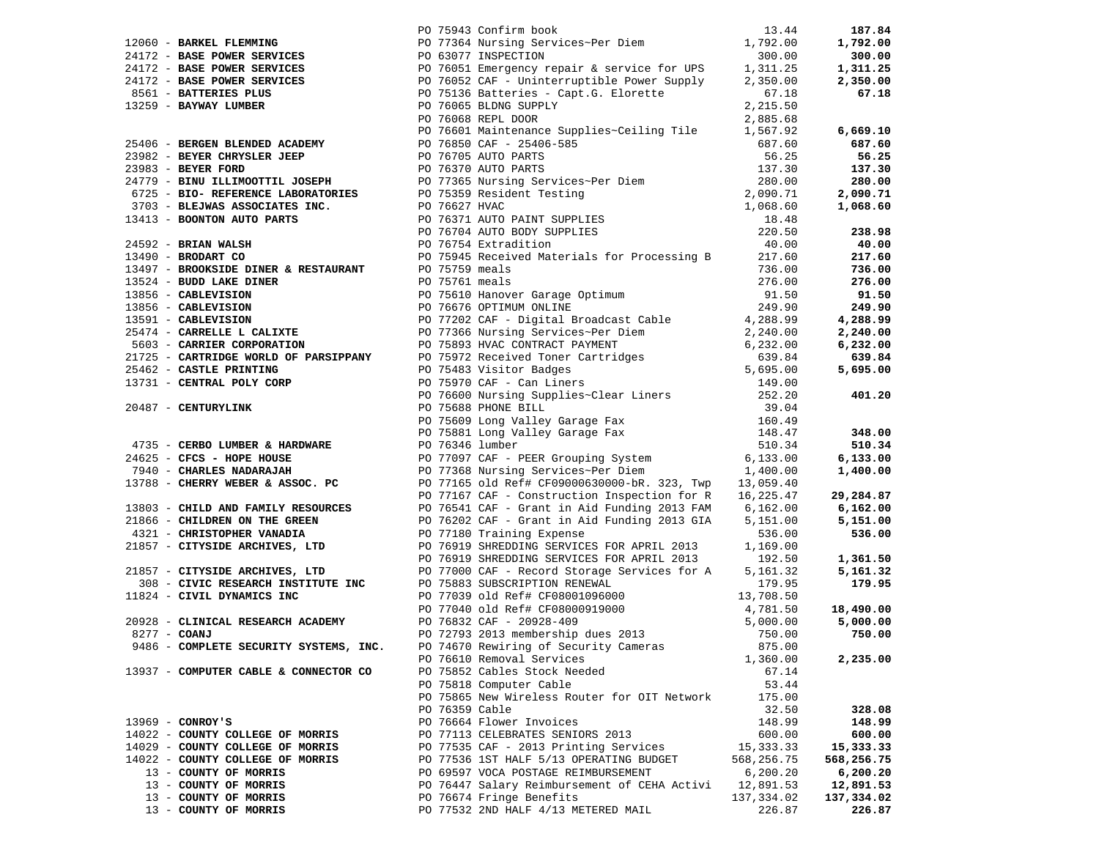|                                       |  | 1967 - Sammar Francesco (1972) - Sammar Sons (1972) - Sammar Sons (1972) - Sammar Sons (1973) - Sammar Sons (1973) - Sammar Sons (1973) - Sammar Sons (1973) - Sammar Sons (1973) - Sammar Sons (1973) - Sammar Sons (1973) - |            |            |
|---------------------------------------|--|-------------------------------------------------------------------------------------------------------------------------------------------------------------------------------------------------------------------------------|------------|------------|
|                                       |  |                                                                                                                                                                                                                               |            |            |
|                                       |  |                                                                                                                                                                                                                               |            |            |
|                                       |  |                                                                                                                                                                                                                               |            |            |
|                                       |  |                                                                                                                                                                                                                               |            |            |
|                                       |  |                                                                                                                                                                                                                               |            |            |
|                                       |  |                                                                                                                                                                                                                               |            |            |
|                                       |  |                                                                                                                                                                                                                               |            |            |
|                                       |  |                                                                                                                                                                                                                               |            |            |
|                                       |  |                                                                                                                                                                                                                               |            |            |
|                                       |  |                                                                                                                                                                                                                               |            |            |
|                                       |  |                                                                                                                                                                                                                               |            |            |
|                                       |  |                                                                                                                                                                                                                               |            |            |
|                                       |  |                                                                                                                                                                                                                               |            |            |
|                                       |  |                                                                                                                                                                                                                               |            |            |
|                                       |  |                                                                                                                                                                                                                               |            |            |
|                                       |  |                                                                                                                                                                                                                               |            |            |
|                                       |  |                                                                                                                                                                                                                               |            |            |
|                                       |  |                                                                                                                                                                                                                               |            |            |
|                                       |  |                                                                                                                                                                                                                               |            |            |
|                                       |  |                                                                                                                                                                                                                               |            |            |
|                                       |  |                                                                                                                                                                                                                               |            |            |
|                                       |  |                                                                                                                                                                                                                               |            |            |
|                                       |  |                                                                                                                                                                                                                               |            |            |
|                                       |  |                                                                                                                                                                                                                               |            |            |
|                                       |  |                                                                                                                                                                                                                               |            |            |
|                                       |  |                                                                                                                                                                                                                               |            |            |
|                                       |  |                                                                                                                                                                                                                               |            |            |
|                                       |  |                                                                                                                                                                                                                               |            |            |
|                                       |  |                                                                                                                                                                                                                               |            |            |
|                                       |  |                                                                                                                                                                                                                               |            |            |
|                                       |  |                                                                                                                                                                                                                               |            |            |
|                                       |  |                                                                                                                                                                                                                               |            |            |
|                                       |  |                                                                                                                                                                                                                               |            |            |
|                                       |  |                                                                                                                                                                                                                               |            |            |
|                                       |  |                                                                                                                                                                                                                               |            |            |
|                                       |  |                                                                                                                                                                                                                               |            |            |
|                                       |  |                                                                                                                                                                                                                               |            |            |
|                                       |  |                                                                                                                                                                                                                               |            |            |
|                                       |  |                                                                                                                                                                                                                               |            |            |
|                                       |  |                                                                                                                                                                                                                               |            |            |
|                                       |  |                                                                                                                                                                                                                               |            |            |
|                                       |  |                                                                                                                                                                                                                               |            |            |
|                                       |  |                                                                                                                                                                                                                               |            |            |
|                                       |  |                                                                                                                                                                                                                               |            |            |
|                                       |  |                                                                                                                                                                                                                               |            |            |
|                                       |  |                                                                                                                                                                                                                               |            |            |
|                                       |  |                                                                                                                                                                                                                               |            |            |
|                                       |  |                                                                                                                                                                                                                               |            |            |
|                                       |  |                                                                                                                                                                                                                               |            |            |
|                                       |  |                                                                                                                                                                                                                               |            |            |
|                                       |  | PO 76610 Removal Services                                                                                                                                                                                                     | 1,360.00   | 2,235.00   |
| 13937 - COMPUTER CABLE & CONNECTOR CO |  | PO 75852 Cables Stock Needed                                                                                                                                                                                                  | 67.14      |            |
|                                       |  | PO 75818 Computer Cable                                                                                                                                                                                                       | 53.44      |            |
|                                       |  | PO 75865 New Wireless Router for OIT Network                                                                                                                                                                                  | 175.00     |            |
|                                       |  | PO 76359 Cable                                                                                                                                                                                                                | 32.50      | 328.08     |
| $13969 - CONROY'S$                    |  | PO 76664 Flower Invoices                                                                                                                                                                                                      | 148.99     | 148.99     |
| 14022 - COUNTY COLLEGE OF MORRIS      |  | PO 77113 CELEBRATES SENIORS 2013                                                                                                                                                                                              | 600.00     | 600.00     |
| 14029 - COUNTY COLLEGE OF MORRIS      |  | PO 77535 CAF - 2013 Printing Services                                                                                                                                                                                         | 15, 333.33 | 15,333.33  |
| 14022 - COUNTY COLLEGE OF MORRIS      |  | PO 77536 1ST HALF 5/13 OPERATING BUDGET                                                                                                                                                                                       | 568,256.75 | 568,256.75 |
| 13 - COUNTY OF MORRIS                 |  | PO 69597 VOCA POSTAGE REIMBURSEMENT                                                                                                                                                                                           | 6,200.20   | 6,200.20   |
| 13 - COUNTY OF MORRIS                 |  | PO 76447 Salary Reimbursement of CEHA Activi                                                                                                                                                                                  | 12,891.53  | 12,891.53  |
| 13 - COUNTY OF MORRIS                 |  | PO 76674 Fringe Benefits                                                                                                                                                                                                      | 137,334.02 | 137,334.02 |
| 13 - COUNTY OF MORRIS                 |  | PO 77532 2ND HALF 4/13 METERED MAIL                                                                                                                                                                                           | 226.87     | 226.87     |
|                                       |  |                                                                                                                                                                                                                               |            |            |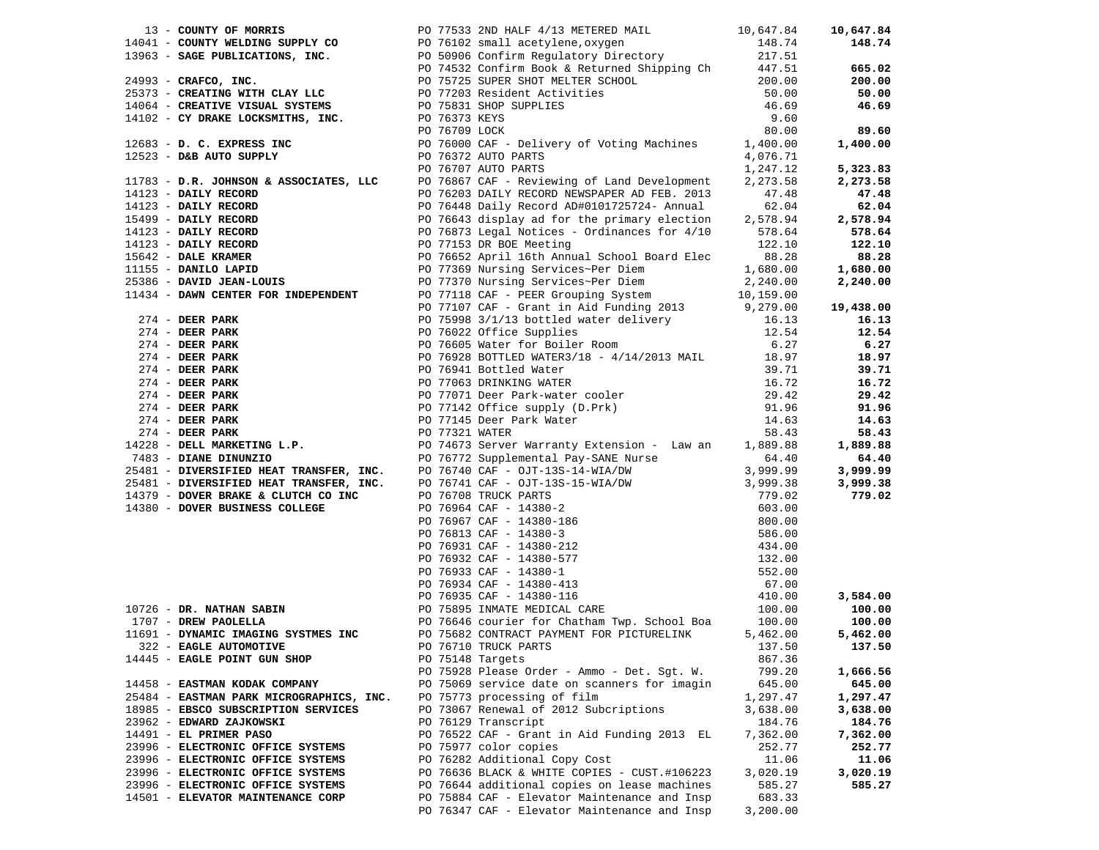| 13 - COUNTY OF MORRIS                    | PO 77533 2ND HALF 4/13 METERED MAIL 10,647.84                                                                                                                                                                                                                     |                 | 10,647.84 |
|------------------------------------------|-------------------------------------------------------------------------------------------------------------------------------------------------------------------------------------------------------------------------------------------------------------------|-----------------|-----------|
|                                          | 13 - COUNTY OF MORRIS PO 77533 2ND HALF 4/13 METERED MAIL<br>10,647.84<br>14064 - <b>COUNTY WELDING SUPPLY CO</b><br>1483 - <b>SAGE PUBLICATIONS, INC.</b><br>200.000<br>200.000<br>200.000<br>200.000<br>200.000<br>200.000<br>200.000<br>200.000<br>200.000<br> |                 | 148.74    |
|                                          |                                                                                                                                                                                                                                                                   |                 |           |
|                                          |                                                                                                                                                                                                                                                                   |                 | 665.02    |
|                                          |                                                                                                                                                                                                                                                                   |                 | 200.00    |
|                                          |                                                                                                                                                                                                                                                                   |                 | 50.00     |
|                                          |                                                                                                                                                                                                                                                                   |                 | 46.69     |
|                                          |                                                                                                                                                                                                                                                                   |                 |           |
|                                          |                                                                                                                                                                                                                                                                   |                 | 89.60     |
|                                          |                                                                                                                                                                                                                                                                   |                 | 1,400.00  |
|                                          |                                                                                                                                                                                                                                                                   |                 |           |
|                                          |                                                                                                                                                                                                                                                                   |                 | 5,323.83  |
|                                          | 11783 - D.R. JOHNSON & ASSOCIATES, LLC PO 76867 CAF - Reviewing of Land Development                                                                                                                                                                               |                 |           |
|                                          |                                                                                                                                                                                                                                                                   | 2,273.58        | 2,273.58  |
|                                          |                                                                                                                                                                                                                                                                   |                 | 47.48     |
|                                          |                                                                                                                                                                                                                                                                   |                 | 62.04     |
|                                          |                                                                                                                                                                                                                                                                   |                 | 2,578.94  |
|                                          |                                                                                                                                                                                                                                                                   |                 | 578.64    |
|                                          | 11783 - <b>D.R. JOHNSON &amp; ASSOCIATES, LETTER IN A RECORD NEWSPAPER AD FROM 14123 - DAILY RECORD<br/> 14123 - DAILY RECORD<br/> 14123 - DAILY RECORD<br/> 14123 - DAILY RECORD<br/> 14123 - DAILY RECORD<br/> 14123 - DAILY RECORD<br/> 1423 - DAILY REC</b>   |                 | 122.10    |
|                                          |                                                                                                                                                                                                                                                                   |                 | 88.28     |
|                                          |                                                                                                                                                                                                                                                                   |                 | 1,680.00  |
|                                          |                                                                                                                                                                                                                                                                   |                 | 2,240.00  |
|                                          |                                                                                                                                                                                                                                                                   |                 |           |
|                                          |                                                                                                                                                                                                                                                                   |                 | 19,438.00 |
|                                          | PO 77107 CAF - Grant in Aid Funding 2013<br>PO 75998 3/1/13 bottled water delivery 16.13<br>12.54                                                                                                                                                                 |                 | 16.13     |
|                                          |                                                                                                                                                                                                                                                                   |                 | 12.54     |
|                                          |                                                                                                                                                                                                                                                                   |                 | 6.27      |
|                                          |                                                                                                                                                                                                                                                                   |                 | 18.97     |
|                                          |                                                                                                                                                                                                                                                                   |                 | 39.71     |
|                                          |                                                                                                                                                                                                                                                                   |                 | 16.72     |
|                                          | 274 - DEER PARK PO 77107 CAF - Grant in Aid Funding 2013<br>274 - DEER PARK PO 75098 3/1/13 bottled water delivery<br>274 - DEER PARK PO 76022 Office Supplies<br>274 - DEER PARK PO 76605 Water for Boiler Room 6.27<br>274 - DEER P                             |                 | 29.42     |
|                                          |                                                                                                                                                                                                                                                                   |                 | 91.96     |
|                                          |                                                                                                                                                                                                                                                                   |                 | 14.63     |
|                                          |                                                                                                                                                                                                                                                                   |                 |           |
|                                          |                                                                                                                                                                                                                                                                   |                 | 58.43     |
|                                          |                                                                                                                                                                                                                                                                   |                 | 1,889.88  |
|                                          |                                                                                                                                                                                                                                                                   |                 | 64.40     |
|                                          |                                                                                                                                                                                                                                                                   |                 | 3,999.99  |
|                                          |                                                                                                                                                                                                                                                                   |                 | 3,999.38  |
|                                          |                                                                                                                                                                                                                                                                   |                 | 779.02    |
|                                          |                                                                                                                                                                                                                                                                   |                 |           |
|                                          |                                                                                                                                                                                                                                                                   |                 |           |
|                                          |                                                                                                                                                                                                                                                                   |                 |           |
|                                          |                                                                                                                                                                                                                                                                   |                 |           |
|                                          |                                                                                                                                                                                                                                                                   |                 |           |
|                                          |                                                                                                                                                                                                                                                                   |                 |           |
|                                          |                                                                                                                                                                                                                                                                   |                 |           |
|                                          | 25481 - DIVERSIFIED HEAT TRANSFER, INC. DO 76740 CAF - OJT-13S-14-WIA/DW 3,999.99<br>25481 - DIVERSIFIED HEAT TRANSFER, INC. DO 76741 CAF - OJT-13S-15-WIA/DW 3,999.99<br>266.00 DOVER BUSINESS COLLEGE DESCRIPED TO 76964 CAF -                                  |                 | 3,584.00  |
|                                          |                                                                                                                                                                                                                                                                   |                 | 100.00    |
|                                          |                                                                                                                                                                                                                                                                   |                 | 100.00    |
|                                          | 11691 - DYNAMIC IMAGING SYSTMES INC PO 75682 CONTRACT PAYMENT FOR PICTURELINK                                                                                                                                                                                     | 5,462.00        | 5,462.00  |
| 322 - EAGLE AUTOMOTIVE                   | PO 76710 TRUCK PARTS                                                                                                                                                                                                                                              | $137.50$ 137.50 |           |
| 14445 - EAGLE POINT GUN SHOP             | PO 75148 Targets                                                                                                                                                                                                                                                  | 867.36          |           |
|                                          | PO 75928 Please Order - Ammo - Det. Sgt. W.                                                                                                                                                                                                                       | 799.20          | 1,666.56  |
| 14458 - EASTMAN KODAK COMPANY            | PO 75069 service date on scanners for imagin                                                                                                                                                                                                                      | 645.00          | 645.00    |
| 25484 - EASTMAN PARK MICROGRAPHICS, INC. | PO 75773 processing of film                                                                                                                                                                                                                                       | 1,297.47        | 1,297.47  |
| 18985 - EBSCO SUBSCRIPTION SERVICES      | PO 73067 Renewal of 2012 Subcriptions                                                                                                                                                                                                                             | 3,638.00        | 3,638.00  |
| 23962 - EDWARD ZAJKOWSKI                 | PO 76129 Transcript                                                                                                                                                                                                                                               | 184.76          | 184.76    |
| 14491 - EL PRIMER PASO                   | PO 76522 CAF - Grant in Aid Funding 2013 EL                                                                                                                                                                                                                       | 7,362.00        | 7,362.00  |
| 23996 - ELECTRONIC OFFICE SYSTEMS        | PO 75977 color copies                                                                                                                                                                                                                                             | 252.77          | 252.77    |
| 23996 - ELECTRONIC OFFICE SYSTEMS        | PO 76282 Additional Copy Cost                                                                                                                                                                                                                                     | 11.06           | 11.06     |
| 23996 - ELECTRONIC OFFICE SYSTEMS        | PO 76636 BLACK & WHITE COPIES - CUST.#106223                                                                                                                                                                                                                      | 3,020.19        | 3,020.19  |
| 23996 - ELECTRONIC OFFICE SYSTEMS        | PO 76644 additional copies on lease machines                                                                                                                                                                                                                      | 585.27          | 585.27    |
|                                          | PO 75884 CAF - Elevator Maintenance and Insp                                                                                                                                                                                                                      |                 |           |
| 14501 - ELEVATOR MAINTENANCE CORP        |                                                                                                                                                                                                                                                                   | 683.33          |           |
|                                          | PO 76347 CAF - Elevator Maintenance and Insp                                                                                                                                                                                                                      | 3,200.00        |           |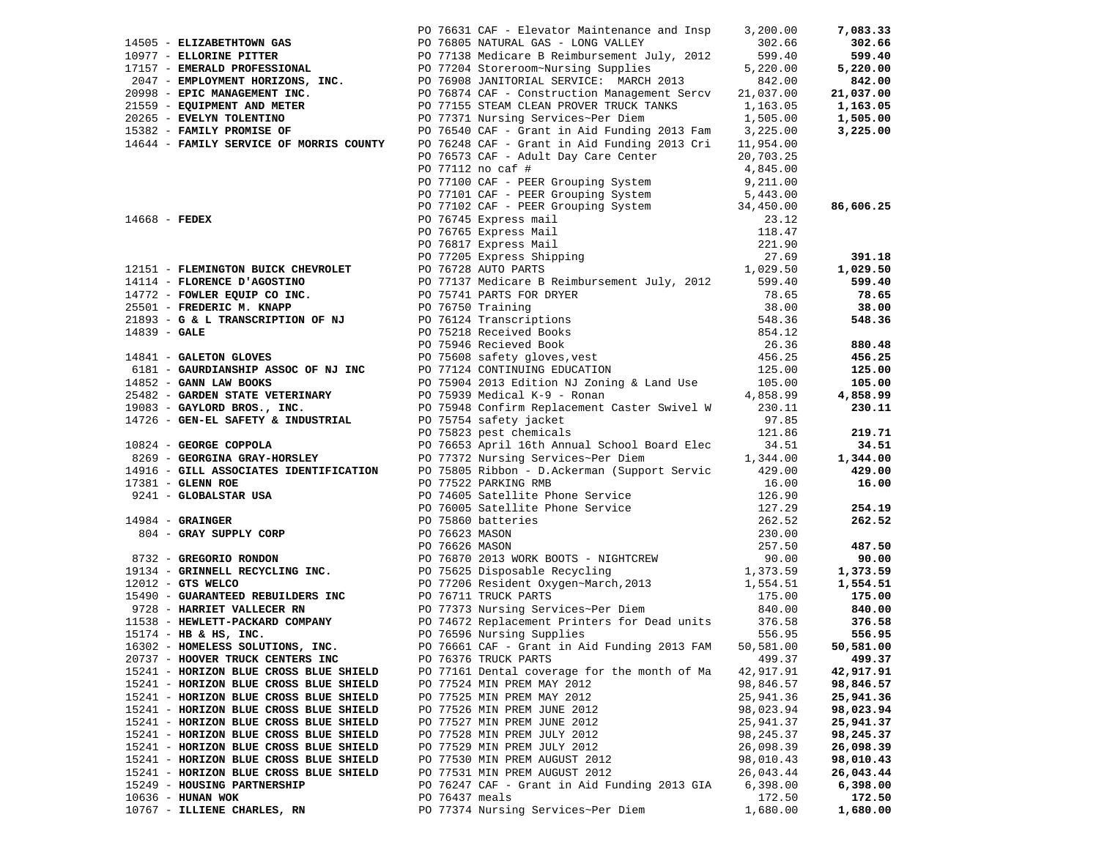|                 |                                                           |                | PO 76631 CAF - Elevator Maintenance and Insp 3,200.00                                                                                                                                                                                             |                            | 7,083.33  |
|-----------------|-----------------------------------------------------------|----------------|---------------------------------------------------------------------------------------------------------------------------------------------------------------------------------------------------------------------------------------------------|----------------------------|-----------|
|                 |                                                           |                |                                                                                                                                                                                                                                                   | 302.66                     | 302.66    |
|                 |                                                           |                |                                                                                                                                                                                                                                                   | 599.40                     | 599.40    |
|                 |                                                           |                |                                                                                                                                                                                                                                                   | 5,220.00                   | 5,220.00  |
|                 |                                                           |                |                                                                                                                                                                                                                                                   | 842.00                     | 842.00    |
|                 |                                                           |                |                                                                                                                                                                                                                                                   | 21,037.00                  | 21,037.00 |
|                 |                                                           |                | 14505 - ELIZABETHTOWN GAS<br>10977 - ELLORINE PITTER<br>10977 - ELLORINE PITTER<br>2012 - EMERALD PROFESSIONAL<br>2047 - EMPLOYMENT HORIZONS, INC.<br>20998 - EPIC MANAGEMENT INC.<br>20998 - EPIC MANAGEMENT INC.<br>20998 - EPIC MANAGEMEN      | 1,163.05                   | 1,163.05  |
|                 |                                                           |                |                                                                                                                                                                                                                                                   | 1,505.00                   | 1,505.00  |
|                 | 15382 - FAMILY PROMISE OF                                 |                | PO 76540 CAF - Grant in Aid Funding 2013 Fam 3,225.00                                                                                                                                                                                             |                            | 3,225.00  |
|                 | 14644 - FAMILY SERVICE OF MORRIS COUNTY                   |                | PO 76248 CAF - Grant in Aid Funding 2013 Cri 11,954.00                                                                                                                                                                                            |                            |           |
|                 |                                                           |                | PO 76573 CAF - Adult Day Care Center                                                                                                                                                                                                              | 20,703.25                  |           |
|                 |                                                           |                | PO 77112 no caf #                                                                                                                                                                                                                                 | 4,845.00                   |           |
|                 |                                                           |                | PO 77100 CAF - PEER Grouping System                                                                                                                                                                                                               | 9,211.00                   |           |
|                 |                                                           |                |                                                                                                                                                                                                                                                   |                            |           |
|                 |                                                           |                |                                                                                                                                                                                                                                                   |                            | 86,606.25 |
| $14668$ - FEDEX |                                                           |                |                                                                                                                                                                                                                                                   |                            |           |
|                 |                                                           |                |                                                                                                                                                                                                                                                   |                            |           |
|                 |                                                           |                | PO 77100 CAF - PEER Grouping System<br>PO 77101 CAF - PEER Grouping System<br>PO 77102 CAF - PEER Grouping System<br>PO 76745 Express mail<br>PO 76765 Express Mail<br>PO 77205 Express Shipping<br>PO 77205 Express Shipping<br>PO 77205 Ex      |                            |           |
|                 |                                                           |                |                                                                                                                                                                                                                                                   |                            | 391.18    |
|                 |                                                           |                | 19151 - FLEMINGTON BUICK CHEVROLET<br>19114 - FLORENCE D'AGOSTINO<br>19772 - FOWLER EQUIP CO INC.<br>25501 - FREDERIC M. KNAPP<br>25501 - FREDERIC M. KNAPP<br>26.65                                                                              |                            | 1,029.50  |
|                 |                                                           |                |                                                                                                                                                                                                                                                   |                            | 599.40    |
|                 |                                                           |                |                                                                                                                                                                                                                                                   |                            | 78.65     |
|                 |                                                           |                |                                                                                                                                                                                                                                                   |                            | 38.00     |
|                 |                                                           |                |                                                                                                                                                                                                                                                   |                            | 548.36    |
|                 |                                                           |                |                                                                                                                                                                                                                                                   |                            |           |
|                 |                                                           |                | 14772 - FOWLER EQUIP CO INC.<br>25501 - FREDERIC M. KNAPP<br>21893 - G & L TRANSCRIPTION OF NJ<br>21893 - G & L TRANSCRIPTION OF NJ<br>21893 - G & L TRANSCRIPTION OF NJ<br>21893 - G & L TRANSCRIPTION OF NJ<br>26.36<br>26.36<br>26.36<br>26.3  |                            | 880.48    |
|                 |                                                           |                |                                                                                                                                                                                                                                                   |                            | 456.25    |
|                 | 6181 - GAURDIANSHIP ASSOC OF NJ INC                       |                |                                                                                                                                                                                                                                                   |                            | 125.00    |
|                 | 14852 - GANN LAW BOOKS<br>25482 - GARDEN STATE VETERINARY |                | PO 77124 CONTINUING EDUCATION<br>PO 75904 2013 Edition NJ Zoning & Land Use                                                                                                                                                                       | 105.00                     | 105.00    |
|                 |                                                           |                | PO 75939 Medical K-9 - Ronan                                                                                                                                                                                                                      | 4,858.99                   | 4,858.99  |
|                 | 19083 - GAYLORD BROS., INC.                               |                | PO 75948 Confirm Replacement Caster Swivel W                                                                                                                                                                                                      | 230.11                     | 230.11    |
|                 | 14726 - GEN-EL SAFETY & INDUSTRIAL                        |                | PO 75754 safety jacket                                                                                                                                                                                                                            | 97.85                      |           |
|                 |                                                           |                | PO 75823 pest chemicals                                                                                                                                                                                                                           | 121.86                     | 219.71    |
|                 |                                                           |                | PO 76653 April 16th Annual School Board Elec                                                                                                                                                                                                      | 34.51                      | 34.51     |
|                 |                                                           |                | PO 77372 Nursing Services~Per Diem                                                                                                                                                                                                                | 1,344.00                   | 1,344.00  |
|                 |                                                           |                | PO 75805 Ribbon - D.Ackerman (Support Servic 429.00                                                                                                                                                                                               |                            | 429.00    |
|                 |                                                           |                |                                                                                                                                                                                                                                                   | 16.00                      | 16.00     |
|                 |                                                           |                |                                                                                                                                                                                                                                                   | 126.90                     |           |
|                 |                                                           |                | 924 - GEORGINA GRAY-HORSLEY<br>924 - GEORGINA GRAY-HORSLEY<br>9241 - GLOBALSTAR USA<br>9241 - GLOBALSTAR USA<br>9241 - GLOBALSTAR USA<br>9241 - GLOBALSTAR USA<br>9241 - GLOBALSTAR USA<br>926 - GRATNGER<br>926 - GRATNGER<br>926 - GRATNGER<br> | 127.29                     | 254.19    |
|                 |                                                           |                |                                                                                                                                                                                                                                                   | 262.52                     | 262.52    |
|                 |                                                           |                |                                                                                                                                                                                                                                                   | 230.00                     |           |
|                 |                                                           |                |                                                                                                                                                                                                                                                   | 257.50                     | 487.50    |
|                 |                                                           |                |                                                                                                                                                                                                                                                   | 90.00<br>90.00<br>1,373.59 | 90.00     |
|                 |                                                           |                |                                                                                                                                                                                                                                                   |                            | 1,373.59  |
|                 |                                                           |                |                                                                                                                                                                                                                                                   | 1,554.51                   | 1,554.51  |
|                 |                                                           |                |                                                                                                                                                                                                                                                   | 175.00                     | 175.00    |
|                 |                                                           |                |                                                                                                                                                                                                                                                   | 840.00                     | 840.00    |
|                 |                                                           |                | PO 74672 Replacement Printers for Dead units 376.58                                                                                                                                                                                               |                            | 376.58    |
|                 | 15174 - HB & HS, INC.                                     |                | PO 76596 Nursing Supplies                                                                                                                                                                                                                         | 556.95                     | 556.95    |
|                 | 16302 - HOMELESS SOLUTIONS, INC.                          |                | PO 76661 CAF - Grant in Aid Funding 2013 FAM                                                                                                                                                                                                      | 50,581.00                  | 50,581.00 |
|                 | 20737 - HOOVER TRUCK CENTERS INC                          |                | PO 76376 TRUCK PARTS                                                                                                                                                                                                                              | 499.37                     | 499.37    |
|                 | 15241 - HORIZON BLUE CROSS BLUE SHIELD                    |                | PO 77161 Dental coverage for the month of Ma                                                                                                                                                                                                      | 42,917.91                  | 42,917.91 |
|                 | 15241 - HORIZON BLUE CROSS BLUE SHIELD                    |                | PO 77524 MIN PREM MAY 2012                                                                                                                                                                                                                        | 98,846.57                  | 98,846.57 |
|                 | 15241 - HORIZON BLUE CROSS BLUE SHIELD                    |                | PO 77525 MIN PREM MAY 2012                                                                                                                                                                                                                        | 25,941.36                  | 25,941.36 |
|                 | 15241 - HORIZON BLUE CROSS BLUE SHIELD                    |                | PO 77526 MIN PREM JUNE 2012                                                                                                                                                                                                                       | 98,023.94                  | 98,023.94 |
|                 | 15241 - HORIZON BLUE CROSS BLUE SHIELD                    |                | PO 77527 MIN PREM JUNE 2012                                                                                                                                                                                                                       | 25,941.37                  | 25,941.37 |
|                 | 15241 - HORIZON BLUE CROSS BLUE SHIELD                    |                | PO 77528 MIN PREM JULY 2012                                                                                                                                                                                                                       | 98,245.37                  | 98,245.37 |
|                 | 15241 - HORIZON BLUE CROSS BLUE SHIELD                    |                | PO 77529 MIN PREM JULY 2012                                                                                                                                                                                                                       | 26,098.39                  | 26,098.39 |
|                 | 15241 - HORIZON BLUE CROSS BLUE SHIELD                    |                | PO 77530 MIN PREM AUGUST 2012                                                                                                                                                                                                                     | 98,010.43                  | 98,010.43 |
|                 | 15241 - HORIZON BLUE CROSS BLUE SHIELD                    |                | PO 77531 MIN PREM AUGUST 2012                                                                                                                                                                                                                     | 26,043.44                  | 26,043.44 |
|                 | 15249 - HOUSING PARTNERSHIP                               |                | PO 76247 CAF - Grant in Aid Funding 2013 GIA                                                                                                                                                                                                      | 6,398.00                   | 6,398.00  |
|                 | 10636 - HUNAN WOK                                         | PO 76437 meals |                                                                                                                                                                                                                                                   | 172.50                     | 172.50    |
|                 | 10767 - ILLIENE CHARLES, RN                               |                | PO 77374 Nursing Services~Per Diem                                                                                                                                                                                                                | 1,680.00                   | 1,680.00  |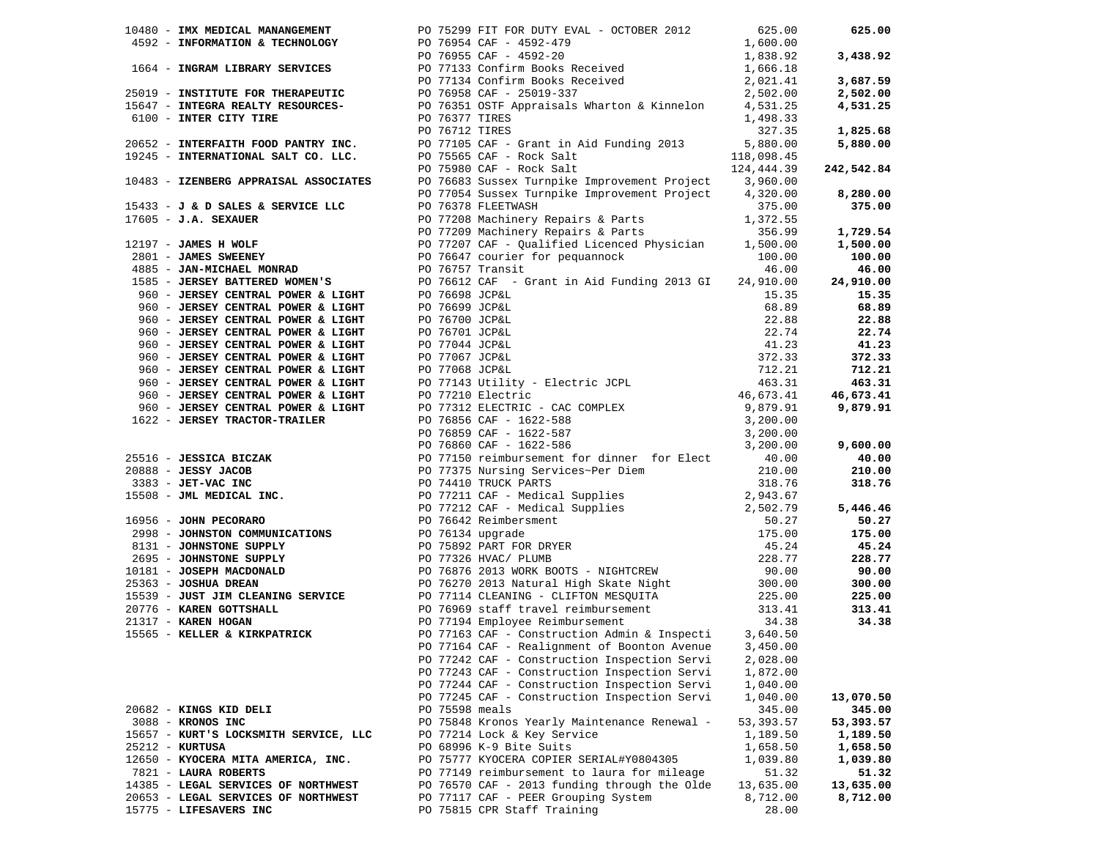|                                       |                | 10480 - IMX MEDICAL MANANGEMENT PO 75299 FIT FOR DUTY EVAL - OCTOBER 2012                                                                                                                                                                                                                                                        | 625.00     | 625.00                |
|---------------------------------------|----------------|----------------------------------------------------------------------------------------------------------------------------------------------------------------------------------------------------------------------------------------------------------------------------------------------------------------------------------|------------|-----------------------|
|                                       |                |                                                                                                                                                                                                                                                                                                                                  |            |                       |
|                                       |                | 19480 - INX MEDICAL MANANGEMENT<br>4592 - INFORMATION & TECHNOLOGY<br>1664 - INFORMATION & TECHNOLOGY<br>1664 - INGRAM LIBRARY SERVICES<br>2625.00<br>1664 - INGRAM LIBRARY SERVICES<br>2625.00<br>2625.00<br>2625.00<br>2625.00<br>2625.00<br>2625.                                                                             |            | 3,438.92              |
|                                       |                |                                                                                                                                                                                                                                                                                                                                  |            |                       |
|                                       |                |                                                                                                                                                                                                                                                                                                                                  |            | 3,687.59              |
|                                       |                |                                                                                                                                                                                                                                                                                                                                  |            | 2,502.00              |
|                                       |                |                                                                                                                                                                                                                                                                                                                                  |            | 4,531.25              |
|                                       |                |                                                                                                                                                                                                                                                                                                                                  |            |                       |
|                                       |                |                                                                                                                                                                                                                                                                                                                                  |            | 1,825.68              |
|                                       |                |                                                                                                                                                                                                                                                                                                                                  |            | 5,880.00              |
|                                       |                |                                                                                                                                                                                                                                                                                                                                  |            |                       |
|                                       |                | PO 75565 CAF - Rock Salt<br>PO 75980 CAF - Rock Salt                                                                                                                                                                                                                                                                             |            |                       |
|                                       |                |                                                                                                                                                                                                                                                                                                                                  | 124,444.39 | 242,542.84            |
|                                       |                | 10483 - IZENBERG APPRAISAL ASSOCIATES PO 76683 Sussex Turnpike Improvement Project 3,960.00                                                                                                                                                                                                                                      |            |                       |
|                                       |                | PO 77054 Sussex Turnpike Improvement Project 4,320.00<br>15433 <b>- J &amp; D SALES &amp; SERVICE LLC</b><br>17605 <b>- J.A. SEXAUER</b><br>17605 <b>- J.A. SEXAUER</b><br>1772.55<br>1772.98 Machinery Repairs & Parts<br>1772.55<br>1772.99 Machinery Repairs & Parts<br>17872.55<br>1772.55<br>1772.99 Machinery Repairs & Pa |            | 8,280.00              |
|                                       |                |                                                                                                                                                                                                                                                                                                                                  |            | 375.00                |
|                                       |                |                                                                                                                                                                                                                                                                                                                                  |            |                       |
|                                       |                |                                                                                                                                                                                                                                                                                                                                  |            | 1,729.54              |
|                                       |                |                                                                                                                                                                                                                                                                                                                                  |            | 1,500.00              |
|                                       |                |                                                                                                                                                                                                                                                                                                                                  |            | 100.00                |
|                                       |                |                                                                                                                                                                                                                                                                                                                                  |            | 46.00                 |
|                                       |                |                                                                                                                                                                                                                                                                                                                                  |            | 24,910.00             |
|                                       |                |                                                                                                                                                                                                                                                                                                                                  |            | 15.35                 |
|                                       |                |                                                                                                                                                                                                                                                                                                                                  |            | 68.89                 |
|                                       |                |                                                                                                                                                                                                                                                                                                                                  |            | 22.88                 |
|                                       |                |                                                                                                                                                                                                                                                                                                                                  |            |                       |
|                                       |                |                                                                                                                                                                                                                                                                                                                                  |            | 22.74                 |
|                                       |                |                                                                                                                                                                                                                                                                                                                                  |            | 41.23                 |
|                                       |                |                                                                                                                                                                                                                                                                                                                                  |            | 372.33                |
|                                       |                |                                                                                                                                                                                                                                                                                                                                  |            | 712.21                |
|                                       |                |                                                                                                                                                                                                                                                                                                                                  |            | 463.31                |
|                                       |                |                                                                                                                                                                                                                                                                                                                                  |            | 46,673.41<br>9,879.91 |
|                                       |                |                                                                                                                                                                                                                                                                                                                                  |            | 9,879.91              |
|                                       |                |                                                                                                                                                                                                                                                                                                                                  |            |                       |
|                                       |                | 1905 - JEMENT MATERIAL POWER'S A LOGIT 190761812 CMP - Grant in Aid Funding 2013 GT 24, 190.00<br>960 - JEMENT CENTRAL POWER & LOGIT 19076698.CCPAT. 68, 89<br>960 - JEMENT CENTRAL POWER & LOGIT 1907699.CCPAT. 68, 89<br>960 - J                                                                                               |            |                       |
|                                       |                |                                                                                                                                                                                                                                                                                                                                  |            | 9,600.00              |
|                                       |                |                                                                                                                                                                                                                                                                                                                                  |            | 40.00                 |
|                                       |                |                                                                                                                                                                                                                                                                                                                                  |            | 210.00                |
|                                       |                |                                                                                                                                                                                                                                                                                                                                  |            | 318.76                |
|                                       |                |                                                                                                                                                                                                                                                                                                                                  |            |                       |
|                                       |                |                                                                                                                                                                                                                                                                                                                                  |            | 5,446.46              |
|                                       |                |                                                                                                                                                                                                                                                                                                                                  |            |                       |
|                                       |                |                                                                                                                                                                                                                                                                                                                                  |            | 50.27                 |
|                                       |                |                                                                                                                                                                                                                                                                                                                                  |            | 175.00                |
|                                       |                |                                                                                                                                                                                                                                                                                                                                  |            | 45.24                 |
|                                       |                |                                                                                                                                                                                                                                                                                                                                  |            | 228.77                |
|                                       |                |                                                                                                                                                                                                                                                                                                                                  |            | 90.00                 |
|                                       |                |                                                                                                                                                                                                                                                                                                                                  |            | 300.00                |
|                                       |                |                                                                                                                                                                                                                                                                                                                                  |            | 225.00                |
|                                       |                |                                                                                                                                                                                                                                                                                                                                  |            | 313.41                |
|                                       |                |                                                                                                                                                                                                                                                                                                                                  |            | 34.38                 |
|                                       |                |                                                                                                                                                                                                                                                                                                                                  |            |                       |
|                                       |                | PO 77164 CAF - Realignment of Boonton Avenue 3,450.00                                                                                                                                                                                                                                                                            |            |                       |
|                                       |                | PO 77242 CAF - Construction Inspection Servi                                                                                                                                                                                                                                                                                     | 2,028.00   |                       |
|                                       |                | PO 77243 CAF - Construction Inspection Servi                                                                                                                                                                                                                                                                                     | 1,872.00   |                       |
|                                       |                | PO 77244 CAF - Construction Inspection Servi                                                                                                                                                                                                                                                                                     | 1,040.00   |                       |
|                                       |                | PO 77245 CAF - Construction Inspection Servi                                                                                                                                                                                                                                                                                     | 1,040.00   | 13,070.50             |
|                                       | PO 75598 meals |                                                                                                                                                                                                                                                                                                                                  |            |                       |
| 20682 - KINGS KID DELI                |                |                                                                                                                                                                                                                                                                                                                                  | 345.00     | 345.00                |
| 3088 - KRONOS INC                     |                | PO 75848 Kronos Yearly Maintenance Renewal -                                                                                                                                                                                                                                                                                     | 53, 393.57 | 53,393.57             |
| 15657 - KURT'S LOCKSMITH SERVICE, LLC |                | PO 77214 Lock & Key Service                                                                                                                                                                                                                                                                                                      | 1,189.50   | 1,189.50              |
| 25212 - KURTUSA                       |                | PO 68996 K-9 Bite Suits                                                                                                                                                                                                                                                                                                          | 1,658.50   | 1,658.50              |
| 12650 - KYOCERA MITA AMERICA, INC.    |                | PO 75777 KYOCERA COPIER SERIAL#Y0804305                                                                                                                                                                                                                                                                                          | 1,039.80   | 1,039.80              |
| 7821 - LAURA ROBERTS                  |                | PO 77149 reimbursement to laura for mileage                                                                                                                                                                                                                                                                                      | 51.32      | 51.32                 |
| 14385 - LEGAL SERVICES OF NORTHWEST   |                | PO 76570 CAF - 2013 funding through the Olde                                                                                                                                                                                                                                                                                     | 13,635.00  | 13,635.00             |
| 20653 - LEGAL SERVICES OF NORTHWEST   |                | PO 77117 CAF - PEER Grouping System                                                                                                                                                                                                                                                                                              | 8,712.00   | 8,712.00              |
| 15775 - LIFESAVERS INC                |                | PO 75815 CPR Staff Training                                                                                                                                                                                                                                                                                                      | 28.00      |                       |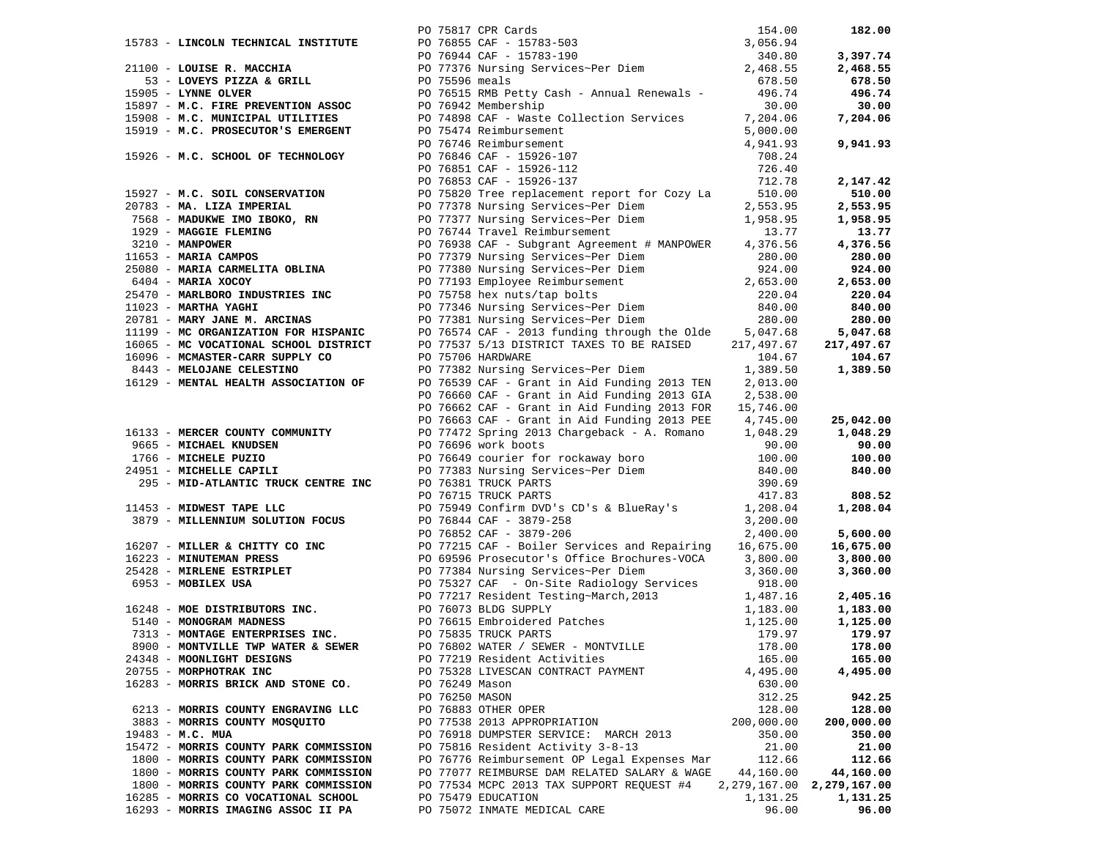|                                       |                                  | 31100 - LOUISE R. MACCHIA<br>21100 - LOUISE R. MACCHIA<br>53 - LOVEYS PIZZA & GRILL<br>53 - LOVEYS PIZZA & GRILL<br>57 - LOVEYS PIZZA & GRILL<br>57 - M.C. FIRE PREVENTION ASSOC<br>5897 - M.C. FIRE PREVENTION ASSOC<br>5897 - M.C. FIRE PR |                    | 182.00                        |
|---------------------------------------|----------------------------------|----------------------------------------------------------------------------------------------------------------------------------------------------------------------------------------------------------------------------------------------|--------------------|-------------------------------|
|                                       |                                  |                                                                                                                                                                                                                                              |                    |                               |
|                                       |                                  |                                                                                                                                                                                                                                              |                    | 3,397.74                      |
|                                       |                                  |                                                                                                                                                                                                                                              |                    | 2,468.55                      |
|                                       |                                  |                                                                                                                                                                                                                                              |                    | 678.50                        |
|                                       |                                  |                                                                                                                                                                                                                                              |                    | 496.74                        |
|                                       |                                  |                                                                                                                                                                                                                                              |                    | 30.00                         |
|                                       |                                  |                                                                                                                                                                                                                                              |                    | 7,204.06                      |
|                                       |                                  |                                                                                                                                                                                                                                              |                    |                               |
|                                       |                                  |                                                                                                                                                                                                                                              |                    |                               |
| 15926 - M.C. SCHOOL OF TECHNOLOGY     |                                  |                                                                                                                                                                                                                                              | 4,941.93<br>708.24 | 9,941.93                      |
|                                       |                                  |                                                                                                                                                                                                                                              | 726.40             |                               |
|                                       |                                  | PO 75474 Reimbursement<br>PO 75474 Reimbursement<br>PO 76846 CAF - 15926-107<br>PO 76851 CAF - 15926-112<br>PO 76853 CAF - 15926-137                                                                                                         |                    |                               |
|                                       |                                  |                                                                                                                                                                                                                                              |                    | 2,147.42                      |
|                                       |                                  |                                                                                                                                                                                                                                              |                    | 510.00                        |
|                                       |                                  |                                                                                                                                                                                                                                              |                    | 2,553.95                      |
|                                       |                                  |                                                                                                                                                                                                                                              |                    | 1,958.95                      |
|                                       |                                  |                                                                                                                                                                                                                                              |                    | 13.77                         |
|                                       |                                  |                                                                                                                                                                                                                                              |                    | 4,376.56                      |
|                                       |                                  |                                                                                                                                                                                                                                              |                    | 280.00                        |
|                                       |                                  |                                                                                                                                                                                                                                              |                    | 924.00                        |
|                                       |                                  |                                                                                                                                                                                                                                              |                    | 2,653.00                      |
|                                       |                                  |                                                                                                                                                                                                                                              |                    | 220.04                        |
|                                       |                                  |                                                                                                                                                                                                                                              |                    | 840.00                        |
|                                       |                                  |                                                                                                                                                                                                                                              |                    | 280.00                        |
| 11199 - MC ORGANIZATION FOR HISPANIC  |                                  | PO 76574 CAF - 2013 funding through the Olde 5,047.68                                                                                                                                                                                        |                    | 5,047.68                      |
| 16065 - MC VOCATIONAL SCHOOL DISTRICT |                                  | PO 77537 5/13 DISTRICT TAXES TO BE RAISED                                                                                                                                                                                                    | 217,497.67         | 217,497.67                    |
| 16096 - MCMASTER-CARR SUPPLY CO       |                                  | PO 75706 HARDWARE                                                                                                                                                                                                                            | 104.67             | 104.67                        |
| 8443 - MELOJANE CELESTINO             |                                  | PO 77382 Nursing Services~Per Diem                                                                                                                                                                                                           | 1,389.50           | 1,389.50                      |
| 16129 - MENTAL HEALTH ASSOCIATION OF  |                                  | PO 76539 CAF - Grant in Aid Funding 2013 TEN 2,013.00                                                                                                                                                                                        |                    |                               |
|                                       |                                  | PO 76660 CAF - Grant in Aid Funding 2013 GIA 2,538.00                                                                                                                                                                                        |                    |                               |
|                                       |                                  | PO 76662 CAF - Grant in Aid Funding 2013 FOR 15,746.00                                                                                                                                                                                       |                    |                               |
|                                       |                                  | PO 76663 CAF - Grant in Aid Funding 2013 PEE 4,745.00                                                                                                                                                                                        |                    | 25,042.00                     |
| 16133 - MERCER COUNTY COMMUNITY       |                                  | PO 77472 Spring 2013 Chargeback - A. Romano 1,048.29                                                                                                                                                                                         |                    | 1,048.29                      |
| 9665 - MICHAEL KNUDSEN                |                                  | PO 76696 work boots                                                                                                                                                                                                                          | 90.00              | 90.00                         |
| 1766 - MICHELE PUZIO                  |                                  |                                                                                                                                                                                                                                              |                    | 100.00                        |
| 24951 - MICHELLE CAPILI               |                                  |                                                                                                                                                                                                                                              |                    | 840.00                        |
| 295 - MID-ATLANTIC TRUCK CENTRE INC   |                                  | PO 76649 courier for rockaway boro<br>PO 77383 Nursing Services~Per Diem<br>PO 76381 TRUCK PARTS<br>PO 76715 TRUCK PARTS<br>290.69<br>PO 76715 TRUCK PARTS<br>417.83                                                                         |                    |                               |
|                                       |                                  |                                                                                                                                                                                                                                              |                    | 808.52                        |
| 11453 - MIDWEST TAPE LLC              |                                  | PO 75949 Confirm DVD's CD's & BlueRay's 1,208.04                                                                                                                                                                                             |                    | 1,208.04                      |
| 3879 - MILLENNIUM SOLUTION FOCUS      |                                  | an an Dùbhlachd<br>Bailtean<br>PO 76844 CAF - 3879-258                                                                                                                                                                                       | 3,200.00           |                               |
|                                       |                                  | PO 76852 CAF - 3879-206                                                                                                                                                                                                                      | 2,400.00           | 5,600.00                      |
|                                       |                                  |                                                                                                                                                                                                                                              |                    | 16,675.00                     |
|                                       |                                  |                                                                                                                                                                                                                                              |                    | 3,800.00                      |
|                                       |                                  |                                                                                                                                                                                                                                              |                    | 3,360.00                      |
|                                       |                                  | 16207 - MILLER & CHITTY CO INC<br>16223 - MINUTEMAN PRESS<br>25428 - MIRLENE ESTRIPLET<br>277384 Nursing Services~Per Diem<br>277384 Nursing Services~Per Diem<br>277384 Nursing Services~Per Diem<br>277384 Nursing Services~Per Diem<br>2  |                    |                               |
|                                       |                                  |                                                                                                                                                                                                                                              |                    | 2,405.16                      |
|                                       |                                  |                                                                                                                                                                                                                                              |                    | 1,183.00<br>1,125.00          |
|                                       |                                  |                                                                                                                                                                                                                                              |                    | 179.97                        |
|                                       |                                  |                                                                                                                                                                                                                                              |                    |                               |
| 8900 - MONTVILLE TWP WATER & SEWER    |                                  | PO 76802 WATER / SEWER - MONTVILLE                                                                                                                                                                                                           | 178.00             | 178.00                        |
| 24348 - MOONLIGHT DESIGNS             |                                  | PO 77219 Resident Activities                                                                                                                                                                                                                 | 165.00             | 165.00                        |
| 20755 - MORPHOTRAK INC                |                                  | PO 75328 LIVESCAN CONTRACT PAYMENT                                                                                                                                                                                                           | 4,495.00           | 4,495.00                      |
| 16283 - MORRIS BRICK AND STONE CO.    | PO 76249 Mason<br>PO 76250 MASON |                                                                                                                                                                                                                                              | 630.00             |                               |
| 6213 - MORRIS COUNTY ENGRAVING LLC    |                                  | PO 76883 OTHER OPER                                                                                                                                                                                                                          | 312.25<br>128.00   | 942.25<br>128.00              |
| 3883 - MORRIS COUNTY MOSQUITO         |                                  | PO 77538 2013 APPROPRIATION                                                                                                                                                                                                                  |                    |                               |
|                                       |                                  | PO 76918 DUMPSTER SERVICE: MARCH 2013                                                                                                                                                                                                        | 200,000.00         | 200,000.00                    |
| 19483 - M.C. MUA                      |                                  | PO 75816 Resident Activity 3-8-13                                                                                                                                                                                                            | 350.00             | 350.00                        |
| 15472 - MORRIS COUNTY PARK COMMISSION |                                  |                                                                                                                                                                                                                                              | 21.00<br>112.66    | 21.00                         |
| 1800 - MORRIS COUNTY PARK COMMISSION  |                                  | PO 76776 Reimbursement OP Legal Expenses Mar<br>PO 77077 REIMBURSE DAM RELATED SALARY & WAGE                                                                                                                                                 |                    | 112.66                        |
| 1800 - MORRIS COUNTY PARK COMMISSION  |                                  |                                                                                                                                                                                                                                              | 44,160.00          | 44,160.00                     |
| 1800 - MORRIS COUNTY PARK COMMISSION  |                                  | PO 77534 MCPC 2013 TAX SUPPORT REQUEST #4                                                                                                                                                                                                    |                    | 2, 279, 167.00 2, 279, 167.00 |
| 16285 - MORRIS CO VOCATIONAL SCHOOL   |                                  | PO 75479 EDUCATION                                                                                                                                                                                                                           | 1,131.25           | 1,131.25                      |
| 16293 - MORRIS IMAGING ASSOC II PA    |                                  | PO 75072 INMATE MEDICAL CARE                                                                                                                                                                                                                 | 96.00              | 96.00                         |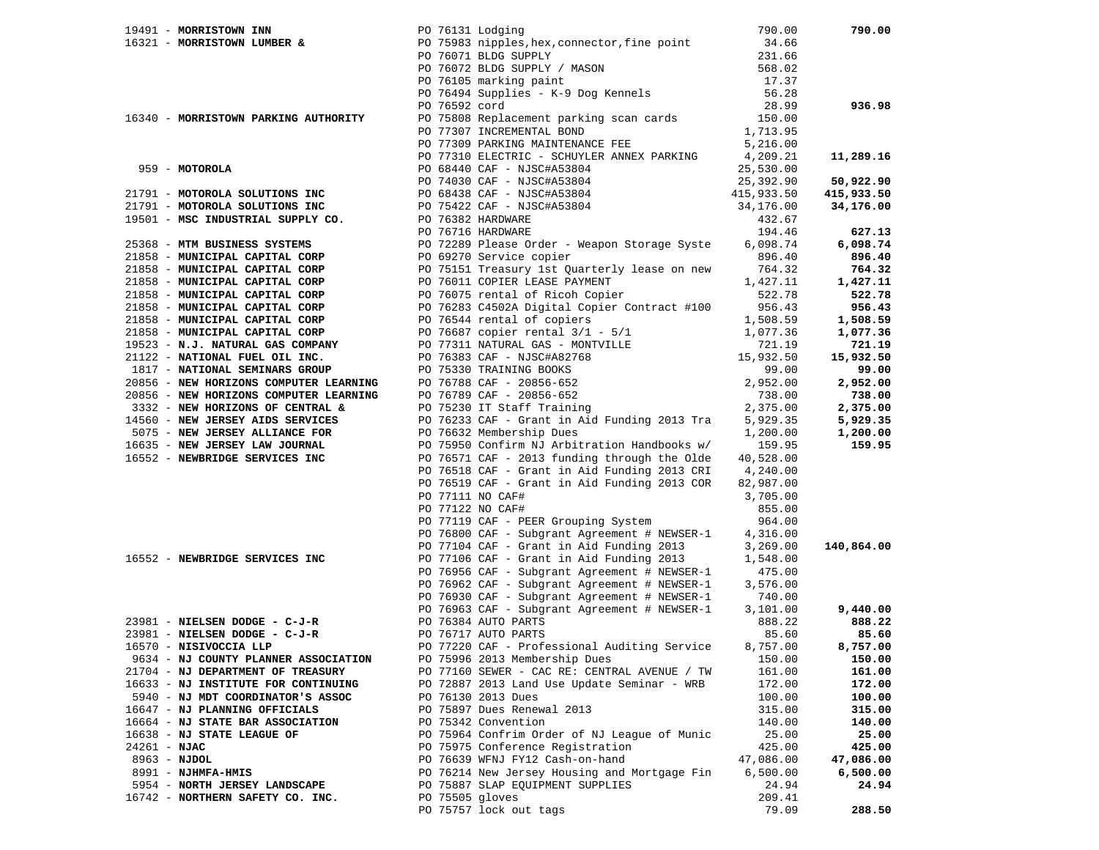|                                                                    |                 | 19491 - <b>MORRISTOWN INN</b><br>16321 - <b>MORRISTOWN LUMBER &amp;</b> PO 75983 nipples, hex, connector, fine point 34.66<br>PO 76071 BLDG SUPPLY 231.66                                                                                                |                    | 790.00     |
|--------------------------------------------------------------------|-----------------|----------------------------------------------------------------------------------------------------------------------------------------------------------------------------------------------------------------------------------------------------------|--------------------|------------|
|                                                                    |                 |                                                                                                                                                                                                                                                          |                    |            |
|                                                                    |                 |                                                                                                                                                                                                                                                          |                    |            |
|                                                                    |                 |                                                                                                                                                                                                                                                          |                    |            |
|                                                                    |                 |                                                                                                                                                                                                                                                          |                    |            |
|                                                                    |                 |                                                                                                                                                                                                                                                          |                    |            |
|                                                                    |                 | PO 76071 BLDG SUPPLY / MASON 568.02<br>PO 76072 BLDG SUPPLY / MASON 568.02<br>PO 76105 marking paint 17.37<br>PO 76494 Supplies - K-9 Dog Kennels 56.28<br>PO 76592 cord 28.99                                                                           |                    | 936.98     |
| 16340 - MORRISTOWN PARKING AUTHORITY                               |                 | PO 76592 cord 28.99<br>PO 75808 Replacement parking scan cards 150.00<br>PO 77307 INCREMENTAL BOND 1,713.95                                                                                                                                              |                    |            |
|                                                                    |                 |                                                                                                                                                                                                                                                          |                    |            |
|                                                                    |                 |                                                                                                                                                                                                                                                          |                    |            |
|                                                                    |                 |                                                                                                                                                                                                                                                          |                    | 11,289.16  |
|                                                                    |                 |                                                                                                                                                                                                                                                          |                    |            |
|                                                                    |                 |                                                                                                                                                                                                                                                          |                    | 50,922.90  |
|                                                                    |                 |                                                                                                                                                                                                                                                          |                    | 415,933.50 |
|                                                                    |                 |                                                                                                                                                                                                                                                          |                    | 34,176.00  |
|                                                                    |                 |                                                                                                                                                                                                                                                          |                    |            |
|                                                                    |                 |                                                                                                                                                                                                                                                          |                    |            |
|                                                                    |                 | 959 - MOTOROLA<br>959 - MOTOROLA<br>959 - MOTOROLA<br>959 - MOTOROLA<br>959 - MOTOROLA<br>959 - MOTOROLA<br>959 - MOTOROLA<br>959 - MOTOROLA<br>959 - MOTOROLA<br>959 - MOTOROLA<br>959 - MOTOROLA<br>959 - MOTOROLA<br>959 - MOTOROLA<br>959 - MOTOROLA |                    | 627.13     |
| 25368 - MTM BUSINESS SYSTEMS                                       |                 | PO 72289 Please Order - Weapon Storage Syste 6,098.74<br>PO 69270 Service copier 896.40                                                                                                                                                                  |                    | 6,098.74   |
| 21858 - MUNICIPAL CAPITAL CORP                                     |                 |                                                                                                                                                                                                                                                          |                    | 896.40     |
| 21858 - MUNICIPAL CAPITAL CORP                                     |                 | PO 75151 Treasury 1st Quarterly lease on new the<br>PO 75151 Treasury 1st Quarterly lease on new 1,427.11                                                                                                                                                |                    | 764.32     |
|                                                                    |                 |                                                                                                                                                                                                                                                          |                    | 1,427.11   |
|                                                                    |                 |                                                                                                                                                                                                                                                          |                    | 522.78     |
|                                                                    |                 |                                                                                                                                                                                                                                                          |                    | 956.43     |
|                                                                    |                 |                                                                                                                                                                                                                                                          |                    | 1,508.59   |
|                                                                    |                 |                                                                                                                                                                                                                                                          |                    | 1,077.36   |
|                                                                    |                 |                                                                                                                                                                                                                                                          |                    | 721.19     |
|                                                                    |                 |                                                                                                                                                                                                                                                          |                    | 15,932.50  |
|                                                                    |                 |                                                                                                                                                                                                                                                          |                    | 99.00      |
|                                                                    |                 |                                                                                                                                                                                                                                                          |                    | 2,952.00   |
|                                                                    |                 |                                                                                                                                                                                                                                                          |                    | 738.00     |
|                                                                    |                 |                                                                                                                                                                                                                                                          |                    | 2,375.00   |
|                                                                    |                 |                                                                                                                                                                                                                                                          |                    | 5,929.35   |
|                                                                    |                 |                                                                                                                                                                                                                                                          |                    | 1,200.00   |
|                                                                    |                 |                                                                                                                                                                                                                                                          |                    | 159.95     |
|                                                                    |                 |                                                                                                                                                                                                                                                          |                    |            |
|                                                                    |                 |                                                                                                                                                                                                                                                          |                    |            |
|                                                                    |                 | PO 76519 CAF - Grant in Aid Funding 2013 COR                                                                                                                                                                                                             | 82,987.00          |            |
|                                                                    |                 | PO 77111 NO CAF#                                                                                                                                                                                                                                         | 3,705.00           |            |
|                                                                    |                 | PO 77122 NO CAF#                                                                                                                                                                                                                                         | 855.00             |            |
|                                                                    |                 | PO 77119 CAF - PEER Grouping System                                                                                                                                                                                                                      | 964.00             |            |
|                                                                    |                 | PO 76800 CAF - Subgrant Agreement # NEWSER-1                                                                                                                                                                                                             | 4,316.00           |            |
|                                                                    |                 | PO 77104 CAF - Grant in Aid Funding 2013                                                                                                                                                                                                                 | 3,269.00           | 140,864.00 |
| 16552 - NEWBRIDGE SERVICES INC                                     |                 |                                                                                                                                                                                                                                                          | 1,548.00           |            |
|                                                                    |                 | PO 77106 CAF - Grant in Aid Funding 2013                                                                                                                                                                                                                 |                    |            |
|                                                                    |                 | PO 76956 CAF - Subgrant Agreement # NEWSER-1<br>PO 76962 CAF - Subgrant Agreement # NEWSER-1                                                                                                                                                             | 475.00<br>3,576.00 |            |
|                                                                    |                 | PO 76930 CAF - Subgrant Agreement # NEWSER-1 740.00                                                                                                                                                                                                      |                    |            |
|                                                                    |                 |                                                                                                                                                                                                                                                          |                    | 9,440.00   |
| $23981$ - NIELSEN DODGE - C-J-R PO 76384 AUTO PARTS                |                 | PO 76963 CAF - Subgrant Agreement # NEWSER-1                                                                                                                                                                                                             | 3,101.00           |            |
|                                                                    |                 |                                                                                                                                                                                                                                                          | 888.22             | 888.22     |
| $23981 -$ NIELSEN DODGE - C-J-R<br>$23981 -$ NIELSEN DODGE - C-J-R |                 | PO 76717 AUTO PARTS                                                                                                                                                                                                                                      | 85.60              | 85.60      |
| 16570 - NISIVOCCIA LLP                                             |                 | PO 77220 CAF - Professional Auditing Service                                                                                                                                                                                                             | 8,757.00           | 8,757.00   |
| 9634 - NJ COUNTY PLANNER ASSOCIATION                               |                 | PO 75996 2013 Membership Dues                                                                                                                                                                                                                            | 150.00             | 150.00     |
| 21704 - NJ DEPARTMENT OF TREASURY                                  |                 | PO 77160 SEWER - CAC RE: CENTRAL AVENUE / TW                                                                                                                                                                                                             | 161.00             | 161.00     |
| 16633 - NJ INSTITUTE FOR CONTINUING                                |                 | PO 72887 2013 Land Use Update Seminar - WRB                                                                                                                                                                                                              | 172.00             | 172.00     |
| 5940 - NJ MDT COORDINATOR'S ASSOC                                  |                 | PO 76130 2013 Dues                                                                                                                                                                                                                                       | 100.00             | 100.00     |
| 16647 - NJ PLANNING OFFICIALS                                      |                 | PO 75897 Dues Renewal 2013                                                                                                                                                                                                                               | 315.00             | 315.00     |
| 16664 - NJ STATE BAR ASSOCIATION                                   |                 | PO 75342 Convention                                                                                                                                                                                                                                      | 140.00             | 140.00     |
| 16638 - NJ STATE LEAGUE OF                                         |                 | PO 75964 Confrim Order of NJ League of Munic                                                                                                                                                                                                             | 25.00              | 25.00      |
| $24261 - NJAC$                                                     |                 | PO 75975 Conference Registration                                                                                                                                                                                                                         | 425.00             | 425.00     |
| $8963 - NJDOL$                                                     |                 | PO 76639 WFNJ FY12 Cash-on-hand                                                                                                                                                                                                                          | 47,086.00          | 47,086.00  |
| 8991 - NJHMFA-HMIS                                                 |                 | PO 76214 New Jersey Housing and Mortgage Fin                                                                                                                                                                                                             | 6,500.00           | 6,500.00   |
| 5954 - NORTH JERSEY LANDSCAPE                                      |                 | PO 75887 SLAP EQUIPMENT SUPPLIES                                                                                                                                                                                                                         | 24.94              | 24.94      |
| 16742 - NORTHERN SAFETY CO. INC.                                   | PO 75505 gloves |                                                                                                                                                                                                                                                          | 209.41             |            |
|                                                                    |                 | PO 75757 lock out tags                                                                                                                                                                                                                                   | 79.09              | 288.50     |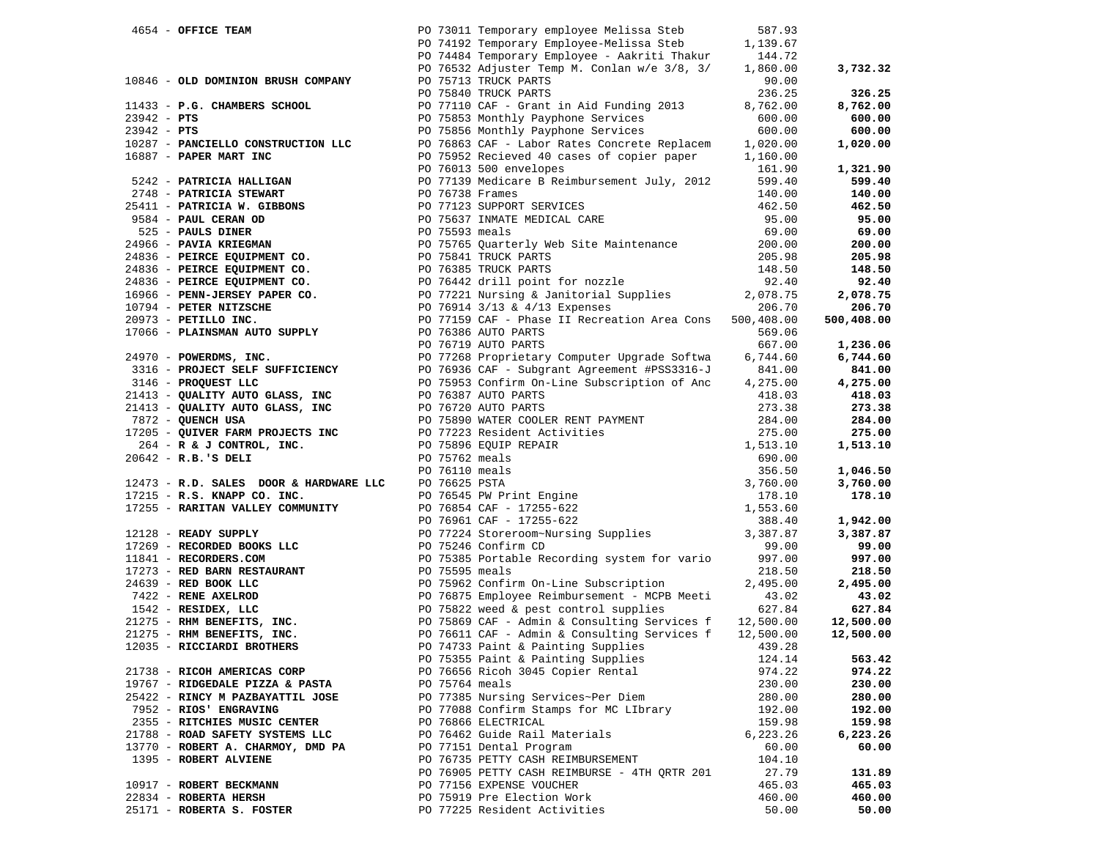| 4654 - OFFICE TEAM                                                                                                                                                                                                                               |                | PO 73011 Temporary employee Melissa Steb                                                                                                                                                                                                                  | 587.93    |            |
|--------------------------------------------------------------------------------------------------------------------------------------------------------------------------------------------------------------------------------------------------|----------------|-----------------------------------------------------------------------------------------------------------------------------------------------------------------------------------------------------------------------------------------------------------|-----------|------------|
|                                                                                                                                                                                                                                                  |                | PO 74192 Temporary Employee-Melissa Steb                                                                                                                                                                                                                  | 1,139.67  |            |
|                                                                                                                                                                                                                                                  |                | PO 74484 Temporary Employee - Aakriti Thakur                                                                                                                                                                                                              | 144.72    |            |
|                                                                                                                                                                                                                                                  |                | PO 76532 Adjuster Temp M. Conlan w/e 3/8, 3/                                                                                                                                                                                                              | 1,860.00  | 3,732.32   |
| 10846 - OLD DOMINION BRUSH COMPANY                                                                                                                                                                                                               |                | PO 75713 TRUCK PARTS                                                                                                                                                                                                                                      | 90.00     |            |
|                                                                                                                                                                                                                                                  |                | PO 75840 TRUCK PARTS                                                                                                                                                                                                                                      | 236.25    | 326.25     |
| 11433 - P.G. CHAMBERS SCHOOL                                                                                                                                                                                                                     |                | PO 77110 CAF - Grant in Aid Funding 2013                                                                                                                                                                                                                  | 8,762.00  | 8,762.00   |
| $23942 - PTS$                                                                                                                                                                                                                                    |                |                                                                                                                                                                                                                                                           | 600.00    | 600.00     |
| $23942 - PTS$                                                                                                                                                                                                                                    |                | PO 75853 Monthly Payphone Services<br>PO 75856 Monthly Payphone Services                                                                                                                                                                                  | 600.00    | 600.00     |
| 10287 - PANCIELLO CONSTRUCTION LLC                                                                                                                                                                                                               |                | PO 76863 CAF - Labor Rates Concrete Replacem                                                                                                                                                                                                              | 1,020.00  | 1,020.00   |
| 16887 - PAPER MART INC                                                                                                                                                                                                                           |                | PO 75952 Recieved 40 cases of copier paper                                                                                                                                                                                                                | 1,160.00  |            |
|                                                                                                                                                                                                                                                  |                | PO 76013 500 envelopes                                                                                                                                                                                                                                    | 161.90    | 1,321.90   |
|                                                                                                                                                                                                                                                  |                |                                                                                                                                                                                                                                                           |           |            |
| 5242 - PATRICIA HALLIGAN                                                                                                                                                                                                                         |                | PO 77139 Medicare B Reimbursement July, 2012                                                                                                                                                                                                              | 599.40    | 599.40     |
|                                                                                                                                                                                                                                                  |                |                                                                                                                                                                                                                                                           | 140.00    | 140.00     |
|                                                                                                                                                                                                                                                  |                | PO 77123 SUPPORT SERVICES                                                                                                                                                                                                                                 | 462.50    | 462.50     |
|                                                                                                                                                                                                                                                  |                | PO 75637 INMATE MEDICAL CARE<br>DO 75503 meels                                                                                                                                                                                                            | 95.00     | 95.00      |
| 2748 - PATRICIA STEWART<br>2748 - PATRICIA STEWART<br>25411 - PATRICIA W. GIBBONS<br>9584 - PAUL CERAN OD<br>2525 - PAUL CERAN OD<br>2466 - PAVIA KRIEGMAN<br>24836 - PEIRCE EQUIPMENT CO.<br>24836 - PEIRCE EQUIPMENT CO.<br>24836 - PEIRCE E   |                |                                                                                                                                                                                                                                                           | 69.00     | 69.00      |
|                                                                                                                                                                                                                                                  |                | PO 75765 Quarterly Web Site Maintenance                                                                                                                                                                                                                   | 200.00    | 200.00     |
| 24836 - PEIRCE EQUIPMENT CO.<br>24836 - PEIRCE EQUIPMENT CO.<br>24836 - PEIRCE EQUIPMENT CO.<br>24836 - PEIRCE EQUIPMENT CO.<br>24836 - PEIRCE EQUIPMENT CO.<br>24836 - PEIRCE EQUIPMENT CO.<br>24836 - PEIRCE EQUIPMENT CO.<br>24836 - PEIR     |                |                                                                                                                                                                                                                                                           |           | 205.98     |
|                                                                                                                                                                                                                                                  |                |                                                                                                                                                                                                                                                           |           | 148.50     |
|                                                                                                                                                                                                                                                  |                |                                                                                                                                                                                                                                                           |           | 92.40      |
|                                                                                                                                                                                                                                                  |                |                                                                                                                                                                                                                                                           |           | 2,078.75   |
|                                                                                                                                                                                                                                                  |                |                                                                                                                                                                                                                                                           |           | 206.70     |
| 20973 - PETILLO INC.                                                                                                                                                                                                                             |                | PO 77159 CAF - Phase II Recreation Area Cons 500,408.00                                                                                                                                                                                                   |           | 500,408.00 |
| 17066 - PLAINSMAN AUTO SUPPLY                                                                                                                                                                                                                    |                | PO 76386 AUTO PARTS                                                                                                                                                                                                                                       | 569.06    |            |
|                                                                                                                                                                                                                                                  |                | PO 76719 AUTO PARTS                                                                                                                                                                                                                                       | 667.00    | 1,236.06   |
| 24970 - POWERDMS, INC.                                                                                                                                                                                                                           |                | PO 77268 Proprietary Computer Upgrade Softwa                                                                                                                                                                                                              | 6,744.60  | 6,744.60   |
| $(4970 -$ POWERDMS, INC.<br>3316 - PROJECT SELF SUFFICIENCY                                                                                                                                                                                      |                | PO 76936 CAF - Subgrant Agreement #PSS3316-J                                                                                                                                                                                                              | 841.00    | 841.00     |
|                                                                                                                                                                                                                                                  |                |                                                                                                                                                                                                                                                           |           |            |
| 3146 - PROQUEST LLC                                                                                                                                                                                                                              |                | PO 75953 Confirm On-Line Subscription of Anc                                                                                                                                                                                                              | 4,275.00  | 4,275.00   |
| 21413 - QUALITY AUTO GLASS, INC                                                                                                                                                                                                                  |                | PO 76387 AUTO PARTS                                                                                                                                                                                                                                       | 418.03    | 418.03     |
| 21413 - QUALITY AUTO GLASS, INC                                                                                                                                                                                                                  |                | PO 76720 AUTO PARTS                                                                                                                                                                                                                                       | 273.38    | 273.38     |
| 7872 - QUENCH USA                                                                                                                                                                                                                                |                | FO 75890 WATER COOLER RENT PAYMENT<br>PO 75890 WATER COOLER RENT PAYMENT<br>PO 75896 EQUIP REPAIR<br>PO 75762 meals<br>PO 76110 meals<br>PO 76625 PSTA<br>PO 76645 PW Print Engine<br>PO 76854 CAF - 17255-622<br>PO 76951 CAF - 17255-622<br>PO 76961 CA | 284.00    | 284.00     |
| 17205 - QUIVER FARM PROJECTS INC                                                                                                                                                                                                                 |                |                                                                                                                                                                                                                                                           | 275.00    | 275.00     |
| 264 - R & J CONTROL, INC.                                                                                                                                                                                                                        |                |                                                                                                                                                                                                                                                           | 1,513.10  | 1,513.10   |
| $20642 - R.B.$ 'S DELI                                                                                                                                                                                                                           |                |                                                                                                                                                                                                                                                           | 690.00    |            |
|                                                                                                                                                                                                                                                  |                |                                                                                                                                                                                                                                                           | 356.50    | 1,046.50   |
| 12473 - R.D. SALES DOOR & HARDWARE LLC                                                                                                                                                                                                           |                |                                                                                                                                                                                                                                                           | 3,760.00  | 3,760.00   |
| 17215 - R.S. KNAPP CO. INC.                                                                                                                                                                                                                      |                |                                                                                                                                                                                                                                                           | 178.10    | 178.10     |
| 17255 - RARITAN VALLEY COMMUNITY                                                                                                                                                                                                                 |                |                                                                                                                                                                                                                                                           | 1,553.60  |            |
|                                                                                                                                                                                                                                                  |                |                                                                                                                                                                                                                                                           | 388.40    | 1,942.00   |
| 12128 - READY SUPPLY                                                                                                                                                                                                                             |                | PO 75224 Store: 17255-622<br>PO 77224 Store: Om-Nursing Supplies 3,387.87<br>PO 75246 Confirm CD                                                                                                                                                          |           | 3,387.87   |
| 17269 - RECORDED BOOKS LLC                                                                                                                                                                                                                       |                | PO 75246 Confirm CD                                                                                                                                                                                                                                       | 99.00     | 99.00      |
| 11841 - RECORDERS.COM                                                                                                                                                                                                                            |                | PO 75385 Portable Recording system for vario                                                                                                                                                                                                              | 997.00    | 997.00     |
| PO 75385 Portable Recording system for vario<br>24639 - RED BARN RESTAURANT<br>2422 - RENE AXELOD<br>1542 - RENE AXELOD<br>1542 - RENE AXELOD<br>1542 - RENE RAKENDD<br>1542 - RENE RAKENDD<br>1542 - RENE RAKENDD<br>1542 - RENE RAKENDD<br>154 |                |                                                                                                                                                                                                                                                           | 218.50    | 218.50     |
|                                                                                                                                                                                                                                                  |                |                                                                                                                                                                                                                                                           | 2,495.00  | 2,495.00   |
|                                                                                                                                                                                                                                                  |                |                                                                                                                                                                                                                                                           | 43.02     | 43.02      |
|                                                                                                                                                                                                                                                  |                |                                                                                                                                                                                                                                                           | 627.84    | 627.84     |
|                                                                                                                                                                                                                                                  |                |                                                                                                                                                                                                                                                           | 12,500.00 | 12,500.00  |
|                                                                                                                                                                                                                                                  |                |                                                                                                                                                                                                                                                           | 12,500.00 | 12,500.00  |
|                                                                                                                                                                                                                                                  |                | PO 74733 Paint & Painting Supplies                                                                                                                                                                                                                        | 439.28    |            |
|                                                                                                                                                                                                                                                  |                | PO 75355 Paint & Painting Supplies                                                                                                                                                                                                                        | 124.14    | 563.42     |
| 21738 - RICOH AMERICAS CORP                                                                                                                                                                                                                      |                | PO 76656 Ricoh 3045 Copier Rental                                                                                                                                                                                                                         | 974.22    | 974.22     |
|                                                                                                                                                                                                                                                  |                |                                                                                                                                                                                                                                                           |           |            |
| 19767 - RIDGEDALE PIZZA & PASTA                                                                                                                                                                                                                  | PO 75764 meals |                                                                                                                                                                                                                                                           | 230.00    | 230.00     |
| 25422 - RINCY M PAZBAYATTIL JOSE                                                                                                                                                                                                                 |                | PO 77385 Nursing Services~Per Diem                                                                                                                                                                                                                        | 280.00    | 280.00     |
| 7952 - RIOS' ENGRAVING                                                                                                                                                                                                                           |                | PO 77088 Confirm Stamps for MC LIbrary                                                                                                                                                                                                                    | 192.00    | 192.00     |
| 2355 - RITCHIES MUSIC CENTER                                                                                                                                                                                                                     |                | PO 76866 ELECTRICAL                                                                                                                                                                                                                                       | 159.98    | 159.98     |
| 21788 - ROAD SAFETY SYSTEMS LLC                                                                                                                                                                                                                  |                | PO 76462 Guide Rail Materials                                                                                                                                                                                                                             | 6,223.26  | 6,223.26   |
| 13770 - ROBERT A. CHARMOY, DMD PA                                                                                                                                                                                                                |                | PO 77151 Dental Program                                                                                                                                                                                                                                   | 60.00     | 60.00      |
| 1395 - ROBERT ALVIENE                                                                                                                                                                                                                            |                | PO 76735 PETTY CASH REIMBURSEMENT                                                                                                                                                                                                                         | 104.10    |            |
|                                                                                                                                                                                                                                                  |                | PO 76905 PETTY CASH REIMBURSE - 4TH QRTR 201                                                                                                                                                                                                              | 27.79     | 131.89     |
| 10917 - ROBERT BECKMANN                                                                                                                                                                                                                          |                | PO 77156 EXPENSE VOUCHER                                                                                                                                                                                                                                  | 465.03    | 465.03     |
| 22834 - ROBERTA HERSH                                                                                                                                                                                                                            |                | PO 75919 Pre Election Work                                                                                                                                                                                                                                | 460.00    | 460.00     |
| 25171 - ROBERTA S. FOSTER                                                                                                                                                                                                                        |                | PO 77225 Resident Activities                                                                                                                                                                                                                              | 50.00     | 50.00      |
|                                                                                                                                                                                                                                                  |                |                                                                                                                                                                                                                                                           |           |            |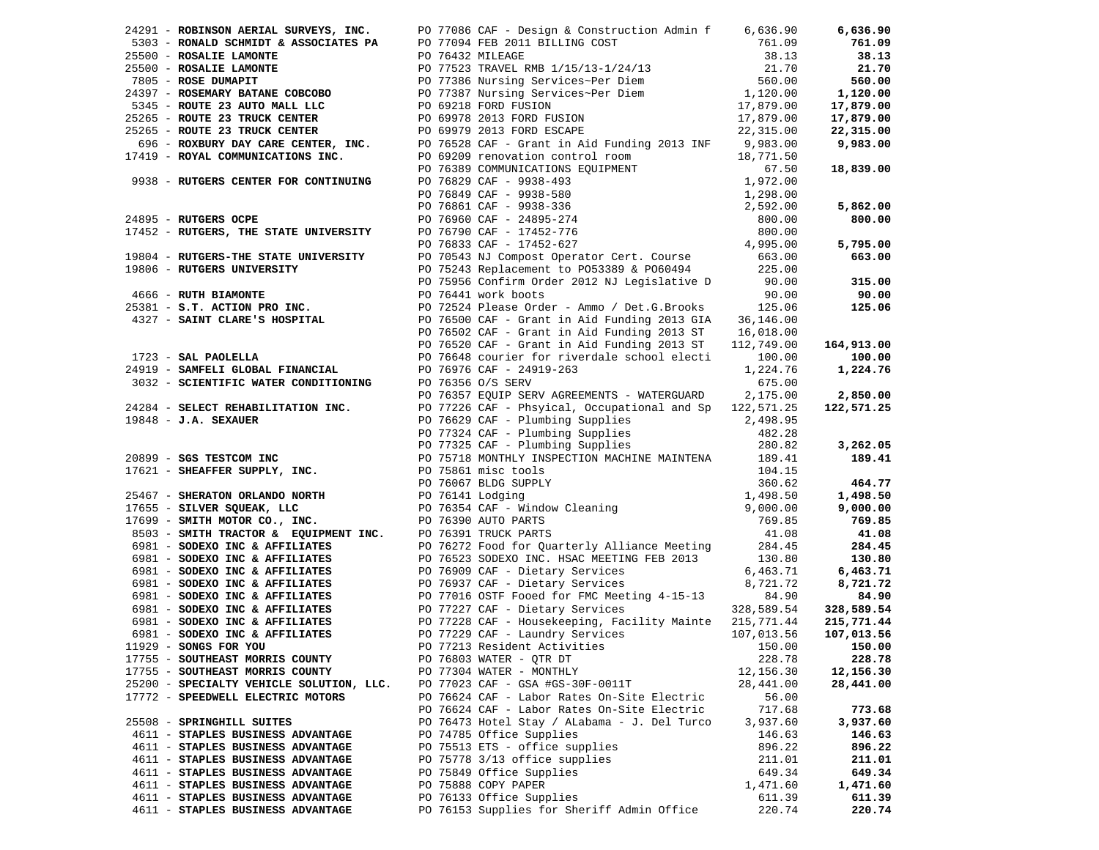|                                          |                                                                                                                                                                                                                                                                           |           | 6,636.90                 |
|------------------------------------------|---------------------------------------------------------------------------------------------------------------------------------------------------------------------------------------------------------------------------------------------------------------------------|-----------|--------------------------|
|                                          | 24291 - <b>ROBINSON AERIAL SURVEYS, INC.</b> PO 77086 CAF - Design & CONSILIE LIMING COST<br>2503 - <b>RONALD SCHIMTDT &amp; ASSOCIATES PA</b> PO 77094 FEB 2011 BILLING COST<br>25500 - <b>ROSALIE LAMONTE</b> PO 76432 MILLEACHE<br>28.1.3<br>25500 -                   |           | 761.09                   |
|                                          |                                                                                                                                                                                                                                                                           |           | 38.13                    |
|                                          |                                                                                                                                                                                                                                                                           |           | 21.70                    |
|                                          |                                                                                                                                                                                                                                                                           |           | 560.00                   |
|                                          |                                                                                                                                                                                                                                                                           |           | 1,120.00                 |
|                                          |                                                                                                                                                                                                                                                                           |           | 17,879.00                |
|                                          |                                                                                                                                                                                                                                                                           |           | 17,879.00                |
|                                          |                                                                                                                                                                                                                                                                           |           | 22,315.00                |
|                                          |                                                                                                                                                                                                                                                                           |           | 9,983.00                 |
|                                          |                                                                                                                                                                                                                                                                           |           |                          |
|                                          |                                                                                                                                                                                                                                                                           |           | 18,839.00                |
|                                          |                                                                                                                                                                                                                                                                           |           |                          |
|                                          |                                                                                                                                                                                                                                                                           |           |                          |
|                                          |                                                                                                                                                                                                                                                                           |           | 5,862.00                 |
|                                          |                                                                                                                                                                                                                                                                           |           | 800.00                   |
|                                          |                                                                                                                                                                                                                                                                           |           |                          |
|                                          |                                                                                                                                                                                                                                                                           |           | 5,795.00                 |
|                                          |                                                                                                                                                                                                                                                                           |           | 663.00                   |
|                                          |                                                                                                                                                                                                                                                                           |           |                          |
|                                          | 19806 - RUTGERS UNIVERSITY<br>19806 - RUTGERS UNIVERSITY<br>19806 - RUTH BIAMONTE<br>225.00<br>225.00<br>225.00<br>225.00<br>225.00<br>225.00<br>225.00<br>225.00<br>225.00<br>225.00<br>225.00<br>225.00<br>225.00<br>225.00<br>225.00<br>225.00<br>225.00<br>225.00<br> |           | 315.00                   |
|                                          |                                                                                                                                                                                                                                                                           |           | 90.00                    |
|                                          |                                                                                                                                                                                                                                                                           |           | 125.06                   |
|                                          |                                                                                                                                                                                                                                                                           |           |                          |
|                                          |                                                                                                                                                                                                                                                                           |           |                          |
|                                          |                                                                                                                                                                                                                                                                           |           | 164,913.00               |
| 1723 - SAL PAOLELLA                      | PO 76520 CAF - Grant in Aid Funding 2013 ST 112,749.00<br>PO 76648 courier for riverdale school electi 100.00                                                                                                                                                             |           | 100.00                   |
|                                          |                                                                                                                                                                                                                                                                           |           | 1,224.76                 |
|                                          |                                                                                                                                                                                                                                                                           |           |                          |
|                                          |                                                                                                                                                                                                                                                                           |           | 2,850.00                 |
|                                          |                                                                                                                                                                                                                                                                           |           | 122,571.25               |
|                                          |                                                                                                                                                                                                                                                                           |           |                          |
|                                          |                                                                                                                                                                                                                                                                           |           |                          |
|                                          |                                                                                                                                                                                                                                                                           |           | 3,262.05                 |
|                                          |                                                                                                                                                                                                                                                                           |           | 189.41                   |
|                                          |                                                                                                                                                                                                                                                                           |           |                          |
|                                          |                                                                                                                                                                                                                                                                           |           | 464.77                   |
|                                          | 1723 - <b>SAL PROLEILA</b><br>2017648 courrier for riverdale school electi 114, 190.00<br>2018 <b>EXECULAIRENT PRONECULAIRENT POSS</b> CONTRIBUTED CORRESPOND 1001.<br>2017648 courrier for riverdale school electi 100.00<br>2017648 courrier f                          |           | 1,498.50                 |
|                                          |                                                                                                                                                                                                                                                                           |           | 9,000.00                 |
|                                          |                                                                                                                                                                                                                                                                           |           | 769.85                   |
|                                          |                                                                                                                                                                                                                                                                           |           | 41.08                    |
|                                          |                                                                                                                                                                                                                                                                           |           | 284.45                   |
|                                          |                                                                                                                                                                                                                                                                           |           | 130.80                   |
|                                          |                                                                                                                                                                                                                                                                           |           |                          |
|                                          |                                                                                                                                                                                                                                                                           |           | 6,463.71<br>8,721.72     |
|                                          |                                                                                                                                                                                                                                                                           |           | 84.90                    |
|                                          |                                                                                                                                                                                                                                                                           |           |                          |
|                                          |                                                                                                                                                                                                                                                                           |           | 328,589.54<br>215,771.44 |
|                                          |                                                                                                                                                                                                                                                                           |           | 107,013.56               |
|                                          |                                                                                                                                                                                                                                                                           |           | 150.00                   |
| 17755 - SOUTHEAST MORRIS COUNTY          |                                                                                                                                                                                                                                                                           |           |                          |
|                                          | PO 76803 WATER - QTR DT                                                                                                                                                                                                                                                   | 228.78    | 228.78                   |
| 17755 - SOUTHEAST MORRIS COUNTY          | PO 77304 WATER - MONTHLY                                                                                                                                                                                                                                                  | 12,156.30 | 12,156.30                |
| 25200 - SPECIALTY VEHICLE SOLUTION, LLC. | PO 77023 CAF - GSA #GS-30F-0011T                                                                                                                                                                                                                                          | 28,441.00 | 28,441.00                |
| 17772 - SPEEDWELL ELECTRIC MOTORS        | PO 76624 CAF - Labor Rates On-Site Electric                                                                                                                                                                                                                               | 56.00     |                          |
|                                          | PO 76624 CAF - Labor Rates On-Site Electric                                                                                                                                                                                                                               | 717.68    | 773.68                   |
| 25508 - SPRINGHILL SUITES                | PO 76473 Hotel Stay / ALabama - J. Del Turco                                                                                                                                                                                                                              | 3,937.60  | 3,937.60                 |
| 4611 - STAPLES BUSINESS ADVANTAGE        | PO 74785 Office Supplies                                                                                                                                                                                                                                                  | 146.63    | 146.63                   |
| 4611 - STAPLES BUSINESS ADVANTAGE        | PO 75513 ETS - office supplies                                                                                                                                                                                                                                            | 896.22    | 896.22                   |
| 4611 - STAPLES BUSINESS ADVANTAGE        | PO 75778 3/13 office supplies                                                                                                                                                                                                                                             | 211.01    | 211.01                   |
| 4611 - STAPLES BUSINESS ADVANTAGE        | PO 75849 Office Supplies                                                                                                                                                                                                                                                  | 649.34    | 649.34                   |
| 4611 - STAPLES BUSINESS ADVANTAGE        | PO 75888 COPY PAPER                                                                                                                                                                                                                                                       | 1,471.60  | 1,471.60                 |
| 4611 - STAPLES BUSINESS ADVANTAGE        | PO 76133 Office Supplies                                                                                                                                                                                                                                                  | 611.39    | 611.39                   |
| 4611 - STAPLES BUSINESS ADVANTAGE        | PO 76153 Supplies for Sheriff Admin Office                                                                                                                                                                                                                                | 220.74    | 220.74                   |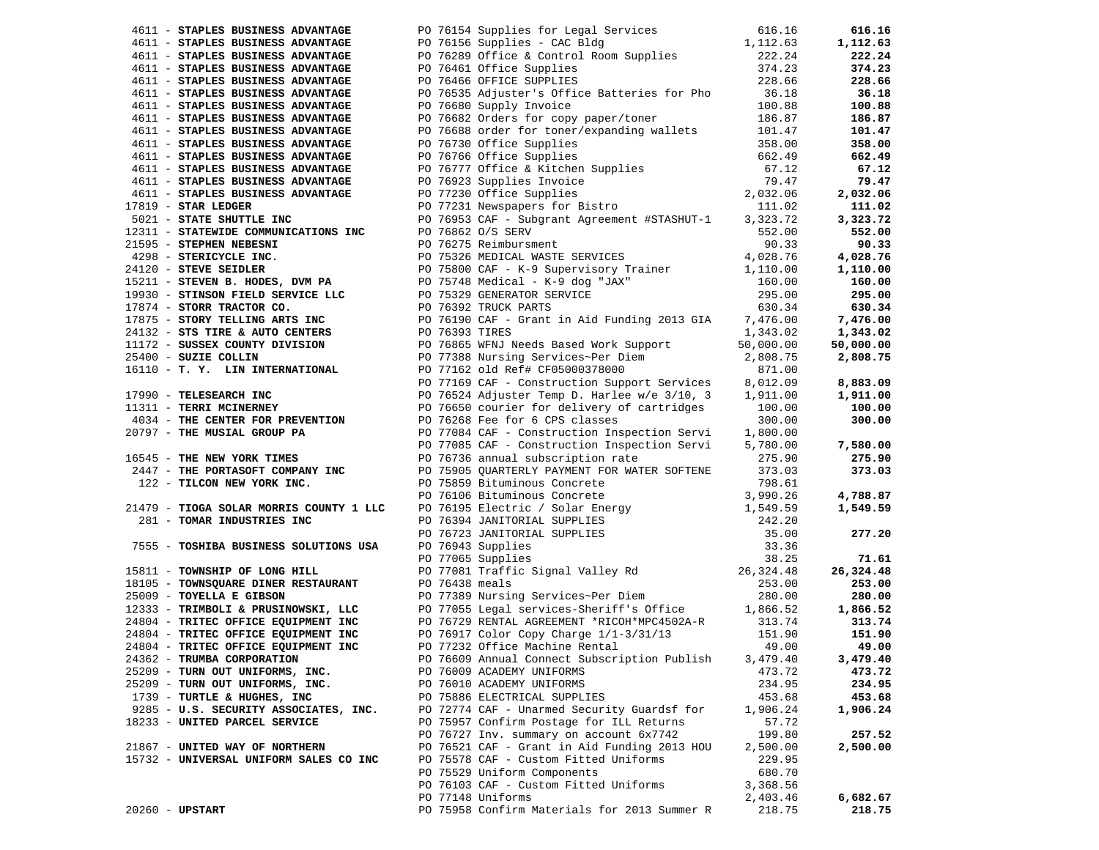| 4611 - STAPLES BUSINESS ADVANTAGE      | PO 76154 Supplies for Legal Services                                                                                                                                                                                                          | 616.16   | 616.16    |
|----------------------------------------|-----------------------------------------------------------------------------------------------------------------------------------------------------------------------------------------------------------------------------------------------|----------|-----------|
| 4611 - STAPLES BUSINESS ADVANTAGE      | PO 76154 Supplies for Legal Services<br>PO 76156 Supplies - CAC Bldg<br>PO 76289 Office & Control Room Supplies<br>PO 76461 Office Supplies<br>222.24<br>PO 76466 OFFICE SUPPLIES<br>228.66<br>PO 76688 Supply Invoice<br>PO 76682 Orders for |          | 1,112.63  |
| 4611 - STAPLES BUSINESS ADVANTAGE      |                                                                                                                                                                                                                                               |          | 222.24    |
| 4611 - STAPLES BUSINESS ADVANTAGE      |                                                                                                                                                                                                                                               |          | 374.23    |
| 4611 - STAPLES BUSINESS ADVANTAGE      |                                                                                                                                                                                                                                               |          | 228.66    |
| 4611 - STAPLES BUSINESS ADVANTAGE      |                                                                                                                                                                                                                                               |          | 36.18     |
| 4611 - STAPLES BUSINESS ADVANTAGE      |                                                                                                                                                                                                                                               |          | 100.88    |
| 4611 - STAPLES BUSINESS ADVANTAGE      |                                                                                                                                                                                                                                               |          | 186.87    |
| 4611 - STAPLES BUSINESS ADVANTAGE      |                                                                                                                                                                                                                                               |          | 101.47    |
| 4611 - STAPLES BUSINESS ADVANTAGE      | 90 76730 Office Supplies<br>258.00<br>26 76766 Office Supplies<br>258.00<br>26 76777 Office & Kitchen Supplies<br>2662.49<br>27.12<br>27.032.06<br>27.331 Newspapers for Bistro<br>27.032.06<br>27.032.06<br>20.032.06                        |          | 358.00    |
|                                        |                                                                                                                                                                                                                                               |          |           |
| 4611 - STAPLES BUSINESS ADVANTAGE      |                                                                                                                                                                                                                                               |          | 662.49    |
| 4611 - STAPLES BUSINESS ADVANTAGE      |                                                                                                                                                                                                                                               |          | 67.12     |
| 4611 - STAPLES BUSINESS ADVANTAGE      |                                                                                                                                                                                                                                               |          | 79.47     |
| 4611 - STAPLES BUSINESS ADVANTAGE      |                                                                                                                                                                                                                                               |          | 2,032.06  |
| $17819$ - STAR LEDGER                  |                                                                                                                                                                                                                                               |          | 111.02    |
| 5021 - STATE SHUTTLE INC               | PO 76953 CAF - Subgrant Agreement #STASHUT-1 3,323.72                                                                                                                                                                                         |          | 3,323.72  |
| 12311 - STATEWIDE COMMUNICATIONS INC   | PO 76862 0/S SERV 552.00<br>PO 76275 Reimbursment 90.33<br>PO 75326 MEDICAL WASTE SERVICES 4,028.76                                                                                                                                           |          | 552.00    |
|                                        |                                                                                                                                                                                                                                               |          | 90.33     |
|                                        |                                                                                                                                                                                                                                               |          | 4,028.76  |
|                                        |                                                                                                                                                                                                                                               |          | 1,110.00  |
|                                        |                                                                                                                                                                                                                                               |          | 160.00    |
|                                        |                                                                                                                                                                                                                                               |          | 295.00    |
|                                        |                                                                                                                                                                                                                                               |          | 630.34    |
|                                        |                                                                                                                                                                                                                                               |          | 7,476.00  |
|                                        |                                                                                                                                                                                                                                               |          | 1,343.02  |
|                                        |                                                                                                                                                                                                                                               |          |           |
|                                        |                                                                                                                                                                                                                                               |          | 50,000.00 |
|                                        |                                                                                                                                                                                                                                               |          | 2,808.75  |
|                                        |                                                                                                                                                                                                                                               |          |           |
|                                        |                                                                                                                                                                                                                                               |          | 8,883.09  |
|                                        |                                                                                                                                                                                                                                               |          | 1,911.00  |
|                                        |                                                                                                                                                                                                                                               |          | 100.00    |
|                                        |                                                                                                                                                                                                                                               |          | 300.00    |
|                                        |                                                                                                                                                                                                                                               |          |           |
|                                        |                                                                                                                                                                                                                                               |          | 7,580.00  |
|                                        |                                                                                                                                                                                                                                               |          | 275.90    |
|                                        |                                                                                                                                                                                                                                               |          | 373.03    |
|                                        |                                                                                                                                                                                                                                               |          |           |
|                                        |                                                                                                                                                                                                                                               |          | 4,788.87  |
|                                        |                                                                                                                                                                                                                                               |          | 1,549.59  |
|                                        |                                                                                                                                                                                                                                               |          |           |
|                                        |                                                                                                                                                                                                                                               |          | 277.20    |
|                                        |                                                                                                                                                                                                                                               |          |           |
|                                        |                                                                                                                                                                                                                                               |          | 71.61     |
|                                        |                                                                                                                                                                                                                                               |          | 26,324.48 |
|                                        |                                                                                                                                                                                                                                               |          | 253.00    |
|                                        |                                                                                                                                                                                                                                               |          |           |
|                                        |                                                                                                                                                                                                                                               |          | 280.00    |
|                                        |                                                                                                                                                                                                                                               |          | 1,866.52  |
|                                        |                                                                                                                                                                                                                                               |          | 313.74    |
| 24804 - TRITEC OFFICE EQUIPMENT INC    | PO 76917 Color Copy Charge $1/1-3/31/13$<br>PO 77232 Office Machine Rental                                                                                                                                                                    | 151.90   | 151.90    |
| 24804 - TRITEC OFFICE EQUIPMENT INC    |                                                                                                                                                                                                                                               | 49.00    | 49.00     |
| 24362 - TRUMBA CORPORATION             | PO 76609 Annual Connect Subscription Publish                                                                                                                                                                                                  | 3,479.40 | 3,479.40  |
| 25209 - TURN OUT UNIFORMS, INC.        | PO 76009 ACADEMY UNIFORMS                                                                                                                                                                                                                     | 473.72   | 473.72    |
| 25209 - TURN OUT UNIFORMS, INC.        | PO 76010 ACADEMY UNIFORMS                                                                                                                                                                                                                     | 234.95   | 234.95    |
| 1739 - TURTLE & HUGHES, INC            | PO 75886 ELECTRICAL SUPPLIES                                                                                                                                                                                                                  | 453.68   | 453.68    |
| 9285 - U.S. SECURITY ASSOCIATES, INC.  | PO 72774 CAF - Unarmed Security Guardsf for                                                                                                                                                                                                   | 1,906.24 | 1,906.24  |
| 18233 - UNITED PARCEL SERVICE          | PO 75957 Confirm Postage for ILL Returns                                                                                                                                                                                                      | 57.72    |           |
|                                        | PO 76727 Inv. summary on account 6x7742                                                                                                                                                                                                       | 199.80   | 257.52    |
| 21867 - UNITED WAY OF NORTHERN         | PO 76521 CAF - Grant in Aid Funding 2013 HOU                                                                                                                                                                                                  | 2,500.00 | 2,500.00  |
| 15732 - UNIVERSAL UNIFORM SALES CO INC | PO 75578 CAF - Custom Fitted Uniforms                                                                                                                                                                                                         | 229.95   |           |
|                                        | PO 75529 Uniform Components                                                                                                                                                                                                                   | 680.70   |           |
|                                        | PO 76103 CAF - Custom Fitted Uniforms                                                                                                                                                                                                         | 3,368.56 |           |
|                                        | PO 77148 Uniforms                                                                                                                                                                                                                             | 2,403.46 | 6,682.67  |
| $20260$ - UPSTART                      | PO 75958 Confirm Materials for 2013 Summer R                                                                                                                                                                                                  | 218.75   | 218.75    |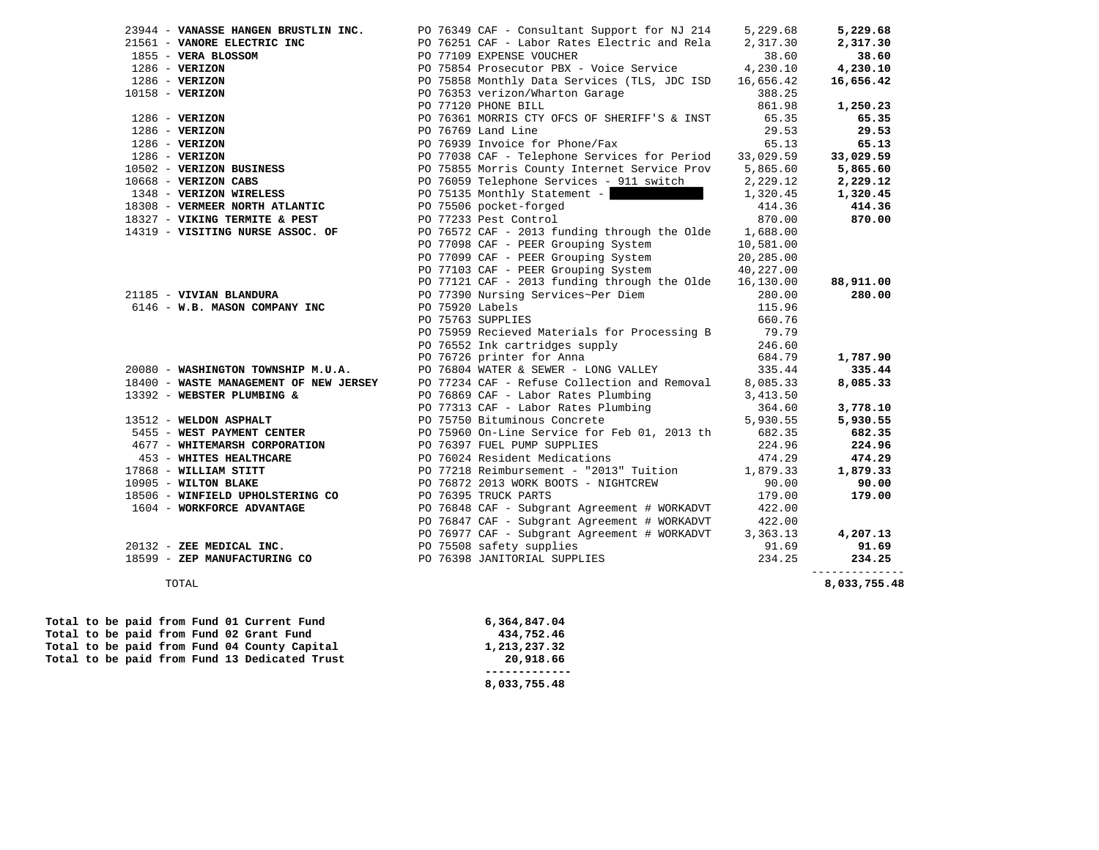| 23944 - VANASSE HANGEN BRUSTLIN INC.                                                                                                                                                              |                 | PO 76349 CAF - Consultant Support for NJ 214                                                               | 5,229.68  | 5,229.68     |
|---------------------------------------------------------------------------------------------------------------------------------------------------------------------------------------------------|-----------------|------------------------------------------------------------------------------------------------------------|-----------|--------------|
| 21561 - VANORE ELECTRIC INC                                                                                                                                                                       |                 | PO 76251 CAF - Labor Rates Electric and Rela                                                               | 2,317.30  | 2,317.30     |
|                                                                                                                                                                                                   |                 | PO 77109 EXPENSE VOUCHER                                                                                   | 38.60     | 38.60        |
| 21561 - VANOKE ELECTRIC INC<br>1855 - VERIZON<br>1286 - VERIZON<br>10158 - VERIZON<br>10158 - VERIZON<br>1286 - VERIZON<br>1286 - VERIZON<br>1286 - VERIZON<br>10502 - VERIZON<br>10568 - VERIZON |                 | PO 75854 Prosecutor PBX - Voice Service 4,230.10                                                           |           | 4,230.10     |
|                                                                                                                                                                                                   |                 | PO 75858 Monthly Data Services (TLS, JDC ISD                                                               | 16,656.42 | 16,656.42    |
|                                                                                                                                                                                                   |                 | PO 76353 verizon/Wharton Garage                                                                            | 388.25    |              |
|                                                                                                                                                                                                   |                 | PO 77120 PHONE BILL                                                                                        | 861.98    | 1,250.23     |
|                                                                                                                                                                                                   |                 | PO 76361 MORRIS CTY OFCS OF SHERIFF'S & INST                                                               | 65.35     | 65.35        |
|                                                                                                                                                                                                   |                 | PO 76769 Land Line                                                                                         | 29.53     | 29.53        |
|                                                                                                                                                                                                   |                 | PO 76939 Invoice for Phone/Fax                                                                             | 65.13     | 65.13        |
|                                                                                                                                                                                                   |                 | PO 77038 CAF - Telephone Services for Period                                                               | 33,029.59 | 33,029.59    |
|                                                                                                                                                                                                   |                 | PO 75855 Morris County Internet Service Prov 5,865.60                                                      |           | 5,865.60     |
| $10668$ - VERIZON CABS                                                                                                                                                                            |                 | PO 76059 Telephone Services - 911 switch                                                                   | 2,229.12  | 2,229.12     |
|                                                                                                                                                                                                   |                 | PO 75135 Monthly Statement -                                                                               | 1,320.45  | 1,320.45     |
| 1348 - VERIZON WIRELESS<br>18308 - VERMEER NORTH ATLANTIC                                                                                                                                         |                 | PO 75506 pocket-forged                                                                                     | 414.36    | 414.36       |
| 18327 - VIKING TERMITE & PEST                                                                                                                                                                     |                 | PO 77233 Pest Control                                                                                      | 870.00    | 870.00       |
| 14319 - VISITING NURSE ASSOC. OF                                                                                                                                                                  |                 | PO 76572 CAF - 2013 funding through the Olde $1,688.00$                                                    |           |              |
|                                                                                                                                                                                                   |                 | PO 77098 CAF - PEER Grouping System                                                                        | 10,581.00 |              |
|                                                                                                                                                                                                   |                 | PO 77099 CAF - PEER Grouping System                                                                        | 20,285.00 |              |
|                                                                                                                                                                                                   |                 | PO 77103 CAF - PEER Grouping System                                                                        | 40,227.00 |              |
|                                                                                                                                                                                                   |                 | PO 77121 CAF - 2013 funding through the Olde $16,130.00$                                                   |           | 88,911.00    |
| 21185 - VIVIAN BLANDURA                                                                                                                                                                           |                 | PO 77390 Nursing Services~Per Diem                                                                         | 280.00    | 280.00       |
| 6146 - W.B. MASON COMPANY INC                                                                                                                                                                     | PO 75920 Labels |                                                                                                            | 115.96    |              |
|                                                                                                                                                                                                   |                 | PO 75763 SUPPLIES                                                                                          | 660.76    |              |
|                                                                                                                                                                                                   |                 | PO 75959 Recieved Materials for Processing B                                                               | 79.79     |              |
|                                                                                                                                                                                                   |                 | PO 76552 Ink cartridges supply                                                                             | 246.60    |              |
|                                                                                                                                                                                                   |                 | PO 76726 printer for Anna                                                                                  | 684.79    | 1,787.90     |
| 20080 - WASHINGTON TOWNSHIP M.U.A.                                                                                                                                                                |                 | PO 76804 WATER & SEWER - LONG VALLEY                                                                       | 335.44    | 335.44       |
|                                                                                                                                                                                                   |                 | 18400 - WASTE MANAGEMENT OF NEW JERSEY PO 77234 CAF - Refuse Collection and Removal 8,085.33               |           | 8,085.33     |
| 13392 - WEBSTER PLUMBING &                                                                                                                                                                        |                 | PO 76869 CAF - Labor Rates Plumbing                                                                        | 3,413.50  |              |
|                                                                                                                                                                                                   |                 | PO 77313 CAF - Labor Rates Plumbing<br>PO 75750 Bituminous Concrete                                        | 364.60    | 3,778.10     |
| 13512 - WELDON ASPHALT                                                                                                                                                                            |                 |                                                                                                            | 5,930.55  | 5,930.55     |
| 5455 - WEST PAYMENT CENTER                                                                                                                                                                        |                 | PO 75960 On-Line Service for Feb 01, 2013 th                                                               | 682.35    | 682.35       |
| 4677 - WHITEMARSH CORPORATION                                                                                                                                                                     |                 | PO 76397 FUEL PUMP SUPPLIES                                                                                | 224.96    | 224.96       |
| 453 - WHITES HEALTHCARE                                                                                                                                                                           |                 | PO 76024 Resident Medications                                                                              | 474.29    | 474.29       |
| 17868 - WILLIAM STITT                                                                                                                                                                             |                 | PO 77218 Reimbursement - "2013" Tuition 1,879.33                                                           |           | 1,879.33     |
| 10905 - WILTON BLAKE                                                                                                                                                                              |                 | PO 76872 2013 WORK BOOTS - NIGHTCREW                                                                       | 90.00     | 90.00        |
| 18506 - WINFIELD UPHOLSTERING CO                                                                                                                                                                  |                 | PO 76395 TRUCK PARTS                                                                                       | 179.00    | 179.00       |
| 1604 - WORKFORCE ADVANTAGE                                                                                                                                                                        |                 |                                                                                                            |           |              |
|                                                                                                                                                                                                   |                 | PO 76848 CAF - Subgrant Agreement # WORKADVT 422.00<br>PO 76847 CAF - Subgrant Agreement # WORKADVT 422.00 |           |              |
|                                                                                                                                                                                                   |                 | PO 76977 CAF - Subgrant Agreement # WORKADVT                                                               | 3,363.13  | 4,207.13     |
| 20132 - ZEE MEDICAL INC.                                                                                                                                                                          |                 | 20132 - ZEE MEDICAL INC.<br>18599 - ZEP MANUFACTURING CONNECT OF THE PO 76398 JANITORIAL SUPPLIES          | 91.69     | 91.69        |
|                                                                                                                                                                                                   |                 |                                                                                                            | 234.25    | 234.25       |
|                                                                                                                                                                                                   |                 |                                                                                                            |           |              |
| TOTAL                                                                                                                                                                                             |                 |                                                                                                            |           | 8,033,755.48 |

|  |  |  |  | Total to be paid from Fund 13 Dedicated Trust | 20,918.66    |
|--|--|--|--|-----------------------------------------------|--------------|
|  |  |  |  | Total to be paid from Fund 04 County Capital  | 1,213,237.32 |
|  |  |  |  | Total to be paid from Fund 02 Grant Fund      | 434,752.46   |
|  |  |  |  | Total to be paid from Fund 01 Current Fund    | 6,364,847.04 |

 **Total to be paid from Fund 01 Current Fund 6,364,847.04 Total to be paid from Fund 02 Grant Fund 434,752.46 Total to be paid from Fund 04 County Capital 1,213,237.32 8,033,755.48**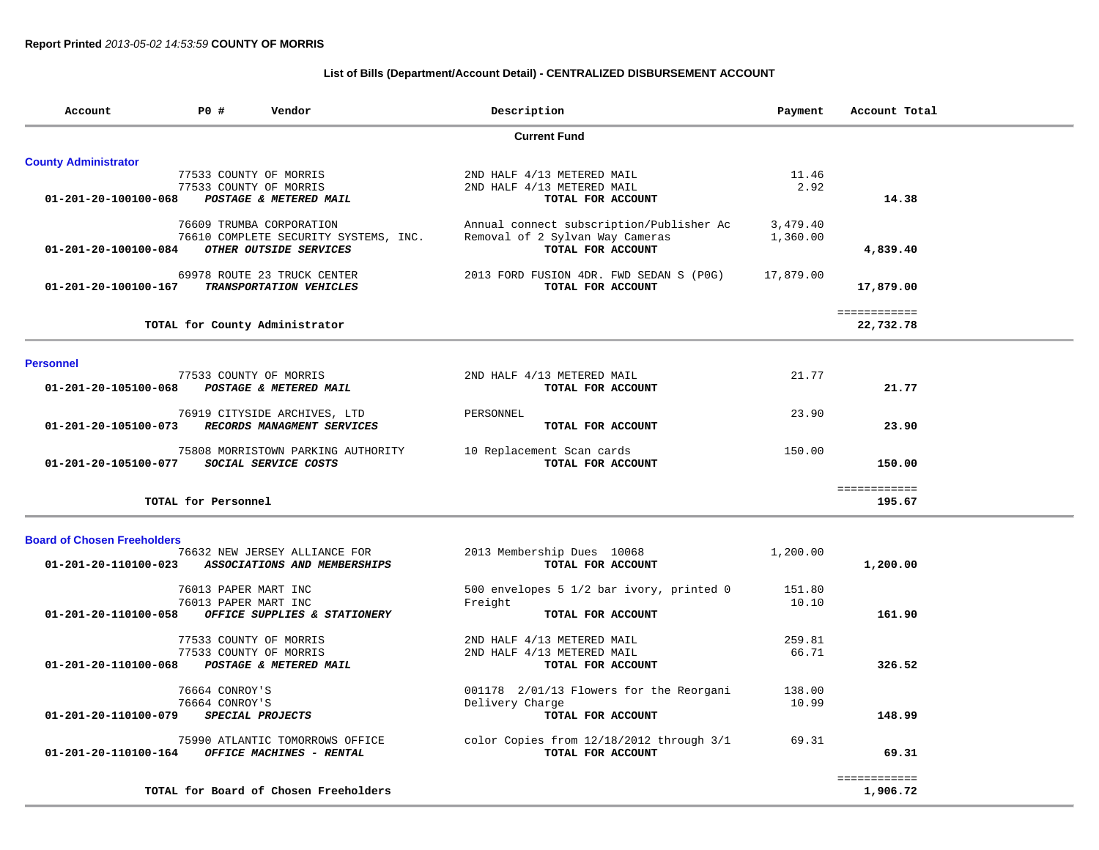## **List of Bills (Department/Account Detail) - CENTRALIZED DISBURSEMENT ACCOUNT**

| Account                            | PO# | Vendor                                | Description     |                                          | Payment   | Account Total |
|------------------------------------|-----|---------------------------------------|-----------------|------------------------------------------|-----------|---------------|
|                                    |     |                                       |                 | <b>Current Fund</b>                      |           |               |
| <b>County Administrator</b>        |     |                                       |                 |                                          |           |               |
|                                    |     | 77533 COUNTY OF MORRIS                |                 | 2ND HALF 4/13 METERED MAIL               | 11.46     |               |
|                                    |     | 77533 COUNTY OF MORRIS                |                 | 2ND HALF 4/13 METERED MAIL               | 2.92      |               |
| 01-201-20-100100-068               |     | POSTAGE & METERED MAIL                |                 | TOTAL FOR ACCOUNT                        |           | 14.38         |
|                                    |     | 76609 TRUMBA CORPORATION              |                 | Annual connect subscription/Publisher Ac | 3,479.40  |               |
|                                    |     | 76610 COMPLETE SECURITY SYSTEMS, INC. |                 | Removal of 2 Sylvan Way Cameras          | 1,360.00  |               |
| 01-201-20-100100-084               |     | OTHER OUTSIDE SERVICES                |                 | TOTAL FOR ACCOUNT                        |           | 4,839.40      |
|                                    |     | 69978 ROUTE 23 TRUCK CENTER           |                 | 2013 FORD FUSION 4DR. FWD SEDAN S (POG)  | 17,879.00 |               |
| 01-201-20-100100-167               |     | TRANSPORTATION VEHICLES               |                 | TOTAL FOR ACCOUNT                        |           | 17,879.00     |
|                                    |     |                                       |                 |                                          |           | ============  |
|                                    |     | TOTAL for County Administrator        |                 |                                          |           | 22,732.78     |
| <b>Personnel</b>                   |     |                                       |                 |                                          |           |               |
|                                    |     | 77533 COUNTY OF MORRIS                |                 | 2ND HALF 4/13 METERED MAIL               | 21.77     |               |
| 01-201-20-105100-068               |     | POSTAGE & METERED MAIL                |                 | TOTAL FOR ACCOUNT                        |           | 21.77         |
|                                    |     | 76919 CITYSIDE ARCHIVES, LTD          | PERSONNEL       |                                          | 23.90     |               |
| 01-201-20-105100-073               |     | RECORDS MANAGMENT SERVICES            |                 | TOTAL FOR ACCOUNT                        |           | 23.90         |
|                                    |     | 75808 MORRISTOWN PARKING AUTHORITY    |                 | 10 Replacement Scan cards                | 150.00    |               |
| 01-201-20-105100-077               |     | SOCIAL SERVICE COSTS                  |                 | TOTAL FOR ACCOUNT                        |           | 150.00        |
|                                    |     |                                       |                 |                                          |           | ============  |
|                                    |     | TOTAL for Personnel                   |                 |                                          |           | 195.67        |
| <b>Board of Chosen Freeholders</b> |     |                                       |                 |                                          |           |               |
|                                    |     | 76632 NEW JERSEY ALLIANCE FOR         |                 | 2013 Membership Dues 10068               | 1,200.00  |               |
| 01-201-20-110100-023               |     | ASSOCIATIONS AND MEMBERSHIPS          |                 | TOTAL FOR ACCOUNT                        |           | 1,200.00      |
|                                    |     | 76013 PAPER MART INC                  |                 | 500 envelopes 5 1/2 bar ivory, printed 0 | 151.80    |               |
|                                    |     | 76013 PAPER MART INC                  | Freight         |                                          | 10.10     |               |
| 01-201-20-110100-058               |     | OFFICE SUPPLIES & STATIONERY          |                 | TOTAL FOR ACCOUNT                        |           | 161.90        |
|                                    |     | 77533 COUNTY OF MORRIS                |                 | 2ND HALF 4/13 METERED MAIL               | 259.81    |               |
|                                    |     | 77533 COUNTY OF MORRIS                |                 | 2ND HALF 4/13 METERED MAIL               | 66.71     |               |
| 01-201-20-110100-068               |     | POSTAGE & METERED MAIL                |                 | TOTAL FOR ACCOUNT                        |           | 326.52        |
|                                    |     | 76664 CONROY'S                        |                 | 001178 2/01/13 Flowers for the Reorgani  | 138.00    |               |
|                                    |     | 76664 CONROY'S                        | Delivery Charge |                                          | 10.99     |               |
| 01-201-20-110100-079               |     | SPECIAL PROJECTS                      |                 | TOTAL FOR ACCOUNT                        |           | 148.99        |

 75990 ATLANTIC TOMORROWS OFFICE color Copies from 12/18/2012 through 3/1 69.31 01-201-20-110100-164 OFFICE MACHINES - RENTAL *TOTAL FOR ACCOUNT* 

TOTAL for Board of Chosen Freeholders

 ============ 1,906.72

69.31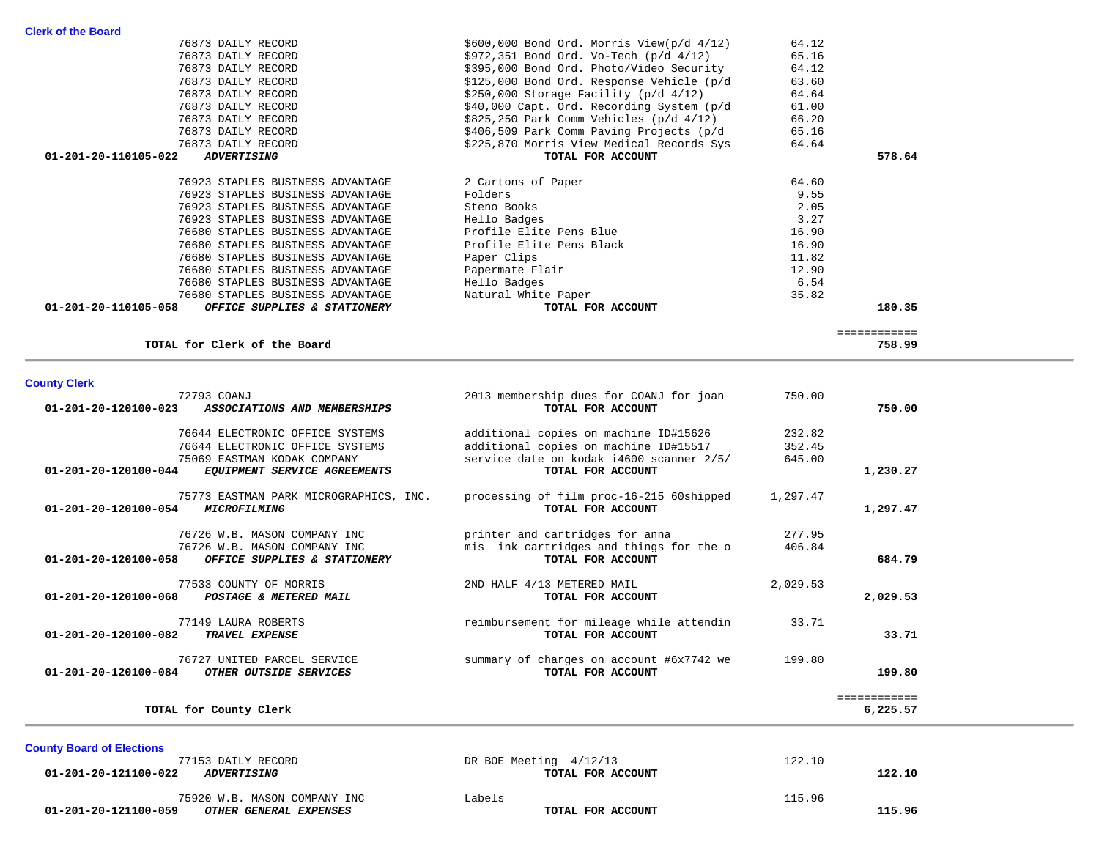| DR BOE Meeting 4/12/13 | 122.10 |        |
|------------------------|--------|--------|
| TOTAL FOR ACCOUNT      |        | 122.10 |
|                        |        |        |
| Labels                 | 115.96 |        |
| TOTAL FOR ACCOUNT      |        | 115.96 |
|                        |        |        |

|              | 750.00   | 2013 membership dues for COANJ for joan  | 72793 COANJ                            |                                |
|--------------|----------|------------------------------------------|----------------------------------------|--------------------------------|
| 750.00       |          | TOTAL FOR ACCOUNT                        | ASSOCIATIONS AND MEMBERSHIPS           | 01-201-20-120100-023           |
|              | 232.82   | additional copies on machine ID#15626    | 76644 ELECTRONIC OFFICE SYSTEMS        |                                |
|              | 352.45   | additional copies on machine ID#15517    | 76644 ELECTRONIC OFFICE SYSTEMS        |                                |
|              | 645.00   | service date on kodak i4600 scanner 2/5/ | 75069 EASTMAN KODAK COMPANY            |                                |
| 1,230.27     |          | TOTAL FOR ACCOUNT                        | EQUIPMENT SERVICE AGREEMENTS           | 01-201-20-120100-044           |
|              | 1,297.47 | processing of film proc-16-215 60shipped | 75773 EASTMAN PARK MICROGRAPHICS, INC. |                                |
| 1,297.47     |          | TOTAL FOR ACCOUNT                        | <i>MICROFILMING</i>                    | 01-201-20-120100-054           |
|              | 277.95   | printer and cartridges for anna          | 76726 W.B. MASON COMPANY INC           |                                |
|              | 406.84   | mis ink cartridges and things for the o  | 76726 W.B. MASON COMPANY INC           |                                |
| 684.79       |          | TOTAL FOR ACCOUNT                        | OFFICE SUPPLIES & STATIONERY           | 01-201-20-120100-058           |
|              | 2,029.53 | 2ND HALF 4/13 METERED MAIL               | 77533 COUNTY OF MORRIS                 |                                |
| 2,029.53     |          | TOTAL FOR ACCOUNT                        | POSTAGE & METERED MAIL                 | 01-201-20-120100-068           |
|              | 33.71    | reimbursement for mileage while attendin | 77149 LAURA ROBERTS                    |                                |
| 33.71        |          | TOTAL FOR ACCOUNT                        | TRAVEL EXPENSE                         | $01 - 201 - 20 - 120100 - 082$ |
|              | 199.80   | summary of charges on account #6x7742 we | 76727 UNITED PARCEL SERVICE            |                                |
| 199.80       |          | TOTAL FOR ACCOUNT                        | OTHER OUTSIDE SERVICES                 | 01-201-20-120100-084           |
| ============ |          |                                          |                                        |                                |
| 6,225.57     |          |                                          | TOTAL for County Clerk                 |                                |
|              |          |                                          |                                        |                                |

## TOTAL for Clerk of the Board

| ---- | --<br>۰.<br>., | .<br>. .<br>. . |
|------|----------------|-----------------|
|      |                |                 |
|      |                |                 |
|      |                |                 |
|      |                |                 |

 ============ 758.99

| 76873 DAILY RECORD                                   | \$395,000 Bond Ord. Photo/Video Security    | 64.12 |        |
|------------------------------------------------------|---------------------------------------------|-------|--------|
| 76873 DAILY RECORD                                   | \$125,000 Bond Ord. Response Vehicle (p/d   | 63.60 |        |
| 76873 DAILY RECORD                                   | $$250,000$ Storage Facility (p/d $4/12$ )   | 64.64 |        |
| 76873 DAILY RECORD                                   | \$40,000 Capt. Ord. Recording System (p/d   | 61.00 |        |
| 76873 DAILY RECORD                                   | $$825,250$ Park Comm Vehicles (p/d $4/12$ ) | 66.20 |        |
| 76873 DAILY RECORD                                   | \$406,509 Park Comm Paving Projects (p/d    | 65.16 |        |
| 76873 DAILY RECORD                                   | \$225,870 Morris View Medical Records Sys   | 64.64 |        |
| 01-201-20-110105-022<br><i><b>ADVERTISING</b></i>    | TOTAL FOR ACCOUNT                           |       | 578.64 |
| 76923 STAPLES BUSINESS ADVANTAGE                     | 2 Cartons of Paper                          | 64.60 |        |
| 76923 STAPLES BUSINESS ADVANTAGE                     | Folders                                     | 9.55  |        |
| 76923 STAPLES BUSINESS ADVANTAGE                     | Steno Books                                 | 2.05  |        |
| 76923 STAPLES BUSINESS ADVANTAGE                     | Hello Badges                                | 3.27  |        |
| 76680 STAPLES BUSINESS ADVANTAGE                     | Profile Elite Pens Blue                     | 16.90 |        |
| 76680 STAPLES BUSINESS ADVANTAGE                     | Profile Elite Pens Black                    | 16.90 |        |
| 76680 STAPLES BUSINESS ADVANTAGE                     | Paper Clips                                 | 11.82 |        |
| 76680 STAPLES BUSINESS ADVANTAGE                     | Papermate Flair                             | 12.90 |        |
| 76680 STAPLES BUSINESS ADVANTAGE                     | Hello Badges                                | 6.54  |        |
| 76680 STAPLES BUSINESS ADVANTAGE                     | Natural White Paper                         | 35.82 |        |
| 01-201-20-110105-058<br>OFFICE SUPPLIES & STATIONERY | TOTAL FOR ACCOUNT                           |       | 180.35 |
|                                                      |                                             |       |        |

 76873 DAILY RECORD \$600,000 Bond Ord. Morris View(p/d 4/12) 64.12 76873 DAILY RECORD \$972,351 Bond Ord. Vo-Tech (p/d 4/12) 65.16

**County Clerk**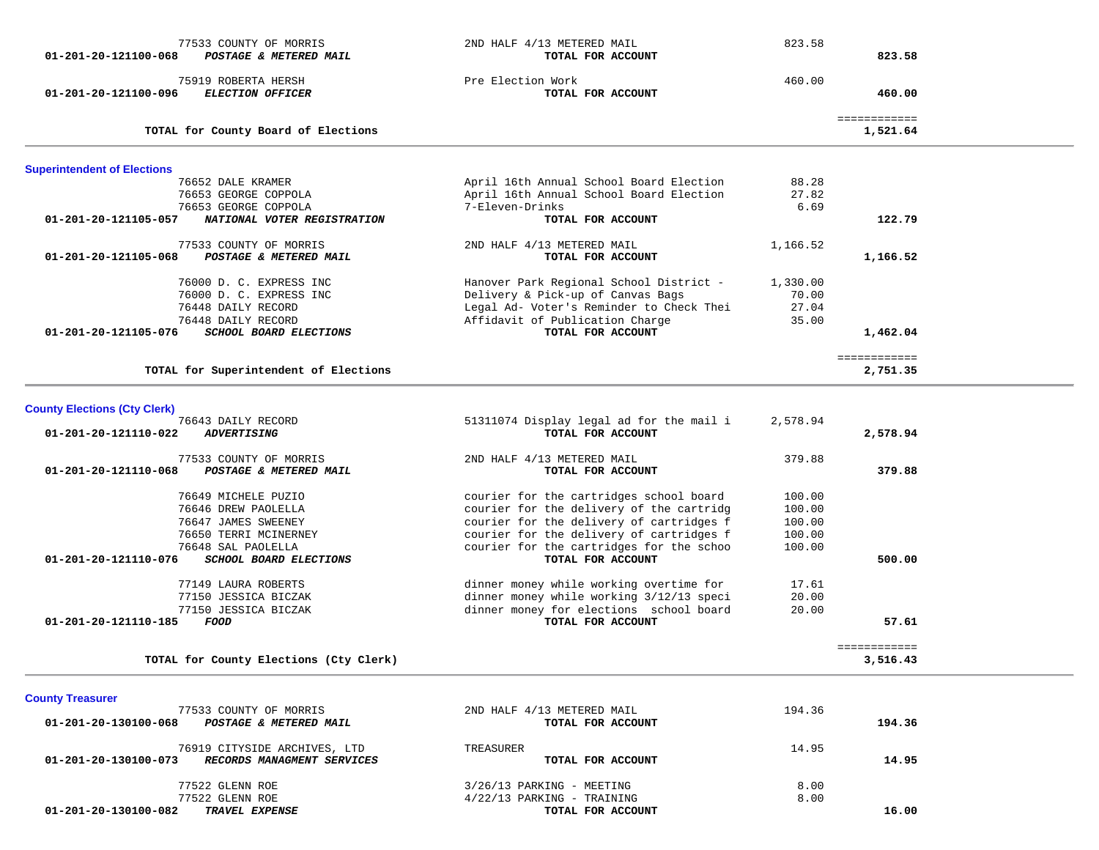| 01-201-20-121100-068                | 77533 COUNTY OF MORRIS<br>POSTAGE & METERED MAIL | 2ND HALF 4/13 METERED MAIL<br>TOTAL FOR ACCOUNT | 823.58   | 823.58                   |  |
|-------------------------------------|--------------------------------------------------|-------------------------------------------------|----------|--------------------------|--|
| 01-201-20-121100-096                | 75919 ROBERTA HERSH<br><b>ELECTION OFFICER</b>   | Pre Election Work<br>TOTAL FOR ACCOUNT          | 460.00   | 460.00                   |  |
|                                     | TOTAL for County Board of Elections              |                                                 |          | ============<br>1,521.64 |  |
| <b>Superintendent of Elections</b>  |                                                  |                                                 |          |                          |  |
|                                     | 76652 DALE KRAMER                                | April 16th Annual School Board Election         | 88.28    |                          |  |
|                                     | 76653 GEORGE COPPOLA                             | April 16th Annual School Board Election         | 27.82    |                          |  |
|                                     | 76653 GEORGE COPPOLA                             | 7-Eleven-Drinks                                 | 6.69     |                          |  |
| 01-201-20-121105-057                | NATIONAL VOTER REGISTRATION                      | TOTAL FOR ACCOUNT                               |          | 122.79                   |  |
| 01-201-20-121105-068                | 77533 COUNTY OF MORRIS<br>POSTAGE & METERED MAIL | 2ND HALF 4/13 METERED MAIL<br>TOTAL FOR ACCOUNT | 1,166.52 | 1,166.52                 |  |
|                                     | 76000 D. C. EXPRESS INC                          | Hanover Park Regional School District -         | 1,330.00 |                          |  |
|                                     | 76000 D. C. EXPRESS INC                          | Delivery & Pick-up of Canvas Bags               | 70.00    |                          |  |
|                                     | 76448 DAILY RECORD                               | Legal Ad- Voter's Reminder to Check Thei        | 27.04    |                          |  |
|                                     | 76448 DAILY RECORD                               | Affidavit of Publication Charge                 | 35.00    |                          |  |
| 01-201-20-121105-076                | <b>SCHOOL BOARD ELECTIONS</b>                    | TOTAL FOR ACCOUNT                               |          | 1,462.04                 |  |
|                                     |                                                  |                                                 |          | ============             |  |
|                                     | TOTAL for Superintendent of Elections            |                                                 |          | 2,751.35                 |  |
| <b>County Elections (Cty Clerk)</b> |                                                  |                                                 |          |                          |  |
|                                     | 76643 DAILY RECORD                               | 51311074 Display legal ad for the mail i        | 2,578.94 |                          |  |
| 01-201-20-121110-022                | <b>ADVERTISING</b>                               | TOTAL FOR ACCOUNT                               |          | 2,578.94                 |  |
|                                     | 77533 COUNTY OF MORRIS                           | 2ND HALF 4/13 METERED MAIL                      | 379.88   |                          |  |
| 01-201-20-121110-068                | POSTAGE & METERED MAIL                           | TOTAL FOR ACCOUNT                               |          | 379.88                   |  |
|                                     | 76649 MICHELE PUZIO                              | courier for the cartridges school board         | 100.00   |                          |  |
|                                     | 76646 DREW PAOLELLA                              | courier for the delivery of the cartridg        | 100.00   |                          |  |
|                                     | 76647 JAMES SWEENEY                              | courier for the delivery of cartridges f        | 100.00   |                          |  |
|                                     | 76650 TERRI MCINERNEY                            | courier for the delivery of cartridges f        | 100.00   |                          |  |
|                                     | 76648 SAL PAOLELLA                               | courier for the cartridges for the schoo        | 100.00   |                          |  |
| 01-201-20-121110-076                | SCHOOL BOARD ELECTIONS                           | TOTAL FOR ACCOUNT                               |          | 500.00                   |  |
|                                     | 77149 LAURA ROBERTS                              | dinner money while working overtime for         | 17.61    |                          |  |
|                                     | 77150 JESSICA BICZAK                             | dinner money while working 3/12/13 speci        | 20.00    |                          |  |
|                                     | 77150 JESSICA BICZAK                             | dinner money for elections school board         | 20.00    |                          |  |
| 01-201-20-121110-185                | <b>FOOD</b>                                      | TOTAL FOR ACCOUNT                               |          | 57.61                    |  |
|                                     |                                                  |                                                 |          | ============             |  |
|                                     | TOTAL for County Elections (Cty Clerk)           |                                                 |          | 3,516.43                 |  |
| <b>County Treasurer</b>             |                                                  |                                                 |          |                          |  |
|                                     | 77533 COUNTY OF MORRIS                           | 2ND HALF 4/13 METERED MAIL                      | 194.36   |                          |  |
| 01-201-20-130100-068                | POSTAGE & METERED MAIL                           | TOTAL FOR ACCOUNT                               |          | 194.36                   |  |
|                                     | 76919 CITYSIDE ARCHIVES, LTD                     | TREASURER                                       | 14.95    |                          |  |
| 01-201-20-130100-073                | RECORDS MANAGMENT SERVICES                       | TOTAL FOR ACCOUNT                               |          | 14.95                    |  |
|                                     | 77522 GLENN ROE                                  | 3/26/13 PARKING - MEETING                       | 8.00     |                          |  |
|                                     | 77522 GLENN ROE                                  | 4/22/13 PARKING - TRAINING                      | 8.00     |                          |  |
| 01-201-20-130100-082                | TRAVEL EXPENSE                                   | TOTAL FOR ACCOUNT                               |          | 16.00                    |  |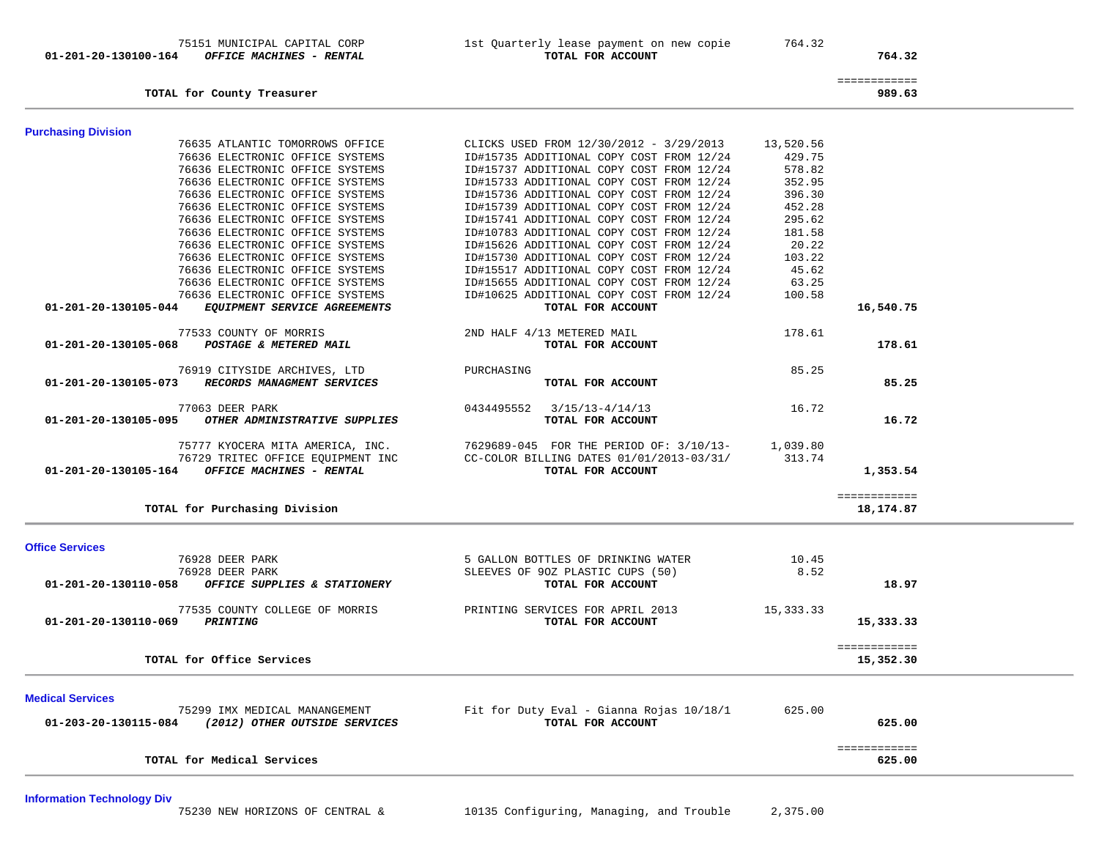01-201-20-130100-164 OFFICE MACHINES - RENTAL

75151 MUNICIPAL CAPITAL CORP 1st Quarterly lease payment on new copie 764.32<br>1st Quarterly lease payment on new copie 764.32

764.32

|  | . |  | ____ | _____ | . . | ____ | _____ |  | ___ |  |
|--|---|--|------|-------|-----|------|-------|--|-----|--|
|  |   |  |      |       |     |      |       |  |     |  |
|  |   |  |      |       |     |      |       |  |     |  |
|  |   |  |      |       |     |      |       |  |     |  |
|  |   |  |      |       |     |      |       |  |     |  |
|  |   |  |      |       |     |      |       |  |     |  |
|  |   |  |      |       |     |      |       |  |     |  |
|  |   |  |      |       |     |      |       |  |     |  |
|  |   |  |      |       |     |      |       |  |     |  |
|  |   |  |      |       |     |      |       |  |     |  |

 ============ **TOTAL for County Treasurer 989.63**

625.00

| <b>Purchasing Division</b> |                                   |                                                  |           |              |
|----------------------------|-----------------------------------|--------------------------------------------------|-----------|--------------|
|                            | 76635 ATLANTIC TOMORROWS OFFICE   | CLICKS USED FROM 12/30/2012 - 3/29/2013          | 13,520.56 |              |
|                            | 76636 ELECTRONIC OFFICE SYSTEMS   | ID#15735 ADDITIONAL COPY COST FROM 12/24         | 429.75    |              |
|                            | 76636 ELECTRONIC OFFICE SYSTEMS   | ID#15737 ADDITIONAL COPY COST FROM 12/24         | 578.82    |              |
|                            | 76636 ELECTRONIC OFFICE SYSTEMS   | ID#15733 ADDITIONAL COPY COST FROM 12/24         | 352.95    |              |
|                            | 76636 ELECTRONIC OFFICE SYSTEMS   | ID#15736 ADDITIONAL COPY COST FROM 12/24         | 396.30    |              |
|                            | 76636 ELECTRONIC OFFICE SYSTEMS   | ID#15739 ADDITIONAL COPY COST FROM 12/24         | 452.28    |              |
|                            | 76636 ELECTRONIC OFFICE SYSTEMS   | ID#15741 ADDITIONAL COPY COST FROM 12/24         | 295.62    |              |
|                            | 76636 ELECTRONIC OFFICE SYSTEMS   | ID#10783 ADDITIONAL COPY COST FROM 12/24         | 181.58    |              |
|                            | 76636 ELECTRONIC OFFICE SYSTEMS   | ID#15626 ADDITIONAL COPY COST FROM 12/24         | 20.22     |              |
|                            | 76636 ELECTRONIC OFFICE SYSTEMS   | ID#15730 ADDITIONAL COPY COST FROM 12/24         | 103.22    |              |
|                            | 76636 ELECTRONIC OFFICE SYSTEMS   | ID#15517 ADDITIONAL COPY COST FROM 12/24         | 45.62     |              |
|                            | 76636 ELECTRONIC OFFICE SYSTEMS   | ID#15655 ADDITIONAL COPY COST FROM 12/24         | 63.25     |              |
|                            | 76636 ELECTRONIC OFFICE SYSTEMS   | ID#10625 ADDITIONAL COPY COST FROM 12/24         | 100.58    |              |
| 01-201-20-130105-044       | EQUIPMENT SERVICE AGREEMENTS      | TOTAL FOR ACCOUNT                                |           | 16,540.75    |
|                            | 77533 COUNTY OF MORRIS            | 2ND HALF 4/13 METERED MAIL                       | 178.61    |              |
| 01-201-20-130105-068       | POSTAGE & METERED MAIL            | TOTAL FOR ACCOUNT                                |           | 178.61       |
|                            | 76919 CITYSIDE ARCHIVES, LTD      | PURCHASING                                       | 85.25     |              |
| 01-201-20-130105-073       | RECORDS MANAGMENT SERVICES        | TOTAL FOR ACCOUNT                                |           | 85.25        |
|                            | 77063 DEER PARK                   | $0434495552$ $3/15/13-4/14/13$                   | 16.72     |              |
| 01-201-20-130105-095       | OTHER ADMINISTRATIVE SUPPLIES     | TOTAL FOR ACCOUNT                                |           | 16.72        |
|                            | 75777 KYOCERA MITA AMERICA, INC.  | 7629689-045 FOR THE PERIOD OF: 3/10/13- 1,039.80 |           |              |
|                            | 76729 TRITEC OFFICE EQUIPMENT INC | CC-COLOR BILLING DATES 01/01/2013-03/31/         | 313.74    |              |
| 01-201-20-130105-164       | OFFICE MACHINES - RENTAL          | TOTAL FOR ACCOUNT                                |           | 1,353.54     |
|                            |                                   |                                                  |           | ============ |
|                            | TOTAL for Purchasing Division     |                                                  |           | 18,174.87    |

============

## **Office Services**

| 8.52<br>76928 DEER PARK<br>SLEEVES OF 90Z PLASTIC CUPS (50)<br>01-201-20-130110-058<br>18.97<br>OFFICE SUPPLIES & STATIONERY<br>TOTAL FOR ACCOUNT<br>15,333.33<br>77535 COUNTY COLLEGE OF MORRIS<br>PRINTING SERVICES FOR APRIL 2013<br>01-201-20-130110-069<br><i><b>PRINTING</b></i><br>15,333.33<br>TOTAL FOR ACCOUNT<br>------------<br>TOTAL for Office Services<br>15,352.30 | <b>Medical Services</b><br>75299 IMX MEDICAL MANANGEMENT<br>01-203-20-130115-084<br>(2012) OTHER OUTSIDE SERVICES | Fit for Duty Eval - Gianna Rojas 10/18/1<br>TOTAL FOR ACCOUNT | 625.00<br>625.00 |  |
|------------------------------------------------------------------------------------------------------------------------------------------------------------------------------------------------------------------------------------------------------------------------------------------------------------------------------------------------------------------------------------|-------------------------------------------------------------------------------------------------------------------|---------------------------------------------------------------|------------------|--|
|                                                                                                                                                                                                                                                                                                                                                                                    |                                                                                                                   |                                                               |                  |  |
|                                                                                                                                                                                                                                                                                                                                                                                    |                                                                                                                   |                                                               |                  |  |
|                                                                                                                                                                                                                                                                                                                                                                                    | 76928 DEER PARK                                                                                                   | 5 GALLON BOTTLES OF DRINKING WATER                            | 10.45            |  |

**TOTAL for Medical Services 625.00**

**Information Technology Div**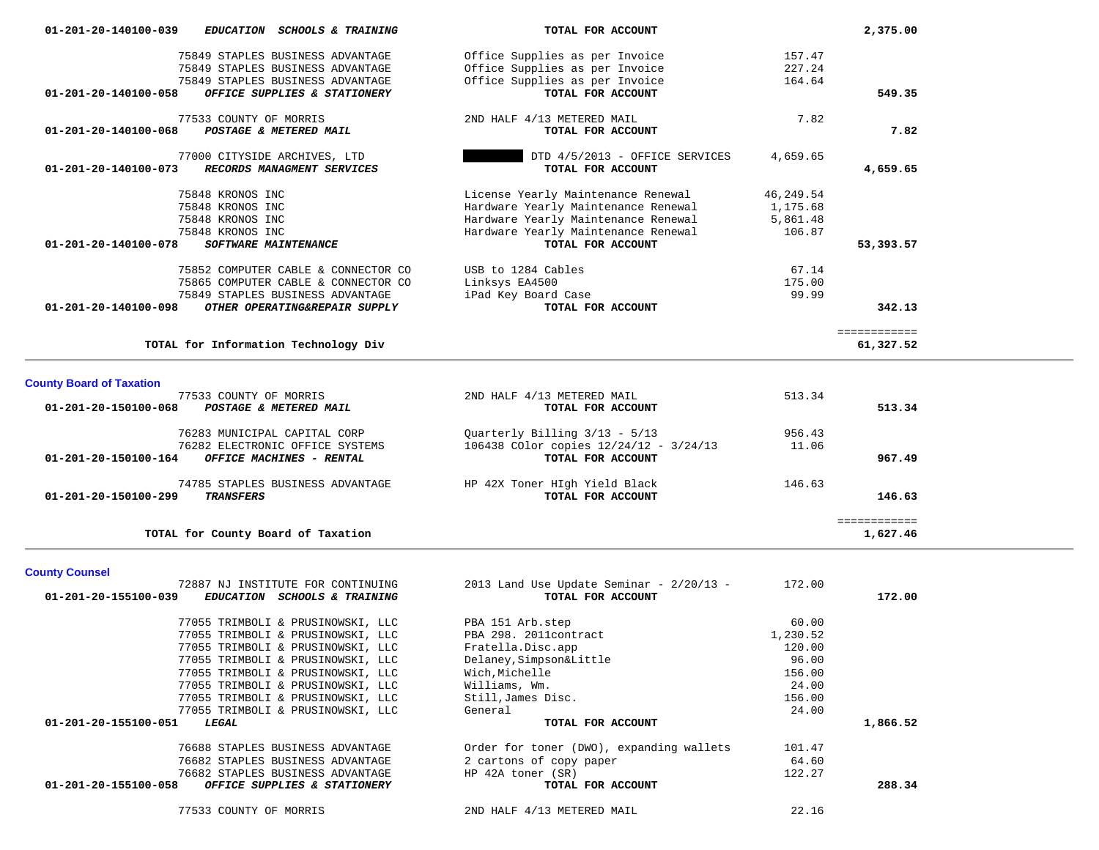| 01-201-20-140100-039<br>EDUCATION SCHOOLS & TRAINING         | TOTAL FOR ACCOUNT                   |           | 2,375.00     |
|--------------------------------------------------------------|-------------------------------------|-----------|--------------|
| 75849 STAPLES BUSINESS ADVANTAGE                             | Office Supplies as per Invoice      | 157.47    |              |
| 75849 STAPLES BUSINESS ADVANTAGE                             | Office Supplies as per Invoice      | 227.24    |              |
| 75849 STAPLES BUSINESS ADVANTAGE                             | Office Supplies as per Invoice      | 164.64    |              |
| 01-201-20-140100-058<br>OFFICE SUPPLIES & STATIONERY         | TOTAL FOR ACCOUNT                   |           | 549.35       |
| 77533 COUNTY OF MORRIS                                       | 2ND HALF 4/13 METERED MAIL          | 7.82      |              |
| $01 - 201 - 20 - 140100 - 068$<br>POSTAGE & METERED MAIL     | TOTAL FOR ACCOUNT                   |           | 7.82         |
| 77000 CITYSIDE ARCHIVES, LTD                                 | DTD 4/5/2013 - OFFICE SERVICES      | 4,659.65  |              |
| $01 - 201 - 20 - 140100 - 073$<br>RECORDS MANAGMENT SERVICES | TOTAL FOR ACCOUNT                   |           | 4,659.65     |
| 75848 KRONOS INC                                             | License Yearly Maintenance Renewal  | 46,249.54 |              |
| 75848 KRONOS INC                                             | Hardware Yearly Maintenance Renewal | 1,175.68  |              |
| 75848 KRONOS INC                                             | Hardware Yearly Maintenance Renewal | 5,861.48  |              |
| 75848 KRONOS INC                                             | Hardware Yearly Maintenance Renewal | 106.87    |              |
| 01-201-20-140100-078<br><b>SOFTWARE MAINTENANCE</b>          | TOTAL FOR ACCOUNT                   |           | 53,393.57    |
| 75852 COMPUTER CABLE & CONNECTOR CO                          | USB to 1284 Cables                  | 67.14     |              |
| 75865 COMPUTER CABLE & CONNECTOR CO                          | Linksys EA4500                      | 175.00    |              |
| 75849 STAPLES BUSINESS ADVANTAGE                             | iPad Key Board Case                 | 99.99     |              |
| 01-201-20-140100-098<br>OTHER OPERATING&REPAIR SUPPLY        | TOTAL FOR ACCOUNT                   |           | 342.13       |
|                                                              |                                     |           | ============ |
| TOTAL for Information Technology Div                         |                                     |           | 61,327.52    |

| 77533 COUNTY OF MORRIS                                    | 2ND HALF 4/13 METERED MAIL             | 513.34 |          |
|-----------------------------------------------------------|----------------------------------------|--------|----------|
| $01 - 201 - 20 - 150100 - 068$<br>POSTAGE & METERED MAIL  | TOTAL FOR ACCOUNT                      |        | 513.34   |
| 76283 MUNICIPAL CAPITAL CORP                              | Ouarterly Billing $3/13 - 5/13$        | 956.43 |          |
| 76282 ELECTRONIC OFFICE SYSTEMS                           | 106438 COlor copies 12/24/12 - 3/24/13 | 11.06  |          |
| 01-201-20-150100-164<br>OFFICE MACHINES - RENTAL          | TOTAL FOR ACCOUNT                      |        | 967.49   |
| 74785 STAPLES BUSINESS ADVANTAGE                          | HP 42X Toner HIgh Yield Black          | 146.63 |          |
| $01 - 201 - 20 - 150100 - 299$<br><b><i>TRANSFERS</i></b> | TOTAL FOR ACCOUNT                      |        | 146.63   |
|                                                           |                                        |        |          |
| TOTAL for County Board of Taxation                        |                                        |        | 1,627.46 |

## **County Counsel**

| 72887 NJ INSTITUTE FOR CONTINUING                                                | 2013 Land Use Update Seminar - $2/20/13$ - | 172.00   |          |
|----------------------------------------------------------------------------------|--------------------------------------------|----------|----------|
| 01-201-20-155100-039<br><i>EDUCATION</i><br><i><b>SCHOOLS &amp; TRAINING</b></i> | TOTAL FOR ACCOUNT                          |          | 172.00   |
| 77055 TRIMBOLI & PRUSINOWSKI, LLC                                                | PBA 151 Arb.step                           | 60.00    |          |
| 77055 TRIMBOLI & PRUSINOWSKI, LLC                                                | PBA 298. 2011contract                      | 1,230.52 |          |
| 77055 TRIMBOLI & PRUSINOWSKI, LLC                                                | Fratella.Disc.app                          | 120.00   |          |
| 77055 TRIMBOLI & PRUSINOWSKI, LLC                                                | Delaney, Simpson&Little                    | 96.00    |          |
| 77055 TRIMBOLI & PRUSINOWSKI, LLC                                                | Wich,Michelle                              | 156.00   |          |
| 77055 TRIMBOLI & PRUSINOWSKI, LLC                                                | Williams, Wm.                              | 24.00    |          |
| 77055 TRIMBOLI & PRUSINOWSKI, LLC                                                | Still, James Disc.                         | 156.00   |          |
| 77055 TRIMBOLI & PRUSINOWSKI, LLC                                                | General                                    | 24.00    |          |
| 01-201-20-155100-051<br>LEGAL                                                    | TOTAL FOR ACCOUNT                          |          | 1,866.52 |
| 76688 STAPLES BUSINESS ADVANTAGE                                                 | Order for toner (DWO), expanding wallets   | 101.47   |          |
| 76682 STAPLES BUSINESS ADVANTAGE                                                 | 2 cartons of copy paper                    | 64.60    |          |
| 76682 STAPLES BUSINESS ADVANTAGE                                                 | HP 42A toner (SR)                          | 122.27   |          |
| 01-201-20-155100-058<br>OFFICE SUPPLIES & STATIONERY                             | TOTAL FOR ACCOUNT                          |          | 288.34   |
| 77533 COUNTY OF MORRIS                                                           | 2ND HALF 4/13 METERED MAIL                 | 22.16    |          |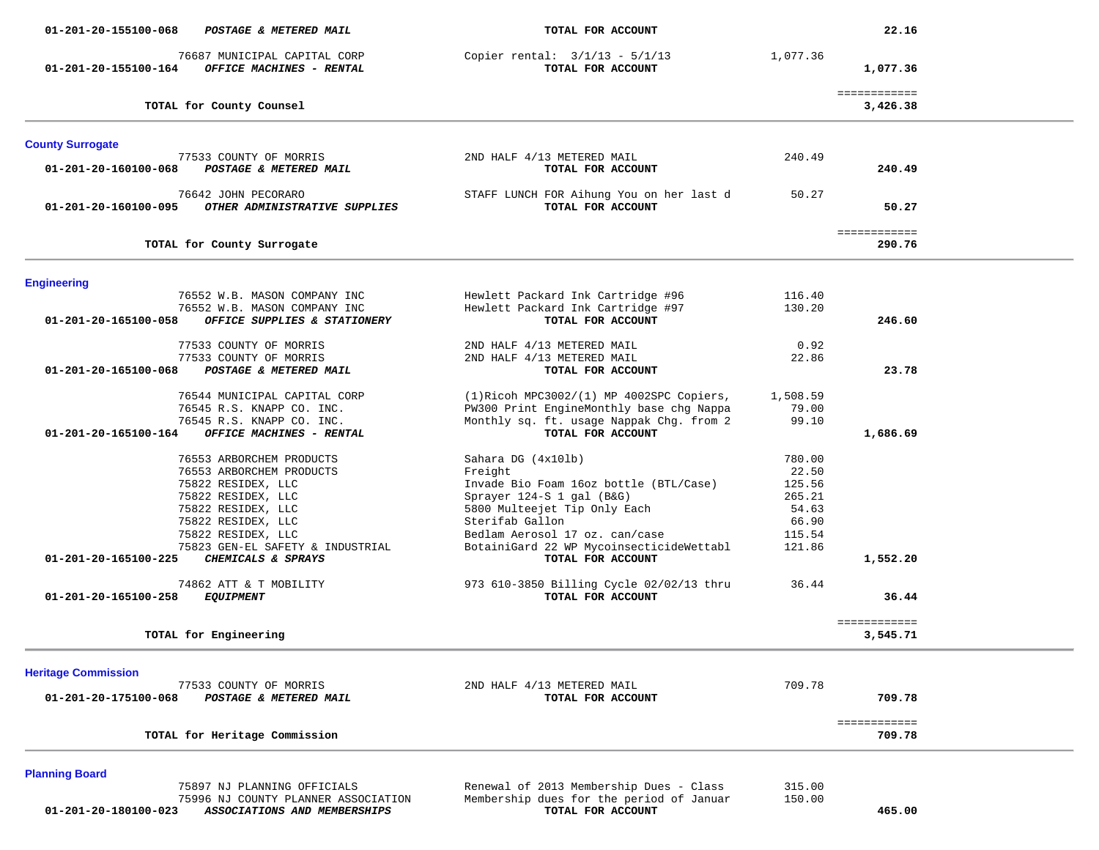| 01-201-20-155100-068       | POSTAGE & METERED MAIL                                                                                                                                                                                                       | TOTAL FOR ACCOUNT                                                                                                                                                                                                                                          |                                                                           | 22.16                    |  |
|----------------------------|------------------------------------------------------------------------------------------------------------------------------------------------------------------------------------------------------------------------------|------------------------------------------------------------------------------------------------------------------------------------------------------------------------------------------------------------------------------------------------------------|---------------------------------------------------------------------------|--------------------------|--|
| 01-201-20-155100-164       | 76687 MUNICIPAL CAPITAL CORP<br>OFFICE MACHINES - RENTAL                                                                                                                                                                     | Copier rental: $3/1/13 - 5/1/13$<br>TOTAL FOR ACCOUNT                                                                                                                                                                                                      | 1,077.36                                                                  | 1,077.36                 |  |
|                            | TOTAL for County Counsel                                                                                                                                                                                                     |                                                                                                                                                                                                                                                            |                                                                           | ============<br>3,426.38 |  |
| <b>County Surrogate</b>    |                                                                                                                                                                                                                              |                                                                                                                                                                                                                                                            |                                                                           |                          |  |
| 01-201-20-160100-068       | 77533 COUNTY OF MORRIS<br>POSTAGE & METERED MAIL                                                                                                                                                                             | 2ND HALF 4/13 METERED MAIL<br>TOTAL FOR ACCOUNT                                                                                                                                                                                                            | 240.49                                                                    | 240.49                   |  |
| 01-201-20-160100-095       | 76642 JOHN PECORARO<br>OTHER ADMINISTRATIVE SUPPLIES                                                                                                                                                                         | STAFF LUNCH FOR Aihung You on her last d<br>TOTAL FOR ACCOUNT                                                                                                                                                                                              | 50.27                                                                     | 50.27                    |  |
|                            | TOTAL for County Surrogate                                                                                                                                                                                                   |                                                                                                                                                                                                                                                            |                                                                           | ============<br>290.76   |  |
| <b>Engineering</b>         |                                                                                                                                                                                                                              |                                                                                                                                                                                                                                                            |                                                                           |                          |  |
| 01-201-20-165100-058       | 76552 W.B. MASON COMPANY INC<br>76552 W.B. MASON COMPANY INC                                                                                                                                                                 | Hewlett Packard Ink Cartridge #96<br>Hewlett Packard Ink Cartridge #97<br>TOTAL FOR ACCOUNT                                                                                                                                                                | 116.40<br>130.20                                                          | 246.60                   |  |
|                            | OFFICE SUPPLIES & STATIONERY                                                                                                                                                                                                 |                                                                                                                                                                                                                                                            |                                                                           |                          |  |
| 01-201-20-165100-068       | 77533 COUNTY OF MORRIS<br>77533 COUNTY OF MORRIS<br>POSTAGE & METERED MAIL                                                                                                                                                   | 2ND HALF 4/13 METERED MAIL<br>2ND HALF 4/13 METERED MAIL<br>TOTAL FOR ACCOUNT                                                                                                                                                                              | 0.92<br>22.86                                                             | 23.78                    |  |
| 01-201-20-165100-164       | 76544 MUNICIPAL CAPITAL CORP<br>76545 R.S. KNAPP CO. INC.<br>76545 R.S. KNAPP CO. INC.<br>OFFICE MACHINES - RENTAL                                                                                                           | $(1)$ Ricoh MPC3002/(1) MP 4002SPC Copiers,<br>PW300 Print EngineMonthly base chg Nappa<br>Monthly sq. ft. usage Nappak Chg. from 2<br>TOTAL FOR ACCOUNT                                                                                                   | 1,508.59<br>79.00<br>99.10                                                | 1,686.69                 |  |
| 01-201-20-165100-225       | 76553 ARBORCHEM PRODUCTS<br>76553 ARBORCHEM PRODUCTS<br>75822 RESIDEX, LLC<br>75822 RESIDEX, LLC<br>75822 RESIDEX, LLC<br>75822 RESIDEX, LLC<br>75822 RESIDEX, LLC<br>75823 GEN-EL SAFETY & INDUSTRIAL<br>CHEMICALS & SPRAYS | Sahara DG (4x101b)<br>Freight<br>Invade Bio Foam 16oz bottle (BTL/Case)<br>Sprayer 124-S 1 gal (B&G)<br>5800 Multeejet Tip Only Each<br>Sterifab Gallon<br>Bedlam Aerosol 17 oz. can/case<br>BotainiGard 22 WP MycoinsecticideWettabl<br>TOTAL FOR ACCOUNT | 780.00<br>22.50<br>125.56<br>265.21<br>54.63<br>66.90<br>115.54<br>121.86 | 1,552.20                 |  |
| 01-201-20-165100-258       | 74862 ATT & T MOBILITY<br><b>EQUIPMENT</b>                                                                                                                                                                                   | 973 610-3850 Billing Cycle 02/02/13 thru<br>TOTAL FOR ACCOUNT                                                                                                                                                                                              | 36.44                                                                     | 36.44                    |  |
| TOTAL for Engineering      |                                                                                                                                                                                                                              |                                                                                                                                                                                                                                                            |                                                                           | ============<br>3,545.71 |  |
| <b>Heritage Commission</b> |                                                                                                                                                                                                                              |                                                                                                                                                                                                                                                            |                                                                           |                          |  |
| 01-201-20-175100-068       | 77533 COUNTY OF MORRIS<br>POSTAGE & METERED MAIL                                                                                                                                                                             | 2ND HALF 4/13 METERED MAIL<br>TOTAL FOR ACCOUNT                                                                                                                                                                                                            | 709.78                                                                    | 709.78                   |  |
|                            | TOTAL for Heritage Commission                                                                                                                                                                                                |                                                                                                                                                                                                                                                            |                                                                           | ============<br>709.78   |  |

 75897 NJ PLANNING OFFICIALS Renewal of 2013 Membership Dues - Class 315.00 75996 NJ COUNTY PLANNER ASSOCIATION Membership dues for the period of Januar 150.00  **01-201-20-180100-023** *ASSOCIATIONS AND MEMBERSHIPS* **TOTAL FOR ACCOUNT 465.00**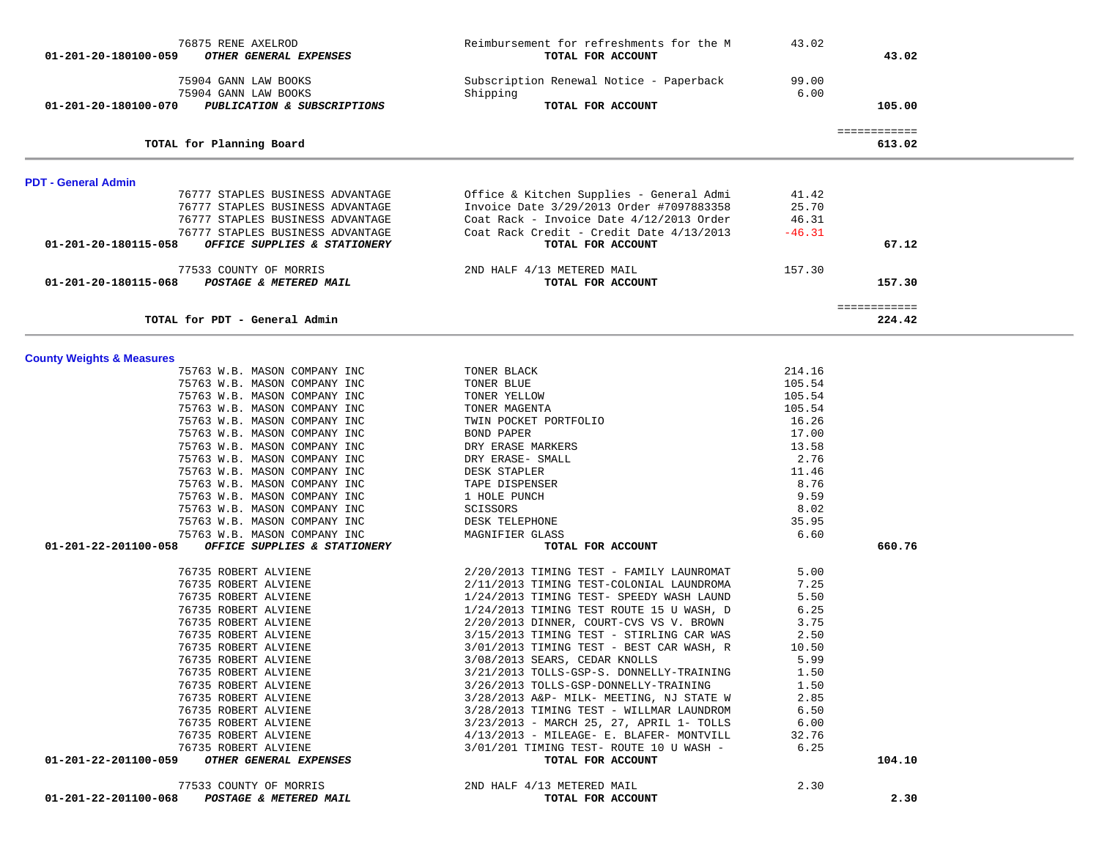| 01-201-20-180100-059                 | 76875 RENE AXELROD<br>OTHER GENERAL EXPENSES                         | Reimbursement for refreshments for the M<br>TOTAL FOR ACCOUNT                        | 43.02            | 43.02                  |  |
|--------------------------------------|----------------------------------------------------------------------|--------------------------------------------------------------------------------------|------------------|------------------------|--|
|                                      | 75904 GANN LAW BOOKS                                                 | Subscription Renewal Notice - Paperback                                              | 99.00            |                        |  |
|                                      | 75904 GANN LAW BOOKS                                                 | Shipping                                                                             | 6.00             |                        |  |
| 01-201-20-180100-070                 | PUBLICATION & SUBSCRIPTIONS                                          | TOTAL FOR ACCOUNT                                                                    |                  | 105.00                 |  |
|                                      | TOTAL for Planning Board                                             |                                                                                      |                  | ============<br>613.02 |  |
|                                      |                                                                      |                                                                                      |                  |                        |  |
| PDT - General Admin                  |                                                                      |                                                                                      |                  |                        |  |
|                                      | 76777 STAPLES BUSINESS ADVANTAGE                                     | Office & Kitchen Supplies - General Admi                                             | 41.42            |                        |  |
|                                      | 76777 STAPLES BUSINESS ADVANTAGE<br>76777 STAPLES BUSINESS ADVANTAGE | Invoice Date 3/29/2013 Order #7097883358<br>Coat Rack - Invoice Date 4/12/2013 Order | 25.70<br>46.31   |                        |  |
|                                      | 76777 STAPLES BUSINESS ADVANTAGE                                     | Coat Rack Credit - Credit Date 4/13/2013                                             | $-46.31$         |                        |  |
| 01-201-20-180115-058                 | OFFICE SUPPLIES & STATIONERY                                         | TOTAL FOR ACCOUNT                                                                    |                  | 67.12                  |  |
|                                      | 77533 COUNTY OF MORRIS                                               | 2ND HALF 4/13 METERED MAIL                                                           | 157.30           |                        |  |
| 01-201-20-180115-068                 | POSTAGE & METERED MAIL                                               | TOTAL FOR ACCOUNT                                                                    |                  | 157.30                 |  |
|                                      | TOTAL for PDT - General Admin                                        |                                                                                      |                  | ============<br>224.42 |  |
|                                      |                                                                      |                                                                                      |                  |                        |  |
| <b>County Weights &amp; Measures</b> |                                                                      |                                                                                      |                  |                        |  |
|                                      | 75763 W.B. MASON COMPANY INC                                         | TONER BLACK                                                                          | 214.16           |                        |  |
|                                      | 75763 W.B. MASON COMPANY INC<br>75763 W.B. MASON COMPANY INC         | TONER BLUE<br>TONER YELLOW                                                           | 105.54<br>105.54 |                        |  |
|                                      | 75763 W.B. MASON COMPANY INC                                         | TONER MAGENTA                                                                        | 105.54           |                        |  |
|                                      | 75763 W.B. MASON COMPANY INC                                         | TWIN POCKET PORTFOLIO                                                                | 16.26            |                        |  |
|                                      | 75763 W.B. MASON COMPANY INC                                         | BOND PAPER                                                                           | 17.00            |                        |  |
|                                      | 75763 W.B. MASON COMPANY INC                                         | DRY ERASE MARKERS                                                                    | 13.58            |                        |  |
|                                      | 75763 W.B. MASON COMPANY INC                                         | DRY ERASE- SMALL                                                                     | 2.76             |                        |  |
|                                      | 75763 W.B. MASON COMPANY INC                                         | DESK STAPLER                                                                         | 11.46            |                        |  |
|                                      | 75763 W.B. MASON COMPANY INC                                         | TAPE DISPENSER                                                                       | 8.76             |                        |  |
|                                      | 75763 W.B. MASON COMPANY INC                                         | 1 HOLE PUNCH                                                                         | 9.59             |                        |  |
|                                      | 75763 W.B. MASON COMPANY INC                                         | SCISSORS                                                                             | 8.02             |                        |  |
|                                      | 75763 W.B. MASON COMPANY INC                                         | DESK TELEPHONE                                                                       | 35.95            |                        |  |
| 01-201-22-201100-058                 | 75763 W.B. MASON COMPANY INC                                         | MAGNIFIER GLASS                                                                      | 6.60             | 660.76                 |  |
|                                      | OFFICE SUPPLIES & STATIONERY                                         | TOTAL FOR ACCOUNT                                                                    |                  |                        |  |
|                                      | 76735 ROBERT ALVIENE                                                 | 2/20/2013 TIMING TEST - FAMILY LAUNROMAT                                             | 5.00             |                        |  |
|                                      | 76735 ROBERT ALVIENE                                                 | 2/11/2013 TIMING TEST-COLONIAL LAUNDROMA                                             | 7.25             |                        |  |
|                                      | 76735 ROBERT ALVIENE                                                 | 1/24/2013 TIMING TEST- SPEEDY WASH LAUND                                             | 5.50             |                        |  |
|                                      | 76735 ROBERT ALVIENE                                                 | 1/24/2013 TIMING TEST ROUTE 15 U WASH, D                                             | 6.25             |                        |  |
|                                      | 76735 ROBERT ALVIENE<br>76735 ROBERT ALVIENE                         | 2/20/2013 DINNER, COURT-CVS VS V. BROWN<br>3/15/2013 TIMING TEST - STIRLING CAR WAS  | 3.75<br>2.50     |                        |  |
|                                      | 76735 ROBERT ALVIENE                                                 | 3/01/2013 TIMING TEST - BEST CAR WASH, R                                             | 10.50            |                        |  |
|                                      | 76735 ROBERT ALVIENE                                                 | 3/08/2013 SEARS, CEDAR KNOLLS                                                        | 5.99             |                        |  |
|                                      | 76735 ROBERT ALVIENE                                                 | 3/21/2013 TOLLS-GSP-S. DONNELLY-TRAINING                                             | 1.50             |                        |  |
|                                      | 76735 ROBERT ALVIENE                                                 | 3/26/2013 TOLLS-GSP-DONNELLY-TRAINING                                                | 1.50             |                        |  |
|                                      | 76735 ROBERT ALVIENE                                                 | 3/28/2013 A&P- MILK- MEETING, NJ STATE W                                             | 2.85             |                        |  |
|                                      | 76735 ROBERT ALVIENE                                                 | 3/28/2013 TIMING TEST - WILLMAR LAUNDROM                                             | 6.50             |                        |  |
|                                      | 76735 ROBERT ALVIENE                                                 | 3/23/2013 - MARCH 25, 27, APRIL 1- TOLLS                                             | 6.00             |                        |  |
|                                      | 76735 ROBERT ALVIENE                                                 | 4/13/2013 - MILEAGE- E. BLAFER- MONTVILL                                             | 32.76            |                        |  |
|                                      | 76735 ROBERT ALVIENE                                                 | 3/01/201 TIMING TEST- ROUTE 10 U WASH -                                              | 6.25             |                        |  |
| 01-201-22-201100-059                 | OTHER GENERAL EXPENSES                                               | TOTAL FOR ACCOUNT                                                                    |                  | 104.10                 |  |
|                                      | 77533 COUNTY OF MORRIS                                               | 2ND HALF 4/13 METERED MAIL                                                           | 2.30             |                        |  |
|                                      | 01-201-22-201100-068 POSTAGE & METERED MAIL                          | TOTAL FOR ACCOUNT                                                                    |                  | 2.30                   |  |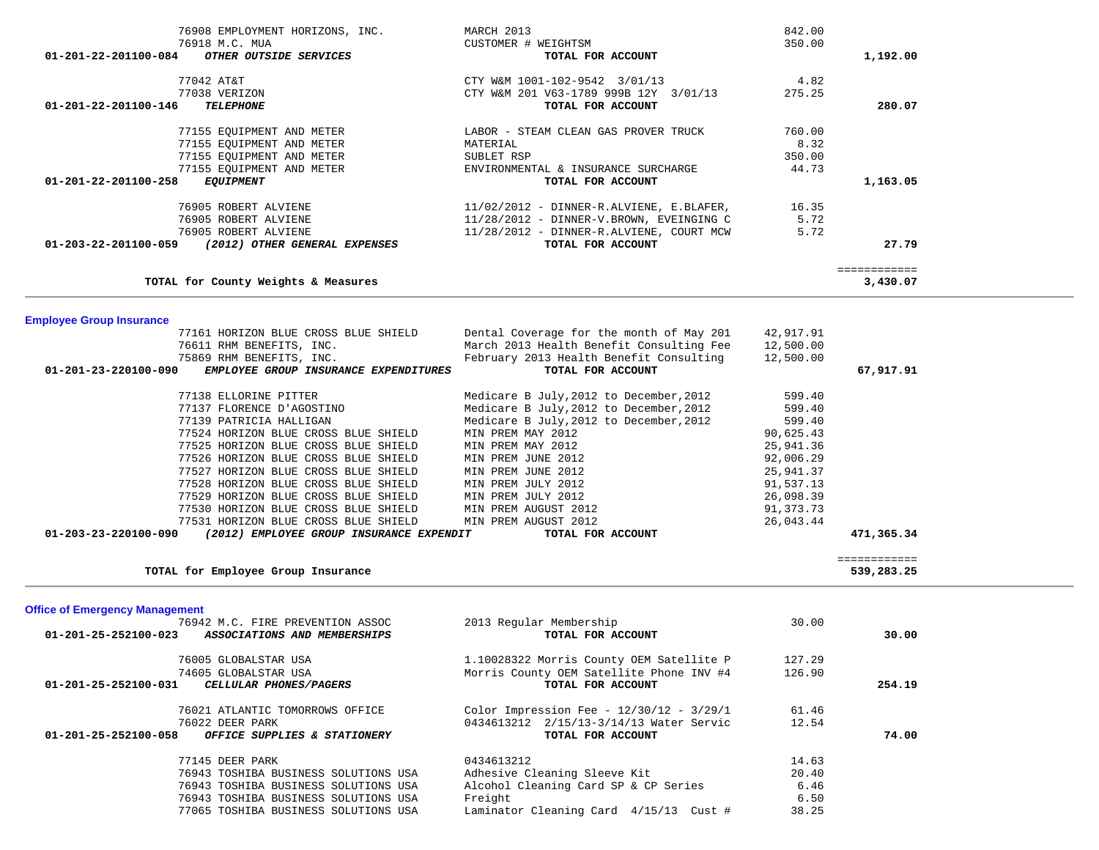| 76908 EMPLOYMENT HORIZONS, INC.                                         | MARCH 2013                                 | 842.00         |                            |  |
|-------------------------------------------------------------------------|--------------------------------------------|----------------|----------------------------|--|
| 76918 M.C. MUA                                                          | CUSTOMER # WEIGHTSM                        | 350.00         |                            |  |
| OTHER OUTSIDE SERVICES<br>01-201-22-201100-084                          | TOTAL FOR ACCOUNT                          |                | 1,192.00                   |  |
|                                                                         |                                            |                |                            |  |
| 77042 AT&T                                                              | CTY W&M 1001-102-9542 3/01/13              | 4.82           |                            |  |
| 77038 VERIZON                                                           | CTY W&M 201 V63-1789 999B 12Y 3/01/13      | 275.25         |                            |  |
| 01-201-22-201100-146<br><b>TELEPHONE</b>                                | TOTAL FOR ACCOUNT                          |                | 280.07                     |  |
|                                                                         |                                            |                |                            |  |
| 77155 EQUIPMENT AND METER                                               | LABOR - STEAM CLEAN GAS PROVER TRUCK       | 760.00<br>8.32 |                            |  |
| 77155 EQUIPMENT AND METER                                               | MATERIAL<br>SUBLET RSP                     | 350.00         |                            |  |
| 77155 EQUIPMENT AND METER<br>77155 EQUIPMENT AND METER                  | ENVIRONMENTAL & INSURANCE SURCHARGE        | 44.73          |                            |  |
| 01-201-22-201100-258<br><b>EQUIPMENT</b>                                | TOTAL FOR ACCOUNT                          |                | 1,163.05                   |  |
|                                                                         |                                            |                |                            |  |
| 76905 ROBERT ALVIENE                                                    | $11/02/2012$ - DINNER-R.ALVIENE, E.BLAFER, | 16.35          |                            |  |
| 76905 ROBERT ALVIENE                                                    | 11/28/2012 - DINNER-V.BROWN, EVEINGING C   | 5.72           |                            |  |
| 76905 ROBERT ALVIENE                                                    | 11/28/2012 - DINNER-R.ALVIENE, COURT MCW   | 5.72           |                            |  |
| (2012) OTHER GENERAL EXPENSES<br>01-203-22-201100-059                   | TOTAL FOR ACCOUNT                          |                | 27.79                      |  |
|                                                                         |                                            |                |                            |  |
|                                                                         |                                            |                | ============               |  |
| TOTAL for County Weights & Measures                                     |                                            |                | 3,430.07                   |  |
|                                                                         |                                            |                |                            |  |
|                                                                         |                                            |                |                            |  |
| <b>Employee Group Insurance</b><br>77161 HORIZON BLUE CROSS BLUE SHIELD | Dental Coverage for the month of May 201   | 42,917.91      |                            |  |
| 76611 RHM BENEFITS, INC.                                                | March 2013 Health Benefit Consulting Fee   | 12,500.00      |                            |  |
| 75869 RHM BENEFITS, INC.                                                | February 2013 Health Benefit Consulting    | 12,500.00      |                            |  |
| 01-201-23-220100-090<br>EMPLOYEE GROUP INSURANCE EXPENDITURES           | TOTAL FOR ACCOUNT                          |                | 67,917.91                  |  |
|                                                                         |                                            |                |                            |  |
| 77138 ELLORINE PITTER                                                   | Medicare B July, 2012 to December, 2012    | 599.40         |                            |  |
| 77137 FLORENCE D'AGOSTINO                                               | Medicare B July, 2012 to December, 2012    | 599.40         |                            |  |
| 77139 PATRICIA HALLIGAN                                                 | Medicare B July, 2012 to December, 2012    | 599.40         |                            |  |
| 77524 HORIZON BLUE CROSS BLUE SHIELD                                    | MIN PREM MAY 2012                          | 90,625.43      |                            |  |
| 77525 HORIZON BLUE CROSS BLUE SHIELD                                    | MIN PREM MAY 2012                          | 25,941.36      |                            |  |
| 77526 HORIZON BLUE CROSS BLUE SHIELD                                    | MIN PREM JUNE 2012                         | 92,006.29      |                            |  |
| 77527 HORIZON BLUE CROSS BLUE SHIELD                                    | MIN PREM JUNE 2012                         | 25,941.37      |                            |  |
| 77528 HORIZON BLUE CROSS BLUE SHIELD                                    | MIN PREM JULY 2012                         | 91,537.13      |                            |  |
| 77529 HORIZON BLUE CROSS BLUE SHIELD                                    | MIN PREM JULY 2012                         | 26,098.39      |                            |  |
| 77530 HORIZON BLUE CROSS BLUE SHIELD                                    | MIN PREM AUGUST 2012                       | 91,373.73      |                            |  |
| 77531 HORIZON BLUE CROSS BLUE SHIELD                                    | MIN PREM AUGUST 2012                       | 26,043.44      |                            |  |
| (2012) EMPLOYEE GROUP INSURANCE EXPENDIT<br>01-203-23-220100-090        | TOTAL FOR ACCOUNT                          |                | 471,365.34                 |  |
|                                                                         |                                            |                |                            |  |
| TOTAL for Employee Group Insurance                                      |                                            |                | ============<br>539,283.25 |  |
|                                                                         |                                            |                |                            |  |
|                                                                         |                                            |                |                            |  |
| <b>Office of Emergency Management</b>                                   |                                            |                |                            |  |
| 76942 M.C. FIRE PREVENTION ASSOC                                        | 2013 Regular Membership                    | 30.00          |                            |  |
| 01-201-25-252100-023<br>ASSOCIATIONS AND MEMBERSHIPS                    | TOTAL FOR ACCOUNT                          |                | 30.00                      |  |
|                                                                         |                                            |                |                            |  |
| 76005 GLOBALSTAR USA                                                    | 1.10028322 Morris County OEM Satellite P   | 127.29         |                            |  |
| 74605 GLOBALSTAR USA                                                    | Morris County OEM Satellite Phone INV #4   | 126.90         |                            |  |
| CELLULAR PHONES/PAGERS<br>01-201-25-252100-031                          | TOTAL FOR ACCOUNT                          |                | 254.19                     |  |
| 76021 ATLANTIC TOMORROWS OFFICE                                         | Color Impression Fee - 12/30/12 - 3/29/1   | 61.46          |                            |  |
| 76022 DEER PARK                                                         | 0434613212 2/15/13-3/14/13 Water Servic    | 12.54          |                            |  |
| 01-201-25-252100-058<br>OFFICE SUPPLIES & STATIONERY                    | TOTAL FOR ACCOUNT                          |                | 74.00                      |  |
|                                                                         |                                            |                |                            |  |
| 77145 DEER PARK                                                         | 0434613212                                 | 14.63          |                            |  |
| 76943 TOSHIBA BUSINESS SOLUTIONS USA                                    | Adhesive Cleaning Sleeve Kit               | 20.40          |                            |  |
| 76943 TOSHIBA BUSINESS SOLUTIONS USA                                    | Alcohol Cleaning Card SP & CP Series       | 6.46           |                            |  |
| 76943 TOSHIBA BUSINESS SOLUTIONS USA                                    | Freight                                    | 6.50           |                            |  |
| 77065 TOSHIBA BUSINESS SOLUTIONS USA                                    | Laminator Cleaning Card 4/15/13 Cust #     | 38.25          |                            |  |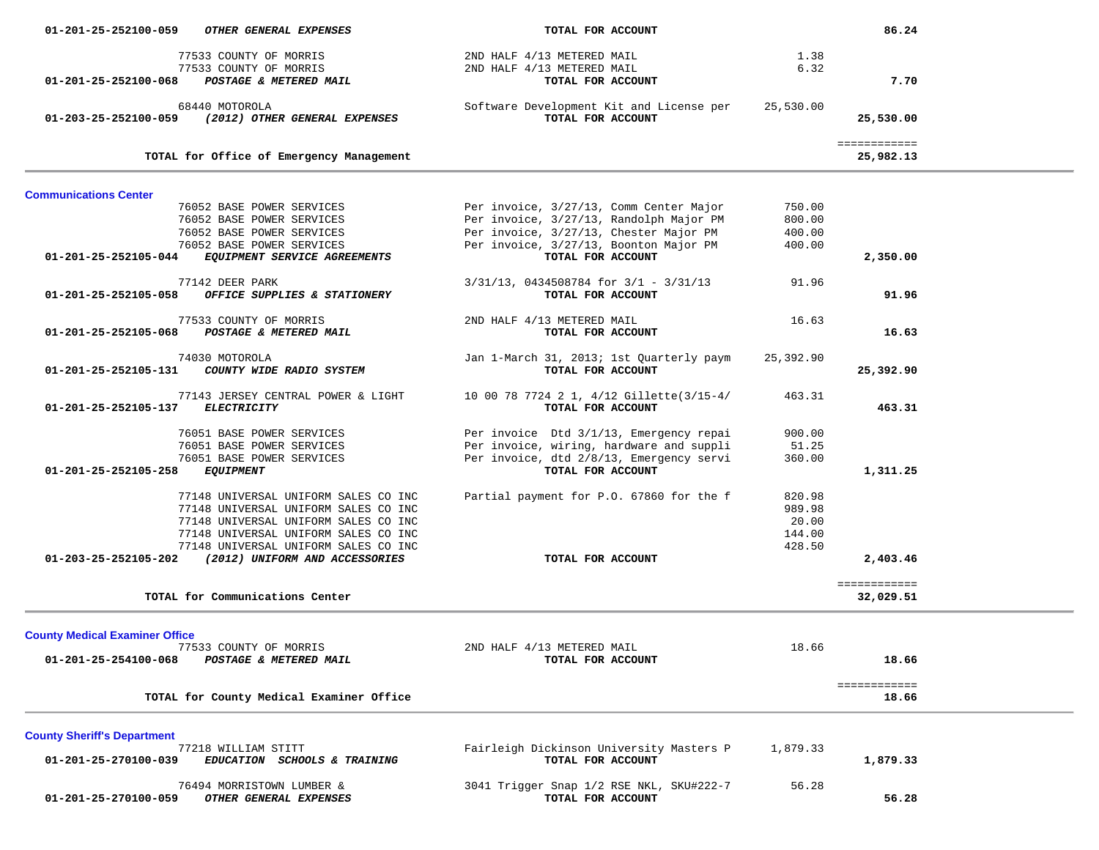| 01-201-25-252100-059                  | OTHER GENERAL EXPENSES                   | TOTAL FOR ACCOUNT                                             |           | 86.24                     |  |
|---------------------------------------|------------------------------------------|---------------------------------------------------------------|-----------|---------------------------|--|
|                                       | 77533 COUNTY OF MORRIS                   | 2ND HALF 4/13 METERED MAIL                                    | 1.38      |                           |  |
|                                       | 77533 COUNTY OF MORRIS                   | 2ND HALF 4/13 METERED MAIL                                    | 6.32      |                           |  |
| 01-201-25-252100-068                  | POSTAGE & METERED MAIL                   | TOTAL FOR ACCOUNT                                             |           | 7.70                      |  |
|                                       |                                          |                                                               |           |                           |  |
|                                       | 68440 MOTOROLA                           | Software Development Kit and License per                      | 25,530.00 |                           |  |
| 01-203-25-252100-059                  | (2012) OTHER GENERAL EXPENSES            | TOTAL FOR ACCOUNT                                             |           | 25,530.00                 |  |
|                                       |                                          |                                                               |           |                           |  |
|                                       | TOTAL for Office of Emergency Management |                                                               |           | ============<br>25,982.13 |  |
|                                       |                                          |                                                               |           |                           |  |
| <b>Communications Center</b>          |                                          |                                                               |           |                           |  |
|                                       | 76052 BASE POWER SERVICES                | Per invoice, 3/27/13, Comm Center Major                       | 750.00    |                           |  |
|                                       | 76052 BASE POWER SERVICES                | Per invoice, 3/27/13, Randolph Major PM                       | 800.00    |                           |  |
|                                       | 76052 BASE POWER SERVICES                | Per invoice, 3/27/13, Chester Major PM                        | 400.00    |                           |  |
|                                       | 76052 BASE POWER SERVICES                | Per invoice, 3/27/13, Boonton Major PM                        | 400.00    |                           |  |
| 01-201-25-252105-044                  | EQUIPMENT SERVICE AGREEMENTS             | TOTAL FOR ACCOUNT                                             |           | 2,350.00                  |  |
|                                       |                                          |                                                               |           |                           |  |
|                                       | 77142 DEER PARK                          | $3/31/13$ , 0434508784 for $3/1$ - $3/31/13$                  | 91.96     |                           |  |
| 01-201-25-252105-058                  | OFFICE SUPPLIES & STATIONERY             | TOTAL FOR ACCOUNT                                             |           | 91.96                     |  |
|                                       | 77533 COUNTY OF MORRIS                   |                                                               |           |                           |  |
| 01-201-25-252105-068                  | POSTAGE & METERED MAIL                   | 2ND HALF 4/13 METERED MAIL<br>TOTAL FOR ACCOUNT               | 16.63     | 16.63                     |  |
|                                       |                                          |                                                               |           |                           |  |
|                                       | 74030 MOTOROLA                           | Jan 1-March 31, 2013; 1st Quarterly paym                      | 25,392.90 |                           |  |
| 01-201-25-252105-131                  | COUNTY WIDE RADIO SYSTEM                 | TOTAL FOR ACCOUNT                                             |           | 25,392.90                 |  |
|                                       |                                          |                                                               |           |                           |  |
|                                       | 77143 JERSEY CENTRAL POWER & LIGHT       | 10 00 78 7724 2 1, 4/12 Gillette(3/15-4/                      | 463.31    |                           |  |
| 01-201-25-252105-137                  | <b>ELECTRICITY</b>                       | TOTAL FOR ACCOUNT                                             |           | 463.31                    |  |
|                                       |                                          |                                                               |           |                           |  |
|                                       | 76051 BASE POWER SERVICES                | Per invoice Dtd 3/1/13, Emergency repai                       | 900.00    |                           |  |
|                                       | 76051 BASE POWER SERVICES                | Per invoice, wiring, hardware and suppli                      | 51.25     |                           |  |
|                                       | 76051 BASE POWER SERVICES                | Per invoice, dtd 2/8/13, Emergency servi<br>TOTAL FOR ACCOUNT | 360.00    |                           |  |
| 01-201-25-252105-258                  | <b>EQUIPMENT</b>                         |                                                               |           | 1,311.25                  |  |
|                                       | 77148 UNIVERSAL UNIFORM SALES CO INC     | Partial payment for P.O. 67860 for the f                      | 820.98    |                           |  |
|                                       | 77148 UNIVERSAL UNIFORM SALES CO INC     |                                                               | 989.98    |                           |  |
|                                       | 77148 UNIVERSAL UNIFORM SALES CO INC     |                                                               | 20.00     |                           |  |
|                                       | 77148 UNIVERSAL UNIFORM SALES CO INC     |                                                               | 144.00    |                           |  |
|                                       | 77148 UNIVERSAL UNIFORM SALES CO INC     |                                                               | 428.50    |                           |  |
| 01-203-25-252105-202                  | (2012) UNIFORM AND ACCESSORIES           | TOTAL FOR ACCOUNT                                             |           | 2,403.46                  |  |
|                                       |                                          |                                                               |           |                           |  |
|                                       |                                          |                                                               |           | ============              |  |
|                                       | TOTAL for Communications Center          |                                                               |           | 32,029.51                 |  |
|                                       |                                          |                                                               |           |                           |  |
| <b>County Medical Examiner Office</b> |                                          |                                                               |           |                           |  |
|                                       | 77533 COUNTY OF MORRIS                   | 2ND HALF 4/13 METERED MAIL                                    | 18.66     |                           |  |
| 01-201-25-254100-068                  | POSTAGE & METERED MAIL                   | TOTAL FOR ACCOUNT                                             |           | 18.66                     |  |
|                                       |                                          |                                                               |           | ============              |  |
|                                       | TOTAL for County Medical Examiner Office |                                                               |           | 18.66                     |  |
|                                       |                                          |                                                               |           |                           |  |
| <b>County Sheriff's Department</b>    |                                          |                                                               |           |                           |  |
|                                       | 77218 WILLIAM STITT                      | Fairleigh Dickinson University Masters P                      | 1,879.33  |                           |  |
| 01-201-25-270100-039                  | EDUCATION SCHOOLS & TRAINING             | TOTAL FOR ACCOUNT                                             |           | 1,879.33                  |  |
|                                       |                                          |                                                               |           |                           |  |
|                                       | 76494 MORRISTOWN LUMBER &                | 3041 Trigger Snap 1/2 RSE NKL, SKU#222-7                      | 56.28     |                           |  |
| 01-201-25-270100-059                  | OTHER GENERAL EXPENSES                   | TOTAL FOR ACCOUNT                                             |           | 56.28                     |  |
|                                       |                                          |                                                               |           |                           |  |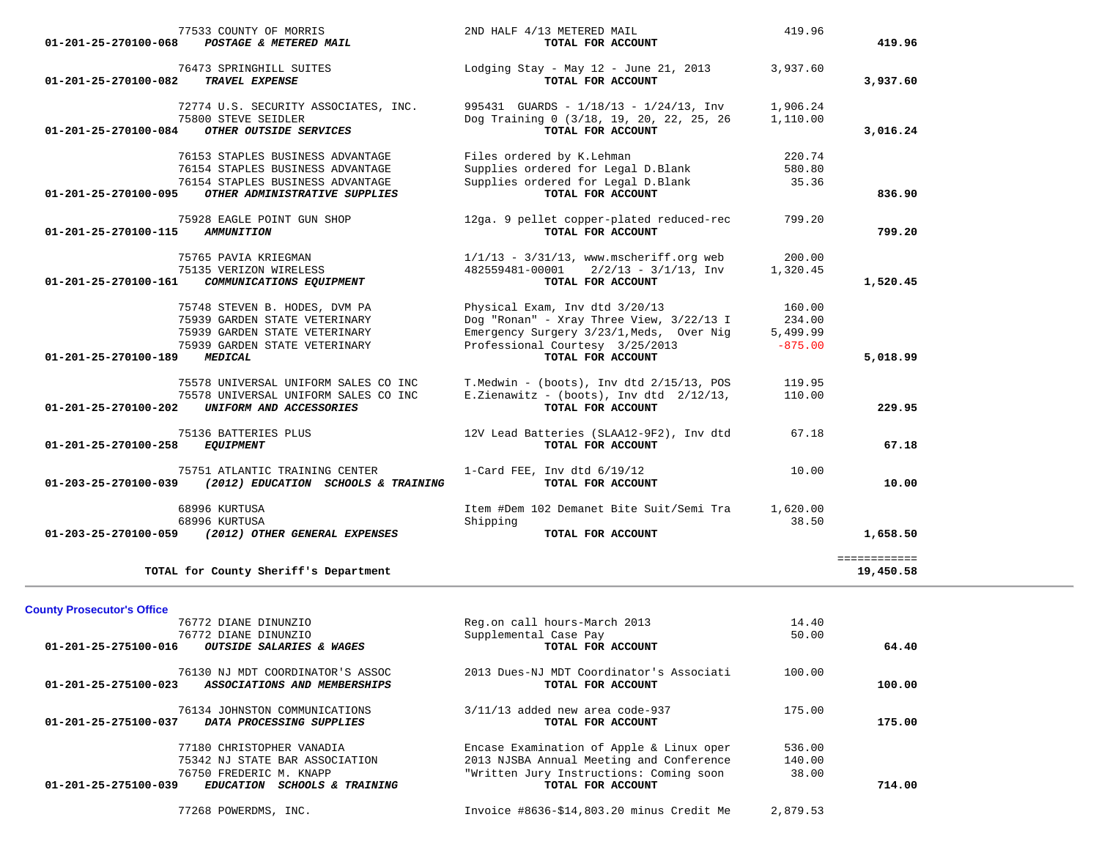| 77533 COUNTY OF MORRIS<br>01-201-25-270100-068<br>POSTAGE & METERED MAIL                                                        | 2ND HALF 4/13 METERED MAIL<br>TOTAL FOR ACCOUNT                                                                         | 419.96                          | 419.96                    |
|---------------------------------------------------------------------------------------------------------------------------------|-------------------------------------------------------------------------------------------------------------------------|---------------------------------|---------------------------|
| 76473 SPRINGHILL SUITES<br>01-201-25-270100-082<br>TRAVEL EXPENSE                                                               | Lodging Stay - May 12 - June 21, 2013<br>TOTAL FOR ACCOUNT                                                              | 3,937.60                        | 3,937.60                  |
| 72774 U.S. SECURITY ASSOCIATES, INC.<br>75800 STEVE SEIDLER<br>OTHER OUTSIDE SERVICES<br>01-201-25-270100-084                   | 995431 GUARDS - $1/18/13$ - $1/24/13$ , Inv<br>Dog Training 0 (3/18, 19, 20, 22, 25, 26<br>TOTAL FOR ACCOUNT            | 1,906.24<br>1,110.00            | 3,016.24                  |
| 76153 STAPLES BUSINESS ADVANTAGE<br>76154 STAPLES BUSINESS ADVANTAGE                                                            | Files ordered by K.Lehman<br>Supplies ordered for Legal D.Blank                                                         | 220.74<br>580.80                |                           |
| 76154 STAPLES BUSINESS ADVANTAGE<br>OTHER ADMINISTRATIVE SUPPLIES<br>01-201-25-270100-095                                       | Supplies ordered for Legal D.Blank<br>TOTAL FOR ACCOUNT                                                                 | 35.36                           | 836.90                    |
| 75928 EAGLE POINT GUN SHOP<br>01-201-25-270100-115<br><b>AMMUNITION</b>                                                         | 12ga. 9 pellet copper-plated reduced-rec<br>TOTAL FOR ACCOUNT                                                           | 799.20                          | 799.20                    |
| 75765 PAVIA KRIEGMAN<br>75135 VERIZON WIRELESS<br>01-201-25-270100-161<br>COMMUNICATIONS EQUIPMENT                              | $1/1/13$ - $3/31/13$ , www.mscheriff.org web<br>$2/2/13 - 3/1/13$ , Inv<br>482559481-00001<br>TOTAL FOR ACCOUNT         | 200.00<br>1,320.45              | 1,520.45                  |
| 75748 STEVEN B. HODES, DVM PA                                                                                                   | Physical Exam, Inv dtd 3/20/13                                                                                          | 160.00                          |                           |
| 75939 GARDEN STATE VETERINARY<br>75939 GARDEN STATE VETERINARY<br>75939 GARDEN STATE VETERINARY                                 | Dog "Ronan" - Xray Three View, 3/22/13 I<br>Emergency Surgery 3/23/1, Meds, Over Nig<br>Professional Courtesy 3/25/2013 | 234.00<br>5,499.99<br>$-875.00$ |                           |
| 01-201-25-270100-189<br><b>MEDICAL</b>                                                                                          | TOTAL FOR ACCOUNT                                                                                                       |                                 | 5,018.99                  |
| 75578 UNIVERSAL UNIFORM SALES CO INC<br>75578 UNIVERSAL UNIFORM SALES CO INC<br>01-201-25-270100-202<br>UNIFORM AND ACCESSORIES | T. Medwin - $(books)$ , Inv dtd $2/15/13$ , POS<br>E.Zienawitz - (boots), Inv dtd $2/12/13$ ,<br>TOTAL FOR ACCOUNT      | 119.95<br>110.00                | 229.95                    |
| 75136 BATTERIES PLUS<br>01-201-25-270100-258<br><b>EQUIPMENT</b>                                                                | 12V Lead Batteries (SLAA12-9F2), Inv dtd<br>TOTAL FOR ACCOUNT                                                           | 67.18                           | 67.18                     |
| 75751 ATLANTIC TRAINING CENTER<br>01-203-25-270100-039<br>(2012) EDUCATION SCHOOLS & TRAINING                                   | 1-Card FEE, Inv dtd $6/19/12$<br>TOTAL FOR ACCOUNT                                                                      | 10.00                           | 10.00                     |
| 68996 KURTUSA<br>68996 KURTUSA                                                                                                  | Item #Dem 102 Demanet Bite Suit/Semi Tra<br>Shipping                                                                    | 1,620.00<br>38.50               |                           |
| 01-203-25-270100-059 (2012) OTHER GENERAL EXPENSES                                                                              | TOTAL FOR ACCOUNT                                                                                                       |                                 | 1,658.50                  |
| TOTAL for County Sheriff's Department                                                                                           |                                                                                                                         |                                 | ============<br>19,450.58 |
| <b>County Prosecutor's Office</b>                                                                                               |                                                                                                                         |                                 |                           |
| 76772 DIANE DINUNZIO<br>76772 DIANE DINUNZIO<br>01-201-25-275100-016 OUTSIDE SALARIES & WAGES                                   | Reg.on call hours-March 2013<br>Supplemental Case Pay<br>TOTAL FOR ACCOUNT                                              | 14.40<br>50.00                  | 64.40                     |
| 76130 NJ MDT COORDINATOR'S ASSOC<br>ASSOCIATIONS AND MEMBERSHIPS<br>01-201-25-275100-023                                        | 2013 Dues-NJ MDT Coordinator's Associati<br>TOTAL FOR ACCOUNT                                                           | 100.00                          | 100.00                    |
| 76134 JOHNSTON COMMUNICATIONS<br>DATA PROCESSING SUPPLIES<br>01-201-25-275100-037                                               | $3/11/13$ added new area code-937<br>TOTAL FOR ACCOUNT                                                                  | 175.00                          | 175.00                    |
| 77180 CHRISTOPHER VANADIA<br>75342 NJ STATE BAR ASSOCIATION                                                                     | Encase Examination of Apple & Linux oper<br>2013 NJSBA Annual Meeting and Conference                                    | 536.00<br>140.00                |                           |
| 76750 FREDERIC M. KNAPP<br>01-201-25-275100-039<br>EDUCATION SCHOOLS & TRAINING                                                 | "Written Jury Instructions: Coming soon<br>TOTAL FOR ACCOUNT                                                            | 38.00                           | 714.00                    |

77268 POWERDMS, INC. Invoice #8636-\$14,803.20 minus Credit Me 2,879.53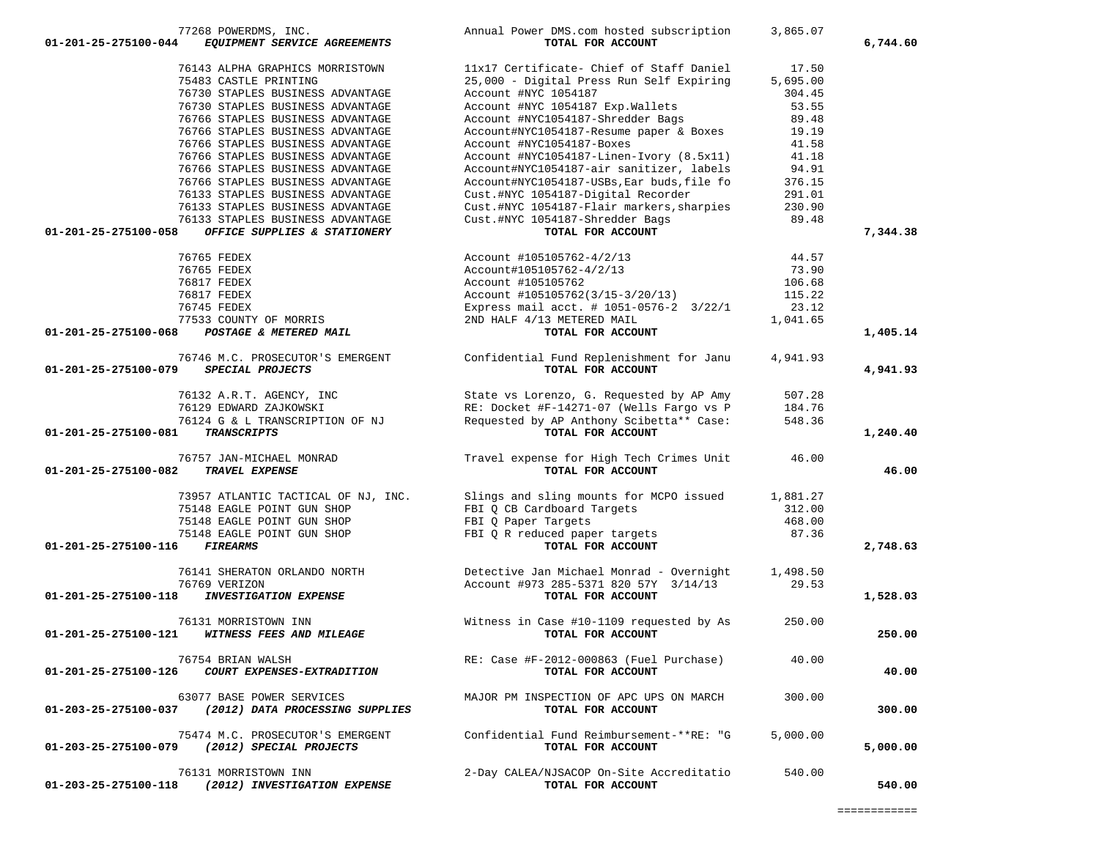| 77268 POWERDMS, INC.                                    | Annual Power DMS.com hosted subscription   | 3,865.07 |          |
|---------------------------------------------------------|--------------------------------------------|----------|----------|
| 01-201-25-275100-044<br>EQUIPMENT SERVICE AGREEMENTS    | TOTAL FOR ACCOUNT                          |          | 6,744.60 |
| 76143 ALPHA GRAPHICS MORRISTOWN                         | 11x17 Certificate- Chief of Staff Daniel   | 17.50    |          |
|                                                         |                                            | 5,695.00 |          |
| 75483 CASTLE PRINTING                                   | 25,000 - Digital Press Run Self Expiring   |          |          |
| 76730 STAPLES BUSINESS ADVANTAGE                        | Account #NYC 1054187                       | 304.45   |          |
| 76730 STAPLES BUSINESS ADVANTAGE                        | Account #NYC 1054187 Exp. Wallets          | 53.55    |          |
| 76766 STAPLES BUSINESS ADVANTAGE                        | Account #NYC1054187-Shredder Bags          | 89.48    |          |
| 76766 STAPLES BUSINESS ADVANTAGE                        | Account#NYC1054187-Resume paper & Boxes    | 19.19    |          |
| 76766 STAPLES BUSINESS ADVANTAGE                        | Account #NYC1054187-Boxes                  | 41.58    |          |
| 76766 STAPLES BUSINESS ADVANTAGE                        | Account #NYC1054187-Linen-Ivory (8.5x11)   | 41.18    |          |
| 76766 STAPLES BUSINESS ADVANTAGE                        | Account#NYC1054187-air sanitizer, labels   | 94.91    |          |
| 76766 STAPLES BUSINESS ADVANTAGE                        | Account#NYC1054187-USBs, Ear buds, file fo | 376.15   |          |
| 76133 STAPLES BUSINESS ADVANTAGE                        | Cust.#NYC 1054187-Digital Recorder         | 291.01   |          |
| 76133 STAPLES BUSINESS ADVANTAGE                        | Cust.#NYC 1054187-Flair markers, sharpies  | 230.90   |          |
| 76133 STAPLES BUSINESS ADVANTAGE                        | Cust.#NYC 1054187-Shredder Bags            | 89.48    |          |
| 01-201-25-275100-058<br>OFFICE SUPPLIES & STATIONERY    | TOTAL FOR ACCOUNT                          |          | 7,344.38 |
|                                                         |                                            |          |          |
| 76765 FEDEX                                             | Account #105105762-4/2/13                  | 44.57    |          |
| 76765 FEDEX                                             | Account#105105762-4/2/13                   | 73.90    |          |
| 76817 FEDEX                                             | Account #105105762                         | 106.68   |          |
| 76817 FEDEX                                             | Account #105105762(3/15-3/20/13)           | 115.22   |          |
| 76745 FEDEX                                             | Express mail acct. # 1051-0576-2 3/22/1    | 23.12    |          |
| 77533 COUNTY OF MORRIS                                  | 2ND HALF 4/13 METERED MAIL                 | 1,041.65 |          |
| 01-201-25-275100-068<br>POSTAGE & METERED MAIL          | TOTAL FOR ACCOUNT                          |          | 1,405.14 |
|                                                         |                                            |          |          |
| 76746 M.C. PROSECUTOR'S EMERGENT                        | Confidential Fund Replenishment for Janu   | 4,941.93 |          |
| 01-201-25-275100-079<br>SPECIAL PROJECTS                | TOTAL FOR ACCOUNT                          |          | 4,941.93 |
|                                                         |                                            |          |          |
| 76132 A.R.T. AGENCY, INC                                | State vs Lorenzo, G. Requested by AP Amy   | 507.28   |          |
| 76129 EDWARD ZAJKOWSKI                                  | RE: Docket #F-14271-07 (Wells Fargo vs P   | 184.76   |          |
| 76124 G & L TRANSCRIPTION OF NJ                         | Requested by AP Anthony Scibetta** Case:   | 548.36   |          |
| 01-201-25-275100-081<br><b>TRANSCRIPTS</b>              | TOTAL FOR ACCOUNT                          |          | 1,240.40 |
|                                                         |                                            |          |          |
| 76757 JAN-MICHAEL MONRAD                                | Travel expense for High Tech Crimes Unit   | 46.00    |          |
| TRAVEL EXPENSE<br>01-201-25-275100-082                  | TOTAL FOR ACCOUNT                          |          | 46.00    |
| 73957 ATLANTIC TACTICAL OF NJ, INC.                     | Slings and sling mounts for MCPO issued    | 1,881.27 |          |
| 75148 EAGLE POINT GUN SHOP                              | FBI Q CB Cardboard Targets                 | 312.00   |          |
| 75148 EAGLE POINT GUN SHOP                              |                                            | 468.00   |          |
|                                                         | FBI Q Paper Targets                        |          |          |
| 75148 EAGLE POINT GUN SHOP                              | FBI Q R reduced paper targets              | 87.36    |          |
| 01-201-25-275100-116<br><i><b>FIREARMS</b></i>          | TOTAL FOR ACCOUNT                          |          | 2,748.63 |
| 76141 SHERATON ORLANDO NORTH                            | Detective Jan Michael Monrad - Overnight   | 1,498.50 |          |
| 76769 VERIZON                                           | Account #973 285-5371 820 57Y 3/14/13      | 29.53    |          |
| 01-201-25-275100-118<br><b>INVESTIGATION EXPENSE</b>    | TOTAL FOR ACCOUNT                          |          | 1,528.03 |
|                                                         |                                            |          |          |
| 76131 MORRISTOWN INN                                    | Witness in Case #10-1109 requested by As   | 250.00   |          |
| WITNESS FEES AND MILEAGE<br>01-201-25-275100-121        | TOTAL FOR ACCOUNT                          |          | 250.00   |
|                                                         |                                            |          |          |
| 76754 BRIAN WALSH                                       | RE: Case #F-2012-000863 (Fuel Purchase)    | 40.00    |          |
| 01-201-25-275100-126<br>COURT EXPENSES-EXTRADITION      | TOTAL FOR ACCOUNT                          |          | 40.00    |
| 63077 BASE POWER SERVICES                               | MAJOR PM INSPECTION OF APC UPS ON MARCH    | 300.00   |          |
| (2012) DATA PROCESSING SUPPLIES<br>01-203-25-275100-037 | TOTAL FOR ACCOUNT                          |          | 300.00   |
|                                                         |                                            |          |          |
| 75474 M.C. PROSECUTOR'S EMERGENT                        | Confidential Fund Reimbursement-**RE: "G   | 5,000.00 |          |
| 01-203-25-275100-079<br>(2012) SPECIAL PROJECTS         | TOTAL FOR ACCOUNT                          |          | 5,000.00 |
|                                                         |                                            |          |          |
| 76131 MORRISTOWN INN                                    | 2-Day CALEA/NJSACOP On-Site Accreditatio   | 540.00   |          |
| (2012) INVESTIGATION EXPENSE<br>01-203-25-275100-118    | TOTAL FOR ACCOUNT                          |          | 540.00   |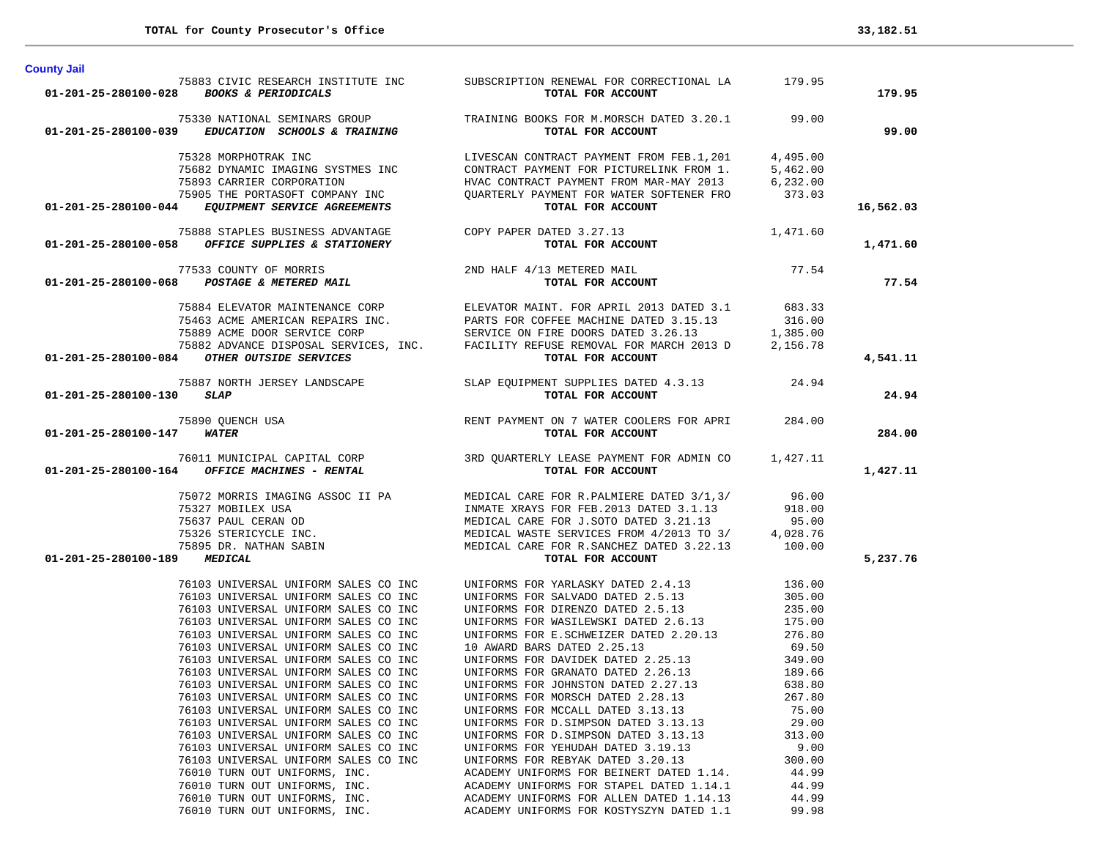| ovumy vun                           |                                                                              |                                                                                                                                                                                                                                                                                                                                                                                                                                              |                |           |
|-------------------------------------|------------------------------------------------------------------------------|----------------------------------------------------------------------------------------------------------------------------------------------------------------------------------------------------------------------------------------------------------------------------------------------------------------------------------------------------------------------------------------------------------------------------------------------|----------------|-----------|
|                                     | 01-201-25-280100-028 BOOKS & PERIODICALS                                     | 75883 CIVIC RESEARCH INSTITUTE INC SUBSCRIPTION RENEWAL FOR CORRECTIONAL LA 179.95<br>TOTAL FOR ACCOUNT                                                                                                                                                                                                                                                                                                                                      |                | 179.95    |
|                                     |                                                                              | 75330 NATIONAL SEMINARS GROUP TRAINING BOOKS FOR M.MORSCH DATED 3.20.1 799.00<br><b>01-201-25-280100-039</b> EDUCATION SCHOOLS & TRAINING TOTAL FOR ACCOUNT                                                                                                                                                                                                                                                                                  |                | 99.00     |
|                                     |                                                                              | $\begin{array}{cccc} \text{75328} \text{ MORPHOTRAK} & \text{INC} & \text{LIVESCAN}\ \text{75682} \text{DYNAMIC} & \text{IMGING SYSTEME} & \text{INC} & \text{CONTRACT PAYMENT FROM FED.1, 201} & 4, 495.00 \\ & \text{75682 DYNAMIC IMAGING SYSTEME} & \text{75833} \text{CARRIER} & \text{CORPORTMS} & \text{CONTRACT PAYMENT FOR PICTURELINK FROM 1.} & 5, 462.00 \\ & \text{75893} \text{CARRIER} & \text{CORPORTOMPANY} & \text{INC} &$ |                |           |
|                                     |                                                                              |                                                                                                                                                                                                                                                                                                                                                                                                                                              |                | 16,562.03 |
|                                     |                                                                              | 75888 STAPLES BUSINESS ADVANTAGE COPY PAPER DATED 3.27.13 1,471.60<br>01-201-25-280100-058 OFFICE SUPPLIES & STATIONERY TOTAL FOR ACCOUNT                                                                                                                                                                                                                                                                                                    |                | 1,471.60  |
|                                     |                                                                              |                                                                                                                                                                                                                                                                                                                                                                                                                                              |                | 77.54     |
|                                     |                                                                              |                                                                                                                                                                                                                                                                                                                                                                                                                                              |                |           |
|                                     |                                                                              |                                                                                                                                                                                                                                                                                                                                                                                                                                              |                | 4,541.11  |
| $01 - 201 - 25 - 280100 - 130$ SLAP |                                                                              | 75887 NORTH JERSEY LANDSCAPE SLAP EQUIPMENT SUPPLIES DATED 4.3.13 24.94                                                                                                                                                                                                                                                                                                                                                                      |                | 24.94     |
| 01-201-25-280100-147 WATER          |                                                                              | 75890 QUENCH USA <b>ENT PAYMENT ON 7 WATER COOLERS FOR APRI</b> 284.00 <sup>7</sup><br>BO100-147 <b>WATER</b><br>TOTAL FOR ACCOUNT                                                                                                                                                                                                                                                                                                           |                | 284.00    |
|                                     |                                                                              | 1999 - 1999 - 1999 - 1999 - 1999 - 1999 - 1999 - 1999 - 1999 - 1999 - 1999 - 1999 - 1999 - 1999 - 1999 - 1999<br>1991-201-25-280100-164 <i>OFFICE MACHINES</i> - RENTAL TOTAL FOR ACCOUNT                                                                                                                                                                                                                                                    |                | 1,427.11  |
|                                     |                                                                              |                                                                                                                                                                                                                                                                                                                                                                                                                                              |                |           |
|                                     |                                                                              |                                                                                                                                                                                                                                                                                                                                                                                                                                              |                |           |
|                                     |                                                                              |                                                                                                                                                                                                                                                                                                                                                                                                                                              |                |           |
| 01-201-25-280100-189 MEDICAL        |                                                                              |                                                                                                                                                                                                                                                                                                                                                                                                                                              |                | 5,237.76  |
|                                     |                                                                              |                                                                                                                                                                                                                                                                                                                                                                                                                                              |                |           |
|                                     |                                                                              |                                                                                                                                                                                                                                                                                                                                                                                                                                              |                |           |
|                                     |                                                                              |                                                                                                                                                                                                                                                                                                                                                                                                                                              |                |           |
|                                     |                                                                              |                                                                                                                                                                                                                                                                                                                                                                                                                                              |                |           |
|                                     |                                                                              |                                                                                                                                                                                                                                                                                                                                                                                                                                              |                |           |
|                                     |                                                                              |                                                                                                                                                                                                                                                                                                                                                                                                                                              |                |           |
|                                     |                                                                              |                                                                                                                                                                                                                                                                                                                                                                                                                                              |                |           |
|                                     |                                                                              |                                                                                                                                                                                                                                                                                                                                                                                                                                              |                |           |
|                                     | 76103 UNIVERSAL UNIFORM SALES CO INC                                         | UNIFORMS FOR MORSCH DATED 2.28.13                                                                                                                                                                                                                                                                                                                                                                                                            | 267.80         |           |
|                                     | 76103 UNIVERSAL UNIFORM SALES CO INC                                         | UNIFORMS FOR MCCALL DATED 3.13.13                                                                                                                                                                                                                                                                                                                                                                                                            | 75.00          |           |
|                                     | 76103 UNIVERSAL UNIFORM SALES CO INC                                         | UNIFORMS FOR D. SIMPSON DATED 3.13.13                                                                                                                                                                                                                                                                                                                                                                                                        | 29.00          |           |
|                                     | 76103 UNIVERSAL UNIFORM SALES CO INC<br>76103 UNIVERSAL UNIFORM SALES CO INC | UNIFORMS FOR D. SIMPSON DATED 3.13.13<br>UNIFORMS FOR YEHUDAH DATED 3.19.13                                                                                                                                                                                                                                                                                                                                                                  | 313.00<br>9.00 |           |
|                                     | 76103 UNIVERSAL UNIFORM SALES CO INC                                         | UNIFORMS FOR REBYAK DATED 3.20.13                                                                                                                                                                                                                                                                                                                                                                                                            | 300.00         |           |
|                                     | 76010 TURN OUT UNIFORMS, INC.                                                | ACADEMY UNIFORMS FOR BEINERT DATED 1.14.                                                                                                                                                                                                                                                                                                                                                                                                     | 44.99          |           |
|                                     | 76010 TURN OUT UNIFORMS, INC.                                                | ACADEMY UNIFORMS FOR STAPEL DATED 1.14.1                                                                                                                                                                                                                                                                                                                                                                                                     | 44.99          |           |
|                                     | 76010 TURN OUT UNIFORMS, INC.                                                | ACADEMY UNIFORMS FOR ALLEN DATED 1.14.13                                                                                                                                                                                                                                                                                                                                                                                                     | 44.99          |           |
|                                     | 76010 TURN OUT UNIFORMS, INC.                                                | ACADEMY UNIFORMS FOR KOSTYSZYN DATED 1.1                                                                                                                                                                                                                                                                                                                                                                                                     | 99.98          |           |

**County Jail**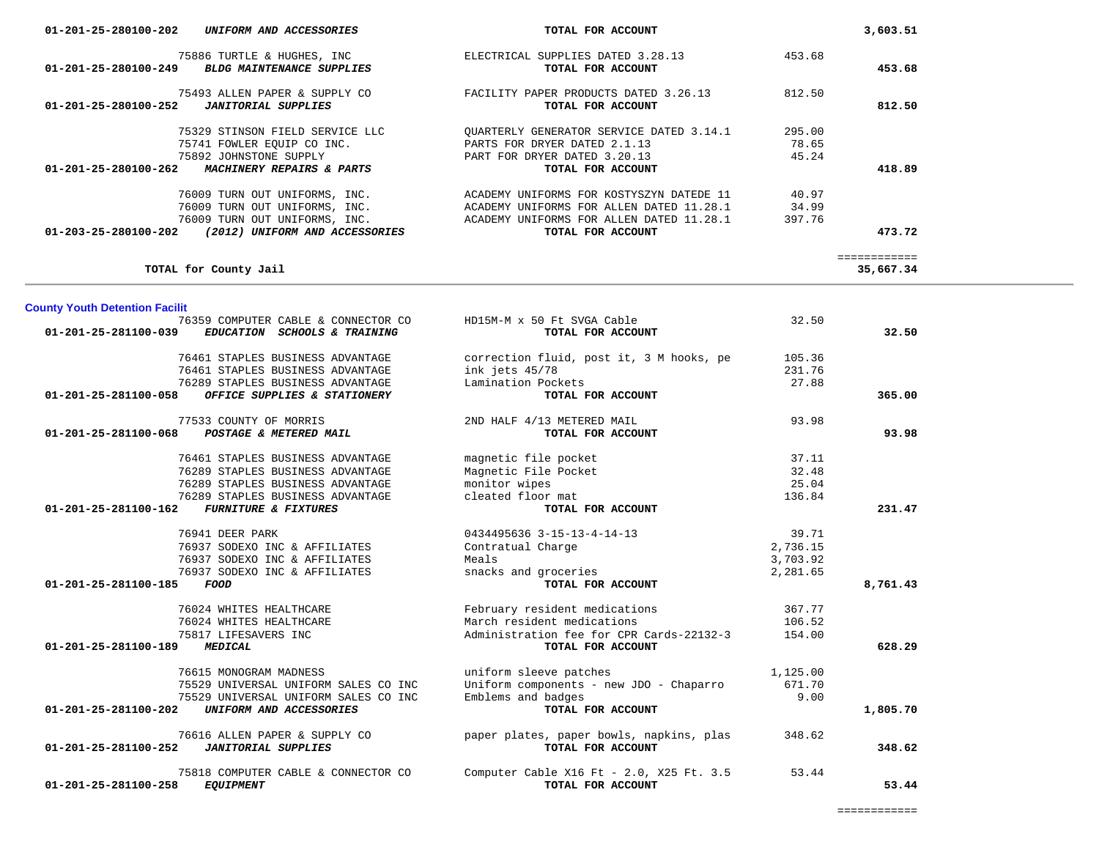| conformation character and contracted to<br>01-201-25-281100-039<br>EDUCATION SCHOOLS & TRAINING | TOTAL FOR ACCOUNT                               |          | 32.50    |
|--------------------------------------------------------------------------------------------------|-------------------------------------------------|----------|----------|
| 76461 STAPLES BUSINESS ADVANTAGE                                                                 | correction fluid, post it, 3 M hooks, pe 105.36 |          |          |
| 76461 STAPLES BUSINESS ADVANTAGE                                                                 | ink jets 45/78                                  | 231.76   |          |
| 76289 STAPLES BUSINESS ADVANTAGE                                                                 | Lamination Pockets                              | 27.88    |          |
| OFFICE SUPPLIES & STATIONERY<br>01-201-25-281100-058                                             | TOTAL FOR ACCOUNT                               |          | 365.00   |
| 77533 COUNTY OF MORRIS                                                                           | 2ND HALF 4/13 METERED MAIL                      | 93.98    |          |
| 01-201-25-281100-068<br>POSTAGE & METERED MAIL                                                   | TOTAL FOR ACCOUNT                               |          | 93.98    |
| 76461 STAPLES BUSINESS ADVANTAGE                                                                 | magnetic file pocket                            | 37.11    |          |
| 76289 STAPLES BUSINESS ADVANTAGE                                                                 | Magnetic File Pocket                            | 32.48    |          |
| 76289 STAPLES BUSINESS ADVANTAGE                                                                 | monitor wipes                                   | 25.04    |          |
| 76289 STAPLES BUSINESS ADVANTAGE                                                                 | cleated floor mat                               | 136.84   |          |
| 01-201-25-281100-162<br><b>FURNITURE &amp; FIXTURES</b>                                          | TOTAL FOR ACCOUNT                               |          | 231.47   |
| 76941 DEER PARK                                                                                  | 0434495636 3-15-13-4-14-13                      | 39.71    |          |
| 76937 SODEXO INC & AFFILIATES                                                                    | Contratual Charge                               | 2,736.15 |          |
| 76937 SODEXO INC & AFFILIATES                                                                    | Meals                                           | 3,703.92 |          |
| 76937 SODEXO INC & AFFILIATES                                                                    | snacks and groceries                            | 2,281.65 |          |
| 01-201-25-281100-185<br>FOOD                                                                     | TOTAL FOR ACCOUNT                               |          | 8,761.43 |
| 76024 WHITES HEALTHCARE                                                                          | 367.77<br>February resident medications         |          |          |
| 76024 WHITES HEALTHCARE                                                                          | March resident medications                      | 106.52   |          |
| 75817 LIFESAVERS INC                                                                             | Administration fee for CPR Cards-22132-3 154.00 |          |          |
| 01-201-25-281100-189<br><b>MEDICAL</b>                                                           | TOTAL FOR ACCOUNT                               |          | 628.29   |
| 76615 MONOGRAM MADNESS                                                                           | uniform sleeve patches<br>1,125.00              |          |          |
| 75529 UNIVERSAL UNIFORM SALES CO INC                                                             | Uniform components - new JDO - Chaparro 671.70  |          |          |
| 75529 UNIVERSAL UNIFORM SALES CO INC                                                             | Emblems and badges                              | 9.00     |          |
| 01-201-25-281100-202<br>UNIFORM AND ACCESSORIES                                                  | TOTAL FOR ACCOUNT                               |          | 1,805.70 |
| 76616 ALLEN PAPER & SUPPLY CO                                                                    | paper plates, paper bowls, napkins, plas 348.62 |          |          |
| 01-201-25-281100-252<br><b>JANITORIAL SUPPLIES</b>                                               | TOTAL FOR ACCOUNT                               |          | 348.62   |
| 75818 COMPUTER CABLE & CONNECTOR CO                                                              | Computer Cable X16 Ft - 2.0, X25 Ft. 3.5        | 53.44    |          |
| 01-201-25-281100-258<br><b>EQUIPMENT</b>                                                         | TOTAL FOR ACCOUNT                               |          | 53.44    |

**County Youth Detention Facilit**

| 75886 TURTLE & HUGHES, INC<br>01-201-25-280100-249<br><b>BLDG MAINTENANCE SUPPLIES</b> | ELECTRICAL SUPPLIES DATED 3.28.13<br>TOTAL FOR ACCOUNT | 453.68 | 453.68 |
|----------------------------------------------------------------------------------------|--------------------------------------------------------|--------|--------|
|                                                                                        |                                                        |        |        |
| 75493 ALLEN PAPER & SUPPLY CO                                                          | FACILITY PAPER PRODUCTS DATED 3.26.13                  | 812.50 |        |
| 01-201-25-280100-252<br>JANITORIAL SUPPLIES                                            | TOTAL FOR ACCOUNT                                      |        | 812.50 |
| 75329 STINSON FIELD SERVICE LLC                                                        | OUARTERLY GENERATOR SERVICE DATED 3.14.1               | 295.00 |        |
| 75741 FOWLER EQUIP CO INC.                                                             | PARTS FOR DRYER DATED 2.1.13                           | 78.65  |        |
| 75892 JOHNSTONE SUPPLY                                                                 | PART FOR DRYER DATED 3.20.13                           | 45.24  |        |
| 01-201-25-280100-262<br>MACHINERY REPAIRS & PARTS                                      | TOTAL FOR ACCOUNT                                      |        | 418.89 |
| 76009 TURN OUT UNIFORMS, INC.                                                          | ACADEMY UNIFORMS FOR KOSTYSZYN DATEDE 11               | 40.97  |        |
| 76009 TURN OUT UNIFORMS, INC.                                                          | ACADEMY UNIFORMS FOR ALLEN DATED 11.28.1               | 34.99  |        |
| 76009 TURN OUT UNIFORMS, INC.                                                          | ACADEMY UNIFORMS FOR ALLEN DATED 11.28.1               | 397.76 |        |
| (2012) UNIFORM AND ACCESSORIES<br>01-203-25-280100-202                                 | TOTAL FOR ACCOUNT                                      |        | 473.72 |

============

76359 COMPUTER CABLE & CONNECTOR CO HD15M-M x 50 Ft SVGA Cable 32.50

**TOTAL for County Jail 35,667.34**

 **01-201-25-280100-202** *UNIFORM AND ACCESSORIES* **TOTAL FOR ACCOUNT 3,603.51**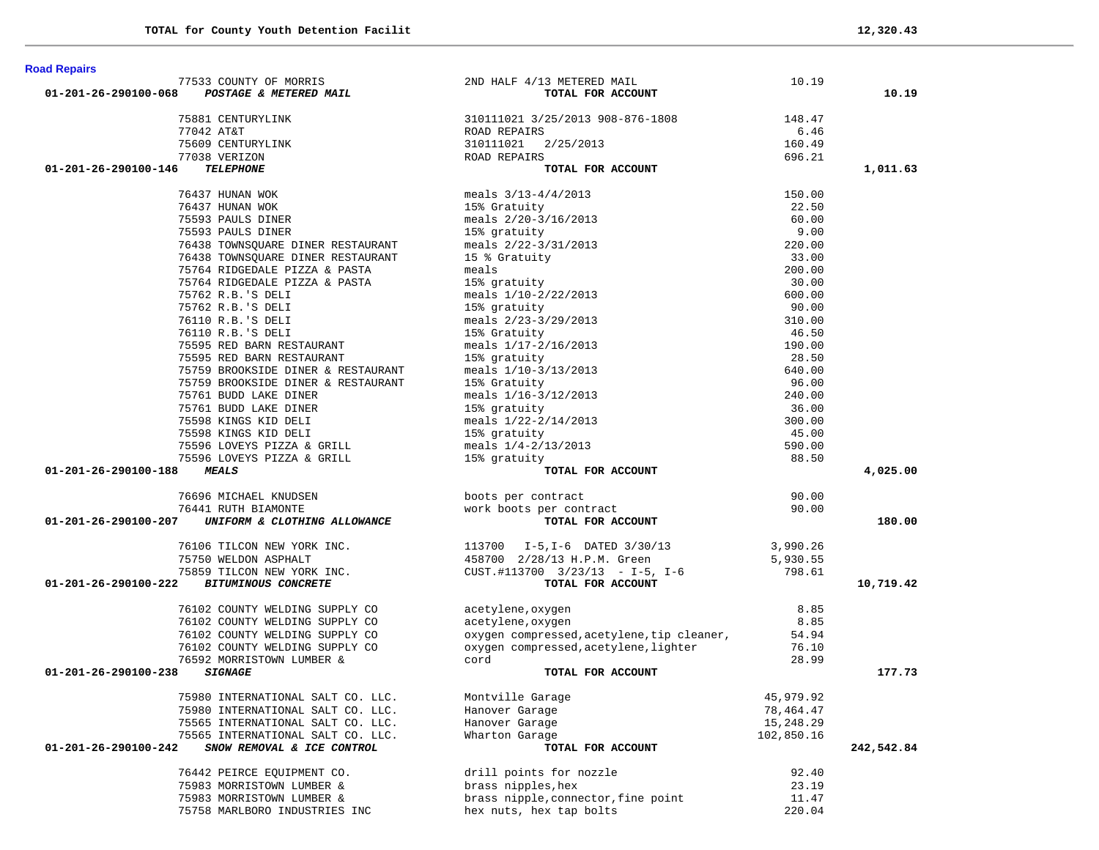|                      | 77533 COUNTY OF MORRIS                                                                                                                                                                                                                       | 2ND HALF 4/13 METERED MAIL                                                                                                                                                                   | 10.19           |            |
|----------------------|----------------------------------------------------------------------------------------------------------------------------------------------------------------------------------------------------------------------------------------------|----------------------------------------------------------------------------------------------------------------------------------------------------------------------------------------------|-----------------|------------|
| 01-201-26-290100-068 | POSTAGE & METERED MAIL                                                                                                                                                                                                                       | TOTAL FOR ACCOUNT                                                                                                                                                                            |                 | 10.19      |
|                      |                                                                                                                                                                                                                                              |                                                                                                                                                                                              |                 |            |
|                      | 75881 CENTURYLINK                                                                                                                                                                                                                            | 310111021 3/25/2013 908-876-1808                                                                                                                                                             | 148.47          |            |
|                      | 77042 AT&T                                                                                                                                                                                                                                   | ROAD REPAIRS                                                                                                                                                                                 | 6.46            |            |
|                      | 75609 CENTURYLINK                                                                                                                                                                                                                            | 310111021<br>2/25/2013                                                                                                                                                                       | 160.49          |            |
|                      | 77038 VERIZON                                                                                                                                                                                                                                | ROAD REPAIRS                                                                                                                                                                                 | 696.21          |            |
| 01-201-26-290100-146 | <b>TELEPHONE</b>                                                                                                                                                                                                                             | TOTAL FOR ACCOUNT                                                                                                                                                                            |                 | 1,011.63   |
|                      | 76437 HUNAN WOK                                                                                                                                                                                                                              | meals $3/13-4/4/2013$                                                                                                                                                                        | 150.00          |            |
|                      | 76437 HUNAN WOK                                                                                                                                                                                                                              | 15% Gratuity                                                                                                                                                                                 | 22.50           |            |
|                      | 75593 PAULS DINER                                                                                                                                                                                                                            |                                                                                                                                                                                              | 60.00           |            |
|                      | 75593 PAULS DINER                                                                                                                                                                                                                            | neals 2/20-3/16/2013<br>15% gratuity<br>meals 2/22-3/31/2013                                                                                                                                 | 9.00            |            |
|                      | 76438 TOWNSOUARE DINER RESTAURANT                                                                                                                                                                                                            |                                                                                                                                                                                              | 220.00          |            |
|                      | 76438 TOWNSQUARE DINER RESTAURANT                                                                                                                                                                                                            |                                                                                                                                                                                              | 33.00           |            |
|                      | 75764 RIDGEDALE PIZZA & PASTA                                                                                                                                                                                                                |                                                                                                                                                                                              | 200.00          |            |
|                      | 75764 RIDGEDALE PIZZA & PASTA                                                                                                                                                                                                                |                                                                                                                                                                                              |                 |            |
|                      |                                                                                                                                                                                                                                              |                                                                                                                                                                                              | 30.00<br>600.00 |            |
|                      | 75762 R.B.'S DELI                                                                                                                                                                                                                            |                                                                                                                                                                                              |                 |            |
|                      | 75762 R.B.'S DELI                                                                                                                                                                                                                            |                                                                                                                                                                                              | 90.00           |            |
|                      | 76110 R.B.'S DELI                                                                                                                                                                                                                            |                                                                                                                                                                                              | 310.00          |            |
|                      | 76110 R.B.'S DELI                                                                                                                                                                                                                            | 15 % Gratuity<br>15 % Gratuity<br>meals<br>15 % gratuity<br>meals 1/10-2/22/2013<br>15% gratuity<br>meals 2/23-3/29/2013<br>15% Gratuity<br>meals 1/17-2/16/2013<br>15% meals 1/17-2/16/2013 | 46.50           |            |
|                      | 75595 RED BARN RESTAURANT                                                                                                                                                                                                                    |                                                                                                                                                                                              | 190.00          |            |
|                      | 75595 RED BARN RESTAURANT                                                                                                                                                                                                                    | 15% gratuity                                                                                                                                                                                 | 28.50           |            |
|                      | 75759 BROOKSIDE DINER & RESTAURANT                                                                                                                                                                                                           | meals 1/10-3/13/2013                                                                                                                                                                         | 640.00          |            |
|                      | 75759 BROOKSIDE DINER & RESTAURANT                                                                                                                                                                                                           | 15% Gratuity                                                                                                                                                                                 | 96.00           |            |
|                      | 75761 BUDD LAKE DINER                                                                                                                                                                                                                        | meals $1/16-3/12/2013$                                                                                                                                                                       | 240.00          |            |
|                      | 75761 BUDD LAKE DINER                                                                                                                                                                                                                        | 15% gratuity                                                                                                                                                                                 | 36.00           |            |
|                      |                                                                                                                                                                                                                                              |                                                                                                                                                                                              | 300.00          |            |
|                      |                                                                                                                                                                                                                                              |                                                                                                                                                                                              | 45.00           |            |
|                      |                                                                                                                                                                                                                                              |                                                                                                                                                                                              | 590.00          |            |
|                      | 15% gratuity<br>75598 KINGS KID DELI<br>75598 KINGS KID DELI<br>75598 KINGS KID DELI<br>75596 LOVEYS PIZZA & GRILL<br>75596 LOVEYS PIZZA & GRILL<br>75596 LOVEYS PIZZA & GRILL<br>75596 LOVEYS PIZZA & GRILL<br>15% gratuity<br>15% gratuity |                                                                                                                                                                                              | 88.50           |            |
| 01-201-26-290100-188 | <b>MEALS</b>                                                                                                                                                                                                                                 | TOTAL FOR ACCOUNT                                                                                                                                                                            |                 | 4,025.00   |
|                      | 76696 MICHAEL KNUDSEN                                                                                                                                                                                                                        | boots per contract                                                                                                                                                                           | 90.00           |            |
|                      | 76441 RUTH BIAMONTE                                                                                                                                                                                                                          | work boots per contract                                                                                                                                                                      | 90.00           |            |
| 01-201-26-290100-207 | UNIFORM & CLOTHING ALLOWANCE                                                                                                                                                                                                                 | TOTAL FOR ACCOUNT                                                                                                                                                                            |                 | 180.00     |
|                      |                                                                                                                                                                                                                                              |                                                                                                                                                                                              |                 |            |
|                      | 76106 TILCON NEW YORK INC.                                                                                                                                                                                                                   | 113700    I-5, I-6    DATED    3/30/13                                                                                                                                                       | 3,990.26        |            |
|                      | 75750 WELDON ASPHALT                                                                                                                                                                                                                         |                                                                                                                                                                                              | 5,930.55        |            |
|                      | 75859 TILCON NEW YORK INC.                                                                                                                                                                                                                   | 458700 2/28/13 H.P.M. Green<br>CUST.#113700 3/23/13 - I-5, I-6<br><b>TOTAL FOR ACCOUNT</b>                                                                                                   | 798.61          |            |
| 01-201-26-290100-222 | <b>BITUMINOUS CONCRETE</b>                                                                                                                                                                                                                   |                                                                                                                                                                                              |                 | 10,719.42  |
|                      | 76102 COUNTY WELDING SUPPLY CO                                                                                                                                                                                                               | acetylene, oxygen                                                                                                                                                                            | 8.85            |            |
|                      | 76102 COUNTY WELDING SUPPLY CO                                                                                                                                                                                                               | acetylene, oxygen                                                                                                                                                                            | 8.85            |            |
|                      | 76102 COUNTY WELDING SUPPLY CO                                                                                                                                                                                                               | oxygen compressed, acetylene, tip cleaner,                                                                                                                                                   | 54.94           |            |
|                      | 76102 COUNTY WELDING SUPPLY CO                                                                                                                                                                                                               | oxygen compressed, acetylene, lighter                                                                                                                                                        | 76.10           |            |
|                      | 76592 MORRISTOWN LUMBER &                                                                                                                                                                                                                    | cord                                                                                                                                                                                         | 28.99           |            |
| 01-201-26-290100-238 | <b>SIGNAGE</b>                                                                                                                                                                                                                               | TOTAL FOR ACCOUNT                                                                                                                                                                            |                 | 177.73     |
|                      |                                                                                                                                                                                                                                              |                                                                                                                                                                                              |                 |            |
|                      | 75980 INTERNATIONAL SALT CO. LLC. Montville Garage                                                                                                                                                                                           |                                                                                                                                                                                              | 45,979.92       |            |
|                      | 75980 INTERNATIONAL SALT CO. LLC.                                                                                                                                                                                                            | Hanover Garage                                                                                                                                                                               | 78,464.47       |            |
|                      | 75565 INTERNATIONAL SALT CO. LLC.                                                                                                                                                                                                            | Hanover Garage                                                                                                                                                                               | 15,248.29       |            |
|                      | 75565 INTERNATIONAL SALT CO. LLC.                                                                                                                                                                                                            | Wharton Garage                                                                                                                                                                               | 102,850.16      |            |
| 01-201-26-290100-242 | SNOW REMOVAL & ICE CONTROL                                                                                                                                                                                                                   | TOTAL FOR ACCOUNT                                                                                                                                                                            |                 | 242,542.84 |
|                      | 76442 PEIRCE EQUIPMENT CO.                                                                                                                                                                                                                   | drill points for nozzle                                                                                                                                                                      | 92.40           |            |
|                      | 75983 MORRISTOWN LUMBER &                                                                                                                                                                                                                    | brass nipples, hex                                                                                                                                                                           | 23.19           |            |
|                      | 75983 MORRISTOWN LUMBER &                                                                                                                                                                                                                    | brass nipple, connector, fine point                                                                                                                                                          | 11.47           |            |
|                      | 75758 MARLBORO INDUSTRIES INC                                                                                                                                                                                                                | hex nuts, hex tap bolts                                                                                                                                                                      | 220.04          |            |

**Road Repairs**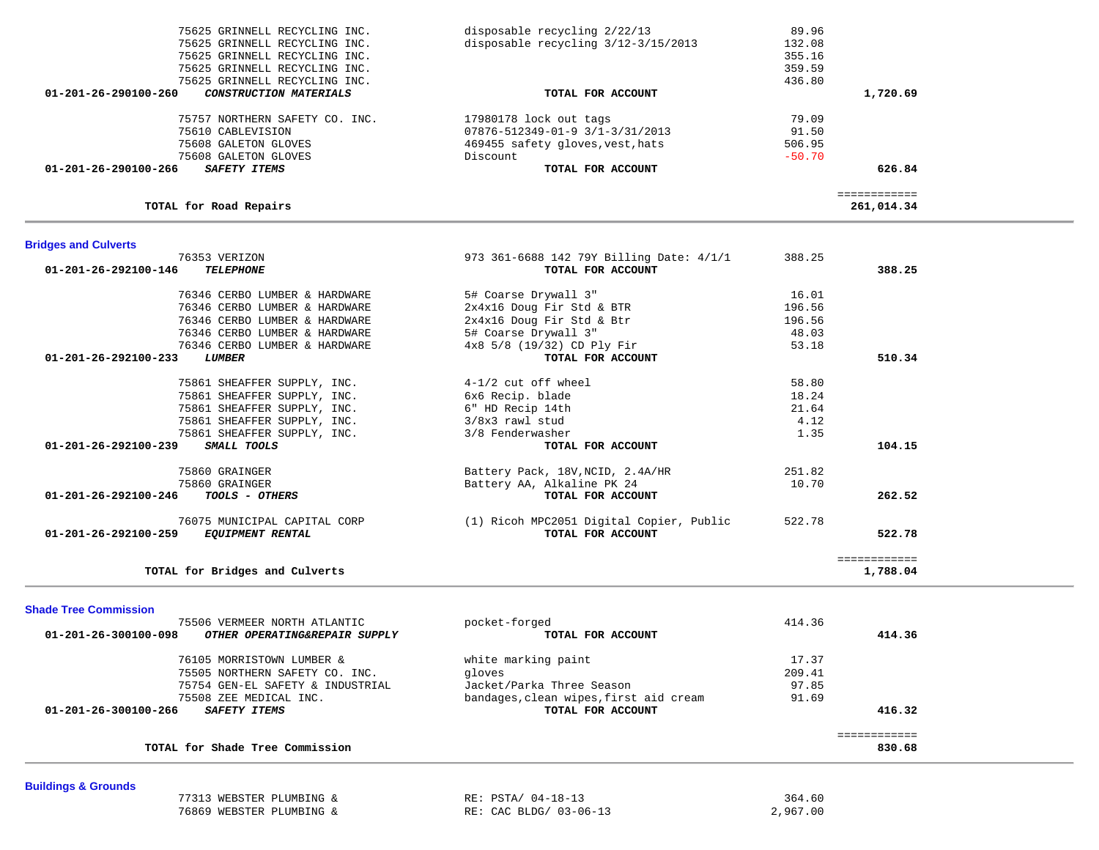| 75861 SHEAFFER SUPPLY, INC.                                                           | 6x6 Recip. blade                         | 18.24  |              |  |
|---------------------------------------------------------------------------------------|------------------------------------------|--------|--------------|--|
| 75861 SHEAFFER SUPPLY, INC.                                                           | 6" HD Recip 14th                         | 21.64  |              |  |
| 75861 SHEAFFER SUPPLY, INC.                                                           | 3/8x3 rawl stud                          | 4.12   |              |  |
| 75861 SHEAFFER SUPPLY, INC.                                                           | 3/8 Fenderwasher                         | 1.35   |              |  |
| 01-201-26-292100-239<br>SMALL TOOLS                                                   | TOTAL FOR ACCOUNT                        |        | 104.15       |  |
| 75860 GRAINGER                                                                        | Battery Pack, 18V, NCID, 2.4A/HR         | 251.82 |              |  |
| 75860 GRAINGER                                                                        | Battery AA, Alkaline PK 24               | 10.70  |              |  |
| 01-201-26-292100-246<br><i>TOOLS - OTHERS</i>                                         | TOTAL FOR ACCOUNT                        |        | 262.52       |  |
| 76075 MUNICIPAL CAPITAL CORP                                                          | (1) Ricoh MPC2051 Digital Copier, Public | 522.78 |              |  |
| $01 - 201 - 26 - 292100 - 259$<br><b>EQUIPMENT RENTAL</b>                             | TOTAL FOR ACCOUNT                        |        | 522.78       |  |
|                                                                                       |                                          |        | ============ |  |
|                                                                                       |                                          |        |              |  |
| TOTAL for Bridges and Culverts                                                        |                                          |        | 1,788.04     |  |
|                                                                                       |                                          |        |              |  |
| <b>Shade Tree Commission</b>                                                          |                                          |        |              |  |
| 75506 VERMEER NORTH ATLANTIC<br>01-201-26-300100-098<br>OTHER OPERATING&REPAIR SUPPLY | pocket-forged<br>TOTAL FOR ACCOUNT       | 414.36 | 414.36       |  |
|                                                                                       |                                          |        |              |  |
| 76105 MORRISTOWN LUMBER &                                                             | white marking paint                      | 17.37  |              |  |
| 75505 NORTHERN SAFETY CO. INC.                                                        | gloves                                   | 209.41 |              |  |
| 75754 GEN-EL SAFETY & INDUSTRIAL                                                      | Jacket/Parka Three Season                | 97.85  |              |  |
| 75508 ZEE MEDICAL INC.                                                                | bandages, clean wipes, first aid cream   | 91.69  |              |  |
| $01 - 201 - 26 - 300100 - 266$<br><b>SAFETY ITEMS</b>                                 | TOTAL FOR ACCOUNT                        |        | 416.32       |  |
|                                                                                       |                                          |        | ============ |  |

| <b>Bridges and Culverts</b> |                                          |        |
|-----------------------------|------------------------------------------|--------|
| 76353 VERIZON               | 973 361-6688 142 79Y Billing Date: 4/1/1 | 388.25 |

| 75625 GRINNELL RECYCLING INC.                         | disposable recycling $3/12-3/15/2013$ | 132.08   |          |
|-------------------------------------------------------|---------------------------------------|----------|----------|
| 75625 GRINNELL RECYCLING INC.                         |                                       | 355.16   |          |
| 75625 GRINNELL RECYCLING INC.                         |                                       | 359.59   |          |
| 75625 GRINNELL RECYCLING INC.                         |                                       | 436.80   |          |
| 01-201-26-290100-260<br><i>CONSTRUCTION MATERIALS</i> | TOTAL FOR ACCOUNT                     |          | 1,720.69 |
| 75757 NORTHERN SAFETY CO. INC.                        | 17980178 lock out tags                | 79.09    |          |
| 75610 CABLEVISION                                     | 07876-512349-01-9 3/1-3/31/2013       | 91.50    |          |
| 75608 GALETON GLOVES                                  | 469455 safety gloves, vest, hats      | 506.95   |          |
| 75608 GALETON GLOVES                                  | Discount                              | $-50.70$ |          |
| 01-201-26-290100-266<br><b>SAFETY ITEMS</b>           | TOTAL FOR ACCOUNT                     |          | 626.84   |
|                                                       |                                       |          |          |
|                                                       |                                       |          |          |

 **01-201-26-292100-146** *TELEPHONE* **TOTAL FOR ACCOUNT 388.25**

 76346 CERBO LUMBER & HARDWARE 5# Coarse Drywall 3" 16.01 76346 CERBO LUMBER & HARDWARE 2x4x16 Doug Fir Std & BTR 196.56 76346 CERBO LUMBER & HARDWARE 2x4x16 Doug Fir Std & Btr 196.56 (196.56 PM) 2x4x16 Doug Fir Std & Btr 196.56 (19 76346 CERBO LUMBER & HARDWARE 5# Coarse Drywall 3" 48.03 76346 CERBO LUMBER & HARDWARE  $4x8\frac{5}{8}\frac{(19}{32})$  CD Ply Fir  $\frac{1}{2}$  53.18  **01-201-26-292100-233** *LUMBER* **TOTAL FOR ACCOUNT 510.34**

75861 SHEAFFER SUPPLY, INC. 4-1/2 cut off wheel 58.80

75625 GRINNELL RECYCLING INC. disposable recycling 2/22/13 89.96

**TOTAL for Road Repairs 261,014.34**

**Buildings & Grounds** 

76869 WEBSTER PLUMBING & RE: CAC BLDG/ 03-06-13 2,967.00

77313 WEBSTER PLUMBING & RE: PSTA/ 04-18-13 364.60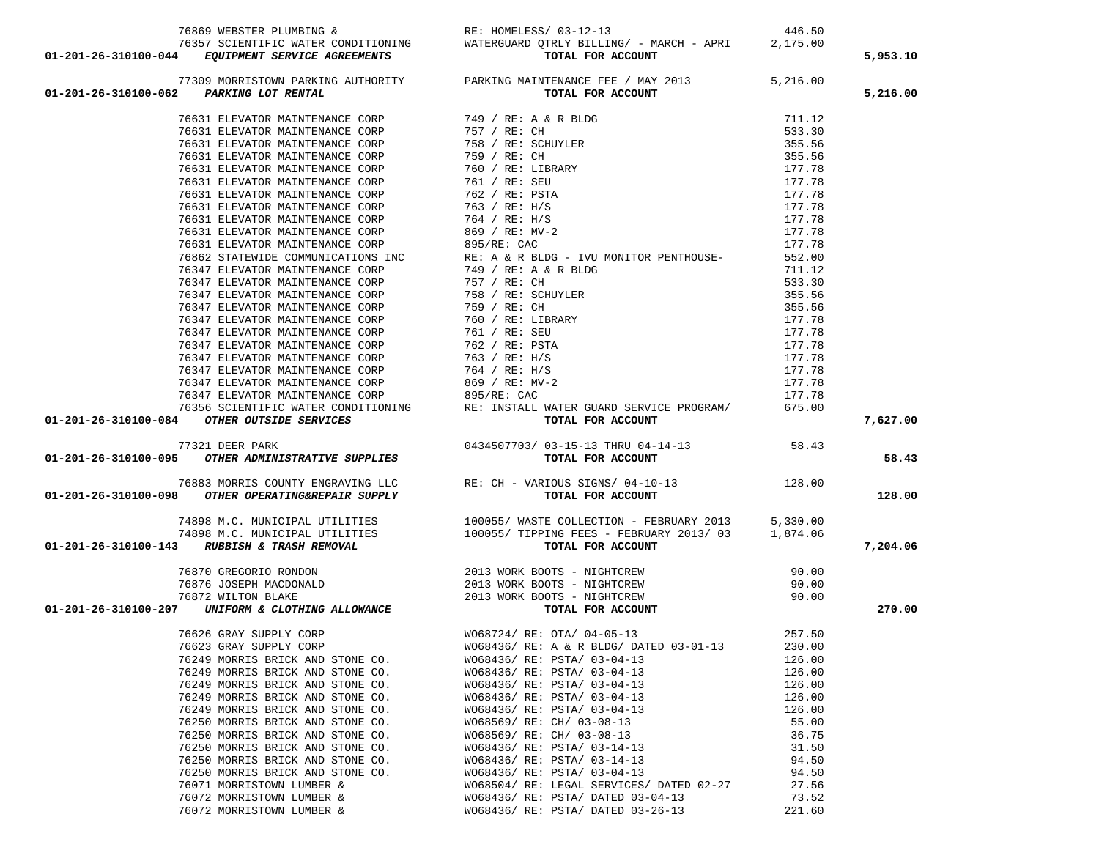| 76869 WEBSTER PLUMBING & RE: HOMELESS/ 03-12-13<br>76357 SCIENTIFIC WATER CONDITIONING WATERGUARD QTRLY BILLING/ - MARCH - APRI 2,175.00<br><b>01-201-26-310100-044</b> EQUIPMENT SERVICE AGREEMENTS TOTAL FOR ACCOUNT                                   |                                                                                                                                                                                                                                            |                | 5,953.10 |
|----------------------------------------------------------------------------------------------------------------------------------------------------------------------------------------------------------------------------------------------------------|--------------------------------------------------------------------------------------------------------------------------------------------------------------------------------------------------------------------------------------------|----------------|----------|
|                                                                                                                                                                                                                                                          |                                                                                                                                                                                                                                            |                |          |
| 01-201-26-310100-062 PARKING LOT RENTAL                                                                                                                                                                                                                  |                                                                                                                                                                                                                                            |                | 5,216.00 |
|                                                                                                                                                                                                                                                          | 77309 MORRISTOWN PARKING AUTHORITY PARKING MAINTENANCE FEE / MAY 2013 5,216.00<br>2 PARKING LOT RENTAL TOTAL FOR ACCOUNT                                                                                                                   |                |          |
| 01-201-26-310100-662 PARTIMA LOT REPAIRS. (1997)<br>79.201-26-310100-662 PARTIMANCH (1997)<br>79.631 ELEVATOR MAINTERMANCH COSP<br>79.631 ELEVATOR MAINTERMANCH COSP<br>79.631 ELEVATOR MAINTERMANCH COSP<br>79.631 ELEVATOR MAINTERMAN                  |                                                                                                                                                                                                                                            |                |          |
|                                                                                                                                                                                                                                                          |                                                                                                                                                                                                                                            |                |          |
|                                                                                                                                                                                                                                                          |                                                                                                                                                                                                                                            |                |          |
|                                                                                                                                                                                                                                                          |                                                                                                                                                                                                                                            |                |          |
|                                                                                                                                                                                                                                                          |                                                                                                                                                                                                                                            |                |          |
|                                                                                                                                                                                                                                                          |                                                                                                                                                                                                                                            |                |          |
|                                                                                                                                                                                                                                                          |                                                                                                                                                                                                                                            |                |          |
|                                                                                                                                                                                                                                                          |                                                                                                                                                                                                                                            |                |          |
|                                                                                                                                                                                                                                                          |                                                                                                                                                                                                                                            |                |          |
|                                                                                                                                                                                                                                                          |                                                                                                                                                                                                                                            |                |          |
|                                                                                                                                                                                                                                                          |                                                                                                                                                                                                                                            |                |          |
|                                                                                                                                                                                                                                                          |                                                                                                                                                                                                                                            |                |          |
|                                                                                                                                                                                                                                                          |                                                                                                                                                                                                                                            |                |          |
|                                                                                                                                                                                                                                                          |                                                                                                                                                                                                                                            |                |          |
|                                                                                                                                                                                                                                                          |                                                                                                                                                                                                                                            |                |          |
|                                                                                                                                                                                                                                                          |                                                                                                                                                                                                                                            |                |          |
|                                                                                                                                                                                                                                                          |                                                                                                                                                                                                                                            |                |          |
|                                                                                                                                                                                                                                                          |                                                                                                                                                                                                                                            |                |          |
|                                                                                                                                                                                                                                                          |                                                                                                                                                                                                                                            |                |          |
|                                                                                                                                                                                                                                                          |                                                                                                                                                                                                                                            |                |          |
|                                                                                                                                                                                                                                                          |                                                                                                                                                                                                                                            |                |          |
|                                                                                                                                                                                                                                                          |                                                                                                                                                                                                                                            |                |          |
|                                                                                                                                                                                                                                                          |                                                                                                                                                                                                                                            |                |          |
|                                                                                                                                                                                                                                                          |                                                                                                                                                                                                                                            |                |          |
|                                                                                                                                                                                                                                                          |                                                                                                                                                                                                                                            |                |          |
|                                                                                                                                                                                                                                                          |                                                                                                                                                                                                                                            |                | 7,627.00 |
|                                                                                                                                                                                                                                                          |                                                                                                                                                                                                                                            |                |          |
|                                                                                                                                                                                                                                                          |                                                                                                                                                                                                                                            |                | 58.43    |
|                                                                                                                                                                                                                                                          |                                                                                                                                                                                                                                            |                |          |
| 76883 MORRIS COUNTY ENGRAVING LLC<br><b>01-201-26-310100-098 OTHER OPERATING&amp;REPAIR SUPPLY</b> RE: CH - VARIOUS SIGNS/04-10-13<br><b>TOTAL FOR ACCOUNT</b>                                                                                           |                                                                                                                                                                                                                                            |                |          |
|                                                                                                                                                                                                                                                          |                                                                                                                                                                                                                                            |                | 128.00   |
|                                                                                                                                                                                                                                                          |                                                                                                                                                                                                                                            |                |          |
|                                                                                                                                                                                                                                                          |                                                                                                                                                                                                                                            |                |          |
|                                                                                                                                                                                                                                                          |                                                                                                                                                                                                                                            |                |          |
| 74898 M.C. MUNICIPAL UTILITIES 100055/WASTE COLLECTION - FEBRUARY 2013 5,330.00<br>74898 M.C. MUNICIPAL UTILITIES 100055/TIPPING FEES - FEBRUARY 2013/03 1,874.06<br><b>01-201-26-310100-143</b> RUBBISH & TRASH REMOVAL TOTAL FOR ACCOUN                |                                                                                                                                                                                                                                            |                | 7,204.06 |
|                                                                                                                                                                                                                                                          |                                                                                                                                                                                                                                            | 90.00          |          |
|                                                                                                                                                                                                                                                          |                                                                                                                                                                                                                                            |                |          |
|                                                                                                                                                                                                                                                          |                                                                                                                                                                                                                                            | 90.00<br>90.00 |          |
| $76870 GREGORIO RONDON76876 JOSEPH MACDONALD76872 WILLTON BLAKE01-201-26-310100-207 UNIFORM & CLOTHING ALLOWANCE2013 WORK BOOTS - NIGHTCREW2013 WORK BOOTS - NIGHTCREW2013 WORK BOOTS - NIGHTCREW2013 WORK BOOTS - NIGHTCREW2013 WORK BOOTS - NIGHTCREW$ |                                                                                                                                                                                                                                            |                | 270.00   |
|                                                                                                                                                                                                                                                          |                                                                                                                                                                                                                                            |                |          |
| 76626 GRAY SUPPLY CORP                                                                                                                                                                                                                                   | $W068724 / RE: OTA / 04-05-13$                                                                                                                                                                                                             | 257.50         |          |
| 76623 GRAY SUPPLY CORP                                                                                                                                                                                                                                   | WO68436/RE: A & R BLDG/DATED 03-01-13 230.00                                                                                                                                                                                               |                |          |
|                                                                                                                                                                                                                                                          |                                                                                                                                                                                                                                            | 126.00         |          |
|                                                                                                                                                                                                                                                          |                                                                                                                                                                                                                                            | 126.00         |          |
|                                                                                                                                                                                                                                                          |                                                                                                                                                                                                                                            | 126.00         |          |
|                                                                                                                                                                                                                                                          | 76249 MORRIS BRICK AND STONE CO.<br>76249 MORRIS BRICK AND STONE CO.<br>76249 MORRIS BRICK AND STONE CO.<br>76249 MORRIS BRICK AND STONE CO.<br>76249 MORRIS BRICK AND STONE CO.<br>76249 MORRIS BRICK AND STONE CO.<br>76249 MORRIS BRICK | 126.00         |          |
|                                                                                                                                                                                                                                                          |                                                                                                                                                                                                                                            | 126.00         |          |
|                                                                                                                                                                                                                                                          |                                                                                                                                                                                                                                            | 55.00          |          |
|                                                                                                                                                                                                                                                          |                                                                                                                                                                                                                                            | 36.75          |          |
|                                                                                                                                                                                                                                                          |                                                                                                                                                                                                                                            | 31.50          |          |
|                                                                                                                                                                                                                                                          |                                                                                                                                                                                                                                            | 94.50          |          |
|                                                                                                                                                                                                                                                          |                                                                                                                                                                                                                                            | 94.50          |          |
|                                                                                                                                                                                                                                                          |                                                                                                                                                                                                                                            | 27.56          |          |
|                                                                                                                                                                                                                                                          |                                                                                                                                                                                                                                            | 73.52          |          |
|                                                                                                                                                                                                                                                          | 76250 MORRIS BRICK AND STONE CO.<br>76250 MORRIS BRICK AND STONE CO.<br>76250 MORRIS BRICK AND STONE CO.<br>76250 MORRIS BRICK AND STONE CO.<br>76250 MORRIS BRICK AND STONE CO.<br>76250 MORRIS BRICK AND STONE CO.<br>76250 MORRIS BRICK | 221.60         |          |
|                                                                                                                                                                                                                                                          |                                                                                                                                                                                                                                            |                |          |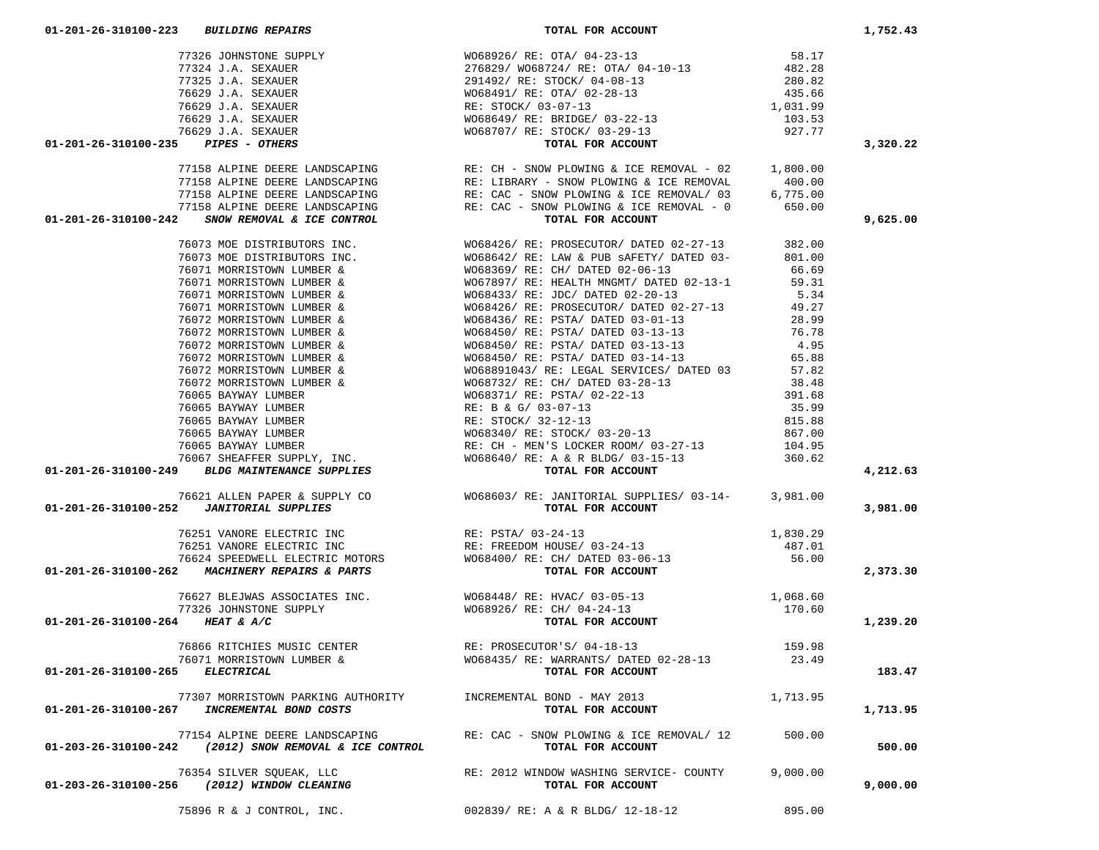|                                                                                                                                                                                                                                                                                                                                                                                            |                                                                                                      |          | 3,320.22 |
|--------------------------------------------------------------------------------------------------------------------------------------------------------------------------------------------------------------------------------------------------------------------------------------------------------------------------------------------------------------------------------------------|------------------------------------------------------------------------------------------------------|----------|----------|
|                                                                                                                                                                                                                                                                                                                                                                                            |                                                                                                      |          |          |
|                                                                                                                                                                                                                                                                                                                                                                                            |                                                                                                      |          |          |
|                                                                                                                                                                                                                                                                                                                                                                                            |                                                                                                      |          |          |
|                                                                                                                                                                                                                                                                                                                                                                                            |                                                                                                      |          |          |
|                                                                                                                                                                                                                                                                                                                                                                                            |                                                                                                      |          | 9,625.00 |
|                                                                                                                                                                                                                                                                                                                                                                                            |                                                                                                      |          |          |
|                                                                                                                                                                                                                                                                                                                                                                                            |                                                                                                      |          |          |
|                                                                                                                                                                                                                                                                                                                                                                                            |                                                                                                      |          |          |
|                                                                                                                                                                                                                                                                                                                                                                                            |                                                                                                      |          |          |
|                                                                                                                                                                                                                                                                                                                                                                                            |                                                                                                      |          |          |
|                                                                                                                                                                                                                                                                                                                                                                                            |                                                                                                      |          |          |
|                                                                                                                                                                                                                                                                                                                                                                                            |                                                                                                      |          |          |
|                                                                                                                                                                                                                                                                                                                                                                                            |                                                                                                      |          |          |
|                                                                                                                                                                                                                                                                                                                                                                                            |                                                                                                      |          |          |
|                                                                                                                                                                                                                                                                                                                                                                                            |                                                                                                      |          |          |
|                                                                                                                                                                                                                                                                                                                                                                                            |                                                                                                      |          |          |
|                                                                                                                                                                                                                                                                                                                                                                                            |                                                                                                      |          |          |
|                                                                                                                                                                                                                                                                                                                                                                                            |                                                                                                      |          |          |
|                                                                                                                                                                                                                                                                                                                                                                                            |                                                                                                      |          |          |
|                                                                                                                                                                                                                                                                                                                                                                                            |                                                                                                      |          |          |
|                                                                                                                                                                                                                                                                                                                                                                                            |                                                                                                      |          |          |
|                                                                                                                                                                                                                                                                                                                                                                                            |                                                                                                      |          |          |
|                                                                                                                                                                                                                                                                                                                                                                                            |                                                                                                      |          |          |
|                                                                                                                                                                                                                                                                                                                                                                                            |                                                                                                      |          |          |
|                                                                                                                                                                                                                                                                                                                                                                                            |                                                                                                      |          |          |
| 01-201-26-310100-235 PTERM ALPITS DESIGNATION REV. CUI-ROW MOONING A TOS BROONT. -02 1,800.00<br>77158 ALPITS DESIGNATION REV. CUI-ROW MOONING A TOS BROONT. -02 1,800.00<br>77158 ALPITS DESIGNATION REV. COMPRODENT REV. COMPRO                                                                                                                                                          |                                                                                                      |          | 4,212.63 |
|                                                                                                                                                                                                                                                                                                                                                                                            |                                                                                                      |          |          |
|                                                                                                                                                                                                                                                                                                                                                                                            |                                                                                                      |          | 3,981.00 |
|                                                                                                                                                                                                                                                                                                                                                                                            |                                                                                                      |          |          |
|                                                                                                                                                                                                                                                                                                                                                                                            |                                                                                                      |          |          |
|                                                                                                                                                                                                                                                                                                                                                                                            |                                                                                                      |          |          |
|                                                                                                                                                                                                                                                                                                                                                                                            |                                                                                                      |          |          |
|                                                                                                                                                                                                                                                                                                                                                                                            |                                                                                                      |          | 2,373.30 |
|                                                                                                                                                                                                                                                                                                                                                                                            |                                                                                                      |          |          |
|                                                                                                                                                                                                                                                                                                                                                                                            |                                                                                                      |          |          |
|                                                                                                                                                                                                                                                                                                                                                                                            |                                                                                                      |          |          |
| $\begin{array}{cccccc} & & & & & & & 1,830.29 \\ 76251 & VANORE ELECTRIC INC & & & & & & & 1,830.29 \\ 76251 & VANORE ELECTRIC INC & & & & & & & 1,830.29 \\ 76521 & VANORE ELECTRIC MVC & & & & & & & 1,830.29 \\ 76624 & SPEEDWELL ELECTRIC MOTORS & & & & & & & 1,830.29 \\ 76627 & MACHINERV REPAIRS & & & & & & & 1,830.29 \\ 76627 & & & & & & & 1,830.29 \\ 77326 & JOPINSTONE SUP$ |                                                                                                      |          | 1,239.20 |
|                                                                                                                                                                                                                                                                                                                                                                                            |                                                                                                      |          |          |
|                                                                                                                                                                                                                                                                                                                                                                                            | 76866 RITCHIES MUSIC CENTER<br>76071 MORRISTOWN LUMBER & WO68435/ RE: WARRANTS/ DATED 02-28-13 23.49 |          |          |
|                                                                                                                                                                                                                                                                                                                                                                                            |                                                                                                      |          |          |
| 01-201-26-310100-265 ELECTRICAL                                                                                                                                                                                                                                                                                                                                                            | TOTAL FOR ACCOUNT                                                                                    |          | 183.47   |
|                                                                                                                                                                                                                                                                                                                                                                                            | INCREMENTAL BOND - MAY 2013                                                                          | 1,713.95 |          |
| 77307 MORRISTOWN PARKING AUTHORITY<br>01-201-26-310100-267 INCREMENTAL BOND COSTS                                                                                                                                                                                                                                                                                                          |                                                                                                      |          |          |
|                                                                                                                                                                                                                                                                                                                                                                                            | TOTAL FOR ACCOUNT                                                                                    |          | 1,713.95 |
| 77154 ALPINE DEERE LANDSCAPING                                                                                                                                                                                                                                                                                                                                                             | RE: CAC - SNOW PLOWING & ICE REMOVAL/ 12                                                             | 500.00   |          |
| 01-203-26-310100-242 (2012) SNOW REMOVAL & ICE CONTROL                                                                                                                                                                                                                                                                                                                                     | TOTAL FOR ACCOUNT                                                                                    |          | 500.00   |
|                                                                                                                                                                                                                                                                                                                                                                                            |                                                                                                      |          |          |
| 76354 SILVER SQUEAK, LLC                                                                                                                                                                                                                                                                                                                                                                   | RE: 2012 WINDOW WASHING SERVICE- COUNTY                                                              | 9,000.00 |          |
| 01-203-26-310100-256 (2012) WINDOW CLEANING                                                                                                                                                                                                                                                                                                                                                | TOTAL FOR ACCOUNT                                                                                    |          | 9,000.00 |
|                                                                                                                                                                                                                                                                                                                                                                                            |                                                                                                      |          |          |
| 75896 R & J CONTROL, INC.                                                                                                                                                                                                                                                                                                                                                                  | 002839/ RE: A & R BLDG/ 12-18-12                                                                     | 895.00   |          |

 **01-201-26-310100-223** *BUILDING REPAIRS* **TOTAL FOR ACCOUNT 1,752.43**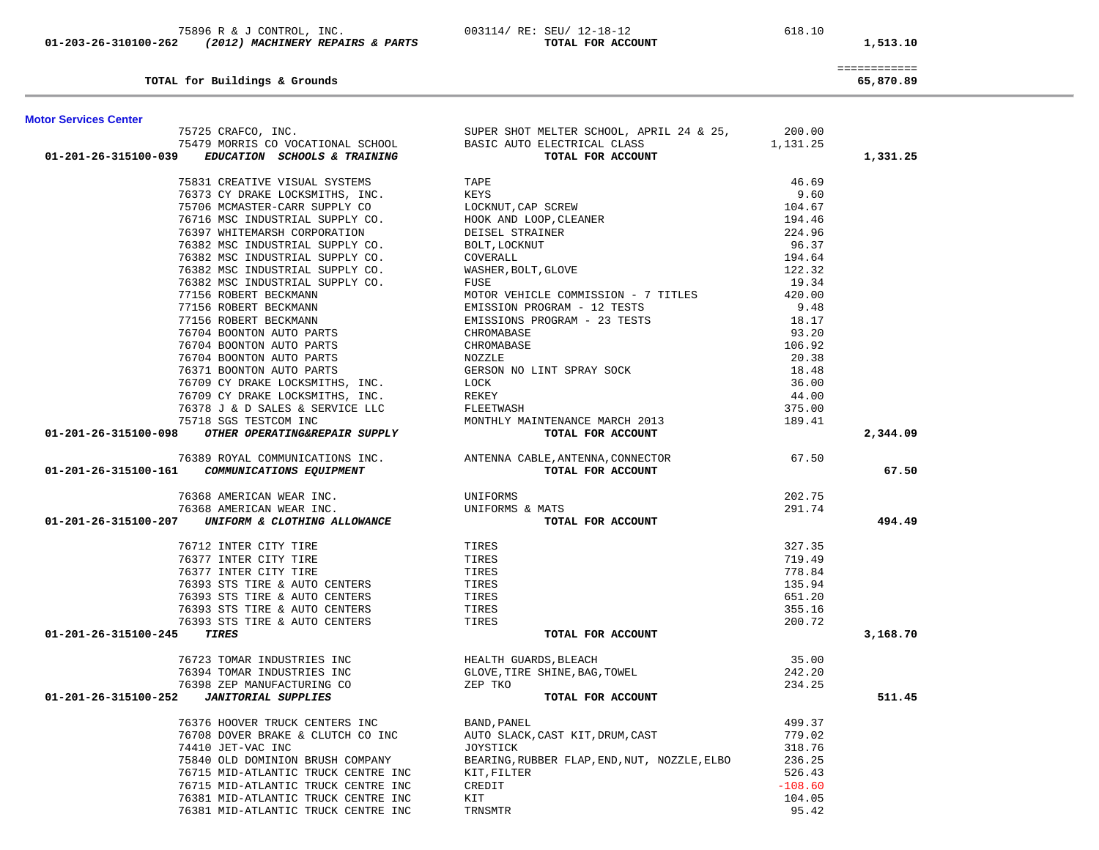|                              | TOTAL for Buildings & Grounds                                                                                                                                                                                                                |                                                                                                                                                                               |           | ------------<br>65,870.89 |
|------------------------------|----------------------------------------------------------------------------------------------------------------------------------------------------------------------------------------------------------------------------------------------|-------------------------------------------------------------------------------------------------------------------------------------------------------------------------------|-----------|---------------------------|
| <b>Motor Services Center</b> |                                                                                                                                                                                                                                              |                                                                                                                                                                               |           |                           |
|                              |                                                                                                                                                                                                                                              | 75725 CRAFCO, INC.<br>75479 MORRIS CO VOCATIONAL SCHOOL BASIC AUTO ELECTRICAL CLASS<br>The compared of the second class<br>The compared of the compared of the 1,131.25       |           |                           |
|                              |                                                                                                                                                                                                                                              |                                                                                                                                                                               |           |                           |
|                              | 01-201-26-315100-039 EDUCATION SCHOOLS & TRAINING                                                                                                                                                                                            | TOTAL FOR ACCOUNT                                                                                                                                                             |           | 1,331.25                  |
|                              |                                                                                                                                                                                                                                              |                                                                                                                                                                               |           |                           |
|                              |                                                                                                                                                                                                                                              |                                                                                                                                                                               |           |                           |
|                              |                                                                                                                                                                                                                                              |                                                                                                                                                                               |           |                           |
|                              |                                                                                                                                                                                                                                              |                                                                                                                                                                               |           |                           |
|                              |                                                                                                                                                                                                                                              |                                                                                                                                                                               |           |                           |
|                              |                                                                                                                                                                                                                                              |                                                                                                                                                                               |           |                           |
|                              |                                                                                                                                                                                                                                              |                                                                                                                                                                               |           |                           |
|                              |                                                                                                                                                                                                                                              |                                                                                                                                                                               |           |                           |
|                              |                                                                                                                                                                                                                                              |                                                                                                                                                                               |           |                           |
|                              |                                                                                                                                                                                                                                              |                                                                                                                                                                               |           |                           |
|                              |                                                                                                                                                                                                                                              |                                                                                                                                                                               |           |                           |
|                              |                                                                                                                                                                                                                                              |                                                                                                                                                                               |           |                           |
|                              |                                                                                                                                                                                                                                              |                                                                                                                                                                               |           |                           |
|                              |                                                                                                                                                                                                                                              |                                                                                                                                                                               |           |                           |
|                              |                                                                                                                                                                                                                                              |                                                                                                                                                                               |           |                           |
|                              |                                                                                                                                                                                                                                              |                                                                                                                                                                               |           |                           |
|                              |                                                                                                                                                                                                                                              |                                                                                                                                                                               |           |                           |
|                              |                                                                                                                                                                                                                                              |                                                                                                                                                                               | 375.00    |                           |
|                              |                                                                                                                                                                                                                                              |                                                                                                                                                                               | 189.41    |                           |
|                              |                                                                                                                                                                                                                                              | 76709 CY DRAKE LOCKSMITHS, INC.<br>76378 J & D SALES & SERVICE LLC<br>75718 SGS TESTCOM INC<br><b>01-201-26-315100-098</b> OTHER OPERATING&REPAIR SUPPLY<br>TOTAL FOR ACCOUNT |           | 2,344.09                  |
|                              |                                                                                                                                                                                                                                              | 76389 ROYAL COMMUNICATIONS INC.<br>ANTENNA CABLE, ANTENNA, CONNECTOR 67.50                                                                                                    |           |                           |
|                              | 01-201-26-315100-161 COMMUNICATIONS EQUIPMENT                                                                                                                                                                                                | TOTAL FOR ACCOUNT                                                                                                                                                             |           | 67.50                     |
|                              |                                                                                                                                                                                                                                              |                                                                                                                                                                               | 202.75    |                           |
|                              |                                                                                                                                                                                                                                              | UNIFORMS & MATS                                                                                                                                                               | 291.74    |                           |
|                              | 01-201-26-315100-207 UNIFORM & CLOTHING ALLOWANCE                                                                                                                                                                                            | TOTAL FOR ACCOUNT                                                                                                                                                             |           | 494.49                    |
|                              | 76712 INTER CITY TIRE<br>76377 INTER CITY TIRE<br>76377 INTER CITY TIRE<br>76393 STS TIRE & AUTO CENTERS<br>76393 STS TIRE & AUTO CENTERS<br>76393 STS TIRE & AUTO CENTERS<br>76393 STS TIRE & AUTO CENTERS<br>76393 STS TIRE & AUTO CENTERS |                                                                                                                                                                               | 327.35    |                           |
|                              |                                                                                                                                                                                                                                              |                                                                                                                                                                               | 719.49    |                           |
|                              |                                                                                                                                                                                                                                              |                                                                                                                                                                               | 778.84    |                           |
|                              |                                                                                                                                                                                                                                              |                                                                                                                                                                               | 135.94    |                           |
|                              |                                                                                                                                                                                                                                              |                                                                                                                                                                               | 651.20    |                           |
|                              |                                                                                                                                                                                                                                              |                                                                                                                                                                               | 355.16    |                           |
|                              |                                                                                                                                                                                                                                              |                                                                                                                                                                               | 200.72    |                           |
| 01-201-26-315100-245         | <b>TIRES</b>                                                                                                                                                                                                                                 | TOTAL FOR ACCOUNT                                                                                                                                                             |           | 3,168.70                  |
|                              | 76723 TOMAR INDUSTRIES INC<br>76394 TOMAR INDUSTRIES INC<br>76398 ZEP MANUFACTURING CO<br>2 TANITOPIAL SUPPLIES<br>2 TANITOPIAL SUPPLIES                                                                                                     |                                                                                                                                                                               | 35.00     |                           |
|                              |                                                                                                                                                                                                                                              |                                                                                                                                                                               | 242.20    |                           |
|                              |                                                                                                                                                                                                                                              |                                                                                                                                                                               | 234.25    |                           |
|                              |                                                                                                                                                                                                                                              | TOTAL FOR ACCOUNT                                                                                                                                                             |           | 511.45                    |
|                              |                                                                                                                                                                                                                                              | 76376 HOOVER TRUCK CENTERS INC<br>76708 DOVER BRAKE & CLUTCH CO INC AUTO SLACK, CAST KIT, DRUM, CAST                                                                          | 499.37    |                           |
|                              |                                                                                                                                                                                                                                              |                                                                                                                                                                               | 779.02    |                           |
|                              |                                                                                                                                                                                                                                              | JOYSTICK<br>BEARING,RUBBER FLAP,END,NUT, NOZZLE,ELBO                                                                                                                          | 318.76    |                           |
|                              | 75840 OLD DOMINION BRUSH COMPANY                                                                                                                                                                                                             |                                                                                                                                                                               | 236.25    |                           |
|                              | 76715 MID-ATLANTIC TRUCK CENTRE INC                                                                                                                                                                                                          | KIT, FILTER                                                                                                                                                                   | 526.43    |                           |
|                              | 76715 MID-ATLANTIC TRUCK CENTRE INC                                                                                                                                                                                                          | CREDIT                                                                                                                                                                        | $-108.60$ |                           |

76381 MID-ATLANTIC TRUCK CENTRE INC KIT

76381 MID-ATLANTIC TRUCK CENTRE INC TRNSMTR

 75896 R & J CONTROL, INC. 003114/ RE: SEU/ 12-18-12 618.10  **01-203-26-310100-262** *(2012) MACHINERY REPAIRS & PARTS* **TOTAL FOR ACCOUNT 1,513.10**

104.05

95.42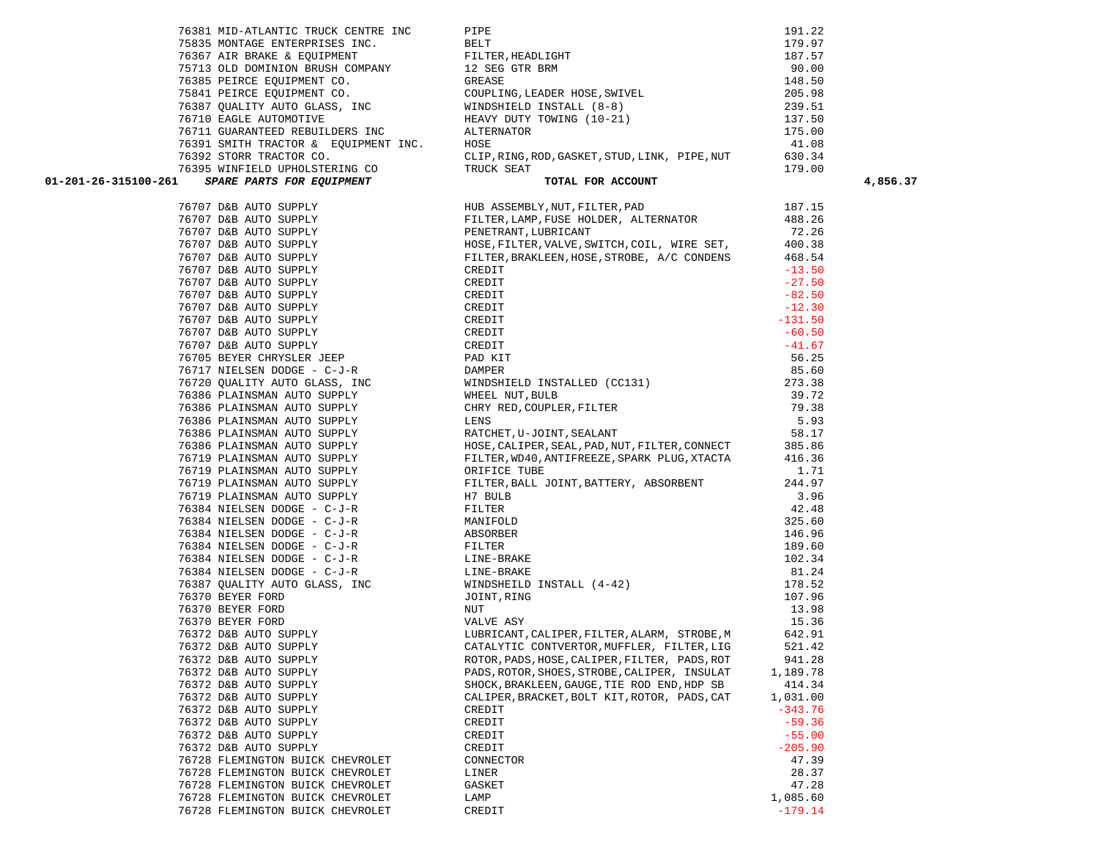| 01-201-26-315100-261                           |                                                                                             |                    | 4,856.37 |
|------------------------------------------------|---------------------------------------------------------------------------------------------|--------------------|----------|
|                                                |                                                                                             |                    |          |
|                                                |                                                                                             |                    |          |
|                                                |                                                                                             |                    |          |
|                                                |                                                                                             |                    |          |
|                                                |                                                                                             |                    |          |
|                                                |                                                                                             |                    |          |
|                                                |                                                                                             |                    |          |
|                                                |                                                                                             |                    |          |
|                                                |                                                                                             |                    |          |
|                                                |                                                                                             |                    |          |
|                                                |                                                                                             |                    |          |
|                                                |                                                                                             |                    |          |
|                                                |                                                                                             |                    |          |
|                                                |                                                                                             |                    |          |
|                                                |                                                                                             |                    |          |
|                                                |                                                                                             |                    |          |
|                                                |                                                                                             |                    |          |
|                                                |                                                                                             |                    |          |
|                                                |                                                                                             |                    |          |
|                                                |                                                                                             |                    |          |
|                                                |                                                                                             |                    |          |
|                                                |                                                                                             |                    |          |
|                                                |                                                                                             |                    |          |
|                                                |                                                                                             |                    |          |
|                                                |                                                                                             |                    |          |
|                                                |                                                                                             |                    |          |
|                                                |                                                                                             | 146.96             |          |
|                                                |                                                                                             | 189.60             |          |
|                                                |                                                                                             | 102.34             |          |
|                                                |                                                                                             | 81.24              |          |
|                                                |                                                                                             | 178.52             |          |
|                                                |                                                                                             | 107.96             |          |
|                                                |                                                                                             | 13.98              |          |
|                                                |                                                                                             | 15.36              |          |
|                                                | LUBRICANT, CALIPER, FILTER, ALARM, STROBE, M                                                | 642.91             |          |
|                                                | 76372 D&B AUTO SUPPLY <b>CATALYTIC CONTVERTOR, MUFFLER, FILTER, LIG</b>                     | 521.42             |          |
| 76372 D&B AUTO SUPPLY                          | ROTOR, PADS, HOSE, CALIPER, FILTER, PADS, ROT                                               | 941.28             |          |
| 76372 D&B AUTO SUPPLY                          | PADS, ROTOR, SHOES, STROBE, CALIPER, INSULAT                                                | 1,189.78           |          |
| 76372 D&B AUTO SUPPLY                          | SHOCK, BRAKLEEN, GAUGE, TIE ROD END, HDP SB<br>CALIPER, BRACKET, BOLT KIT, ROTOR, PADS, CAT | 414.34<br>1,031.00 |          |
| 76372 D&B AUTO SUPPLY<br>76372 D&B AUTO SUPPLY | CREDIT                                                                                      | $-343.76$          |          |
| 76372 D&B AUTO SUPPLY                          | CREDIT                                                                                      | $-59.36$           |          |
| 76372 D&B AUTO SUPPLY                          | CREDIT                                                                                      | $-55.00$           |          |
| 76372 D&B AUTO SUPPLY                          | CREDIT                                                                                      | $-205.90$          |          |
| 76728 FLEMINGTON BUICK CHEVROLET               | CONNECTOR                                                                                   | 47.39              |          |
| 76728 FLEMINGTON BUICK CHEVROLET               | LINER                                                                                       | 28.37              |          |
| 76728 FLEMINGTON BUICK CHEVROLET               | GASKET                                                                                      | 47.28              |          |
| 76728 FLEMINGTON BUICK CHEVROLET               | LAMP                                                                                        | 1,085.60           |          |
| 76728 FLEMINGTON BUICK CHEVROLET               | CREDIT                                                                                      | $-179.14$          |          |
|                                                |                                                                                             |                    |          |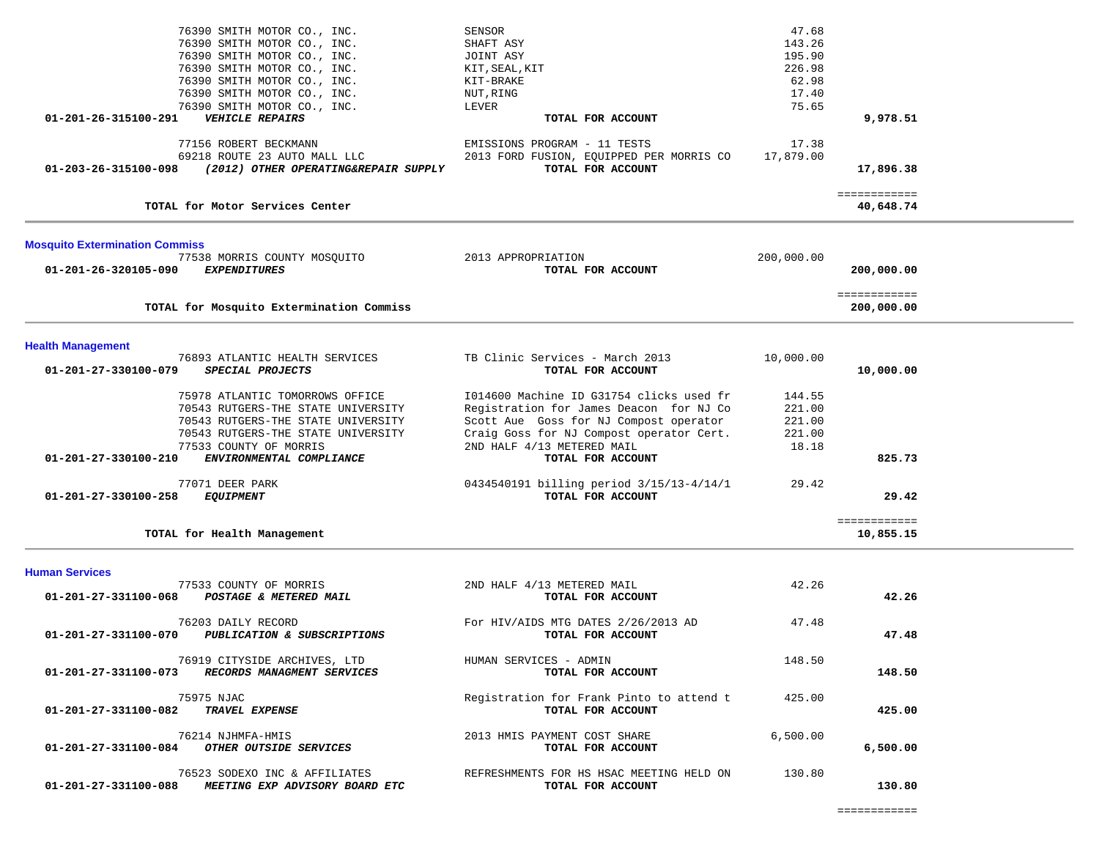| 76390 SMITH MOTOR CO., INC.                                  | SENSOR                                               | 47.68      |              |  |
|--------------------------------------------------------------|------------------------------------------------------|------------|--------------|--|
| 76390 SMITH MOTOR CO., INC.                                  | SHAFT ASY                                            | 143.26     |              |  |
| 76390 SMITH MOTOR CO., INC.                                  | JOINT ASY                                            | 195.90     |              |  |
| 76390 SMITH MOTOR CO., INC.                                  | KIT, SEAL, KIT                                       | 226.98     |              |  |
| 76390 SMITH MOTOR CO., INC.                                  | KIT-BRAKE                                            | 62.98      |              |  |
| 76390 SMITH MOTOR CO., INC.                                  | NUT, RING                                            | 17.40      |              |  |
|                                                              |                                                      | 75.65      |              |  |
| 76390 SMITH MOTOR CO., INC.                                  | LEVER                                                |            |              |  |
| <b>VEHICLE REPAIRS</b><br>01-201-26-315100-291               | TOTAL FOR ACCOUNT                                    |            | 9,978.51     |  |
|                                                              |                                                      |            |              |  |
| 77156 ROBERT BECKMANN                                        | EMISSIONS PROGRAM - 11 TESTS                         | 17.38      |              |  |
| 69218 ROUTE 23 AUTO MALL LLC                                 | 2013 FORD FUSION, EQUIPPED PER MORRIS CO             | 17,879.00  |              |  |
| 01-203-26-315100-098<br>(2012) OTHER OPERATING&REPAIR SUPPLY | TOTAL FOR ACCOUNT                                    |            | 17,896.38    |  |
|                                                              |                                                      |            |              |  |
|                                                              |                                                      |            | ============ |  |
| TOTAL for Motor Services Center                              |                                                      |            | 40,648.74    |  |
|                                                              |                                                      |            |              |  |
|                                                              |                                                      |            |              |  |
| <b>Mosquito Extermination Commiss</b>                        |                                                      |            |              |  |
| 77538 MORRIS COUNTY MOSQUITO                                 | 2013 APPROPRIATION                                   | 200,000.00 |              |  |
| <b>EXPENDITURES</b><br>01-201-26-320105-090                  | TOTAL FOR ACCOUNT                                    |            | 200,000.00   |  |
|                                                              |                                                      |            |              |  |
|                                                              |                                                      |            | ============ |  |
| TOTAL for Mosquito Extermination Commiss                     |                                                      |            | 200,000.00   |  |
|                                                              |                                                      |            |              |  |
| <b>Health Management</b>                                     |                                                      |            |              |  |
|                                                              |                                                      |            |              |  |
| 76893 ATLANTIC HEALTH SERVICES                               | TB Clinic Services - March 2013<br>TOTAL FOR ACCOUNT | 10,000.00  |              |  |
| SPECIAL PROJECTS<br>01-201-27-330100-079                     |                                                      |            | 10,000.00    |  |
|                                                              |                                                      |            |              |  |
| 75978 ATLANTIC TOMORROWS OFFICE                              | 1014600 Machine ID G31754 clicks used fr             | 144.55     |              |  |
| 70543 RUTGERS-THE STATE UNIVERSITY                           | Registration for James Deacon for NJ Co              | 221.00     |              |  |
| 70543 RUTGERS-THE STATE UNIVERSITY                           | Scott Aue Goss for NJ Compost operator               | 221.00     |              |  |
| 70543 RUTGERS-THE STATE UNIVERSITY                           | Craig Goss for NJ Compost operator Cert.             | 221.00     |              |  |
| 77533 COUNTY OF MORRIS                                       | 2ND HALF 4/13 METERED MAIL                           | 18.18      |              |  |
| 01-201-27-330100-210<br>ENVIRONMENTAL COMPLIANCE             | TOTAL FOR ACCOUNT                                    |            | 825.73       |  |
|                                                              |                                                      |            |              |  |
| 77071 DEER PARK                                              | 0434540191 billing period 3/15/13-4/14/1             | 29.42      |              |  |
| <b>EQUIPMENT</b><br>01-201-27-330100-258                     | TOTAL FOR ACCOUNT                                    |            | 29.42        |  |
|                                                              |                                                      |            |              |  |
|                                                              |                                                      |            | ============ |  |
| TOTAL for Health Management                                  |                                                      |            | 10,855.15    |  |
|                                                              |                                                      |            |              |  |
|                                                              |                                                      |            |              |  |
| <b>Human Services</b>                                        |                                                      |            |              |  |
| 77533 COUNTY OF MORRIS                                       | 2ND HALF 4/13 METERED MAIL                           | 42.26      |              |  |
| 01-201-27-331100-068<br>POSTAGE & METERED MAIL               | TOTAL FOR ACCOUNT                                    |            | 42.26        |  |
|                                                              |                                                      |            |              |  |
| 76203 DAILY RECORD                                           | For HIV/AIDS MTG DATES 2/26/2013 AD                  | 47.48      |              |  |
| 01-201-27-331100-070<br>PUBLICATION & SUBSCRIPTIONS          | TOTAL FOR ACCOUNT                                    |            | 47.48        |  |
|                                                              |                                                      |            |              |  |
| 76919 CITYSIDE ARCHIVES, LTD                                 | HUMAN SERVICES - ADMIN                               | 148.50     |              |  |
| 01-201-27-331100-073 RECORDS MANAGMENT SERVICES              | TOTAL FOR ACCOUNT                                    |            | 148.50       |  |
|                                                              |                                                      |            |              |  |
| 75975 NJAC                                                   | Registration for Frank Pinto to attend t             | 425.00     |              |  |
| 01-201-27-331100-082 TRAVEL EXPENSE                          | TOTAL FOR ACCOUNT                                    |            | 425.00       |  |
|                                                              |                                                      |            |              |  |
| 76214 NJHMFA-HMIS                                            | 2013 HMIS PAYMENT COST SHARE                         | 6,500.00   |              |  |
| 01-201-27-331100-084 OTHER OUTSIDE SERVICES                  | TOTAL FOR ACCOUNT                                    |            | 6,500.00     |  |
|                                                              |                                                      |            |              |  |
| 76523 SODEXO INC & AFFILIATES                                | REFRESHMENTS FOR HS HSAC MEETING HELD ON             | 130.80     |              |  |
| 01-201-27-331100-088 MEETING EXP ADVISORY BOARD ETC          | TOTAL FOR ACCOUNT                                    |            | 130.80       |  |
|                                                              |                                                      |            |              |  |
|                                                              |                                                      |            |              |  |

 $\overline{\phantom{a}}$ 

.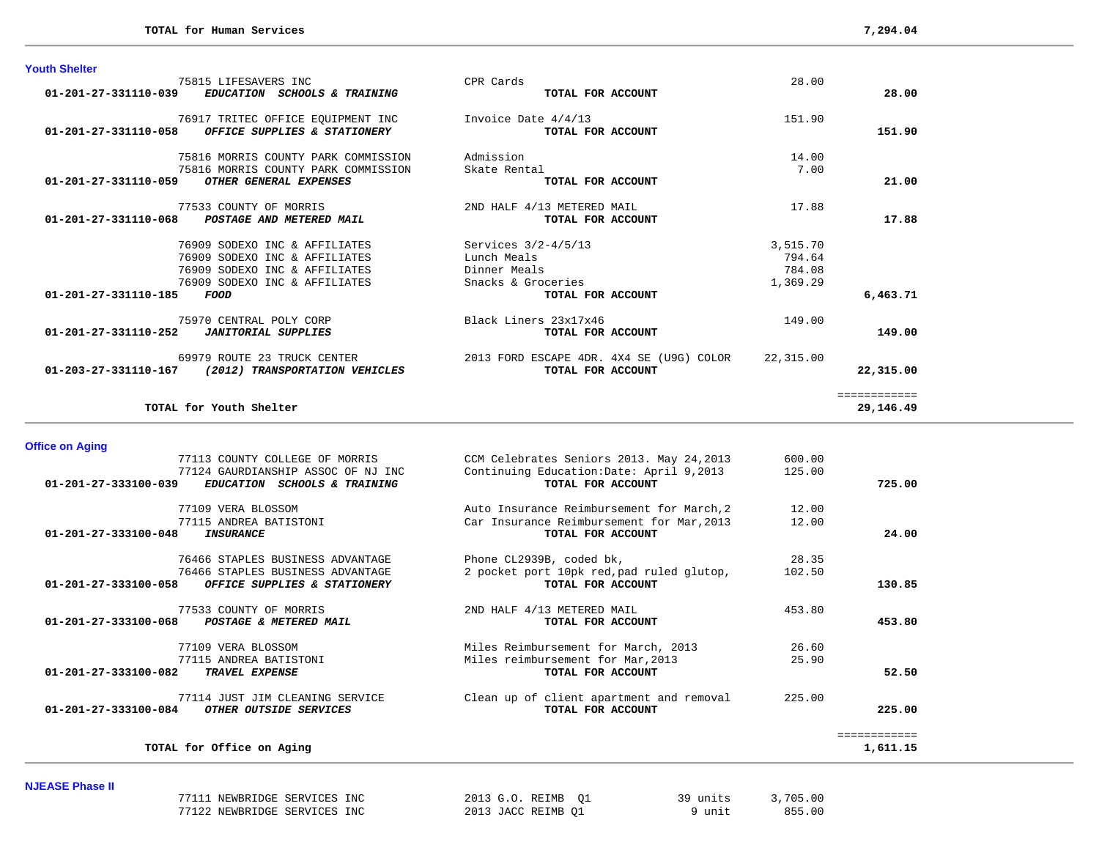| <b>Youth Shelter</b>                                  |                                          |           |                           |
|-------------------------------------------------------|------------------------------------------|-----------|---------------------------|
| 75815 LIFESAVERS INC                                  | CPR Cards                                | 28.00     |                           |
| 01-201-27-331110-039<br>EDUCATION SCHOOLS & TRAINING  | TOTAL FOR ACCOUNT                        |           | 28.00                     |
| 76917 TRITEC OFFICE EQUIPMENT INC                     | Invoice Date 4/4/13                      | 151.90    |                           |
| 01-201-27-331110-058<br>OFFICE SUPPLIES & STATIONERY  | TOTAL FOR ACCOUNT                        |           | 151.90                    |
|                                                       |                                          |           |                           |
| 75816 MORRIS COUNTY PARK COMMISSION                   | Admission                                | 14.00     |                           |
| 75816 MORRIS COUNTY PARK COMMISSION                   | Skate Rental                             | 7.00      |                           |
| <b>OTHER GENERAL EXPENSES</b><br>01-201-27-331110-059 | TOTAL FOR ACCOUNT                        |           | 21.00                     |
| 77533 COUNTY OF MORRIS                                | 2ND HALF 4/13 METERED MAIL               | 17.88     |                           |
| 01-201-27-331110-068<br>POSTAGE AND METERED MAIL      | TOTAL FOR ACCOUNT                        |           | 17.88                     |
|                                                       |                                          |           |                           |
| 76909 SODEXO INC & AFFILIATES                         | Services $3/2 - 4/5/13$                  | 3,515.70  |                           |
| 76909 SODEXO INC & AFFILIATES                         | Lunch Meals                              | 794.64    |                           |
| 76909 SODEXO INC & AFFILIATES                         | Dinner Meals                             | 784.08    |                           |
| 76909 SODEXO INC & AFFILIATES                         | Snacks & Groceries                       | 1,369.29  |                           |
| $01 - 201 - 27 - 331110 - 185$<br>FOOD                | TOTAL FOR ACCOUNT                        |           | 6,463.71                  |
| 75970 CENTRAL POLY CORP                               | Black Liners 23x17x46                    | 149.00    |                           |
| 01-201-27-331110-252<br><b>JANITORIAL SUPPLIES</b>    | TOTAL FOR ACCOUNT                        |           | 149.00                    |
| 69979 ROUTE 23 TRUCK CENTER                           | 2013 FORD ESCAPE 4DR. 4X4 SE (U9G) COLOR | 22,315.00 |                           |
| 01-203-27-331110-167 (2012) TRANSPORTATION VEHICLES   | TOTAL FOR ACCOUNT                        |           | 22,315.00                 |
|                                                       |                                          |           |                           |
| TOTAL for Youth Shelter                               |                                          |           | ============<br>29,146.49 |
|                                                       |                                          |           |                           |

| <b>Office on Aging</b>                                                              |                                           |        |              |
|-------------------------------------------------------------------------------------|-------------------------------------------|--------|--------------|
| 77113 COUNTY COLLEGE OF MORRIS                                                      | CCM Celebrates Seniors 2013. May 24, 2013 | 600.00 |              |
| 77124 GAURDIANSHIP ASSOC OF NJ INC                                                  | Continuing Education: Date: April 9,2013  | 125.00 |              |
| $01 - 201 - 27 - 333100 - 039$<br><i>EDUCATION</i><br><b>SCHOOLS &amp; TRAINING</b> | TOTAL FOR ACCOUNT                         |        | 725.00       |
| 77109 VERA BLOSSOM                                                                  | Auto Insurance Reimbursement for March, 2 | 12.00  |              |
| 77115 ANDREA BATISTONI                                                              | Car Insurance Reimbursement for Mar, 2013 | 12.00  |              |
| $01 - 201 - 27 - 333100 - 048$<br><b>INSURANCE</b>                                  | TOTAL FOR ACCOUNT                         |        | 24.00        |
| 76466 STAPLES BUSINESS ADVANTAGE                                                    | Phone CL2939B, coded bk,                  | 28.35  |              |
| 76466 STAPLES BUSINESS ADVANTAGE                                                    | 2 pocket port 10pk red, pad ruled glutop, | 102.50 |              |
| $01 - 201 - 27 - 333100 - 058$<br>OFFICE SUPPLIES & STATIONERY                      | TOTAL FOR ACCOUNT                         |        | 130.85       |
| 77533 COUNTY OF MORRIS                                                              | 2ND HALF 4/13 METERED MAIL                | 453.80 |              |
| $01 - 201 - 27 - 333100 - 068$<br>POSTAGE & METERED MAIL                            | TOTAL FOR ACCOUNT                         |        | 453.80       |
| 77109 VERA BLOSSOM                                                                  | Miles Reimbursement for March, 2013       | 26.60  |              |
| 77115 ANDREA BATISTONI                                                              | Miles reimbursement for Mar, 2013         | 25.90  |              |
| $01 - 201 - 27 - 333100 - 082$<br><b>TRAVEL EXPENSE</b>                             | TOTAL FOR ACCOUNT                         |        | 52.50        |
| 77114 JUST JIM CLEANING SERVICE                                                     | Clean up of client apartment and removal  | 225.00 |              |
| $01 - 201 - 27 - 333100 - 084$<br>OTHER OUTSIDE SERVICES                            | TOTAL FOR ACCOUNT                         |        | 225.00       |
|                                                                                     |                                           |        | ============ |
| TOTAL for Office on Aging                                                           |                                           |        | 1,611.15     |

### **NJEASE Phase II**

| . |                              |                    |          |          |
|---|------------------------------|--------------------|----------|----------|
|   | 77111 NEWBRIDGE SERVICES INC | 2013 G.O. REIMB 01 | 39 units | 3,705.00 |
|   | 77122 NEWBRIDGE SERVICES INC | 2013 JACC REIMB 01 | 9 unit   | 855.00   |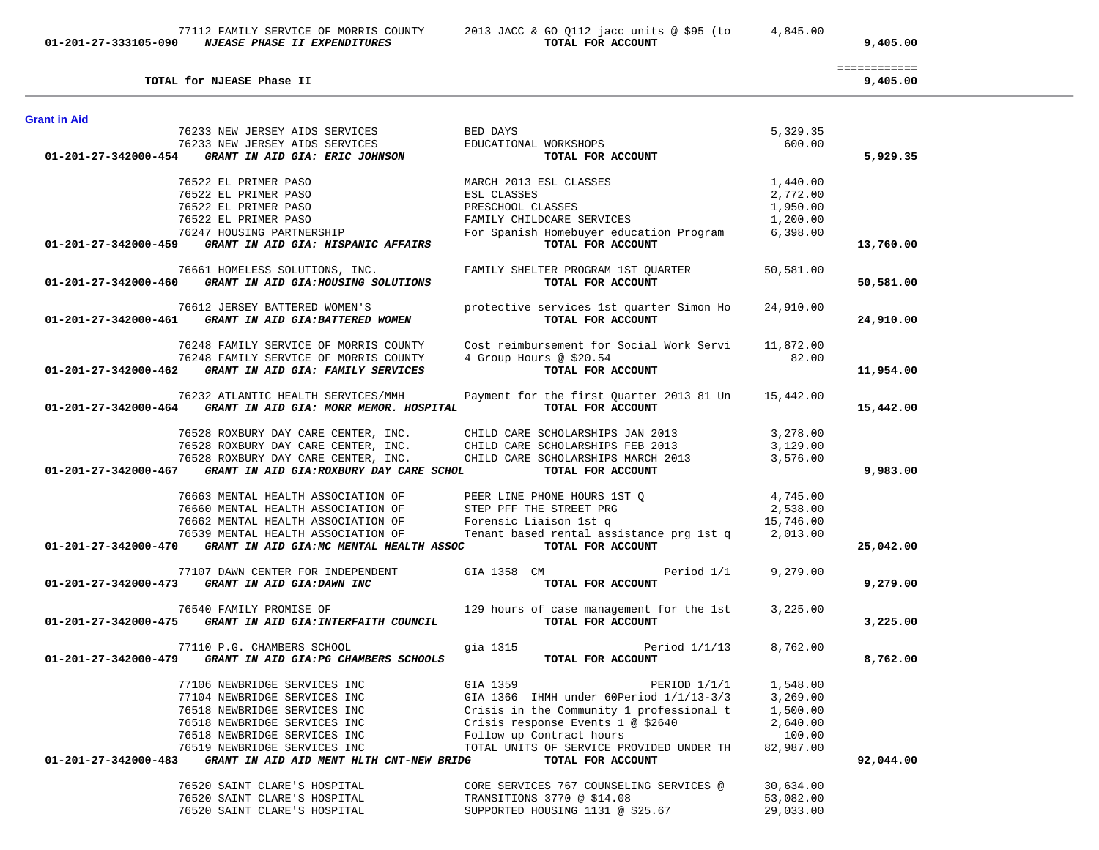| <b>Grant in Aid</b>  |                                                                                           |                                                                       |           |           |
|----------------------|-------------------------------------------------------------------------------------------|-----------------------------------------------------------------------|-----------|-----------|
|                      | 76233 NEW JERSEY AIDS SERVICES                                                            | BED DAYS                                                              | 5,329.35  |           |
|                      | 76233 NEW JERSEY AIDS SERVICES                                                            | EDUCATIONAL WORKSHOPS                                                 | 600.00    |           |
| 01-201-27-342000-454 | GRANT IN AID GIA: ERIC JOHNSON                                                            | TOTAL FOR ACCOUNT                                                     |           | 5,929.35  |
|                      | 76522 EL PRIMER PASO                                                                      | MARCH 2013 ESL CLASSES                                                | 1,440.00  |           |
|                      | 76522 EL PRIMER PASO                                                                      | ESL CLASSES                                                           | 2,772.00  |           |
|                      | 76522 EL PRIMER PASO                                                                      | PRESCHOOL CLASSES                                                     | 1,950.00  |           |
|                      | 76522 EL PRIMER PASO                                                                      | FAMILY CHILDCARE SERVICES                                             | 1,200.00  |           |
|                      | 76247 HOUSING PARTNERSHIP<br>01-201-27-342000-459 GRANT IN AID GIA: HISPANIC AFFAIRS      | For Spanish Homebuyer education Program 6,398.00<br>TOTAL FOR ACCOUNT |           | 13,760.00 |
|                      |                                                                                           |                                                                       |           |           |
|                      | 76661 HOMELESS SOLUTIONS, INC.<br>01-201-27-342000-460 GRANT IN AID GIA:HOUSING SOLUTIONS | FAMILY SHELTER PROGRAM 1ST QUARTER<br>TOTAL FOR ACCOUNT               | 50,581.00 | 50,581.00 |
|                      | 76612 JERSEY BATTERED WOMEN'S                                                             | protective services 1st quarter Simon Ho                              | 24,910.00 |           |
|                      | $01-201-27-342000-461$ GRANT IN AID GIA:BATTERED WOMEN                                    | TOTAL FOR ACCOUNT                                                     |           | 24,910.00 |
|                      | 76248 FAMILY SERVICE OF MORRIS COUNTY                                                     | Cost reimbursement for Social Work Servi                              | 11,872.00 |           |
|                      | 76248 FAMILY SERVICE OF MORRIS COUNTY                                                     | 4 Group Hours @ \$20.54                                               | 82.00     |           |
| 01-201-27-342000-462 | GRANT IN AID GIA: FAMILY SERVICES                                                         | TOTAL FOR ACCOUNT                                                     |           | 11,954.00 |
|                      | 76232 ATLANTIC HEALTH SERVICES/MMH                                                        | Payment for the first Quarter 2013 81 Un                              | 15,442.00 |           |
|                      | 01-201-27-342000-464 GRANT IN AID GIA: MORR MEMOR. HOSPITAL                               | TOTAL FOR ACCOUNT                                                     |           | 15,442.00 |
|                      |                                                                                           | CHILD CARE SCHOLARSHIPS JAN 2013                                      | 3,278.00  |           |
|                      | 76528 ROXBURY DAY CARE CENTER, INC.<br>76528 ROXBURY DAY CARE CENTER, INC.                | CHILD CARE SCHOLARSHIPS FEB 2013                                      | 3,129.00  |           |
|                      | 76528 ROXBURY DAY CARE CENTER, INC.                                                       | CHILD CARE SCHOLARSHIPS MARCH 2013                                    | 3,576.00  |           |
|                      | 01-201-27-342000-467 GRANT IN AID GIA:ROXBURY DAY CARE SCHOL                              | TOTAL FOR ACCOUNT                                                     |           | 9,983.00  |
|                      | 76663 MENTAL HEALTH ASSOCIATION OF                                                        | PEER LINE PHONE HOURS 1ST Q                                           | 4,745.00  |           |
|                      | 76660 MENTAL HEALTH ASSOCIATION OF                                                        | STEP PFF THE STREET PRG                                               | 2,538.00  |           |
|                      | 76662 MENTAL HEALTH ASSOCIATION OF                                                        | Forensic Liaison 1st q                                                | 15,746.00 |           |
|                      | 76539 MENTAL HEALTH ASSOCIATION OF                                                        | Tenant based rental assistance prg 1st q 2,013.00                     |           |           |
| 01-201-27-342000-470 | GRANT IN AID GIA:MC MENTAL HEALTH ASSOC                                                   | TOTAL FOR ACCOUNT                                                     |           | 25,042.00 |
|                      | 77107 DAWN CENTER FOR INDEPENDENT                                                         | Period 1/1<br>GIA 1358 CM                                             | 9,279.00  |           |
|                      | 01-201-27-342000-473 GRANT IN AID GIA:DAWN INC                                            | TOTAL FOR ACCOUNT                                                     |           | 9,279.00  |
|                      | 76540 FAMILY PROMISE OF                                                                   | 129 hours of case management for the 1st                              | 3,225.00  |           |
|                      | 01-201-27-342000-475 GRANT IN AID GIA: INTERFAITH COUNCIL                                 | TOTAL FOR ACCOUNT                                                     |           | 3,225.00  |
|                      | 77110 P.G. CHAMBERS SCHOOL                                                                | gia 1315<br>Period $1/1/13$                                           | 8,762.00  |           |
| 01-201-27-342000-479 | GRANT IN AID GIA: PG CHAMBERS SCHOOLS                                                     | TOTAL FOR ACCOUNT                                                     |           | 8,762.00  |
|                      | 77106 NEWBRIDGE SERVICES INC                                                              | GIA 1359<br>PERIOD $1/1/1$                                            | 1,548.00  |           |
|                      | 77104 NEWBRIDGE SERVICES INC                                                              | GIA 1366 IHMH under 60Period 1/1/13-3/3                               | 3,269.00  |           |
|                      | 76518 NEWBRIDGE SERVICES INC                                                              | Crisis in the Community 1 professional t                              | 1,500.00  |           |
|                      | 76518 NEWBRIDGE SERVICES INC                                                              | Crisis response Events 1 @ \$2640                                     | 2,640.00  |           |
|                      | 76518 NEWBRIDGE SERVICES INC                                                              | Follow up Contract hours                                              | 100.00    |           |
|                      | 76519 NEWBRIDGE SERVICES INC                                                              | TOTAL UNITS OF SERVICE PROVIDED UNDER TH                              | 82,987.00 |           |
| 01-201-27-342000-483 | GRANT IN AID AID MENT HLTH CNT-NEW BRIDG                                                  | TOTAL FOR ACCOUNT                                                     |           | 92,044.00 |
|                      | 76520 SAINT CLARE'S HOSPITAL                                                              | CORE SERVICES 767 COUNSELING SERVICES @                               | 30,634.00 |           |
|                      | 76520 SAINT CLARE'S HOSPITAL                                                              | TRANSITIONS 3770 @ \$14.08                                            | 53,082.00 |           |
|                      | 76520 SAINT CLARE'S HOSPITAL                                                              | SUPPORTED HOUSING 1131 @ \$25.67                                      | 29,033.00 |           |

============

TOTAL for NJEASE Phase II

 77112 FAMILY SERVICE OF MORRIS COUNTY 2013 JACC & GO Q112 jacc units @ \$95 (to 4,845.00  **01-201-27-333105-090** *NJEASE PHASE II EXPENDITURES* **TOTAL FOR ACCOUNT 9,405.00**

 $9,405.00$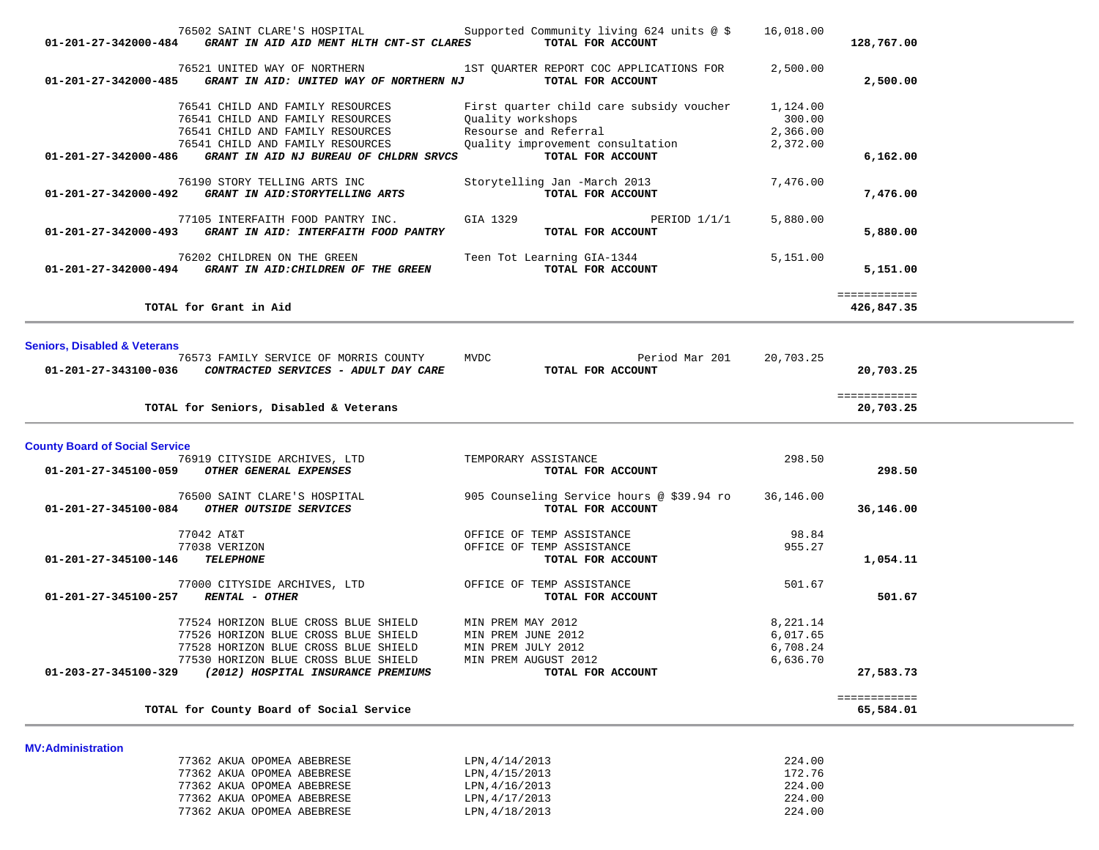| 01-201-27-342000-484                    | 76502 SAINT CLARE'S HOSPITAL<br>GRANT IN AID AID MENT HLTH CNT-ST CLARES                | Supported Community living 624 units @ \$<br>TOTAL FOR ACCOUNT | 16,018.00          | 128,767.00                 |
|-----------------------------------------|-----------------------------------------------------------------------------------------|----------------------------------------------------------------|--------------------|----------------------------|
| 01-201-27-342000-485                    | 76521 UNITED WAY OF NORTHERN<br>GRANT IN AID: UNITED WAY OF NORTHERN NJ                 | 1ST QUARTER REPORT COC APPLICATIONS FOR<br>TOTAL FOR ACCOUNT   | 2,500.00           | 2,500.00                   |
|                                         | 76541 CHILD AND FAMILY RESOURCES<br>76541 CHILD AND FAMILY RESOURCES                    | First quarter child care subsidy voucher<br>Quality workshops  | 1,124.00<br>300.00 |                            |
|                                         | 76541 CHILD AND FAMILY RESOURCES                                                        | Resourse and Referral                                          | 2,366.00           |                            |
|                                         | 76541 CHILD AND FAMILY RESOURCES                                                        | Quality improvement consultation                               | 2,372.00           |                            |
| 01-201-27-342000-486                    | GRANT IN AID NJ BUREAU OF CHLDRN SRVCS                                                  | TOTAL FOR ACCOUNT                                              |                    | 6,162.00                   |
| 01-201-27-342000-492                    | 76190 STORY TELLING ARTS INC<br>GRANT IN AID: STORYTELLING ARTS                         | Storytelling Jan -March 2013<br>TOTAL FOR ACCOUNT              | 7,476.00           | 7,476.00                   |
| 01-201-27-342000-493                    | 77105 INTERFAITH FOOD PANTRY INC.<br>GRANT IN AID: INTERFAITH FOOD PANTRY               | GIA 1329<br>PERIOD $1/1/1$<br>TOTAL FOR ACCOUNT                | 5,880.00           | 5,880.00                   |
|                                         | 76202 CHILDREN ON THE GREEN<br>01-201-27-342000-494 GRANT IN AID: CHILDREN OF THE GREEN | Teen Tot Learning GIA-1344<br>TOTAL FOR ACCOUNT                | 5,151.00           | 5,151.00                   |
|                                         | TOTAL for Grant in Aid                                                                  |                                                                |                    | ============<br>426,847.35 |
|                                         |                                                                                         |                                                                |                    |                            |
| <b>Seniors, Disabled &amp; Veterans</b> | 76573 FAMILY SERVICE OF MORRIS COUNTY                                                   | <b>MVDC</b><br>Period Mar 201                                  | 20,703.25          |                            |
|                                         | 01-201-27-343100-036  CONTRACTED SERVICES - ADULT DAY CARE                              | TOTAL FOR ACCOUNT                                              |                    | 20,703.25                  |
|                                         | TOTAL for Seniors, Disabled & Veterans                                                  |                                                                |                    | ============<br>20,703.25  |
| <b>County Board of Social Service</b>   |                                                                                         |                                                                |                    |                            |
|                                         | 76919 CITYSIDE ARCHIVES, LTD                                                            | TEMPORARY ASSISTANCE                                           | 298.50             |                            |
|                                         | 01-201-27-345100-059 OTHER GENERAL EXPENSES                                             | TOTAL FOR ACCOUNT                                              |                    | 298.50                     |
|                                         | 76500 SAINT CLARE'S HOSPITAL                                                            | 905 Counseling Service hours @ \$39.94 ro                      | 36,146.00          |                            |
| 01-201-27-345100-084                    | OTHER OUTSIDE SERVICES                                                                  | TOTAL FOR ACCOUNT                                              |                    | 36,146.00                  |
|                                         | 77042 AT&T                                                                              | OFFICE OF TEMP ASSISTANCE                                      | 98.84              |                            |
|                                         | 77038 VERIZON                                                                           | OFFICE OF TEMP ASSISTANCE                                      | 955.27             |                            |
| 01-201-27-345100-146                    | <b>TELEPHONE</b>                                                                        | TOTAL FOR ACCOUNT                                              |                    | 1,054.11                   |
|                                         | 77000 CITYSIDE ARCHIVES, LTD                                                            | OFFICE OF TEMP ASSISTANCE                                      | 501.67             |                            |
| 01-201-27-345100-257                    | <b>RENTAL - OTHER</b>                                                                   | TOTAL FOR ACCOUNT                                              |                    | 501.67                     |
|                                         |                                                                                         |                                                                |                    |                            |
|                                         | 77524 HORIZON BLUE CROSS BLUE SHIELD                                                    | MIN PREM MAY 2012                                              | 8,221.14           |                            |
|                                         | 77526 HORIZON BLUE CROSS BLUE SHIELD                                                    | MIN PREM JUNE 2012                                             | 6,017.65           |                            |
|                                         | 77528 HORIZON BLUE CROSS BLUE SHIELD<br>77530 HORIZON BLUE CROSS BLUE SHIELD            | MIN PREM JULY 2012                                             | 6,708.24           |                            |
| 01-203-27-345100-329                    | (2012) HOSPITAL INSURANCE PREMIUMS                                                      | MIN PREM AUGUST 2012<br>TOTAL FOR ACCOUNT                      | 6,636.70           | 27,583.73                  |
|                                         |                                                                                         |                                                                |                    | ============               |
|                                         | TOTAL for County Board of Social Service                                                |                                                                |                    | 65,584.01                  |
| <b>MV:Administration</b>                |                                                                                         |                                                                |                    |                            |
|                                         | 77362 AKUA OPOMEA ABEBRESE                                                              | LPN, 4/14/2013                                                 | 224.00             |                            |
|                                         | 77362 AKUA OPOMEA ABEBRESE                                                              | LPN, 4/15/2013                                                 | 172.76             |                            |
|                                         | 77362 AKUA OPOMEA ABEBRESE                                                              | LPN, 4/16/2013                                                 | 224.00             |                            |
|                                         | 77362 AKUA OPOMEA ABEBRESE                                                              | LPN, 4/17/2013                                                 | 224.00             |                            |
|                                         | 77362 AKUA OPOMEA ABEBRESE                                                              | LPN, 4/18/2013                                                 | 224.00             |                            |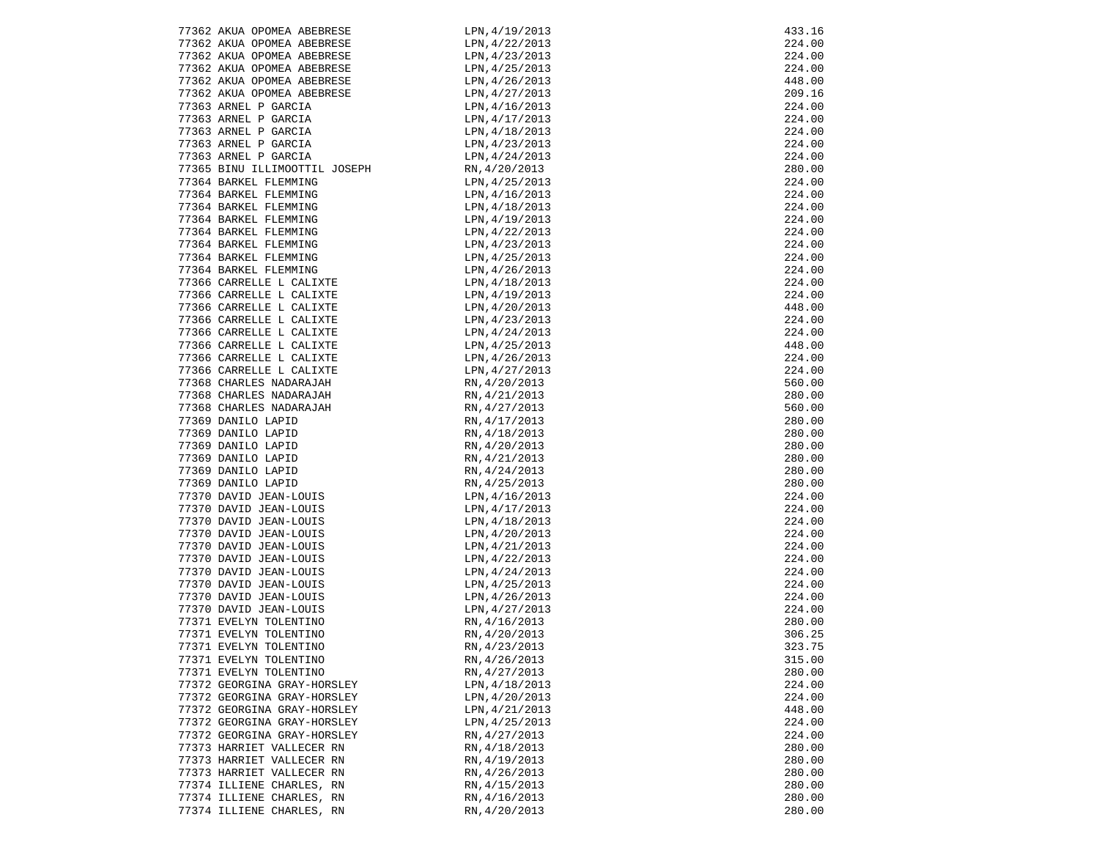| 77362 AKUA OPOMEA ABEBRESE    | LPN, 4/19/2013    | 433.16 |
|-------------------------------|-------------------|--------|
| 77362 AKUA OPOMEA ABEBRESE    | LPN, 4/22/2013    | 224.00 |
| 77362 AKUA OPOMEA ABEBRESE    | LPN, 4/23/2013    | 224.00 |
| 77362 AKUA OPOMEA ABEBRESE    | LPN, 4/25/2013    | 224.00 |
| 77362 AKUA OPOMEA ABEBRESE    | LPN, 4/26/2013    | 448.00 |
| 77362 AKUA OPOMEA ABEBRESE    | LPN,4/27/2013     | 209.16 |
| 77363 ARNEL P GARCIA          | LPN, 4/16/2013    | 224.00 |
| 77363 ARNEL P GARCIA          | LPN, 4/17/2013    | 224.00 |
| 77363 ARNEL P GARCIA          | LPN, 4/18/2013    | 224.00 |
| 77363 ARNEL P GARCIA          | LPN, 4/23/2013    | 224.00 |
| 77363 ARNEL P GARCIA          | LPN, 4/24/2013    | 224.00 |
| 77365 BINU ILLIMOOTTIL JOSEPH | RN, 4/20/2013     | 280.00 |
| 77364 BARKEL FLEMMING         | LPN, 4/25/2013    | 224.00 |
| 77364 BARKEL FLEMMING         | LPN, 4/16/2013    | 224.00 |
| 77364 BARKEL FLEMMING         | LPN, 4/18/2013    | 224.00 |
| 77364 BARKEL FLEMMING         | $LPN$ , 4/19/2013 | 224.00 |
| 77364 BARKEL FLEMMING         | LPN, 4/22/2013    | 224.00 |
| 77364 BARKEL FLEMMING         | LPN,4/23/2013     | 224.00 |
| 77364 BARKEL FLEMMING         | LPN, 4/25/2013    | 224.00 |
| 77364 BARKEL FLEMMING         | LPN,4/26/2013     | 224.00 |
| 77366 CARRELLE L CALIXTE      | LPN,4/18/2013     | 224.00 |
| 77366 CARRELLE L CALIXTE      | LPN, 4/19/2013    | 224.00 |
| 77366 CARRELLE L CALIXTE      | LPN, 4/20/2013    | 448.00 |
| 77366 CARRELLE L CALIXTE      | LPN,4/23/2013     | 224.00 |
| 77366 CARRELLE L CALIXTE      | LPN, 4/24/2013    | 224.00 |
| 77366 CARRELLE L CALIXTE      | LPN, 4/25/2013    | 448.00 |
| 77366 CARRELLE L CALIXTE      | LPN, 4/26/2013    | 224.00 |
| 77366 CARRELLE L CALIXTE      | LPN, 4/27/2013    | 224.00 |
| 77368 CHARLES NADARAJAH       | RN, 4/20/2013     | 560.00 |
| 77368 CHARLES NADARAJAH       | RN, 4/21/2013     | 280.00 |
| 77368 CHARLES NADARAJAH       | RN, 4/27/2013     | 560.00 |
| 77369 DANILO LAPID            | RN, 4/17/2013     | 280.00 |
| 77369 DANILO LAPID            | RN, 4/18/2013     | 280.00 |
| 77369 DANILO LAPID            | RN, 4/20/2013     | 280.00 |
| 77369 DANILO LAPID            | RN, 4/21/2013     | 280.00 |
| 77369 DANILO LAPID            | RN, 4/24/2013     | 280.00 |
| 77369 DANILO LAPID            | RN, 4/25/2013     | 280.00 |
| 77370 DAVID JEAN-LOUIS        | LPN, 4/16/2013    | 224.00 |
| 77370 DAVID JEAN-LOUIS        | LPN, 4/17/2013    | 224.00 |
| 77370 DAVID JEAN-LOUIS        | LPN, 4/18/2013    | 224.00 |
| 77370 DAVID JEAN-LOUIS        | LPN, 4/20/2013    | 224.00 |
| 77370 DAVID JEAN-LOUIS        | LPN, 4/21/2013    | 224.00 |
| 77370 DAVID JEAN-LOUIS        | LPN, 4/22/2013    | 224.00 |
| 77370 DAVID JEAN-LOUIS        | LPN, 4/24/2013    | 224.00 |
| 77370 DAVID JEAN-LOUIS        | LPN, 4/25/2013    | 224.00 |
| 77370 DAVID JEAN-LOUIS        | LPN, 4/26/2013    | 224.00 |
| 77370 DAVID JEAN-LOUIS        | LPN, 4/27/2013    | 224.00 |
| 77371 EVELYN TOLENTINO        | RN, 4/16/2013     | 280.00 |
| 77371 EVELYN TOLENTINO        | RN, 4/20/2013     | 306.25 |
| 77371 EVELYN TOLENTINO        | RN, 4/23/2013     | 323.75 |
| 77371 EVELYN TOLENTINO        | RN, 4/26/2013     | 315.00 |
| 77371 EVELYN TOLENTINO        | RN, 4/27/2013     | 280.00 |
| 77372 GEORGINA GRAY-HORSLEY   | LPN, 4/18/2013    | 224.00 |
| 77372 GEORGINA GRAY-HORSLEY   | LPN, 4/20/2013    | 224.00 |
| 77372 GEORGINA GRAY-HORSLEY   | LPN, 4/21/2013    | 448.00 |
| 77372 GEORGINA GRAY-HORSLEY   | LPN, 4/25/2013    | 224.00 |
| 77372 GEORGINA GRAY-HORSLEY   | RN, 4/27/2013     | 224.00 |
| 77373 HARRIET VALLECER RN     | RN, 4/18/2013     | 280.00 |
| 77373 HARRIET VALLECER RN     | RN, 4/19/2013     | 280.00 |
| 77373 HARRIET VALLECER RN     | RN, 4/26/2013     | 280.00 |
| 77374 ILLIENE CHARLES, RN     | RN, 4/15/2013     | 280.00 |
| 77374 ILLIENE CHARLES, RN     | RN, 4/16/2013     | 280.00 |
| 77374 ILLIENE CHARLES, RN     | RN, 4/20/2013     | 280.00 |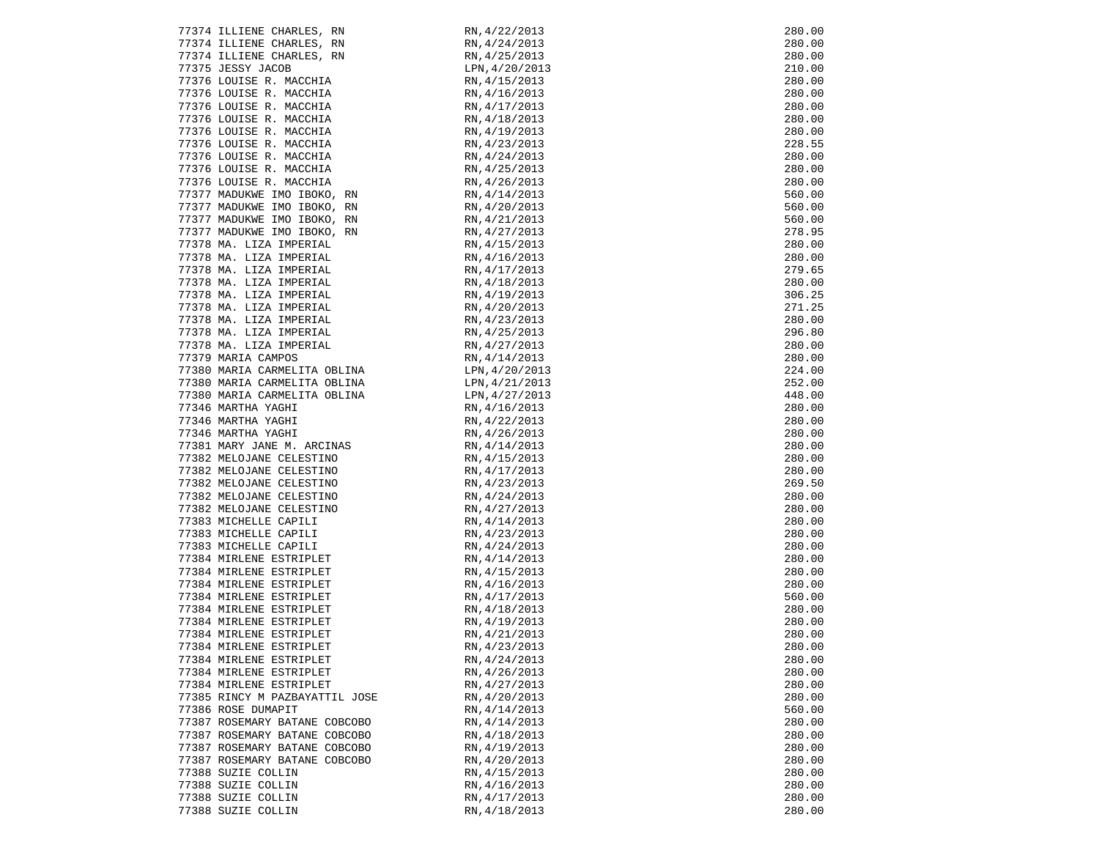| 77374 ILLIENE CHARLES, RN                                                | RN, 4/22/2013  | 280.00           |
|--------------------------------------------------------------------------|----------------|------------------|
| 77374 ILLIENE CHARLES, RN                                                | RN, 4/24/2013  | 280.00           |
| 77374 ILLIENE CHARLES, RN                                                | RN, 4/25/2013  | 280.00           |
| 77375 JESSY JACOB                                                        | LPN, 4/20/2013 | 210.00           |
| 77376 LOUISE R. MACCHIA                                                  | RN, 4/15/2013  | 280.00           |
| 77376 LOUISE R. MACCHIA                                                  | RN, 4/16/2013  | 280.00           |
| 77376 LOUISE R. MACCHIA                                                  | RN, 4/17/2013  | 280.00           |
| 77376 LOUISE R. MACCHIA                                                  | RN, 4/18/2013  | 280.00           |
| 77376 LOUISE R. MACCHIA                                                  | RN, 4/19/2013  | 280.00           |
| 77376 LOUISE R. MACCHIA                                                  | RN, 4/23/2013  | 228.55           |
|                                                                          | RN, 4/24/2013  |                  |
| 77376 LOUISE R. MACCHIA                                                  | RN, 4/25/2013  | 280.00<br>280.00 |
| 77376 LOUISE R. MACCHIA                                                  |                |                  |
| 77376 LOUISE R. MACCHIA                                                  | RN, 4/26/2013  | 280.00           |
| 77377 MADUKWE IMO IBOKO, RN                                              | RN, 4/14/2013  | 560.00           |
| 77377 MADUKWE IMO IBOKO, RN                                              | RN, 4/20/2013  | 560.00           |
| 77377 MADUKWE IMO IBOKO, RN                                              | RN, 4/21/2013  | 560.00           |
| 77377 MADUKWE IMO IBOKO, RN                                              | RN, 4/27/2013  | 278.95           |
| 77378 MA. LIZA IMPERIAL                                                  | RN, 4/15/2013  | 280.00           |
| 77378 MA. LIZA IMPERIAL                                                  | RN, 4/16/2013  | 280.00           |
| 77378 MA. LIZA IMPERIAL                                                  | RN, 4/17/2013  | 279.65           |
| 77378 MA. LIZA IMPERIAL                                                  | RN, 4/18/2013  | 280.00           |
| 77378 MA. LIZA IMPERIAL                                                  | RN, 4/19/2013  | 306.25           |
| 77378 MA. LIZA IMPERIAL                                                  | RN, 4/20/2013  | 271.25           |
| 77378 MA. LIZA IMPERIAL                                                  | RN, 4/23/2013  | 280.00           |
| 77378 MA. LIZA IMPERIAL                                                  | RN, 4/25/2013  | 296.80           |
| 77378 MA. LIZA IMPERIAL                                                  | RN, 4/27/2013  | 280.00           |
| 77379 MARIA CAMPOS                                                       | RN, 4/14/2013  | 280.00           |
| 77380 MARIA CARMELITA OBLINA                                             | LPN, 4/20/2013 | 224.00           |
| 77380 MARIA CARMELITA OBLINA                                             | LPN, 4/21/2013 | 252.00           |
|                                                                          | LPN,4/27/2013  | 448.00           |
| 77380 MARIA CARMELITA OBLINA<br>77346 MARTHA YAGHI<br>77346 MARTHA YAGHI | RN, 4/16/2013  | 280.00           |
| 77346 MARTHA YAGHI                                                       | RN, 4/22/2013  | 280.00           |
|                                                                          |                |                  |
| 77346 MARTHA YAGHI                                                       | RN, 4/26/2013  | 280.00           |
| 77381 MARY JANE M. ARCINAS                                               | RN, 4/14/2013  | 280.00           |
| 77382 MELOJANE CELESTINO                                                 | RN, 4/15/2013  | 280.00           |
| 77382 MELOJANE CELESTINO                                                 | RN, 4/17/2013  | 280.00           |
| 77382 MELOJANE CELESTINO                                                 | RN, 4/23/2013  | 269.50           |
| 77382 MELOJANE CELESTINO                                                 | RN, 4/24/2013  | 280.00           |
| 77382 MELOJANE CELESTINO                                                 | RN, 4/27/2013  | 280.00           |
| 77383 MICHELLE CAPILI                                                    | RN, 4/14/2013  | 280.00           |
| 77383 MICHELLE CAPILI                                                    | RN, 4/23/2013  | 280.00           |
| 77383 MICHELLE CAPILI                                                    | RN, 4/24/2013  | 280.00           |
| 77384 MIRLENE ESTRIPLET                                                  | RN, 4/14/2013  | 280.00           |
| 77384 MIRLENE ESTRIPLET                                                  | RN, 4/15/2013  | 280.00           |
| 77384 MIRLENE ESTRIPLET                                                  | RN, 4/16/2013  | 280.00           |
| 77384 MIRLENE ESTRIPLET                                                  | RN, 4/17/2013  | 560.00           |
| 77384 MIRLENE ESTRIPLET                                                  | RN, 4/18/2013  | 280.00           |
| 77384 MIRLENE ESTRIPLET                                                  | RN, 4/19/2013  | 280.00           |
| 77384 MIRLENE ESTRIPLET                                                  | RN, 4/21/2013  | 280.00           |
| 77384 MIRLENE ESTRIPLET                                                  | RN, 4/23/2013  | 280.00           |
| 77384 MIRLENE ESTRIPLET                                                  | RN, 4/24/2013  | 280.00           |
| 77384 MIRLENE ESTRIPLET                                                  | RN, 4/26/2013  | 280.00           |
| 77384 MIRLENE ESTRIPLET                                                  | RN, 4/27/2013  | 280.00           |
| 77385 RINCY M PAZBAYATTIL JOSE                                           | RN, 4/20/2013  | 280.00           |
| 77386 ROSE DUMAPIT                                                       | RN, 4/14/2013  | 560.00           |
| 77387 ROSEMARY BATANE COBCOBO                                            | RN, 4/14/2013  | 280.00           |
| 77387 ROSEMARY BATANE COBCOBO                                            | RN, 4/18/2013  | 280.00           |
| 77387 ROSEMARY BATANE COBCOBO                                            | RN, 4/19/2013  | 280.00           |
| 77387 ROSEMARY BATANE COBCOBO                                            | RN, 4/20/2013  | 280.00           |
| 77388 SUZIE COLLIN                                                       | RN, 4/15/2013  | 280.00           |
|                                                                          |                |                  |
| 77388 SUZIE COLLIN                                                       | RN, 4/16/2013  | 280.00           |
| 77388 SUZIE COLLIN                                                       | RN, 4/17/2013  | 280.00           |
| 77388 SUZIE COLLIN                                                       | RN, 4/18/2013  | 280.00           |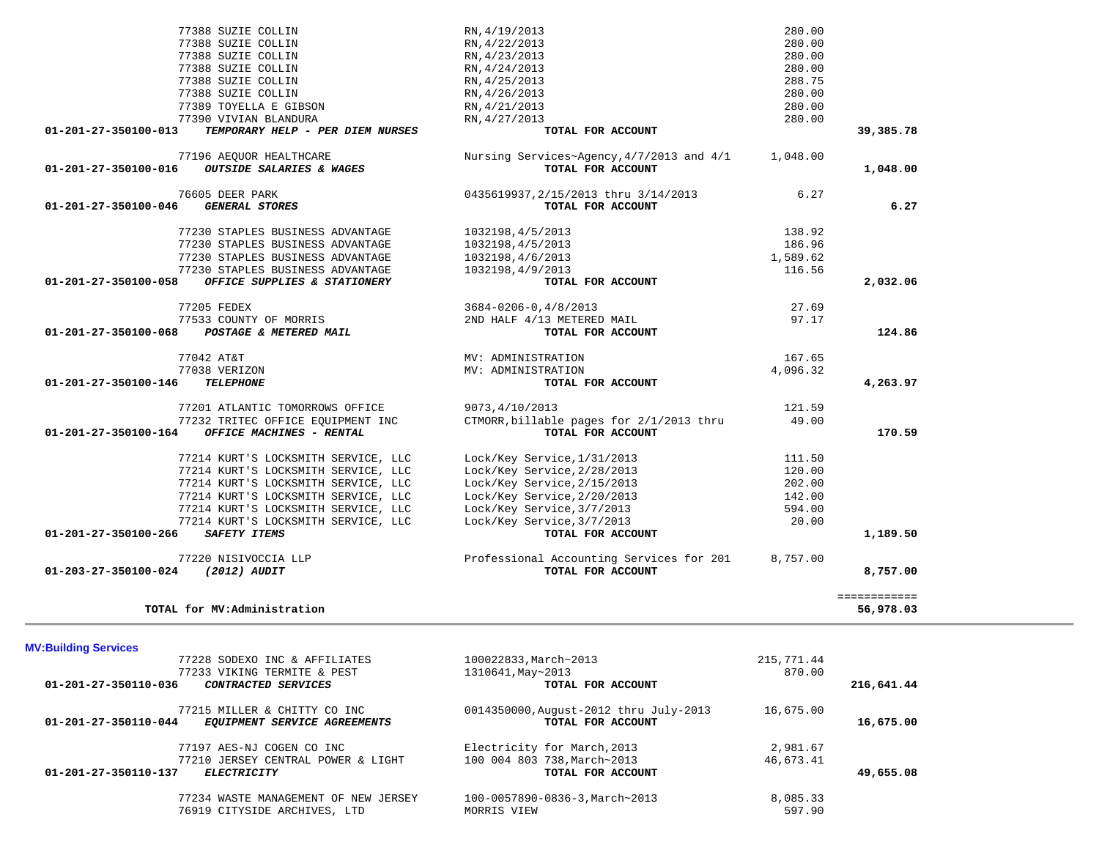|                      | 77228 SODEXO INC & AFFILIATES                                | 100022833, March~2013                                       | 215,771.44 |            |
|----------------------|--------------------------------------------------------------|-------------------------------------------------------------|------------|------------|
|                      | 77233 VIKING TERMITE & PEST                                  | 1310641, May~2013                                           | 870.00     |            |
| 01-201-27-350110-036 | CONTRACTED SERVICES                                          | TOTAL FOR ACCOUNT                                           |            | 216,641.44 |
| 01-201-27-350110-044 | 77215 MILLER & CHITTY CO INC<br>EOUIPMENT SERVICE AGREEMENTS | 0014350000, August-2012 thru July-2013<br>TOTAL FOR ACCOUNT | 16,675.00  | 16,675.00  |
|                      | 77197 AES-NJ COGEN CO INC                                    | Electricity for March, 2013                                 | 2,981.67   |            |
|                      | 77210 JERSEY CENTRAL POWER & LIGHT                           | 100 004 803 738, March~2013                                 | 46,673.41  |            |
| 01-201-27-350110-137 | <b>ELECTRICITY</b>                                           | TOTAL FOR ACCOUNT                                           |            | 49,655.08  |
|                      | 77234 WASTE MANAGEMENT OF NEW JERSEY                         | 100-0057890-0836-3, March~2013                              | 8,085.33   |            |
|                      | 76919 CITYSIDE ARCHIVES, LTD                                 | MORRIS VIEW                                                 | 597.90     |            |

| <b>MV:Building Services</b>                                                          |                                                             |
|--------------------------------------------------------------------------------------|-------------------------------------------------------------|
| 77228 SODEXO INC & AFFILIATES                                                        | 100022833, March~2013                                       |
| 77233 VIKING TERMITE & PEST                                                          | 1310641, May~2013                                           |
| 01-201-27-350110-036<br>CONTRACTED SERVICES                                          | TOTAL FOR ACCOUNT                                           |
| 77215 MILLER & CHITTY CO INC<br>01-201-27-350110-044<br>EOUIPMENT SERVICE AGREEMENTS | 0014350000, August-2012 thru July-2013<br>TOTAL FOR ACCOUNT |
|                                                                                      |                                                             |

|  |  | TOTAL for MV:Administration |
|--|--|-----------------------------|
|--|--|-----------------------------|

| 77388 SUZIE COLLIN                                       | RN, 4/19/2013                             | 280.00   |              |
|----------------------------------------------------------|-------------------------------------------|----------|--------------|
| 77388 SUZIE COLLIN                                       | RN, 4/22/2013                             | 280.00   |              |
| 77388 SUZIE COLLIN                                       | RN, 4/23/2013                             | 280.00   |              |
| 77388 SUZIE COLLIN                                       | RN, 4/24/2013                             | 280.00   |              |
| 77388 SUZIE COLLIN                                       | RN, 4/25/2013                             | 288.75   |              |
| 77388 SUZIE COLLIN                                       | RN, 4/26/2013                             | 280.00   |              |
| 77389 TOYELLA E GIBSON                                   | RN, 4/21/2013                             | 280.00   |              |
| 77390 VIVIAN BLANDURA                                    | RN, 4/27/2013                             | 280.00   |              |
| TEMPORARY HELP - PER DIEM NURSES<br>01-201-27-350100-013 | TOTAL FOR ACCOUNT                         |          | 39,385.78    |
|                                                          |                                           |          |              |
| 77196 AEQUOR HEALTHCARE                                  | Nursing Services~Agency, 4/7/2013 and 4/1 | 1,048.00 |              |
| 01-201-27-350100-016 OUTSIDE SALARIES & WAGES            | TOTAL FOR ACCOUNT                         |          | 1,048.00     |
| 76605 DEER PARK                                          | 0435619937,2/15/2013 thru 3/14/2013       | 6.27     |              |
| <b>GENERAL STORES</b><br>01-201-27-350100-046            | TOTAL FOR ACCOUNT                         |          | 6.27         |
|                                                          |                                           |          |              |
| 77230 STAPLES BUSINESS ADVANTAGE                         | 1032198, 4/5/2013                         | 138.92   |              |
| 77230 STAPLES BUSINESS ADVANTAGE                         | 1032198, 4/5/2013                         | 186.96   |              |
| 77230 STAPLES BUSINESS ADVANTAGE                         | 1032198,4/6/2013                          | 1,589.62 |              |
| 77230 STAPLES BUSINESS ADVANTAGE                         | 1032198,4/9/2013                          | 116.56   |              |
| 01-201-27-350100-058 OFFICE SUPPLIES & STATIONERY        | TOTAL FOR ACCOUNT                         |          | 2,032.06     |
| 77205 FEDEX                                              | 3684-0206-0,4/8/2013                      | 27.69    |              |
| 77533 COUNTY OF MORRIS                                   | 2ND HALF 4/13 METERED MAIL                | 97.17    |              |
| 01-201-27-350100-068 POSTAGE & METERED MAIL              | TOTAL FOR ACCOUNT                         |          | 124.86       |
|                                                          |                                           |          |              |
| 77042 AT&T                                               | MV: ADMINISTRATION                        | 167.65   |              |
| 77038 VERIZON                                            | MV: ADMINISTRATION                        | 4,096.32 |              |
| 01-201-27-350100-146<br><b>TELEPHONE</b>                 | TOTAL FOR ACCOUNT                         |          | 4,263.97     |
| 77201 ATLANTIC TOMORROWS OFFICE                          | 9073,4/10/2013                            | 121.59   |              |
| 77232 TRITEC OFFICE EQUIPMENT INC                        | CTMORR, billable pages for 2/1/2013 thru  | 49.00    |              |
| 01-201-27-350100-164<br>OFFICE MACHINES - RENTAL         | TOTAL FOR ACCOUNT                         |          | 170.59       |
|                                                          |                                           |          |              |
| 77214 KURT'S LOCKSMITH SERVICE, LLC                      | Lock/Key Service, 1/31/2013               | 111.50   |              |
| 77214 KURT'S LOCKSMITH SERVICE, LLC                      | Lock/Key Service, 2/28/2013               | 120.00   |              |
| 77214 KURT'S LOCKSMITH SERVICE, LLC                      | Lock/Key Service, 2/15/2013               | 202.00   |              |
| 77214 KURT'S LOCKSMITH SERVICE, LLC                      | Lock/Key Service, 2/20/2013               | 142.00   |              |
| 77214 KURT'S LOCKSMITH SERVICE, LLC                      | Lock/Key Service, 3/7/2013                | 594.00   |              |
| 77214 KURT'S LOCKSMITH SERVICE, LLC                      | Lock/Key Service, 3/7/2013                | 20.00    |              |
| <i>SAFETY ITEMS</i><br>01-201-27-350100-266              | TOTAL FOR ACCOUNT                         |          | 1,189.50     |
| 77220 NISIVOCCIA LLP                                     | Professional Accounting Services for 201  | 8,757.00 |              |
| 01-203-27-350100-024 (2012) AUDIT                        | TOTAL FOR ACCOUNT                         |          | 8,757.00     |
|                                                          |                                           |          | ============ |
| TOTAL for MV:Administration                              |                                           |          | 56,978.03    |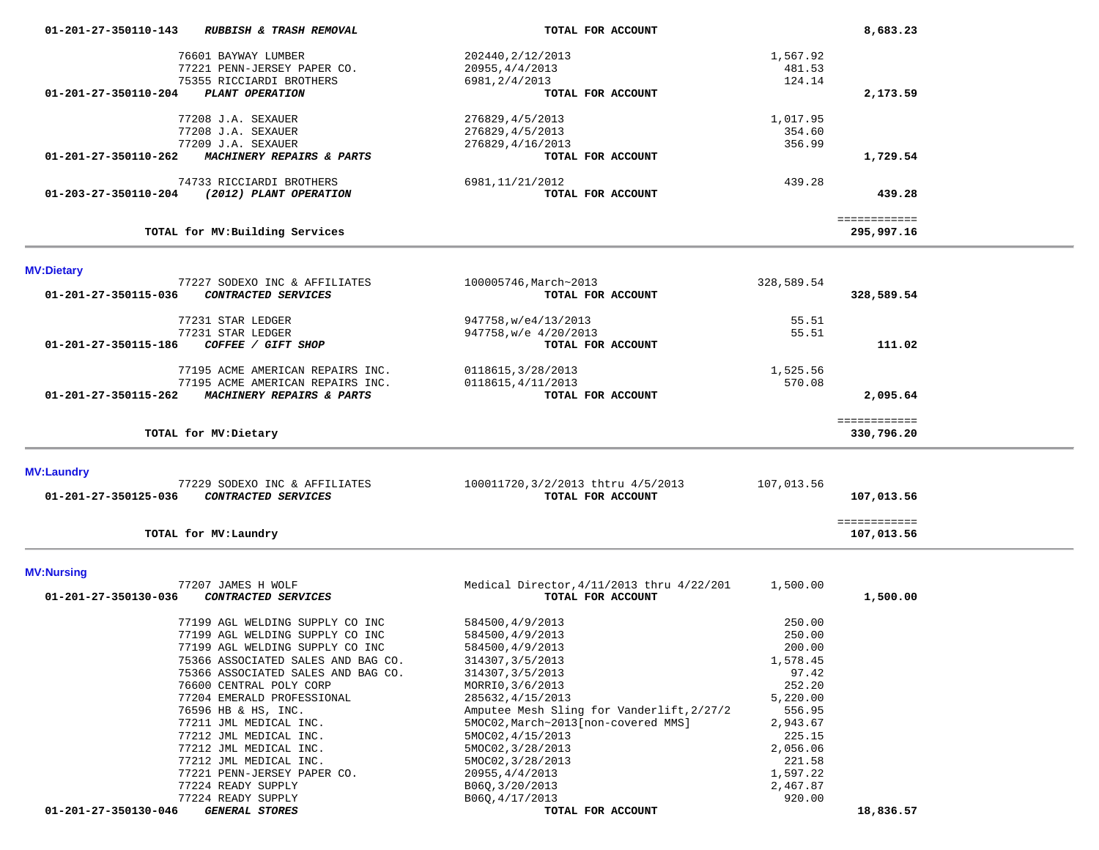| 01-201-27-350110-143 | RUBBISH & TRASH REMOVAL            | TOTAL FOR ACCOUNT                         |            | 8,683.23     |  |
|----------------------|------------------------------------|-------------------------------------------|------------|--------------|--|
|                      | 76601 BAYWAY LUMBER                | 202440, 2/12/2013                         | 1,567.92   |              |  |
|                      | 77221 PENN-JERSEY PAPER CO.        | 20955, 4/4/2013                           | 481.53     |              |  |
|                      | 75355 RICCIARDI BROTHERS           | 6981, 2/4/2013                            | 124.14     |              |  |
| 01-201-27-350110-204 | PLANT OPERATION                    | TOTAL FOR ACCOUNT                         |            | 2,173.59     |  |
|                      | 77208 J.A. SEXAUER                 | 276829, 4/5/2013                          | 1,017.95   |              |  |
|                      | 77208 J.A. SEXAUER                 |                                           | 354.60     |              |  |
|                      | 77209 J.A. SEXAUER                 | 276829, 4/5/2013<br>276829, 4/16/2013     | 356.99     |              |  |
| 01-201-27-350110-262 | MACHINERY REPAIRS & PARTS          | TOTAL FOR ACCOUNT                         |            | 1,729.54     |  |
|                      |                                    |                                           |            |              |  |
|                      | 74733 RICCIARDI BROTHERS           | 6981, 11/21/2012                          | 439.28     |              |  |
| 01-203-27-350110-204 | (2012) PLANT OPERATION             | TOTAL FOR ACCOUNT                         |            | 439.28       |  |
|                      |                                    |                                           |            | ============ |  |
|                      | TOTAL for MV: Building Services    |                                           |            | 295,997.16   |  |
|                      |                                    |                                           |            |              |  |
| <b>MV:Dietary</b>    | 77227 SODEXO INC & AFFILIATES      | 100005746, March~2013                     | 328,589.54 |              |  |
| 01-201-27-350115-036 | CONTRACTED SERVICES                | TOTAL FOR ACCOUNT                         |            | 328,589.54   |  |
|                      |                                    |                                           |            |              |  |
|                      | 77231 STAR LEDGER                  | 947758, w/e4/13/2013                      | 55.51      |              |  |
|                      | 77231 STAR LEDGER                  | 947758, w/e 4/20/2013                     | 55.51      |              |  |
| 01-201-27-350115-186 | COFFEE / GIFT SHOP                 | TOTAL FOR ACCOUNT                         |            | 111.02       |  |
|                      |                                    |                                           |            |              |  |
|                      | 77195 ACME AMERICAN REPAIRS INC.   | 0118615, 3/28/2013                        | 1,525.56   |              |  |
|                      | 77195 ACME AMERICAN REPAIRS INC.   | 0118615, 4/11/2013                        | 570.08     |              |  |
| 01-201-27-350115-262 | MACHINERY REPAIRS & PARTS          | TOTAL FOR ACCOUNT                         |            | 2,095.64     |  |
|                      |                                    |                                           |            | ============ |  |
|                      | TOTAL for MV: Dietary              |                                           |            | 330,796.20   |  |
|                      |                                    |                                           |            |              |  |
| <b>MV:Laundry</b>    |                                    |                                           |            |              |  |
|                      | 77229 SODEXO INC & AFFILIATES      | 100011720, 3/2/2013 thtru 4/5/2013        | 107,013.56 |              |  |
| 01-201-27-350125-036 | CONTRACTED SERVICES                | TOTAL FOR ACCOUNT                         |            | 107,013.56   |  |
|                      |                                    |                                           |            | ============ |  |
|                      | TOTAL for MV: Laundry              |                                           |            | 107,013.56   |  |
|                      |                                    |                                           |            |              |  |
| <b>MV:Nursing</b>    |                                    |                                           |            |              |  |
|                      | 77207 JAMES H WOLF                 | Medical Director, 4/11/2013 thru 4/22/201 | 1,500.00   |              |  |
| 01-201-27-350130-036 | CONTRACTED SERVICES                | TOTAL FOR ACCOUNT                         |            | 1,500.00     |  |
|                      | 77199 AGL WELDING SUPPLY CO INC    | 584500, 4/9/2013                          | 250.00     |              |  |
|                      | 77199 AGL WELDING SUPPLY CO INC    | 584500, 4/9/2013                          | 250.00     |              |  |
|                      |                                    | 584500, 4/9/2013                          |            |              |  |
|                      | 77199 AGL WELDING SUPPLY CO INC    |                                           | 200.00     |              |  |
|                      | 75366 ASSOCIATED SALES AND BAG CO. | 314307, 3/5/2013                          | 1,578.45   |              |  |
|                      | 75366 ASSOCIATED SALES AND BAG CO. | 314307, 3/5/2013                          | 97.42      |              |  |
|                      | 76600 CENTRAL POLY CORP            | MORRIO, 3/6/2013                          | 252.20     |              |  |
|                      | 77204 EMERALD PROFESSIONAL         | 285632, 4/15/2013                         | 5,220.00   |              |  |
|                      | 76596 HB & HS, INC.                | Amputee Mesh Sling for Vanderlift, 2/27/2 | 556.95     |              |  |
|                      | 77211 JML MEDICAL INC.             | 5MOC02, March~2013[non-covered MMS]       | 2,943.67   |              |  |
|                      | 77212 JML MEDICAL INC.             | 5MOC02, 4/15/2013                         | 225.15     |              |  |
|                      | 77212 JML MEDICAL INC.             | 5MOC02, 3/28/2013                         | 2,056.06   |              |  |
|                      | 77212 JML MEDICAL INC.             | 5MOC02, 3/28/2013                         | 221.58     |              |  |
|                      | 77221 PENN-JERSEY PAPER CO.        | 20955, 4/4/2013                           | 1,597.22   |              |  |
|                      | 77224 READY SUPPLY                 | B06Q, 3/20/2013                           | 2,467.87   |              |  |
|                      | 77224 READY SUPPLY                 | B06Q, 4/17/2013                           | 920.00     |              |  |
| 01-201-27-350130-046 | <b>GENERAL STORES</b>              | TOTAL FOR ACCOUNT                         |            | 18,836.57    |  |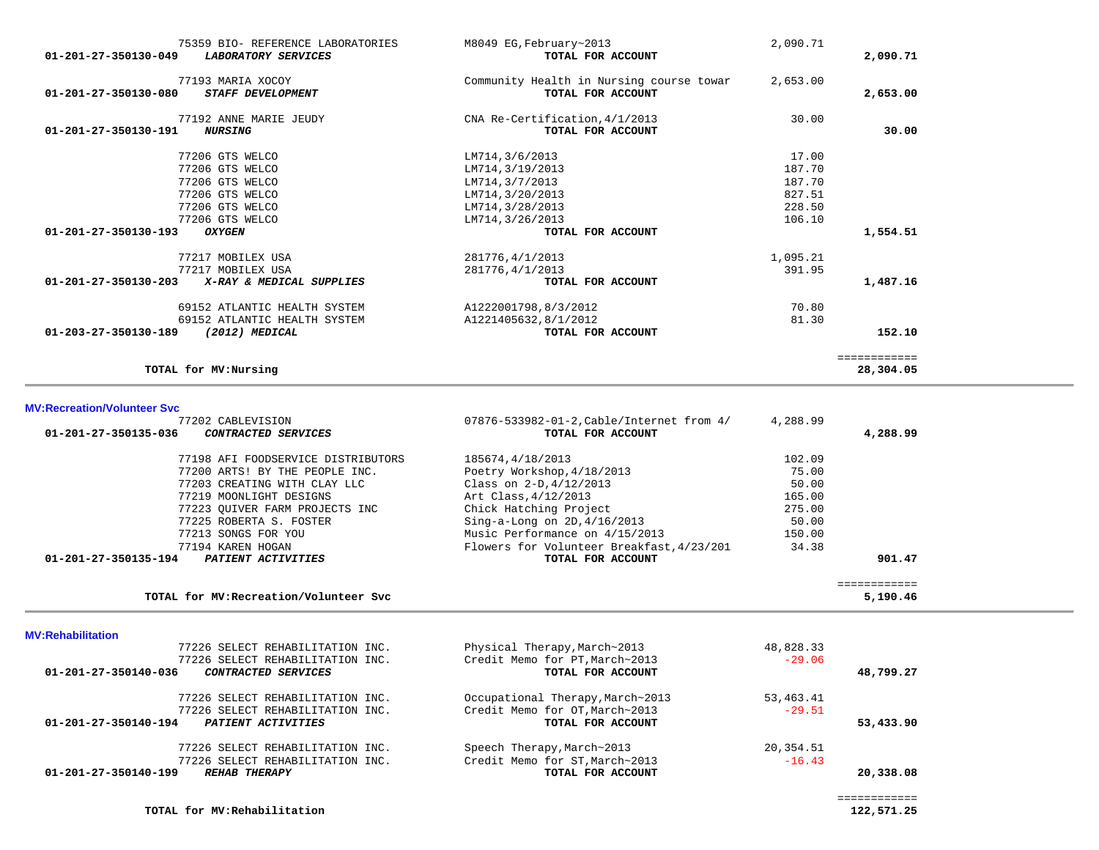| 01-201-27-350130-049 | 75359 BIO- REFERENCE LABORATORIES<br><b>LABORATORY SERVICES</b>                | M8049 EG, February~2013<br>TOTAL FOR ACCOUNT                            | 2,090.71                            | 2,090.71                  |
|----------------------|--------------------------------------------------------------------------------|-------------------------------------------------------------------------|-------------------------------------|---------------------------|
| 01-201-27-350130-080 | 77193 MARIA XOCOY<br><b>STAFF DEVELOPMENT</b>                                  | Community Health in Nursing course towar<br>TOTAL FOR ACCOUNT           | 2,653.00                            | 2,653.00                  |
| 01-201-27-350130-191 | 77192 ANNE MARIE JEUDY<br><b>NURSING</b>                                       | CNA Re-Certification, 4/1/2013<br>TOTAL FOR ACCOUNT                     | 30.00                               | 30.00                     |
|                      | 77206 GTS WELCO<br>77206 GTS WELCO<br>77206 GTS WELCO<br>77206 GTS WELCO       | LM714,3/6/2013<br>LM714, 3/19/2013<br>LM714,3/7/2013<br>LM714,3/20/2013 | 17.00<br>187.70<br>187.70<br>827.51 |                           |
| 01-201-27-350130-193 | 77206 GTS WELCO<br>77206 GTS WELCO<br><b>OXYGEN</b>                            | LM714, 3/28/2013<br>LM714, 3/26/2013<br>TOTAL FOR ACCOUNT               | 228.50<br>106.10                    | 1,554.51                  |
| 01-201-27-350130-203 | 77217 MOBILEX USA<br>77217 MOBILEX USA<br>X-RAY & MEDICAL SUPPLIES             | 281776,4/1/2013<br>281776, 4/1/2013<br>TOTAL FOR ACCOUNT                | 1,095.21<br>391.95                  | 1,487.16                  |
| 01-203-27-350130-189 | 69152 ATLANTIC HEALTH SYSTEM<br>69152 ATLANTIC HEALTH SYSTEM<br>(2012) MEDICAL | A1222001798,8/3/2012<br>A1221405632,8/1/2012<br>TOTAL FOR ACCOUNT       | 70.80<br>81.30                      | 152.10                    |
|                      | TOTAL for MV: Nursing                                                          |                                                                         |                                     | ============<br>28,304.05 |

## **MV:Recreation/Volunteer Svc**

÷

| 77202 CABLEVISION                                  | 07876-533982-01-2, Cable/Internet from 4/ | 4,288.99 |              |
|----------------------------------------------------|-------------------------------------------|----------|--------------|
| 01-201-27-350135-036<br><i>CONTRACTED SERVICES</i> | TOTAL FOR ACCOUNT                         |          | 4,288.99     |
| 77198 AFI FOODSERVICE DISTRIBUTORS                 | 185674,4/18/2013                          | 102.09   |              |
| 77200 ARTS! BY THE PEOPLE INC.                     | Poetry Workshop, 4/18/2013                | 75.00    |              |
| 77203 CREATING WITH CLAY LLC                       | Class on $2-D, 4/12/2013$                 | 50.00    |              |
| 77219 MOONLIGHT DESIGNS                            | Art Class, 4/12/2013                      | 165.00   |              |
| 77223 OUIVER FARM PROJECTS INC                     | Chick Hatching Project                    | 275.00   |              |
| 77225 ROBERTA S. FOSTER                            | Sing-a-Long on $2D, 4/16/2013$            | 50.00    |              |
| 77213 SONGS FOR YOU                                | Music Performance on 4/15/2013            | 150.00   |              |
| 77194 KAREN HOGAN                                  | Flowers for Volunteer Breakfast, 4/23/201 | 34.38    |              |
| 01-201-27-350135-194<br><b>PATIENT ACTIVITIES</b>  | TOTAL FOR ACCOUNT                         |          | 901.47       |
|                                                    |                                           |          | ============ |
| TOTAL for MV: Recreation/Volunteer Svc             |                                           |          | 5,190.46     |

TOTAL for MV: Recreation/Volunteer Svc

### **MV:Rehabilitation**

| 77226 SELECT REHABILITATION INC.                   | Physical Therapy, March~2013     | 48,828.33 |           |
|----------------------------------------------------|----------------------------------|-----------|-----------|
| 77226 SELECT REHABILITATION INC.                   | Credit Memo for PT, March~2013   | $-29.06$  |           |
| 01-201-27-350140-036<br><i>CONTRACTED SERVICES</i> | TOTAL FOR ACCOUNT                |           | 48,799.27 |
| 77226 SELECT REHABILITATION INC.                   | Occupational Therapy, March~2013 | 53,463.41 |           |
| 77226 SELECT REHABILITATION INC.                   | Credit Memo for OT, March~2013   | $-29.51$  |           |
| 01-201-27-350140-194<br>PATIENT ACTIVITIES         | TOTAL FOR ACCOUNT                |           | 53,433.90 |
| 77226 SELECT REHABILITATION INC.                   | Speech Therapy, March~2013       | 20,354.51 |           |
| 77226 SELECT REHABILITATION INC.                   | Credit Memo for ST, March~2013   | $-16.43$  |           |
| 01-201-27-350140-199<br><b>REHAB THERAPY</b>       | TOTAL FOR ACCOUNT                |           | 20,338.08 |
|                                                    |                                  |           |           |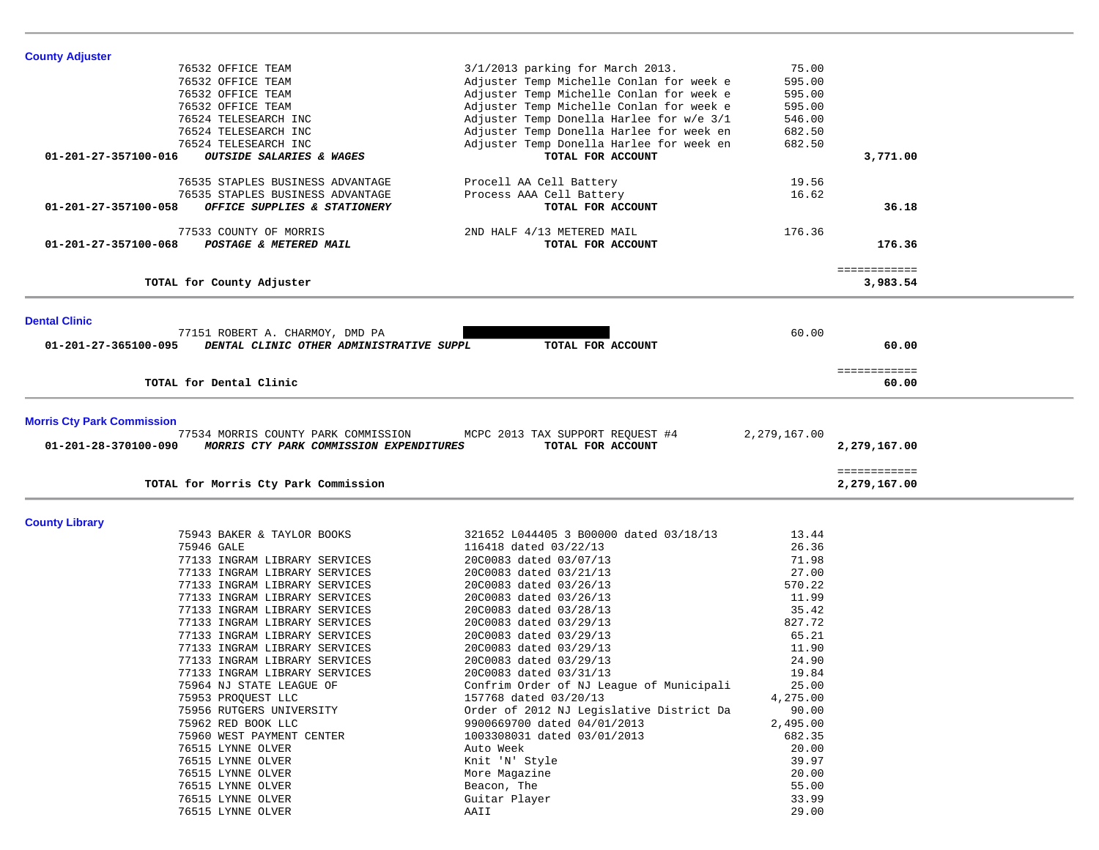| <b>County Adjuster</b> |                                          |                                          |          |              |  |
|------------------------|------------------------------------------|------------------------------------------|----------|--------------|--|
|                        | 76532 OFFICE TEAM                        | 3/1/2013 parking for March 2013.         | 75.00    |              |  |
|                        | 76532 OFFICE TEAM                        | Adjuster Temp Michelle Conlan for week e | 595.00   |              |  |
|                        | 76532 OFFICE TEAM                        | Adjuster Temp Michelle Conlan for week e | 595.00   |              |  |
|                        | 76532 OFFICE TEAM                        | Adjuster Temp Michelle Conlan for week e | 595.00   |              |  |
|                        | 76524 TELESEARCH INC                     | Adjuster Temp Donella Harlee for w/e 3/1 | 546.00   |              |  |
|                        | 76524 TELESEARCH INC                     | Adjuster Temp Donella Harlee for week en | 682.50   |              |  |
|                        | 76524 TELESEARCH INC                     | Adjuster Temp Donella Harlee for week en | 682.50   |              |  |
| 01-201-27-357100-016   | OUTSIDE SALARIES & WAGES                 | TOTAL FOR ACCOUNT                        |          | 3,771.00     |  |
|                        |                                          |                                          |          |              |  |
|                        | 76535 STAPLES BUSINESS ADVANTAGE         | Procell AA Cell Battery                  | 19.56    |              |  |
|                        | 76535 STAPLES BUSINESS ADVANTAGE         | Process AAA Cell Battery                 | 16.62    |              |  |
| 01-201-27-357100-058   | OFFICE SUPPLIES & STATIONERY             | TOTAL FOR ACCOUNT                        |          | 36.18        |  |
|                        | 77533 COUNTY OF MORRIS                   | 2ND HALF 4/13 METERED MAIL               | 176.36   |              |  |
| 01-201-27-357100-068   | POSTAGE & METERED MAIL                   | TOTAL FOR ACCOUNT                        |          | 176.36       |  |
|                        |                                          |                                          |          | ============ |  |
|                        | TOTAL for County Adjuster                |                                          |          | 3,983.54     |  |
|                        |                                          |                                          |          |              |  |
| <b>Dental Clinic</b>   | 77151 ROBERT A. CHARMOY, DMD PA          |                                          | 60.00    |              |  |
| 01-201-27-365100-095   | DENTAL CLINIC OTHER ADMINISTRATIVE SUPPL | TOTAL FOR ACCOUNT                        |          | 60.00        |  |
|                        |                                          |                                          |          | ============ |  |
|                        | TOTAL for Dental Clinic                  |                                          |          | 60.00        |  |
|                        |                                          |                                          |          | ============ |  |
|                        | TOTAL for Morris Cty Park Commission     |                                          |          | 2,279,167.00 |  |
| <b>County Library</b>  |                                          |                                          |          |              |  |
|                        | 75943 BAKER & TAYLOR BOOKS               | 321652 L044405 3 B00000 dated 03/18/13   | 13.44    |              |  |
|                        | 75946 GALE                               | 116418 dated 03/22/13                    | 26.36    |              |  |
|                        | 77133 INGRAM LIBRARY SERVICES            | 20C0083 dated 03/07/13                   | 71.98    |              |  |
|                        | 77133 INGRAM LIBRARY SERVICES            | 20C0083 dated 03/21/13                   | 27.00    |              |  |
|                        | 77133 INGRAM LIBRARY SERVICES            | 20C0083 dated 03/26/13                   | 570.22   |              |  |
|                        | 77133 INGRAM LIBRARY SERVICES            | 20C0083 dated 03/26/13                   | 11.99    |              |  |
|                        | 77133 INGRAM LIBRARY SERVICES            | 20C0083 dated 03/28/13                   | 35.42    |              |  |
|                        | 77133 INGRAM LIBRARY SERVICES            | 20C0083 dated 03/29/13                   | 827.72   |              |  |
|                        | 77133 INGRAM LIBRARY SERVICES            | 20C0083 dated 03/29/13                   | 65.21    |              |  |
|                        | 77133 INGRAM LIBRARY SERVICES            | 20C0083 dated 03/29/13                   | 11.90    |              |  |
|                        | 77133 INGRAM LIBRARY SERVICES            | 20C0083 dated 03/29/13                   | 24.90    |              |  |
|                        | 77133 INGRAM LIBRARY SERVICES            | 20C0083 dated 03/31/13                   | 19.84    |              |  |
|                        | 75964 NJ STATE LEAGUE OF                 | Confrim Order of NJ League of Municipali | 25.00    |              |  |
|                        | 75953 PROQUEST LLC                       | 157768 dated 03/20/13                    | 4,275.00 |              |  |
|                        | 75956 RUTGERS UNIVERSITY                 | Order of 2012 NJ Legislative District Da | 90.00    |              |  |
|                        | 75962 RED BOOK LLC                       | 9900669700 dated 04/01/2013              | 2,495.00 |              |  |
|                        | 75960 WEST PAYMENT CENTER                | 1003308031 dated 03/01/2013              | 682.35   |              |  |
|                        | 76515 LYNNE OLVER                        | Auto Week                                | 20.00    |              |  |
|                        | 76515 LYNNE OLVER                        | Knit 'N' Style                           | 39.97    |              |  |
|                        | 76515 LYNNE OLVER                        | More Magazine                            | 20.00    |              |  |
|                        | 76515 LYNNE OLVER                        | Beacon, The                              | 55.00    |              |  |
|                        | 76515 LYNNE OLVER                        | Guitar Player                            | 33.99    |              |  |
|                        | 76515 LYNNE OLVER                        | AAII                                     | 29.00    |              |  |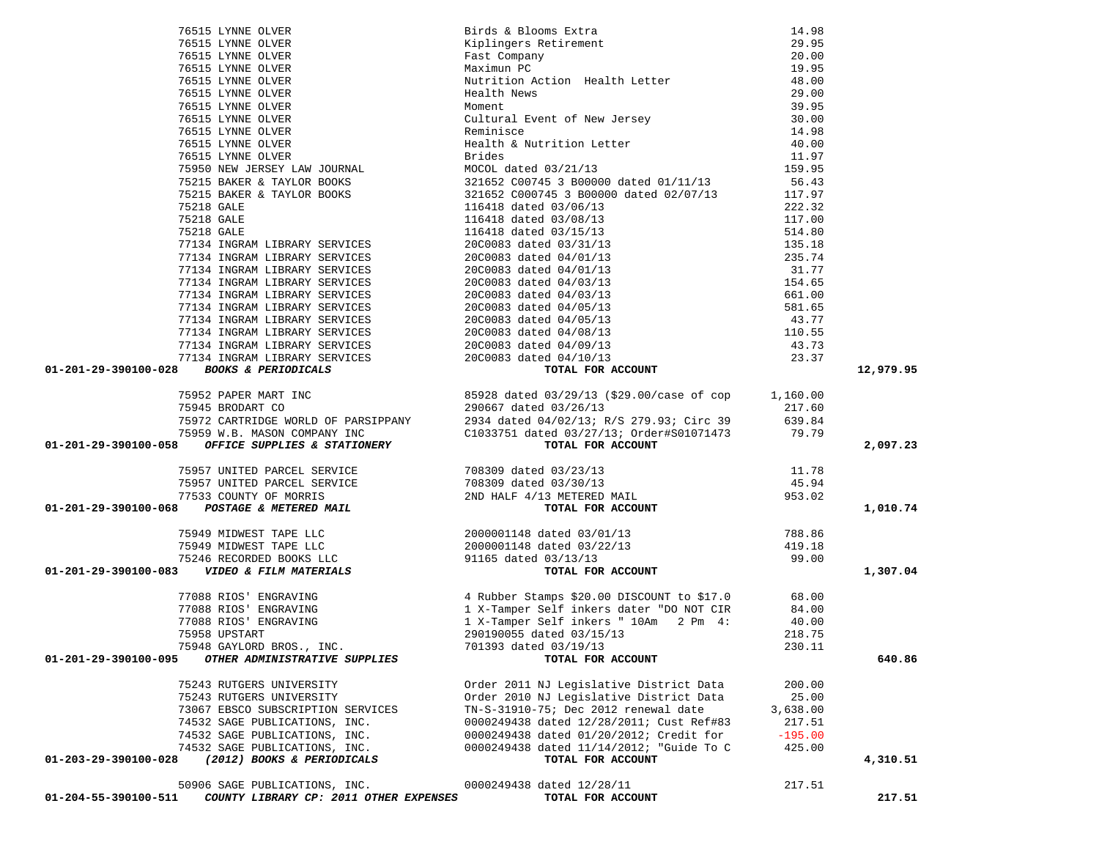| 01-201-29-390100-028                                           |                                                                                                                                                                                                                                           |           | 12,979.95 |
|----------------------------------------------------------------|-------------------------------------------------------------------------------------------------------------------------------------------------------------------------------------------------------------------------------------------|-----------|-----------|
|                                                                |                                                                                                                                                                                                                                           |           |           |
|                                                                |                                                                                                                                                                                                                                           |           |           |
|                                                                |                                                                                                                                                                                                                                           |           |           |
|                                                                |                                                                                                                                                                                                                                           |           |           |
|                                                                |                                                                                                                                                                                                                                           |           | 2,097.23  |
|                                                                |                                                                                                                                                                                                                                           |           |           |
|                                                                |                                                                                                                                                                                                                                           |           |           |
|                                                                |                                                                                                                                                                                                                                           |           |           |
|                                                                |                                                                                                                                                                                                                                           |           |           |
|                                                                |                                                                                                                                                                                                                                           |           | 1,010.74  |
|                                                                |                                                                                                                                                                                                                                           |           |           |
|                                                                |                                                                                                                                                                                                                                           |           |           |
|                                                                |                                                                                                                                                                                                                                           |           |           |
|                                                                |                                                                                                                                                                                                                                           |           | 1,307.04  |
|                                                                | 77088 RIOS' ENGRAVING (4 Rubber Stamps \$20.00 DISCOUNT to \$17.0 (68.00)<br>77088 RIOS' ENGRAVING (1 X-Tamper Self inkers dater "DO NOT CIR (84.00)<br>77088 RIOS' ENGRAVING (1 X-Tamper Self inkers "10Am (2 Pm 4: 40.00)<br>75958 UPST |           |           |
|                                                                |                                                                                                                                                                                                                                           |           |           |
|                                                                |                                                                                                                                                                                                                                           |           |           |
|                                                                |                                                                                                                                                                                                                                           |           |           |
| 75948 GAYLORD BROS., INC.                                      | 701393 dated 03/19/13                                                                                                                                                                                                                     | 230.11    |           |
| OTHER ADMINISTRATIVE SUPPLIES<br>01-201-29-390100-095          | TOTAL FOR ACCOUNT                                                                                                                                                                                                                         |           | 640.86    |
|                                                                |                                                                                                                                                                                                                                           |           |           |
| 75243 RUTGERS UNIVERSITY                                       | Order 2011 NJ Legislative District Data                                                                                                                                                                                                   | 200.00    |           |
| 75243 RUTGERS UNIVERSITY                                       | Order 2010 NJ Legislative District Data                                                                                                                                                                                                   | 25.00     |           |
| 73067 EBSCO SUBSCRIPTION SERVICES                              | TN-S-31910-75; Dec 2012 renewal date                                                                                                                                                                                                      | 3,638.00  |           |
| 74532 SAGE PUBLICATIONS, INC.                                  | 0000249438 dated 12/28/2011; Cust Ref#83                                                                                                                                                                                                  | 217.51    |           |
| 74532 SAGE PUBLICATIONS, INC.                                  | 0000249438 dated 01/20/2012; Credit for                                                                                                                                                                                                   | $-195.00$ |           |
| 74532 SAGE PUBLICATIONS, INC.                                  | 0000249438 dated 11/14/2012; "Guide To C                                                                                                                                                                                                  | 425.00    |           |
| (2012) BOOKS & PERIODICALS<br>01-203-29-390100-028             | TOTAL FOR ACCOUNT                                                                                                                                                                                                                         |           | 4,310.51  |
| 50906 SAGE PUBLICATIONS, INC.                                  | 0000249438 dated 12/28/11                                                                                                                                                                                                                 | 217.51    |           |
| COUNTY LIBRARY CP: 2011 OTHER EXPENSES<br>01-204-55-390100-511 | TOTAL FOR ACCOUNT                                                                                                                                                                                                                         |           | 217.51    |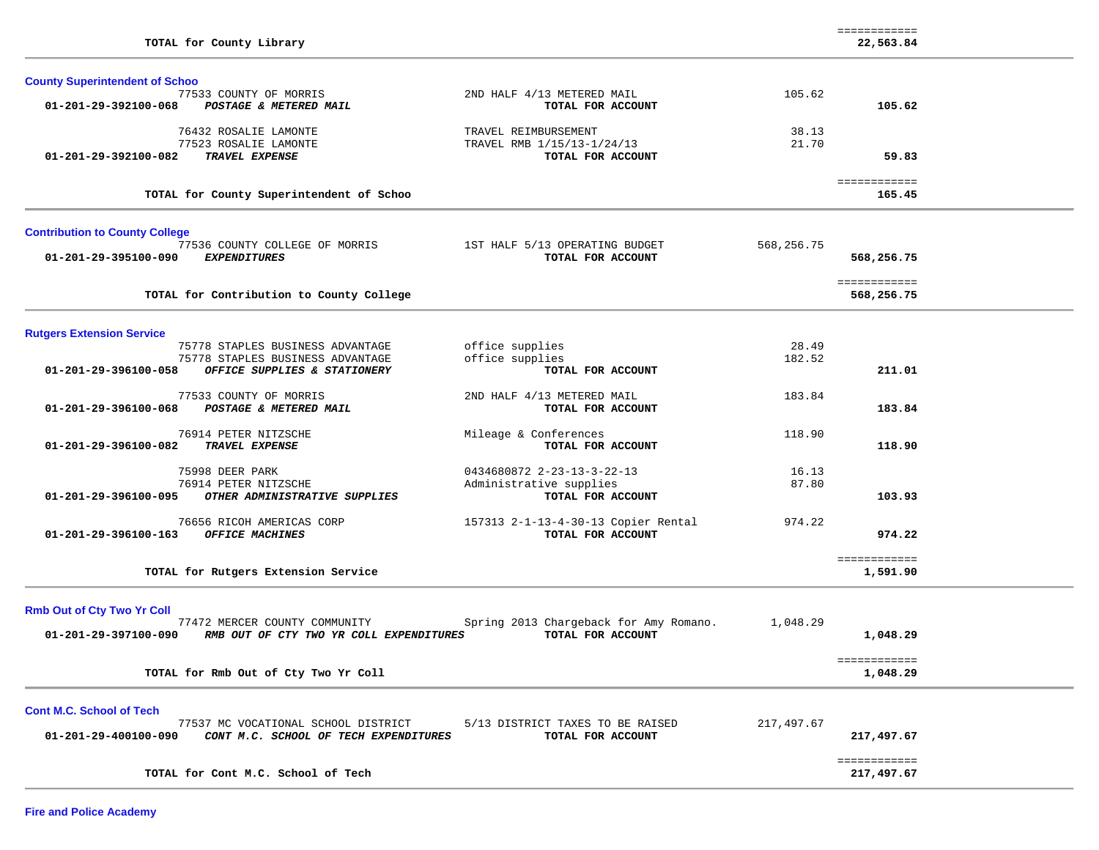| TOTAL for County Library                                                 |                                                 |            | ============<br>22,563.84  |  |
|--------------------------------------------------------------------------|-------------------------------------------------|------------|----------------------------|--|
| <b>County Superintendent of Schoo</b>                                    |                                                 |            |                            |  |
| 77533 COUNTY OF MORRIS<br>01-201-29-392100-068<br>POSTAGE & METERED MAIL | 2ND HALF 4/13 METERED MAIL<br>TOTAL FOR ACCOUNT | 105.62     | 105.62                     |  |
| 76432 ROSALIE LAMONTE                                                    | TRAVEL REIMBURSEMENT                            | 38.13      |                            |  |
| 77523 ROSALIE LAMONTE                                                    | TRAVEL RMB 1/15/13-1/24/13                      | 21.70      |                            |  |
| TRAVEL EXPENSE<br>01-201-29-392100-082                                   | TOTAL FOR ACCOUNT                               |            | 59.83                      |  |
| TOTAL for County Superintendent of Schoo                                 |                                                 |            | ============<br>165.45     |  |
| <b>Contribution to County College</b>                                    |                                                 |            |                            |  |
| 77536 COUNTY COLLEGE OF MORRIS                                           | 1ST HALF 5/13 OPERATING BUDGET                  | 568,256.75 |                            |  |
| 01-201-29-395100-090<br><b>EXPENDITURES</b>                              | TOTAL FOR ACCOUNT                               |            | 568,256.75                 |  |
| TOTAL for Contribution to County College                                 |                                                 |            | ============<br>568,256.75 |  |
|                                                                          |                                                 |            |                            |  |
| <b>Rutgers Extension Service</b><br>75778 STAPLES BUSINESS ADVANTAGE     | office supplies                                 | 28.49      |                            |  |
| 75778 STAPLES BUSINESS ADVANTAGE                                         | office supplies                                 | 182.52     |                            |  |
| 01-201-29-396100-058<br>OFFICE SUPPLIES & STATIONERY                     | TOTAL FOR ACCOUNT                               |            | 211.01                     |  |
| 77533 COUNTY OF MORRIS                                                   | 2ND HALF 4/13 METERED MAIL                      | 183.84     |                            |  |
| 01-201-29-396100-068<br>POSTAGE & METERED MAIL                           | TOTAL FOR ACCOUNT                               |            | 183.84                     |  |
| 76914 PETER NITZSCHE                                                     | Mileage & Conferences                           | 118.90     |                            |  |
| TRAVEL EXPENSE<br>01-201-29-396100-082                                   | TOTAL FOR ACCOUNT                               |            | 118.90                     |  |
| 75998 DEER PARK                                                          | 0434680872 2-23-13-3-22-13                      | 16.13      |                            |  |
| 76914 PETER NITZSCHE                                                     | Administrative supplies                         | 87.80      |                            |  |
| 01-201-29-396100-095<br>OTHER ADMINISTRATIVE SUPPLIES                    | TOTAL FOR ACCOUNT                               |            | 103.93                     |  |
| 76656 RICOH AMERICAS CORP                                                | 157313 2-1-13-4-30-13 Copier Rental             | 974.22     |                            |  |
| 01-201-29-396100-163<br>OFFICE MACHINES                                  | TOTAL FOR ACCOUNT                               |            | 974.22                     |  |
|                                                                          |                                                 |            | ============               |  |
| TOTAL for Rutgers Extension Service                                      |                                                 |            | 1,591.90                   |  |
|                                                                          |                                                 |            |                            |  |
| <b>Rmb Out of Cty Two Yr Coll</b><br>77472 MERCER COUNTY COMMUNITY       | Spring 2013 Chargeback for Amy Romano.          | 1,048.29   |                            |  |
| 01-201-29-397100-090<br>RMB OUT OF CTY TWO YR COLL EXPENDITURES          | TOTAL FOR ACCOUNT                               |            | 1,048.29                   |  |
| TOTAL for Rmb Out of Cty Two Yr Coll                                     |                                                 |            | ============<br>1,048.29   |  |
|                                                                          |                                                 |            |                            |  |
| <b>Cont M.C. School of Tech</b><br>77537 MC VOCATIONAL SCHOOL DISTRICT   | 5/13 DISTRICT TAXES TO BE RAISED                | 217,497.67 |                            |  |
| 01-201-29-400100-090<br>CONT M.C. SCHOOL OF TECH EXPENDITURES            | TOTAL FOR ACCOUNT                               |            | 217,497.67                 |  |
|                                                                          |                                                 |            | ============               |  |
| TOTAL for Cont M.C. School of Tech                                       |                                                 |            | 217,497.67                 |  |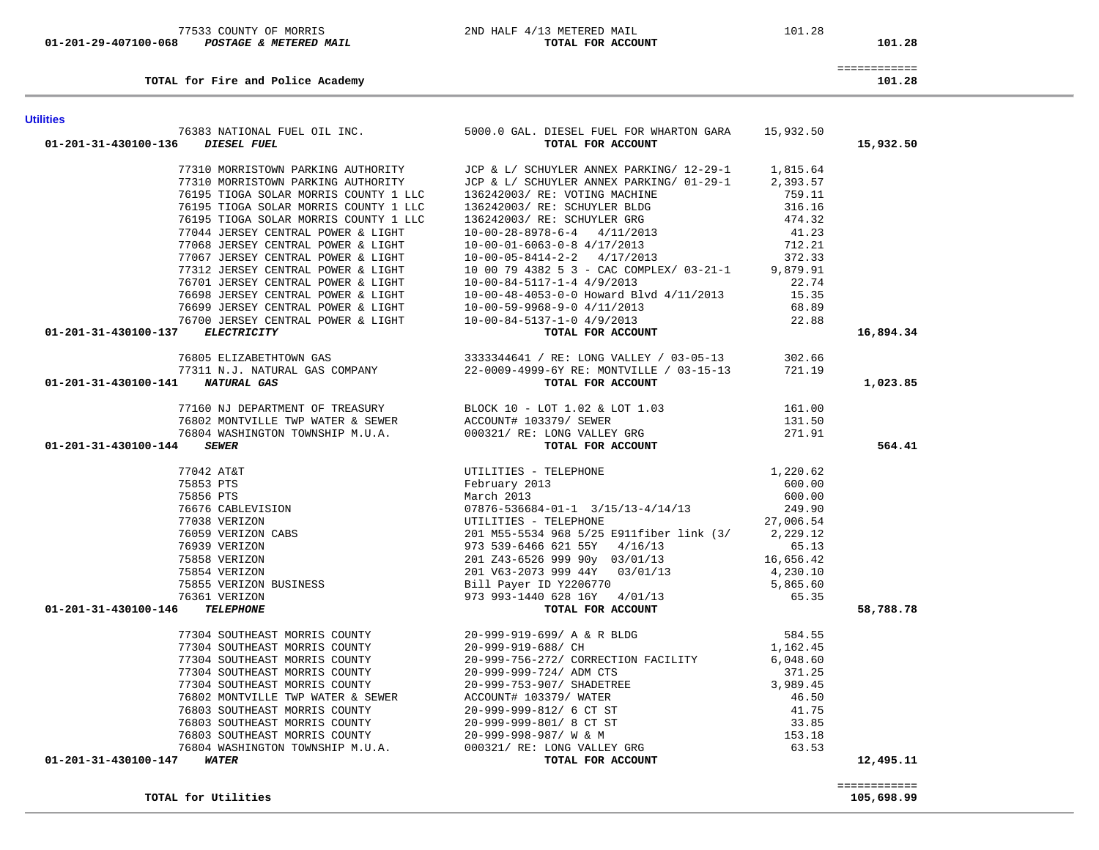| TOTAL for Utilities                         |                             | 105,698.99 |
|---------------------------------------------|-----------------------------|------------|
|                                             |                             |            |
| 01-201-31-430100-147<br><i><b>WATER</b></i> | TOTAL FOR ACCOUNT           | 12,495.11  |
| 76804 WASHINGTON TOWNSHIP M.U.A.            | 000321/ RE: LONG VALLEY GRG | 63.53      |
| 76803 SOUTHEAST MORRIS COUNTY               | 20-999-998-987/W & M        | 153.18     |
| 76803 SOUTHEAST MORRIS COUNTY               | 20-999-999-801/ 8 CT ST     | 33.85      |
| 76803 SOUTHEAST MORRIS COUNTY               | 20-999-999-812/ 6 CT ST     | 41.75      |

| 76195 TIOGA SOLAR MORRIS COUNTY 1 LLC      | 136242003/ RE: VOTING MACHINE            | 759.11   |           |
|--------------------------------------------|------------------------------------------|----------|-----------|
| 76195 TIOGA SOLAR MORRIS COUNTY 1 LLC      | 136242003/ RE: SCHUYLER BLDG             | 316.16   |           |
| 76195 TIOGA SOLAR MORRIS COUNTY 1 LLC      | 136242003/ RE: SCHUYLER GRG              | 474.32   |           |
| 77044 JERSEY CENTRAL POWER & LIGHT         | $10-00-28-8978-6-4$ $4/11/2013$          | 41.23    |           |
| 77068 JERSEY CENTRAL POWER & LIGHT         | $10-00-01-6063-0-8$ 4/17/2013            | 712.21   |           |
| 77067 JERSEY CENTRAL POWER & LIGHT         | $10-00-05-8414-2-2$ $4/17/2013$          | 372.33   |           |
| 77312 JERSEY CENTRAL POWER & LIGHT         | 10 00 79 4382 5 3 - CAC COMPLEX/ 03-21-1 | 9,879.91 |           |
| 76701 JERSEY CENTRAL POWER & LIGHT         | $10-00-84-5117-1-4$ 4/9/2013             | 22.74    |           |
| 76698 JERSEY CENTRAL POWER & LIGHT         | 10-00-48-4053-0-0 Howard Blvd 4/11/2013  | 15.35    |           |
| 76699 JERSEY CENTRAL POWER & LIGHT         | 10-00-59-9968-9-0 4/11/2013              | 68.89    |           |
| 76700 JERSEY CENTRAL POWER & LIGHT         | 10-00-84-5137-1-0 4/9/2013               | 22.88    |           |
| 01-201-31-430100-137<br><i>ELECTRICITY</i> | TOTAL FOR ACCOUNT                        |          | 16,894.34 |
| 76805 ELIZABETHTOWN GAS                    | 3333344641 / RE: LONG VALLEY / 03-05-13  | 302.66   |           |
| 77311 N.J. NATURAL GAS COMPANY             | 22-0009-4999-6Y RE: MONTVILLE / 03-15-13 | 721.19   |           |
| 01-201-31-430100-141<br><i>NATURAL GAS</i> | TOTAL FOR ACCOUNT                        |          | 1,023.85  |
|                                            |                                          |          |           |

# 76383 NATIONAL FUEL OIL INC. 5000.0 GAL. DIESEL FUEL FOR WHARTON GARA 15,932.50  **01-201-31-430100-136** *DIESEL FUEL* **TOTAL FOR ACCOUNT 15,932.50** 77310 MORRISTOWN PARKING AUTHORITY JCP & L/ SCHUYLER ANNEX PARKING/ 12-29-1 1,815.64 77310 MORRISTOWN PARKING AUTHORITY JCP & L/ SCHUYLER ANNEX PARKING/ 01-29-1 2,393.57

 77160 NJ DEPARTMENT OF TREASURY BLOCK 10 - LOT 1.02 & LOT 1.03 161.00 76802 MONTVILLE TWP WATER & SEWER ACCOUNT# 103379/ SEWER 131.50 76804 WASHINGTON TOWNSHIP M.U.A. 000321/ RE: LONG VALLEY GRG 271.91  **01-201-31-430100-144** *SEWER* **TOTAL FOR ACCOUNT 564.41** 77042 AT&T UTILITIES - TELEPHONE 1,220.62 75853 PTS February 2013 600.00 75856 PTS March 2013 600.00 76676 CABLEVISION 07876-536684-01-1 3/15/13-4/14/13 249.90 77038 VERIZON UTILITIES - TELEPHONE 27,006.54 76059 VERIZON CABS 201 M55-5534 968 5/25 E911fiber link (3/ 2,229.12 76939 VERIZON 973 539-6466 621 55Y 4/16/13 65.13 75858 VERIZON 201 Z43-6526 999 90y 03/01/13 16,656.42 75854 VERIZON 201 V63-2073 999 44Y 03/01/13 4,230.10 75855 VERIZON BUSINESS Bill Payer ID Y2206770 5,865.60 76361 VERIZON 973 993-1440 628 16Y 4/01/13 65.35  **01-201-31-430100-146** *TELEPHONE* **TOTAL FOR ACCOUNT 58,788.78** 77304 SOUTHEAST MORRIS COUNTY 20-999-919-699/ A & R BLDG 584.55 77304 SOUTHEAST MORRIS COUNTY 20-999-919-688/ CH 1,162.45 77304 SOUTHEAST MORRIS COUNTY 20-999-756-272/ CORRECTION FACILITY 6,048.60 77304 SOUTHEAST MORRIS COUNTY 20-999-999-724/ ADM CTS 371.25 77304 SOUTHEAST MORRIS COUNTY 20-999-753-907/ SHADETREE 3,989.45 76802 MONTVILLE TWP WATER & SEWER ACCOUNT# 103379/ WATER 46.50 76803 SOUTHEAST MORRIS COUNTY 20-999-999-812/ 6 CT ST 41.75 76813 SOUTHEAST MORRIS COUNTY 20-999-999-801/ 8 CT ST 33.85<br>33.85<br>35.33.85 76803 SOUTHEAST MORRIS COUNTY 20-999-998-987/ W & M 153.18 000321/ RE: LONG VALLEY GRG 63.53  **01-201-31-430100-147** *WATER* **TOTAL FOR ACCOUNT 12,495.11**

============

**Utilities** 

**TOTAL for Fire and Police Academy 101.28**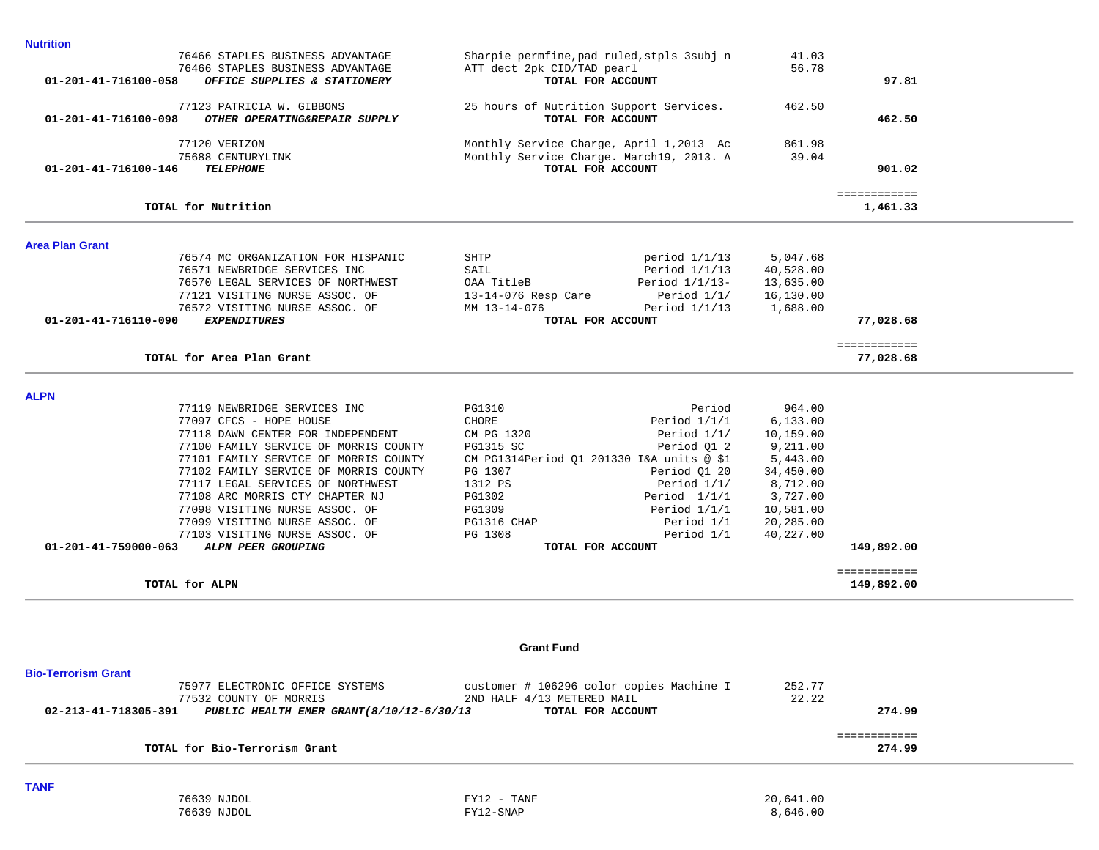| <b>Nutrition</b>           |                                                            |                                                              |                   |           |                            |  |
|----------------------------|------------------------------------------------------------|--------------------------------------------------------------|-------------------|-----------|----------------------------|--|
|                            | 76466 STAPLES BUSINESS ADVANTAGE                           | Sharpie permfine, pad ruled, stpls 3 subj n                  |                   | 41.03     |                            |  |
|                            | 76466 STAPLES BUSINESS ADVANTAGE                           | ATT dect 2pk CID/TAD pearl                                   |                   | 56.78     |                            |  |
| 01-201-41-716100-058       | OFFICE SUPPLIES & STATIONERY                               | TOTAL FOR ACCOUNT                                            |                   |           | 97.81                      |  |
|                            |                                                            |                                                              |                   |           |                            |  |
| 01-201-41-716100-098       | 77123 PATRICIA W. GIBBONS<br>OTHER OPERATING&REPAIR SUPPLY | 25 hours of Nutrition Support Services.<br>TOTAL FOR ACCOUNT |                   | 462.50    | 462.50                     |  |
|                            |                                                            |                                                              |                   |           |                            |  |
|                            | 77120 VERIZON                                              | Monthly Service Charge, April 1,2013 Ac                      |                   | 861.98    |                            |  |
|                            | 75688 CENTURYLINK                                          | Monthly Service Charge. March19, 2013. A                     |                   | 39.04     |                            |  |
| 01-201-41-716100-146       | <b>TELEPHONE</b>                                           | TOTAL FOR ACCOUNT                                            |                   |           | 901.02                     |  |
|                            |                                                            |                                                              |                   |           |                            |  |
|                            |                                                            |                                                              |                   |           | ============               |  |
|                            | TOTAL for Nutrition                                        |                                                              |                   |           | 1,461.33                   |  |
| <b>Area Plan Grant</b>     |                                                            |                                                              |                   |           |                            |  |
|                            | 76574 MC ORGANIZATION FOR HISPANIC                         | SHTP                                                         | period $1/1/13$   | 5,047.68  |                            |  |
|                            | 76571 NEWBRIDGE SERVICES INC                               | SAIL                                                         | Period $1/1/13$   | 40,528.00 |                            |  |
|                            | 76570 LEGAL SERVICES OF NORTHWEST                          | OAA TitleB                                                   | Period $1/1/13$ - | 13,635.00 |                            |  |
|                            | 77121 VISITING NURSE ASSOC. OF                             | 13-14-076 Resp Care                                          | Period $1/1/$     | 16,130.00 |                            |  |
|                            | 76572 VISITING NURSE ASSOC. OF                             | MM 13-14-076                                                 | Period $1/1/13$   | 1,688.00  |                            |  |
| 01-201-41-716110-090       | <b>EXPENDITURES</b>                                        | TOTAL FOR ACCOUNT                                            |                   |           | 77,028.68                  |  |
|                            |                                                            |                                                              |                   |           |                            |  |
|                            | TOTAL for Area Plan Grant                                  |                                                              |                   |           | ============<br>77,028.68  |  |
|                            |                                                            |                                                              |                   |           |                            |  |
| <b>ALPN</b>                |                                                            |                                                              |                   |           |                            |  |
|                            | 77119 NEWBRIDGE SERVICES INC                               | PG1310                                                       | Period            | 964.00    |                            |  |
|                            | 77097 CFCS - HOPE HOUSE                                    | CHORE                                                        | Period $1/1/1$    | 6, 133.00 |                            |  |
|                            | 77118 DAWN CENTER FOR INDEPENDENT                          | CM PG 1320                                                   | Period $1/1/$     | 10,159.00 |                            |  |
|                            | 77100 FAMILY SERVICE OF MORRIS COUNTY                      | <b>PG1315 SC</b>                                             | Period Q1 2       | 9,211.00  |                            |  |
|                            | 77101 FAMILY SERVICE OF MORRIS COUNTY                      | CM PG1314Period Q1 201330 I&A units @ \$1                    |                   | 5,443.00  |                            |  |
|                            | 77102 FAMILY SERVICE OF MORRIS COUNTY                      | PG 1307                                                      | Period Q1 20      | 34,450.00 |                            |  |
|                            | 77117 LEGAL SERVICES OF NORTHWEST                          | 1312 PS                                                      | Period $1/1/$     | 8,712.00  |                            |  |
|                            | 77108 ARC MORRIS CTY CHAPTER NJ                            | PG1302                                                       | Period $1/1/1$    | 3,727.00  |                            |  |
|                            | 77098 VISITING NURSE ASSOC. OF                             | PG1309                                                       | Period $1/1/1$    | 10,581.00 |                            |  |
|                            | 77099 VISITING NURSE ASSOC. OF                             | PG1316 CHAP                                                  | Period 1/1        | 20,285.00 |                            |  |
|                            | 77103 VISITING NURSE ASSOC. OF                             | PG 1308                                                      | Period 1/1        | 40,227.00 |                            |  |
| 01-201-41-759000-063       | ALPN PEER GROUPING                                         | TOTAL FOR ACCOUNT                                            |                   |           | 149,892.00                 |  |
|                            | TOTAL for ALPN                                             |                                                              |                   |           | ============<br>149,892.00 |  |
|                            |                                                            |                                                              |                   |           |                            |  |
|                            |                                                            |                                                              |                   |           |                            |  |
|                            |                                                            | <b>Grant Fund</b>                                            |                   |           |                            |  |
| <b>Bio-Terrorism Grant</b> |                                                            |                                                              |                   |           |                            |  |
|                            | 75977 ELECTRONIC OFFICE SYSTEMS                            | customer # 106296 color copies Machine I                     |                   | 252.77    |                            |  |
|                            | 77532 COUNTY OF MORRIS                                     | 2ND HALF 4/13 METERED MAIL                                   |                   | 22.22     |                            |  |
| 02-213-41-718305-391       | PUBLIC HEALTH EMER GRANT (8/10/12-6/30/13                  | TOTAL FOR ACCOUNT                                            |                   |           | 274.99                     |  |
|                            |                                                            |                                                              |                   |           |                            |  |
|                            |                                                            |                                                              |                   |           | ============               |  |
|                            | TOTAL for Bio-Terrorism Grant                              |                                                              |                   |           | 274.99                     |  |
|                            |                                                            |                                                              |                   |           |                            |  |

**TANF** 

76639 NJDOL FY12 - TANF 20,641.00

76639 NJDOL FY12-SNAP 8,646.00

÷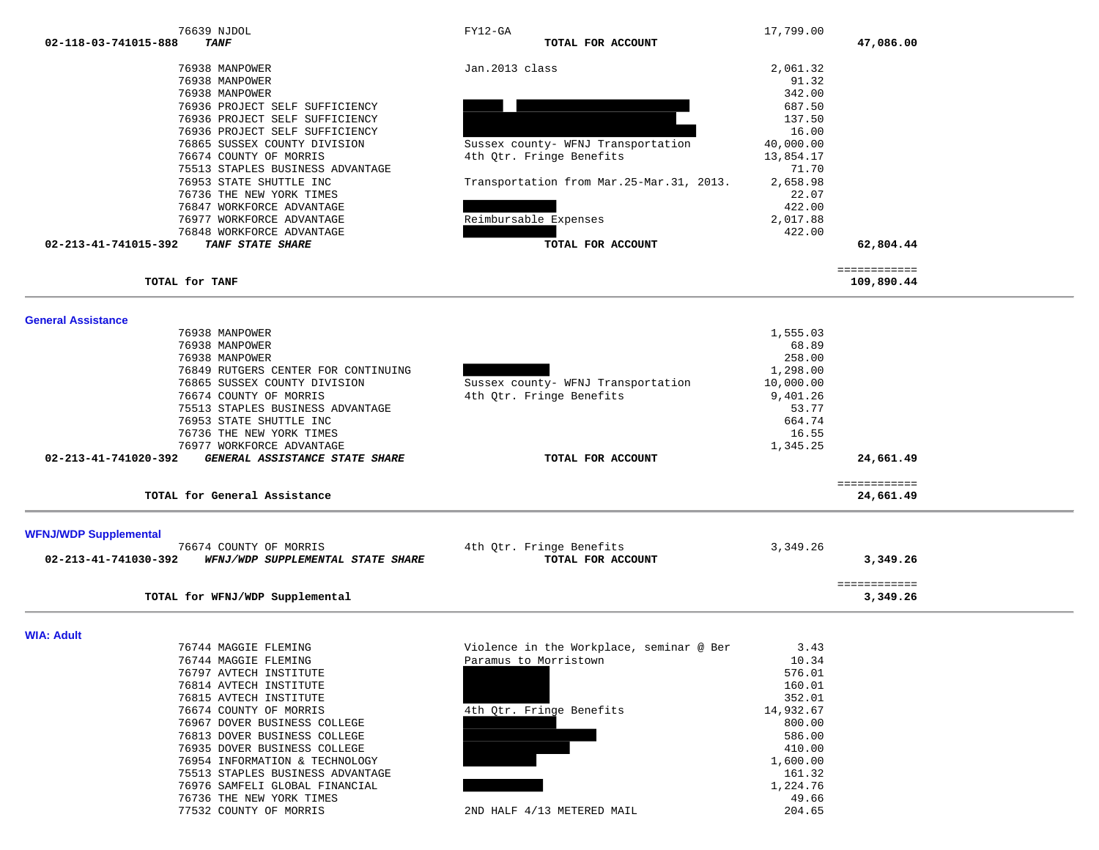| <b>TANF</b><br>02-118-03-741015-888                                                                                                                                                                                                                                                                                                                                |                                                                                     |                                                                                                          |                           |  |
|--------------------------------------------------------------------------------------------------------------------------------------------------------------------------------------------------------------------------------------------------------------------------------------------------------------------------------------------------------------------|-------------------------------------------------------------------------------------|----------------------------------------------------------------------------------------------------------|---------------------------|--|
|                                                                                                                                                                                                                                                                                                                                                                    | TOTAL FOR ACCOUNT                                                                   |                                                                                                          | 47,086.00                 |  |
| 76938 MANPOWER                                                                                                                                                                                                                                                                                                                                                     | Jan.2013 class                                                                      | 2,061.32                                                                                                 |                           |  |
| 76938 MANPOWER                                                                                                                                                                                                                                                                                                                                                     |                                                                                     | 91.32                                                                                                    |                           |  |
| 76938 MANPOWER                                                                                                                                                                                                                                                                                                                                                     |                                                                                     | 342.00                                                                                                   |                           |  |
| 76936 PROJECT SELF SUFFICIENCY                                                                                                                                                                                                                                                                                                                                     |                                                                                     | 687.50                                                                                                   |                           |  |
| 76936 PROJECT SELF SUFFICIENCY                                                                                                                                                                                                                                                                                                                                     |                                                                                     | 137.50                                                                                                   |                           |  |
| 76936 PROJECT SELF SUFFICIENCY                                                                                                                                                                                                                                                                                                                                     |                                                                                     | 16.00                                                                                                    |                           |  |
| 76865 SUSSEX COUNTY DIVISION                                                                                                                                                                                                                                                                                                                                       | Sussex county- WFNJ Transportation                                                  | 40,000.00                                                                                                |                           |  |
| 76674 COUNTY OF MORRIS                                                                                                                                                                                                                                                                                                                                             | 4th Qtr. Fringe Benefits                                                            | 13,854.17                                                                                                |                           |  |
| 75513 STAPLES BUSINESS ADVANTAGE                                                                                                                                                                                                                                                                                                                                   |                                                                                     | 71.70                                                                                                    |                           |  |
| 76953 STATE SHUTTLE INC                                                                                                                                                                                                                                                                                                                                            | Transportation from Mar. 25-Mar. 31, 2013.                                          | 2,658.98                                                                                                 |                           |  |
| 76736 THE NEW YORK TIMES                                                                                                                                                                                                                                                                                                                                           |                                                                                     | 22.07                                                                                                    |                           |  |
| 76847 WORKFORCE ADVANTAGE                                                                                                                                                                                                                                                                                                                                          |                                                                                     | 422.00                                                                                                   |                           |  |
| 76977 WORKFORCE ADVANTAGE                                                                                                                                                                                                                                                                                                                                          | Reimbursable Expenses                                                               | 2,017.88                                                                                                 |                           |  |
| 76848 WORKFORCE ADVANTAGE                                                                                                                                                                                                                                                                                                                                          |                                                                                     | 422.00                                                                                                   |                           |  |
| 02-213-41-741015-392<br>TANF STATE SHARE                                                                                                                                                                                                                                                                                                                           | TOTAL FOR ACCOUNT                                                                   |                                                                                                          | 62,804.44                 |  |
|                                                                                                                                                                                                                                                                                                                                                                    |                                                                                     |                                                                                                          | ============              |  |
| <b>TOTAL for TANF</b>                                                                                                                                                                                                                                                                                                                                              |                                                                                     |                                                                                                          | 109,890.44                |  |
|                                                                                                                                                                                                                                                                                                                                                                    |                                                                                     |                                                                                                          |                           |  |
| <b>General Assistance</b><br>76938 MANPOWER<br>76938 MANPOWER<br>76938 MANPOWER<br>76849 RUTGERS CENTER FOR CONTINUING<br>76865 SUSSEX COUNTY DIVISION<br>76674 COUNTY OF MORRIS<br>75513 STAPLES BUSINESS ADVANTAGE<br>76953 STATE SHUTTLE INC<br>76736 THE NEW YORK TIMES<br>76977 WORKFORCE ADVANTAGE<br>GENERAL ASSISTANCE STATE SHARE<br>02-213-41-741020-392 | Sussex county- WFNJ Transportation<br>4th Qtr. Fringe Benefits<br>TOTAL FOR ACCOUNT | 1,555.03<br>68.89<br>258.00<br>1,298.00<br>10,000.00<br>9,401.26<br>53.77<br>664.74<br>16.55<br>1,345.25 | 24,661.49                 |  |
| TOTAL for General Assistance                                                                                                                                                                                                                                                                                                                                       |                                                                                     |                                                                                                          | ============<br>24,661.49 |  |
|                                                                                                                                                                                                                                                                                                                                                                    |                                                                                     |                                                                                                          |                           |  |
| 76674 COUNTY OF MORRIS                                                                                                                                                                                                                                                                                                                                             | 4th Qtr. Fringe Benefits                                                            | 3,349.26                                                                                                 |                           |  |
| <b>WFNJ/WDP Supplemental</b><br>02-213-41-741030-392<br>WFNJ/WDP SUPPLEMENTAL STATE SHARE                                                                                                                                                                                                                                                                          | TOTAL FOR ACCOUNT                                                                   |                                                                                                          | 3,349.26                  |  |

**WIA: Adult** 

| 76744 MAGGIE FLEMING             | Violence in the Workplace, seminar @ Ber | 3.43      |
|----------------------------------|------------------------------------------|-----------|
| 76744 MAGGIE FLEMING             | Paramus to Morristown                    | 10.34     |
| 76797 AVTECH INSTITUTE           |                                          | 576.01    |
| 76814 AVTECH INSTITUTE           |                                          | 160.01    |
| 76815 AVTECH INSTITUTE           |                                          | 352.01    |
| 76674 COUNTY OF MORRIS           | 4th Otr. Fringe Benefits                 | 14,932.67 |
| 76967 DOVER BUSINESS COLLEGE     |                                          | 800.00    |
| 76813 DOVER BUSINESS COLLEGE     |                                          | 586.00    |
| 76935 DOVER BUSINESS COLLEGE     |                                          | 410.00    |
| 76954 INFORMATION & TECHNOLOGY   |                                          | 1,600.00  |
| 75513 STAPLES BUSINESS ADVANTAGE |                                          | 161.32    |
| 76976 SAMFELI GLOBAL FINANCIAL   |                                          | 1,224.76  |
| 76736 THE NEW YORK TIMES         |                                          | 49.66     |
| 77532 COUNTY OF MORRIS           | 4/13 METERED MAIL<br>2ND HALF            | 204.65    |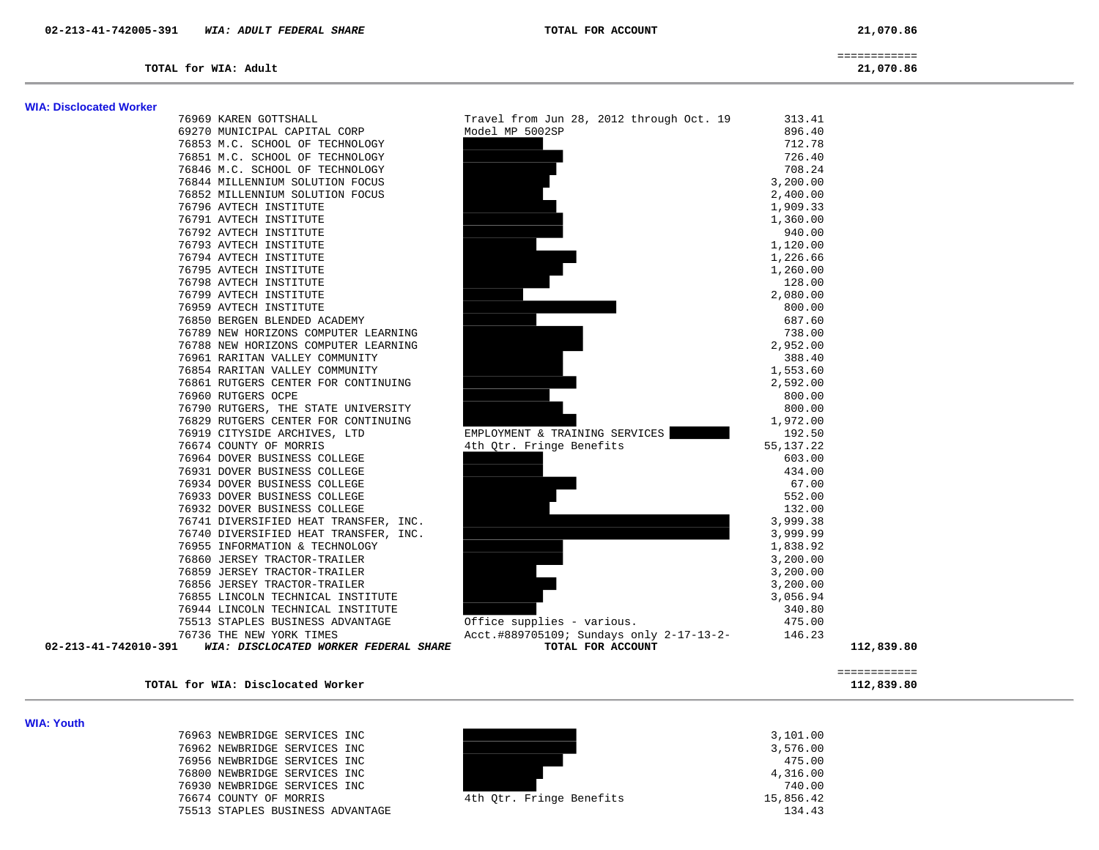============

**TOTAL for WIA: Adult 21,070.86**

### **WIA: Disclocated Worker**

76969 KAREN GOTTSHALL 69270 MUNICIPAL CAPITAL CORP 76853 M.C. SCHOOL OF TECHNOLOGY 76851 M.C. SCHOOL OF TECHNOLOGY 76846 M.C. SCHOOL OF TECHNOLOGY 76844 MILLENNIUM SOLUTION FOCUS 76852 MILLENNIUM SOLUTION FOCUS 76796 AVTECH INSTITUTE 76791 AVTECH INSTITUTE 76792 AVTECH INSTITUTE 76793 AVTECH INSTITUTE 76794 AVTECH INSTITUTE 76795 AVTECH INSTITUTE 76798 AVTECH INSTITUTE 76799 AVTECH INSTITUTE 76959 AVTECH INSTITUTE 76850 BERGEN BLENDED ACADEMY 76789 NEW HORIZONS COMPUTER LEARNING 76788 NEW HORIZONS COMPUTER LEARNING 76961 RARITAN VALLEY COMMUNITY 76854 RARITAN VALLEY COMMUNITY 76861 RUTGERS CENTER FOR CONTINUING 76960 RUTGERS OCPE 76790 RUTGERS, THE STATE UNIVERSITY 76829 RUTGERS CENTER FOR CONTINUING 76919 CITYSIDE ARCHIVES, LTD 76674 COUNTY OF MORRIS 76964 DOVER BUSINESS COLLEGE 76931 DOVER BUSINESS COLLEGE 76934 DOVER BUSINESS COLLEGE 76933 DOVER BUSINESS COLLEGE 76932 DOVER BUSINESS COLLEGE 76741 DIVERSIFIED HEAT TRANSFER, INC. 76740 DIVERSIFIED HEAT TRANSFER, INC. 76955 INFORMATION & TECHNOLOGY 76860 JERSEY TRACTOR-TRAILER 76859 JERSEY TRACTOR-TRAILER 76856 JERSEY TRACTOR-TRAILER 76855 LINCOLN TECHNICAL INSTITUTE 76944 LINCOLN TECHNICAL INSTITUTE 75513 STAPLES BUSINESS ADVANTAGE 76736 THE NEW YORK TIMES 02-213-41-742010-391 *WIA: DISCLOCATED WORKER FEDERAL SHARE* 

|   | Travel from Jun 28, 2012 through Oct. 19<br>313.41<br>Model MP 5002SP<br>896.40<br>712.78<br>726.40<br>708.24<br>3,200.00<br>2,400.00<br>1,909.33<br>1,360.00<br>940.00<br>1,120.00<br>1,226.66<br>1,260.00<br>128.00<br>2,080.00<br>800.00<br>687.60<br>738.00<br>2,952.00<br>388.40<br>1,553.60<br>2,592.00<br>800.00<br>800.00<br>1,972.00<br>EMPLOYMENT & TRAINING SERVICES<br>192.50<br>4th Qtr. Fringe Benefits<br>55, 137.22<br>603.00<br>434.00<br>67.00<br>552.00<br>132.00<br>3,999.38<br>3,999.99<br>1,838.92<br>3,200.00<br>3,200.00 |            |
|---|--------------------------------------------------------------------------------------------------------------------------------------------------------------------------------------------------------------------------------------------------------------------------------------------------------------------------------------------------------------------------------------------------------------------------------------------------------------------------------------------------------------------------------------------------|------------|
| ζ | 3,200.00<br>3,056.94<br>340.80<br>Office supplies - various.<br>475.00<br>Acct.#889705109; Sundays only 2-17-13-2-<br>146.23<br>TOTAL FOR ACCOUNT                                                                                                                                                                                                                                                                                                                                                                                                | 112,839.80 |

#### ============ **TOTAL for WIA: Disclocated Worker 112,839.80**

**WIA: Youth** 

The STAPLES BUSINESS ADVANTAGE 134.43

| 76963 NEWBRIDGE SERVICES INC |  |                          | 3,101.00  |
|------------------------------|--|--------------------------|-----------|
| 76962 NEWBRIDGE SERVICES INC |  |                          | 3,576.00  |
| 76956 NEWBRIDGE SERVICES INC |  |                          | 475.00    |
| 76800 NEWBRIDGE SERVICES INC |  |                          | 4,316.00  |
| 76930 NEWBRIDGE SERVICES INC |  |                          | 740.00    |
| 76674 COUNTY OF MORRIS       |  | 4th Otr. Fringe Benefits | 15,856.42 |
|                              |  |                          |           |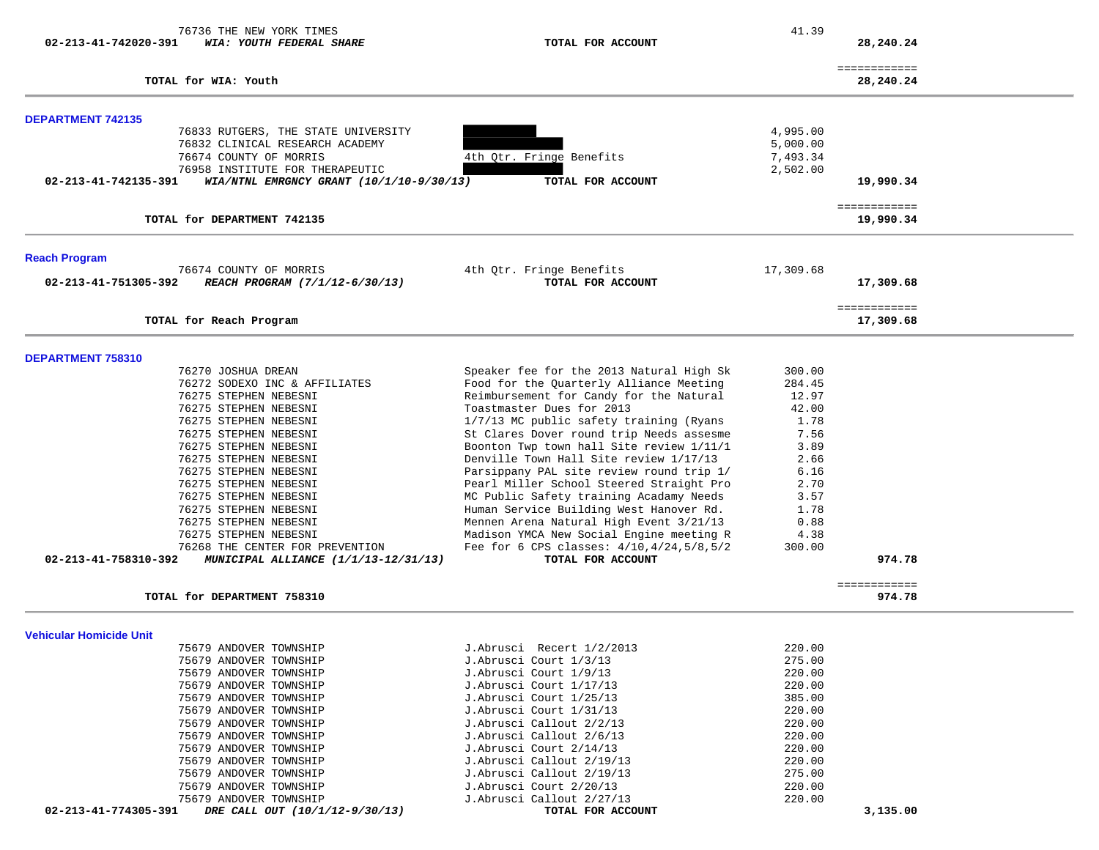| 76736 THE NEW YORK TIMES<br>02-213-41-742020-391<br>WIA: YOUTH FEDERAL SHARE                          | TOTAL FOR ACCOUNT                                                                   | 41.39            | 28,240.24                 |  |
|-------------------------------------------------------------------------------------------------------|-------------------------------------------------------------------------------------|------------------|---------------------------|--|
|                                                                                                       |                                                                                     |                  |                           |  |
| TOTAL for WIA: Youth                                                                                  |                                                                                     |                  | ============<br>28,240.24 |  |
| <b>DEPARTMENT 742135</b>                                                                              |                                                                                     |                  |                           |  |
| 76833 RUTGERS, THE STATE UNIVERSITY                                                                   |                                                                                     | 4,995.00         |                           |  |
| 76832 CLINICAL RESEARCH ACADEMY                                                                       |                                                                                     | 5,000.00         |                           |  |
| 76674 COUNTY OF MORRIS                                                                                | 4th Qtr. Fringe Benefits                                                            | 7,493.34         |                           |  |
| 76958 INSTITUTE FOR THERAPEUTIC<br>02-213-41-742135-391<br>WIA/NTNL EMRGNCY GRANT $(10/1/10-9/30/13)$ | TOTAL FOR ACCOUNT                                                                   | 2,502.00         | 19,990.34                 |  |
|                                                                                                       |                                                                                     |                  | ============              |  |
| TOTAL for DEPARTMENT 742135                                                                           |                                                                                     |                  | 19,990.34                 |  |
| <b>Reach Program</b>                                                                                  |                                                                                     |                  |                           |  |
| 76674 COUNTY OF MORRIS<br>REACH PROGRAM (7/1/12-6/30/13)<br>02-213-41-751305-392                      | 4th Qtr. Fringe Benefits<br>TOTAL FOR ACCOUNT                                       | 17,309.68        | 17,309.68                 |  |
| TOTAL for Reach Program                                                                               |                                                                                     |                  | ============<br>17,309.68 |  |
|                                                                                                       |                                                                                     |                  |                           |  |
| DEPARTMENT 758310                                                                                     |                                                                                     |                  |                           |  |
| 76270 JOSHUA DREAN<br>76272 SODEXO INC & AFFILIATES                                                   | Speaker fee for the 2013 Natural High Sk<br>Food for the Quarterly Alliance Meeting | 300.00<br>284.45 |                           |  |
| 76275 STEPHEN NEBESNI                                                                                 | Reimbursement for Candy for the Natural                                             | 12.97            |                           |  |
| 76275 STEPHEN NEBESNI                                                                                 | Toastmaster Dues for 2013                                                           | 42.00            |                           |  |
| 76275 STEPHEN NEBESNI                                                                                 | 1/7/13 MC public safety training (Ryans                                             | 1.78             |                           |  |
| 76275 STEPHEN NEBESNI                                                                                 | St Clares Dover round trip Needs assesme                                            | 7.56             |                           |  |
| 76275 STEPHEN NEBESNI                                                                                 | Boonton Twp town hall Site review 1/11/1                                            | 3.89             |                           |  |
| 76275 STEPHEN NEBESNI                                                                                 | Denville Town Hall Site review 1/17/13                                              | 2.66             |                           |  |
| 76275 STEPHEN NEBESNI                                                                                 | Parsippany PAL site review round trip 1/                                            | 6.16             |                           |  |
| 76275 STEPHEN NEBESNI                                                                                 | Pearl Miller School Steered Straight Pro                                            | 2.70             |                           |  |
| 76275 STEPHEN NEBESNI                                                                                 | MC Public Safety training Acadamy Needs                                             | 3.57             |                           |  |
| 76275 STEPHEN NEBESNI                                                                                 | Human Service Building West Hanover Rd.                                             | 1.78             |                           |  |
| 76275 STEPHEN NEBESNI                                                                                 | Mennen Arena Natural High Event 3/21/13                                             | 0.88             |                           |  |
| 76275 STEPHEN NEBESNI                                                                                 | Madison YMCA New Social Engine meeting R                                            | 4.38             |                           |  |
| 76268 THE CENTER FOR PREVENTION<br>02-213-41-758310-392<br>MUNICIPAL ALLIANCE (1/1/13-12/31/13)       | Fee for 6 CPS classes: $4/10, 4/24, 5/8, 5/2$<br>TOTAL FOR ACCOUNT                  | 300.00           | 974.78                    |  |
|                                                                                                       |                                                                                     |                  | ============              |  |
| TOTAL for DEPARTMENT 758310                                                                           |                                                                                     |                  | 974.78                    |  |
| Vehicular Homicide Unit                                                                               |                                                                                     |                  |                           |  |
| 75679 ANDOVER TOWNSHIP                                                                                | J.Abrusci Recert 1/2/2013                                                           | 220.00           |                           |  |
| 75679 ANDOVER TOWNSHIP                                                                                | J.Abrusci Court 1/3/13                                                              | 275.00           |                           |  |
| 75679 ANDOVER TOWNSHIP                                                                                | J.Abrusci Court 1/9/13                                                              | 220.00           |                           |  |
| 75679 ANDOVER TOWNSHIP                                                                                | J.Abrusci Court 1/17/13                                                             | 220.00           |                           |  |
| 75679 ANDOVER TOWNSHIP                                                                                | J.Abrusci Court 1/25/13                                                             | 385.00           |                           |  |
| 75679 ANDOVER TOWNSHIP                                                                                | J.Abrusci Court 1/31/13                                                             | 220.00           |                           |  |
| 75679 ANDOVER TOWNSHIP                                                                                | J.Abrusci Callout 2/2/13                                                            | 220.00           |                           |  |
| 75679 ANDOVER TOWNSHIP<br>75679 ANDOVER TOWNSHIP                                                      | J.Abrusci Callout 2/6/13                                                            | 220.00           |                           |  |
|                                                                                                       | J.Abrusci Court 2/14/13                                                             | 220.00           |                           |  |
| 75679 ANDOVER TOWNSHIP<br>75679 ANDOVER TOWNSHIP                                                      | J.Abrusci Callout 2/19/13<br>J.Abrusci Callout 2/19/13                              | 220.00<br>275.00 |                           |  |
| 75679 ANDOVER TOWNSHIP                                                                                | J.Abrusci Court 2/20/13                                                             | 220.00           |                           |  |
| 75679 ANDOVER TOWNSHIP                                                                                | J.Abrusci Callout 2/27/13                                                           | 220.00           |                           |  |
| 02-213-41-774305-391<br>DRE CALL OUT (10/1/12-9/30/13)                                                | TOTAL FOR ACCOUNT                                                                   |                  | 3,135.00                  |  |
|                                                                                                       |                                                                                     |                  |                           |  |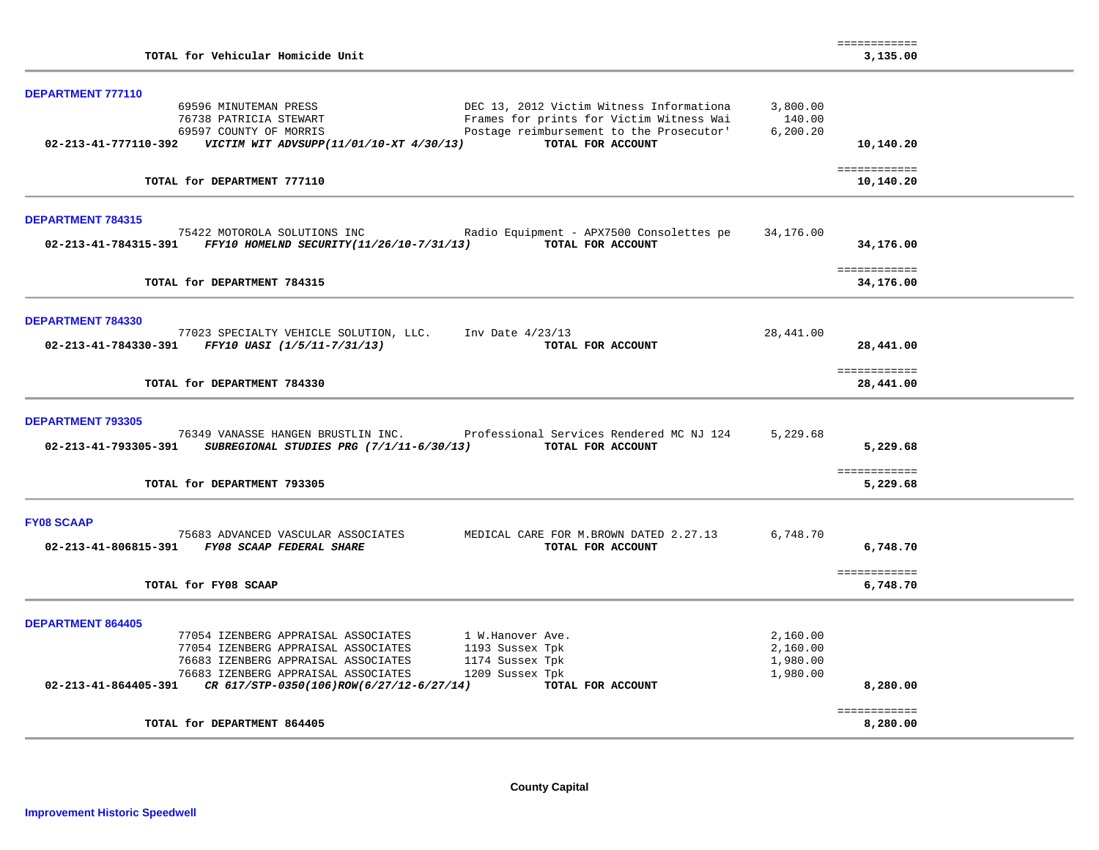| TOTAL for Vehicular Homicide Unit                                                                                                                                           |           | ============<br>3,135.00  |  |
|-----------------------------------------------------------------------------------------------------------------------------------------------------------------------------|-----------|---------------------------|--|
|                                                                                                                                                                             |           |                           |  |
| <b>DEPARTMENT 777110</b>                                                                                                                                                    |           |                           |  |
| 69596 MINUTEMAN PRESS<br>DEC 13, 2012 Victim Witness Informationa                                                                                                           | 3,800.00  |                           |  |
| Frames for prints for Victim Witness Wai<br>76738 PATRICIA STEWART                                                                                                          | 140.00    |                           |  |
| Postage reimbursement to the Prosecutor'<br>69597 COUNTY OF MORRIS                                                                                                          | 6, 200.20 |                           |  |
| TOTAL FOR ACCOUNT                                                                                                                                                           |           | 10,140.20                 |  |
| TOTAL for DEPARTMENT 777110                                                                                                                                                 |           | ============<br>10,140.20 |  |
| <b>DEPARTMENT 784315</b>                                                                                                                                                    |           |                           |  |
| 75422 MOTOROLA SOLUTIONS INC<br>Radio Equipment - APX7500 Consolettes pe                                                                                                    | 34,176.00 |                           |  |
| 02-213-41-784315-391 FFY10 HOMELND SECURITY(11/26/10-7/31/13)<br>TOTAL FOR ACCOUNT                                                                                          |           | 34,176.00                 |  |
|                                                                                                                                                                             |           |                           |  |
|                                                                                                                                                                             |           | ============              |  |
| TOTAL for DEPARTMENT 784315                                                                                                                                                 |           | 34,176.00                 |  |
|                                                                                                                                                                             |           |                           |  |
| <b>DEPARTMENT 784330</b>                                                                                                                                                    |           |                           |  |
| 77023 SPECIALTY VEHICLE SOLUTION, LLC.<br>Inv Date $4/23/13$                                                                                                                | 28,441.00 |                           |  |
| $02 - 213 - 41 - 784330 - 391$ FFY10 UASI (1/5/11-7/31/13)<br>TOTAL FOR ACCOUNT                                                                                             |           | 28,441.00                 |  |
|                                                                                                                                                                             |           |                           |  |
|                                                                                                                                                                             |           | ============              |  |
| TOTAL for DEPARTMENT 784330                                                                                                                                                 |           | 28,441.00                 |  |
|                                                                                                                                                                             |           |                           |  |
| <b>DEPARTMENT 793305</b>                                                                                                                                                    | 5,229.68  |                           |  |
| 76349 VANASSE HANGEN BRUSTLIN INC. Professional Services Rendered MC NJ 124<br>02-213-41-793305-391<br><i>SUBREGIONAL STUDIES PRG (7/1/11-6/30/13)</i><br>TOTAL FOR ACCOUNT |           | 5,229.68                  |  |
|                                                                                                                                                                             |           |                           |  |
|                                                                                                                                                                             |           | ============              |  |
| TOTAL for DEPARTMENT 793305                                                                                                                                                 |           | 5,229.68                  |  |
|                                                                                                                                                                             |           |                           |  |
| <b>FY08 SCAAP</b>                                                                                                                                                           |           |                           |  |
| 75683 ADVANCED VASCULAR ASSOCIATES<br>MEDICAL CARE FOR M.BROWN DATED 2.27.13                                                                                                | 6,748.70  |                           |  |
| 02-213-41-806815-391 FY08 SCAAP FEDERAL SHARE<br>TOTAL FOR ACCOUNT                                                                                                          |           | 6,748.70                  |  |
|                                                                                                                                                                             |           |                           |  |
|                                                                                                                                                                             |           | ============              |  |
| TOTAL for FY08 SCAAP                                                                                                                                                        |           | 6,748.70                  |  |
|                                                                                                                                                                             |           |                           |  |
| <b>DEPARTMENT 864405</b>                                                                                                                                                    |           |                           |  |
| 77054 IZENBERG APPRAISAL ASSOCIATES<br>1 W.Hanover Ave.                                                                                                                     | 2,160.00  |                           |  |
| 77054 IZENBERG APPRAISAL ASSOCIATES<br>1193 Sussex Tpk                                                                                                                      | 2,160.00  |                           |  |
| 1174 Sussex Tpk<br>76683 IZENBERG APPRAISAL ASSOCIATES                                                                                                                      | 1,980.00  |                           |  |
| 1209 Sussex Tpk<br>76683 IZENBERG APPRAISAL ASSOCIATES                                                                                                                      | 1,980.00  |                           |  |
| $02-213-41-864405-391$ CR $617/STP-0350(106)$ ROW $(6/27/12-6/27/14)$<br>TOTAL FOR ACCOUNT                                                                                  |           | 8,280.00                  |  |
|                                                                                                                                                                             |           | ============              |  |
| TOTAL for DEPARTMENT 864405                                                                                                                                                 |           | 8,280.00                  |  |
|                                                                                                                                                                             |           |                           |  |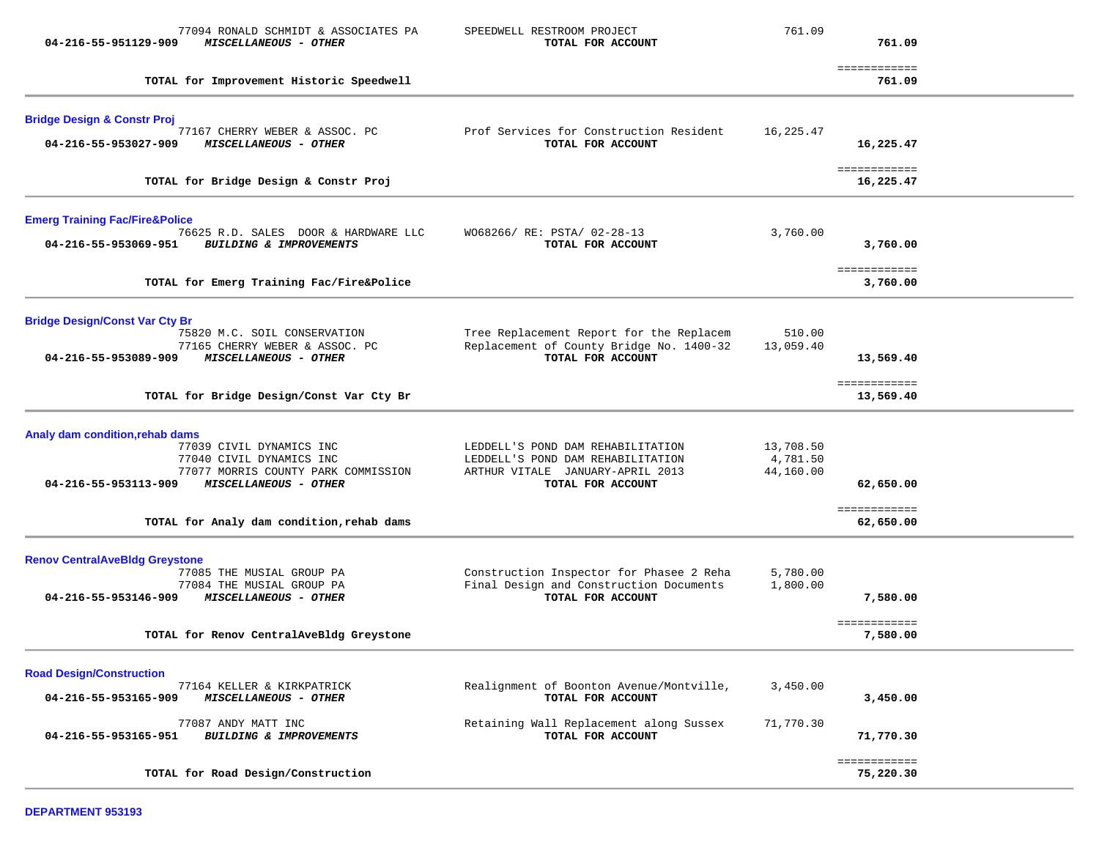| 77094 RONALD SCHMIDT & ASSOCIATES PA<br>04-216-55-951129-909<br>MISCELLANEOUS - OTHER                           | SPEEDWELL RESTROOM PROJECT<br>TOTAL FOR ACCOUNT                                                            | 761.09                             | 761.09                    |  |
|-----------------------------------------------------------------------------------------------------------------|------------------------------------------------------------------------------------------------------------|------------------------------------|---------------------------|--|
|                                                                                                                 |                                                                                                            |                                    |                           |  |
| TOTAL for Improvement Historic Speedwell                                                                        |                                                                                                            |                                    | ============<br>761.09    |  |
| <b>Bridge Design &amp; Constr Proj</b>                                                                          |                                                                                                            |                                    |                           |  |
| 77167 CHERRY WEBER & ASSOC. PC<br>04-216-55-953027-909<br>MISCELLANEOUS - OTHER                                 | Prof Services for Construction Resident<br>TOTAL FOR ACCOUNT                                               | 16,225.47                          | 16,225.47                 |  |
| TOTAL for Bridge Design & Constr Proj                                                                           |                                                                                                            |                                    | ============<br>16,225.47 |  |
| <b>Emerg Training Fac/Fire&amp;Police</b>                                                                       |                                                                                                            |                                    |                           |  |
| 76625 R.D. SALES DOOR & HARDWARE LLC<br>04-216-55-953069-951<br>BUILDING & IMPROVEMENTS                         | W068266/ RE: PSTA/ 02-28-13<br>TOTAL FOR ACCOUNT                                                           | 3,760.00                           | 3,760.00                  |  |
| TOTAL for Emerg Training Fac/Fire&Police                                                                        |                                                                                                            |                                    | ============<br>3,760.00  |  |
| <b>Bridge Design/Const Var Cty Br</b>                                                                           |                                                                                                            |                                    |                           |  |
| 75820 M.C. SOIL CONSERVATION<br>77165 CHERRY WEBER & ASSOC. PC<br>04-216-55-953089-909<br>MISCELLANEOUS - OTHER | Tree Replacement Report for the Replacem<br>Replacement of County Bridge No. 1400-32<br>TOTAL FOR ACCOUNT  | 510.00<br>13,059.40                | 13,569.40                 |  |
| TOTAL for Bridge Design/Const Var Cty Br                                                                        |                                                                                                            |                                    | ============<br>13,569.40 |  |
| Analy dam condition, rehab dams                                                                                 |                                                                                                            |                                    |                           |  |
| 77039 CIVIL DYNAMICS INC<br>77040 CIVIL DYNAMICS INC<br>77077 MORRIS COUNTY PARK COMMISSION                     | LEDDELL'S POND DAM REHABILITATION<br>LEDDELL'S POND DAM REHABILITATION<br>ARTHUR VITALE JANUARY-APRIL 2013 | 13,708.50<br>4,781.50<br>44,160.00 |                           |  |
| 04-216-55-953113-909<br>MISCELLANEOUS - OTHER                                                                   | TOTAL FOR ACCOUNT                                                                                          |                                    | 62,650.00                 |  |
| TOTAL for Analy dam condition, rehab dams                                                                       |                                                                                                            |                                    | ============<br>62,650.00 |  |
| <b>Renov CentralAveBldg Greystone</b><br>77085 THE MUSIAL GROUP PA                                              | Construction Inspector for Phasee 2 Reha                                                                   | 5,780.00                           |                           |  |
| 77084 THE MUSIAL GROUP PA<br>04-216-55-953146-909<br>MISCELLANEOUS - OTHER                                      | Final Design and Construction Documents<br>TOTAL FOR ACCOUNT                                               | 1,800.00                           | 7,580.00                  |  |
| TOTAL for Renov CentralAveBldg Greystone                                                                        |                                                                                                            |                                    | ============<br>7,580.00  |  |
| <b>Road Design/Construction</b>                                                                                 |                                                                                                            |                                    |                           |  |
| 77164 KELLER & KIRKPATRICK<br>04-216-55-953165-909<br>MISCELLANEOUS - OTHER                                     | Realignment of Boonton Avenue/Montville,<br>TOTAL FOR ACCOUNT                                              | 3,450.00                           | 3,450.00                  |  |
| 77087 ANDY MATT INC<br>04-216-55-953165-951<br>BUILDING & IMPROVEMENTS                                          | Retaining Wall Replacement along Sussex<br>TOTAL FOR ACCOUNT                                               | 71,770.30                          | 71,770.30                 |  |
| TOTAL for Road Design/Construction                                                                              |                                                                                                            |                                    | ============<br>75,220.30 |  |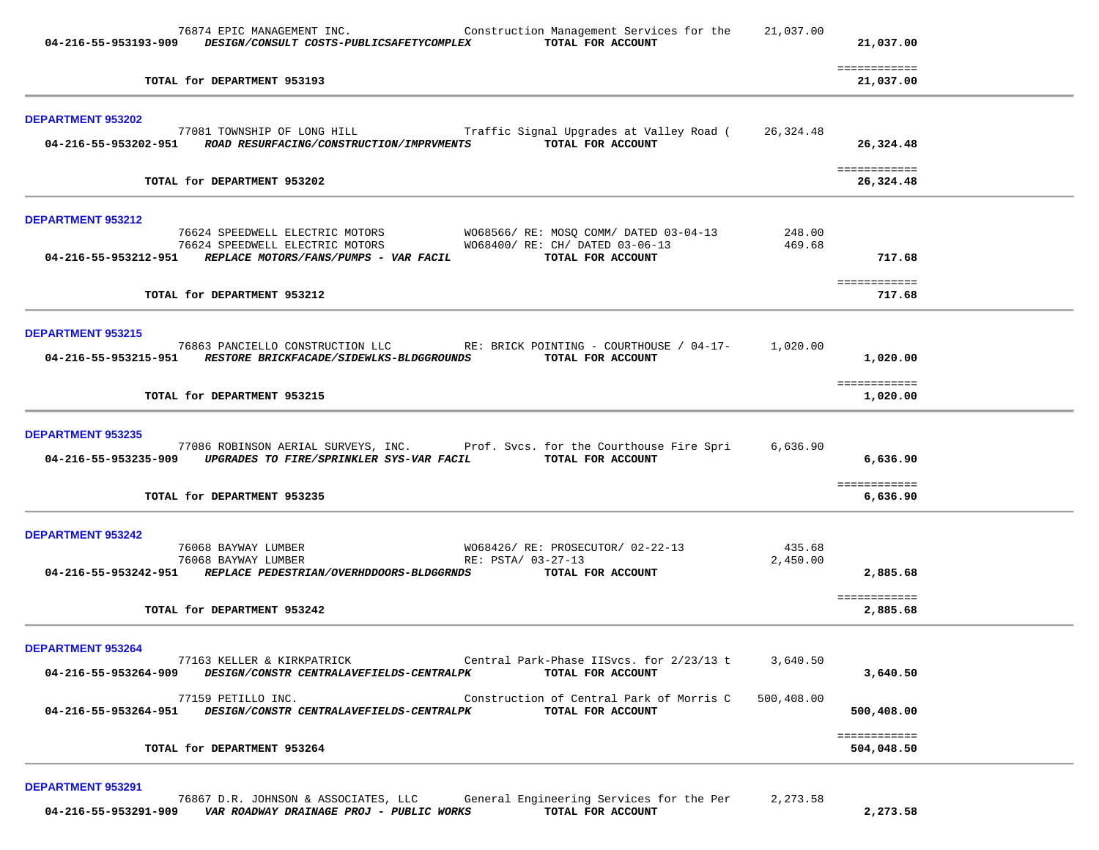| 76874 EPIC MANAGEMENT INC.<br>Construction Management Services for the<br>TOTAL FOR ACCOUNT<br>04-216-55-953193-909 DESIGN/CONSULT COSTS-PUBLICSAFETYCOMPLEX                                                                                                  | 21,037.00              | 21,037.00                  |  |
|---------------------------------------------------------------------------------------------------------------------------------------------------------------------------------------------------------------------------------------------------------------|------------------------|----------------------------|--|
| TOTAL for DEPARTMENT 953193                                                                                                                                                                                                                                   |                        | ============<br>21,037.00  |  |
| <b>DEPARTMENT 953202</b><br>77081 TOWNSHIP OF LONG HILL Traffic Signal Upgrades at Valley Road (26,324.48<br>TOTAL FOR ACCOUNT<br>04-216-55-953202-951 ROAD RESURFACING/CONSTRUCTION/IMPRVMENTS                                                               |                        | 26,324.48                  |  |
| TOTAL for DEPARTMENT 953202                                                                                                                                                                                                                                   |                        | ============<br>26,324.48  |  |
| DEPARTMENT 953212<br>76624 SPEEDWELL ELECTRIC MOTORS WO68566/RE: MOSQ COMM/DATED 03-04-13<br>76624 SPEEDWELL ELECTRIC MOTORS WO68400/RE: CH/DATED 03-06-13<br>04-216-55-953212-951    REPLACE MOTORS/FANS/PUMPS - VAR FACIL<br>TOTAL FOR ACCOUNT              | 248.00<br>469.68       | 717.68                     |  |
| TOTAL for DEPARTMENT 953212                                                                                                                                                                                                                                   |                        | ============<br>717.68     |  |
| <b>DEPARTMENT 953215</b><br>76863 PANCIELLO CONSTRUCTION LLC RE: BRICK POINTING - COURTHOUSE / 04-17-<br>04-216-55-953215-951 RESTORE BRICKFACADE/SIDEWLKS-BLDGGROUNDS TOTAL FOR ACCOUNT                                                                      | 1,020.00               | 1,020.00<br>============   |  |
| TOTAL for DEPARTMENT 953215                                                                                                                                                                                                                                   |                        | 1,020.00                   |  |
| <b>DEPARTMENT 953235</b><br>77086 ROBINSON AERIAL SURVEYS, INC. Prof. Svcs. for the Courthouse Fire Spri<br>04-216-55-953235-909 UPGRADES TO FIRE/SPRINKLER SYS-VAR FACIL<br>TOTAL FOR ACCOUNT                                                                | 6,636.90               | 6,636.90<br>============   |  |
| TOTAL for DEPARTMENT 953235                                                                                                                                                                                                                                   |                        | 6,636.90                   |  |
| <b>DEPARTMENT 953242</b><br>76068 BAYWAY LUMBER<br>W068426/RE: PROSECUTOR/02-22-13<br>76068 BAYWAY LUMBER<br>RE: PSTA/ 03-27-13<br>04-216-55-953242-951 REPLACE PEDESTRIAN/OVERHDDOORS-BLDGGRNDS TOTAL FOR ACCOUNT                                            | 435.68<br>2,450.00     | 2,885.68                   |  |
| TOTAL for DEPARTMENT 953242                                                                                                                                                                                                                                   |                        | ============<br>2,885.68   |  |
| <b>DEPARTMENT 953264</b><br>Central Park-Phase IISvcs. for 2/23/13 t<br>77163 KELLER & KIRKPATRICK<br>04-216-55-953264-909<br>DESIGN/CONSTR CENTRALAVEFIELDS-CENTRALPK<br>TOTAL FOR ACCOUNT<br>Construction of Central Park of Morris C<br>77159 PETILLO INC. | 3,640.50<br>500,408.00 | 3,640.50                   |  |
| DESIGN/CONSTR CENTRALAVEFIELDS-CENTRALPK<br>TOTAL FOR ACCOUNT<br>04-216-55-953264-951                                                                                                                                                                         |                        | 500,408.00                 |  |
| TOTAL for DEPARTMENT 953264                                                                                                                                                                                                                                   |                        | ============<br>504,048.50 |  |

**DEPARTMENT 953291**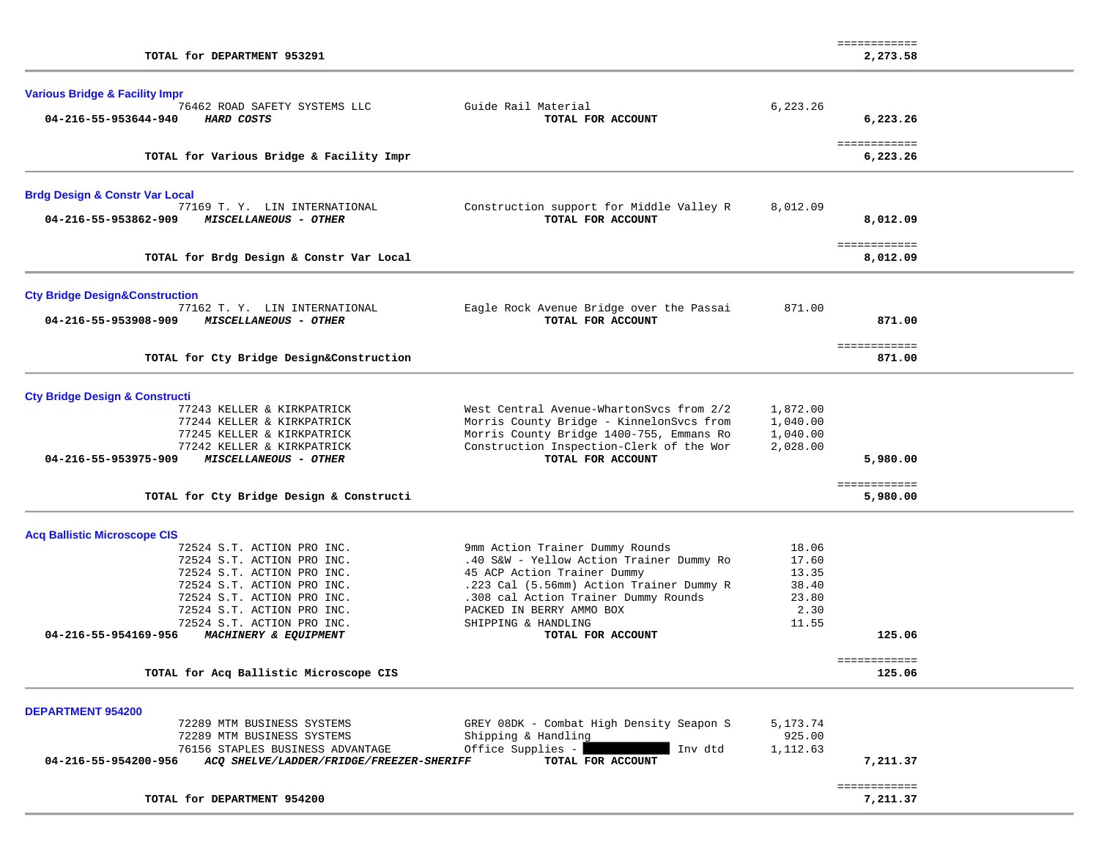| TOTAL for DEPARTMENT 953291                                                                          |                                                                                      |                      | ============<br>2,273.58 |  |
|------------------------------------------------------------------------------------------------------|--------------------------------------------------------------------------------------|----------------------|--------------------------|--|
| <b>Various Bridge &amp; Facility Impr</b>                                                            |                                                                                      |                      |                          |  |
| 76462 ROAD SAFETY SYSTEMS LLC<br>04-216-55-953644-940<br>HARD COSTS                                  | Guide Rail Material<br>TOTAL FOR ACCOUNT                                             | 6,223.26             | 6,223.26                 |  |
| TOTAL for Various Bridge & Facility Impr                                                             |                                                                                      |                      | ============<br>6,223.26 |  |
| <b>Brdg Design &amp; Constr Var Local</b>                                                            |                                                                                      |                      |                          |  |
| 77169 T.Y. LIN INTERNATIONAL<br>MISCELLANEOUS - OTHER<br>04-216-55-953862-909                        | Construction support for Middle Valley R<br>TOTAL FOR ACCOUNT                        | 8,012.09             | 8,012.09                 |  |
| TOTAL for Brdg Design & Constr Var Local                                                             |                                                                                      |                      | ============<br>8,012.09 |  |
| <b>Cty Bridge Design&amp;Construction</b>                                                            |                                                                                      |                      |                          |  |
| 77162 T. Y. LIN INTERNATIONAL<br>04-216-55-953908-909<br>MISCELLANEOUS - OTHER                       | Eagle Rock Avenue Bridge over the Passai<br>TOTAL FOR ACCOUNT                        | 871.00               | 871.00                   |  |
| TOTAL for Cty Bridge Design&Construction                                                             |                                                                                      |                      | ============<br>871.00   |  |
| <b>Cty Bridge Design &amp; Constructi</b>                                                            |                                                                                      |                      |                          |  |
| 77243 KELLER & KIRKPATRICK<br>77244 KELLER & KIRKPATRICK                                             | West Central Avenue-WhartonSvcs from 2/2<br>Morris County Bridge - KinnelonSvcs from | 1,872.00<br>1,040.00 |                          |  |
| 77245 KELLER & KIRKPATRICK                                                                           | Morris County Bridge 1400-755, Emmans Ro                                             | 1,040.00             |                          |  |
| 77242 KELLER & KIRKPATRICK<br>04-216-55-953975-909<br>MISCELLANEOUS - OTHER                          | Construction Inspection-Clerk of the Wor<br>TOTAL FOR ACCOUNT                        | 2,028.00             |                          |  |
|                                                                                                      |                                                                                      |                      | 5,980.00                 |  |
| TOTAL for Cty Bridge Design & Constructi                                                             |                                                                                      |                      | ============<br>5,980.00 |  |
| <b>Acq Ballistic Microscope CIS</b>                                                                  |                                                                                      |                      |                          |  |
| 72524 S.T. ACTION PRO INC.                                                                           | 9mm Action Trainer Dummy Rounds                                                      | 18.06                |                          |  |
| 72524 S.T. ACTION PRO INC.<br>72524 S.T. ACTION PRO INC.                                             | .40 S&W - Yellow Action Trainer Dummy Ro<br>45 ACP Action Trainer Dummy              | 17.60<br>13.35       |                          |  |
| 72524 S.T. ACTION PRO INC.                                                                           | .223 Cal (5.56mm) Action Trainer Dummy R                                             | 38.40                |                          |  |
| 72524 S.T. ACTION PRO INC.                                                                           | .308 cal Action Trainer Dummy Rounds                                                 | 23.80                |                          |  |
| 72524 S.T. ACTION PRO INC.                                                                           | PACKED IN BERRY AMMO BOX                                                             | 2.30                 |                          |  |
| 72524 S.T. ACTION PRO INC.<br>04-216-55-954169-956<br>MACHINERY & EQUIPMENT                          | SHIPPING & HANDLING<br>TOTAL FOR ACCOUNT                                             | 11.55                | 125.06                   |  |
| TOTAL for Acq Ballistic Microscope CIS                                                               |                                                                                      |                      | ============<br>125.06   |  |
|                                                                                                      |                                                                                      |                      |                          |  |
| <b>DEPARTMENT 954200</b><br>72289 MTM BUSINESS SYSTEMS                                               | GREY 08DK - Combat High Density Seapon S                                             | 5,173.74             |                          |  |
| 72289 MTM BUSINESS SYSTEMS                                                                           | Shipping & Handling                                                                  | 925.00               |                          |  |
| 76156 STAPLES BUSINESS ADVANTAGE<br>04-216-55-954200-956<br>ACQ SHELVE/LADDER/FRIDGE/FREEZER-SHERIFF | Office Supplies -<br>Inv dtd<br>TOTAL FOR ACCOUNT                                    | 1,112.63             | 7,211.37                 |  |
| TOTAL for DEPARTMENT 954200                                                                          |                                                                                      |                      | ============<br>7,211.37 |  |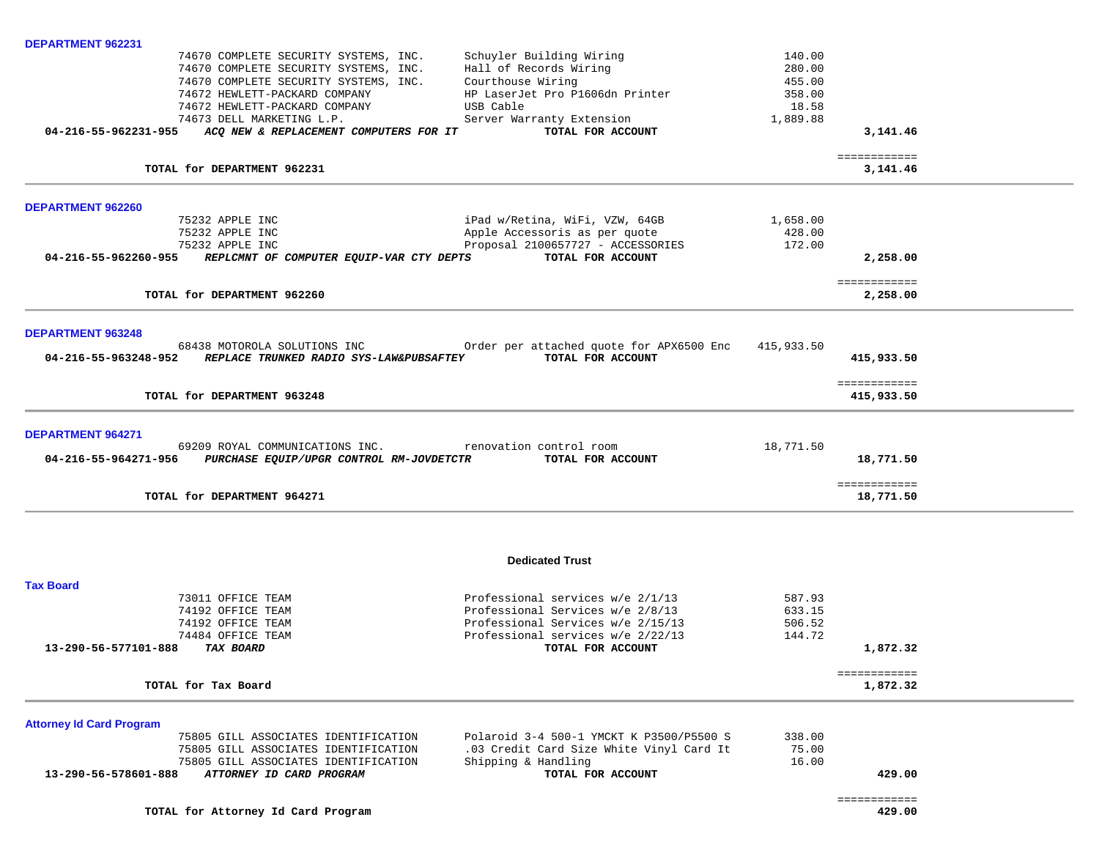| DEPARTMENT 962231                                                                                                       |                                                                         |                            |                            |  |
|-------------------------------------------------------------------------------------------------------------------------|-------------------------------------------------------------------------|----------------------------|----------------------------|--|
| 74670 COMPLETE SECURITY SYSTEMS, INC.<br>74670 COMPLETE SECURITY SYSTEMS, INC.<br>74670 COMPLETE SECURITY SYSTEMS, INC. | Schuyler Building Wiring<br>Hall of Records Wiring<br>Courthouse Wiring | 140.00<br>280.00<br>455.00 |                            |  |
| 74672 HEWLETT-PACKARD COMPANY                                                                                           | HP LaserJet Pro P1606dn Printer                                         | 358.00                     |                            |  |
| 74672 HEWLETT-PACKARD COMPANY<br>74673 DELL MARKETING L.P.                                                              | USB Cable<br>Server Warranty Extension                                  | 18.58<br>1,889.88          |                            |  |
| 04-216-55-962231-955<br>ACO NEW & REPLACEMENT COMPUTERS FOR IT                                                          | TOTAL FOR ACCOUNT                                                       |                            | 3,141.46                   |  |
|                                                                                                                         |                                                                         |                            | ============               |  |
| TOTAL for DEPARTMENT 962231                                                                                             |                                                                         |                            | 3,141.46                   |  |
| <b>DEPARTMENT 962260</b>                                                                                                |                                                                         |                            |                            |  |
| 75232 APPLE INC                                                                                                         | iPad w/Retina, WiFi, VZW, 64GB                                          | 1,658.00                   |                            |  |
| 75232 APPLE INC                                                                                                         | Apple Accessoris as per quote                                           | 428.00                     |                            |  |
| 75232 APPLE INC<br>04-216-55-962260-955<br>REPLCMNT OF COMPUTER EQUIP-VAR CTY DEPTS                                     | Proposal 2100657727 - ACCESSORIES<br>TOTAL FOR ACCOUNT                  | 172.00                     | 2,258.00                   |  |
|                                                                                                                         |                                                                         |                            |                            |  |
| TOTAL for DEPARTMENT 962260                                                                                             |                                                                         |                            | ============<br>2,258.00   |  |
|                                                                                                                         |                                                                         |                            |                            |  |
| <b>DEPARTMENT 963248</b>                                                                                                |                                                                         |                            |                            |  |
| 68438 MOTOROLA SOLUTIONS INC                                                                                            | Order per attached quote for APX6500 Enc                                | 415,933.50                 |                            |  |
| 04-216-55-963248-952<br>REPLACE TRUNKED RADIO SYS-LAW&PUBSAFTEY                                                         | TOTAL FOR ACCOUNT                                                       |                            | 415,933.50                 |  |
| TOTAL for DEPARTMENT 963248                                                                                             |                                                                         |                            | ============<br>415,933.50 |  |
|                                                                                                                         |                                                                         |                            |                            |  |
| <b>DEPARTMENT 964271</b><br>69209 ROYAL COMMUNICATIONS INC.                                                             | renovation control room                                                 | 18,771.50                  |                            |  |
| PURCHASE EQUIP/UPGR CONTROL RM-JOVDETCTR<br>04-216-55-964271-956                                                        | TOTAL FOR ACCOUNT                                                       |                            | 18,771.50                  |  |
|                                                                                                                         |                                                                         |                            |                            |  |
| TOTAL for DEPARTMENT 964271                                                                                             |                                                                         |                            | ============<br>18,771.50  |  |
|                                                                                                                         |                                                                         |                            |                            |  |
|                                                                                                                         | <b>Dedicated Trust</b>                                                  |                            |                            |  |
| <b>Tax Board</b>                                                                                                        |                                                                         |                            |                            |  |
| 73011 OFFICE TEAM                                                                                                       | Professional services $w/e$ 2/1/13                                      | 587.93                     |                            |  |
| 74192 OFFICE TEAM                                                                                                       | Professional Services w/e 2/8/13                                        | 633.15                     |                            |  |
| 74192 OFFICE TEAM<br>74484 OFFICE TEAM                                                                                  | Professional Services w/e 2/15/13<br>Professional services w/e 2/22/13  | 506.52<br>144.72           |                            |  |
| 13-290-56-577101-888<br><b>TAX BOARD</b>                                                                                | TOTAL FOR ACCOUNT                                                       |                            | 1,872.32                   |  |
|                                                                                                                         |                                                                         |                            | ============               |  |
| TOTAL for Tax Board                                                                                                     |                                                                         |                            | 1,872.32                   |  |
| <b>Attorney Id Card Program</b>                                                                                         |                                                                         |                            |                            |  |
| 75805 GILL ASSOCIATES IDENTIFICATION                                                                                    | Polaroid 3-4 500-1 YMCKT K P3500/P5500 S                                | 338.00                     |                            |  |
| 75805 GILL ASSOCIATES IDENTIFICATION                                                                                    | .03 Credit Card Size White Vinyl Card It                                | 75.00                      |                            |  |
| 75805 GILL ASSOCIATES IDENTIFICATION                                                                                    | Shipping & Handling                                                     | 16.00                      |                            |  |
| ATTORNEY ID CARD PROGRAM<br>13-290-56-578601-888                                                                        | TOTAL FOR ACCOUNT                                                       |                            | 429.00                     |  |
|                                                                                                                         |                                                                         |                            | ============               |  |
| TOTAL for Attorney Id Card Program                                                                                      |                                                                         |                            | 429.00                     |  |